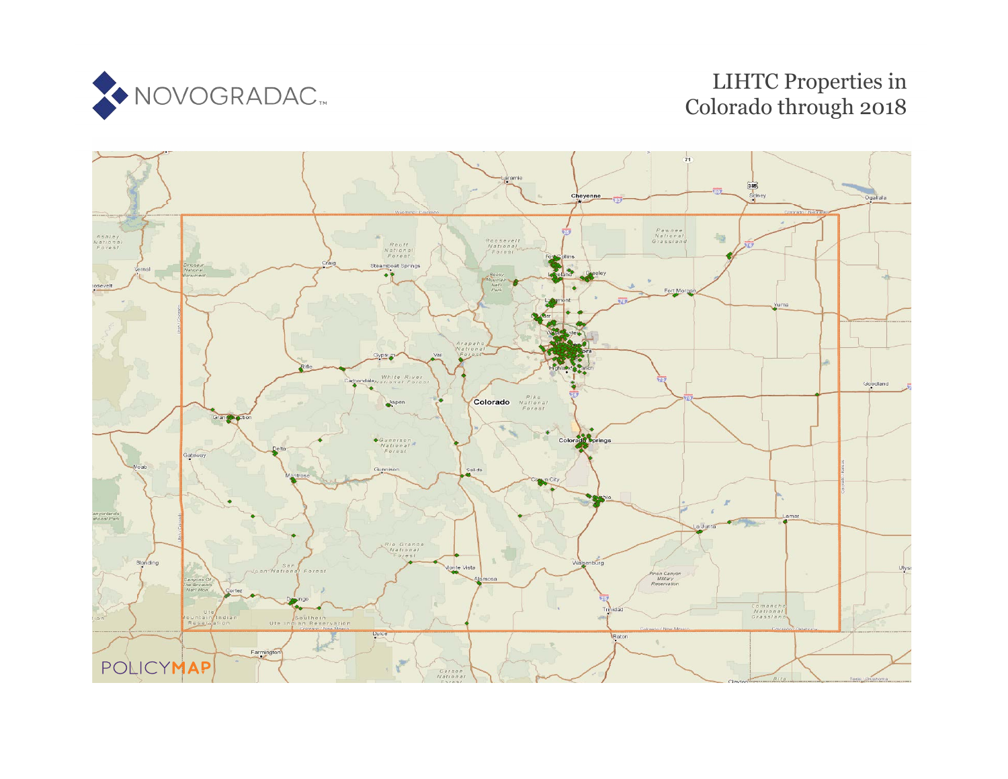

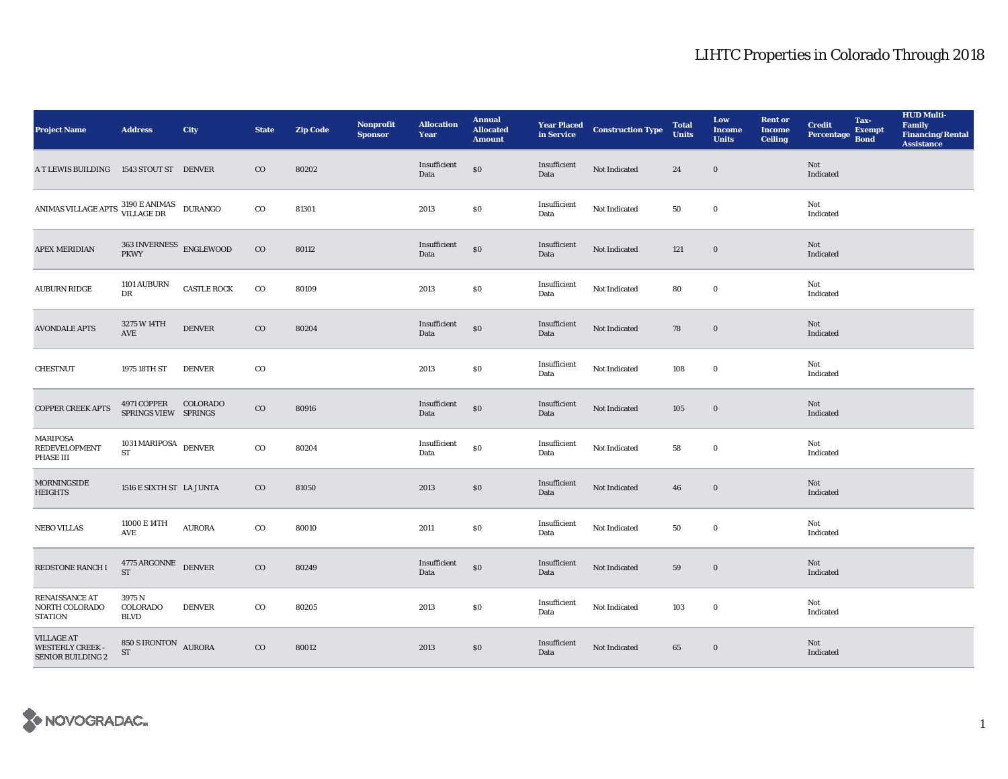| <b>Project Name</b>                                                                                                                                                        | <b>Address</b>                                    | City               | <b>State</b> | <b>Zip Code</b> | Nonprofit<br><b>Sponsor</b> | <b>Allocation</b><br>Year | <b>Annual</b><br><b>Allocated</b><br><b>Amount</b> |                      | <b>Year Placed Construction Type</b><br>in Service | <b>Total</b><br><b>Units</b> | Low<br><b>Income</b><br><b>Units</b> | <b>Rent or</b><br><b>Income</b><br><b>Ceiling</b> | <b>Credit</b><br><b>Percentage</b> | Tax-<br><b>Exempt</b><br><b>Bond</b> | <b>HUD Multi-</b><br>Family<br><b>Financing/Rental</b><br><b>Assistance</b> |
|----------------------------------------------------------------------------------------------------------------------------------------------------------------------------|---------------------------------------------------|--------------------|--------------|-----------------|-----------------------------|---------------------------|----------------------------------------------------|----------------------|----------------------------------------------------|------------------------------|--------------------------------------|---------------------------------------------------|------------------------------------|--------------------------------------|-----------------------------------------------------------------------------|
| A T LEWIS BUILDING                                                                                                                                                         | 1543 STOUT ST DENVER                              |                    | $_{\rm CO}$  | 80202           |                             | Insufficient<br>Data      | $\$0$                                              | Insufficient<br>Data | Not Indicated                                      | 24                           | $\mathbf 0$                          |                                                   | Not<br>Indicated                   |                                      |                                                                             |
| $\begin{tabular}{ll} \bf ANIMAS \, VILLAGE \, APTS & \color{red}3190 \, E \, ANIMAS & \color{red}DURANGO \\ & \color{red}VILLAGE \, DR & \color{red}DURANGO \end{tabular}$ |                                                   |                    | $\rm{CO}$    | 81301           |                             | 2013                      | $\$0$                                              | Insufficient<br>Data | Not Indicated                                      | 50                           | $\bf{0}$                             |                                                   | Not<br>Indicated                   |                                      |                                                                             |
| <b>APEX MERIDIAN</b>                                                                                                                                                       | $363\text{\,INVERNESS}\quad\text{ENGLEWOOD}$ PKWY |                    | $\rm{CO}$    | 80112           |                             | Insufficient<br>Data      | $\$0$                                              | Insufficient<br>Data | Not Indicated                                      | 121                          | $\bf{0}$                             |                                                   | Not<br>Indicated                   |                                      |                                                                             |
| <b>AUBURN RIDGE</b>                                                                                                                                                        | 1101 AUBURN<br>DR                                 | <b>CASTLE ROCK</b> | $_{\rm CO}$  | 80109           |                             | 2013                      | \$0                                                | Insufficient<br>Data | Not Indicated                                      | 80                           | $\mathbf 0$                          |                                                   | Not<br>Indicated                   |                                      |                                                                             |
| <b>AVONDALE APTS</b>                                                                                                                                                       | 3275 W 14TH<br>$\operatorname{AVE}$               | <b>DENVER</b>      | $_{\rm CO}$  | 80204           |                             | Insufficient<br>Data      | \$0                                                | Insufficient<br>Data | Not Indicated                                      | 78                           | $\boldsymbol{0}$                     |                                                   | Not<br>Indicated                   |                                      |                                                                             |
| <b>CHESTNUT</b>                                                                                                                                                            | 1975 18TH ST                                      | <b>DENVER</b>      | $_{\rm CO}$  |                 |                             | 2013                      | $\$0$                                              | Insufficient<br>Data | Not Indicated                                      | 108                          | $\boldsymbol{0}$                     |                                                   | Not<br>Indicated                   |                                      |                                                                             |
| <b>COPPER CREEK APTS</b>                                                                                                                                                   | 4971 COPPER COLORADO<br>SPRINGS VIEW SPRINGS      |                    | $_{\rm CO}$  | 80916           |                             | Insufficient<br>Data      | $\$0$                                              | Insufficient<br>Data | Not Indicated                                      | 105                          | $\bf{0}$                             |                                                   | Not<br>Indicated                   |                                      |                                                                             |
| MARIPOSA<br><b>REDEVELOPMENT</b><br>PHASE III                                                                                                                              | 1031 MARIPOSA DENVER<br><b>ST</b>                 |                    | $_{\rm CO}$  | 80204           |                             | Insufficient<br>Data      | $\$0$                                              | Insufficient<br>Data | Not Indicated                                      | 58                           | $\mathbf 0$                          |                                                   | Not<br>Indicated                   |                                      |                                                                             |
| <b>MORNINGSIDE</b><br><b>HEIGHTS</b>                                                                                                                                       | 1516 E SIXTH ST LA JUNTA                          |                    | $_{\rm CO}$  | 81050           |                             | 2013                      | \$0\$                                              | Insufficient<br>Data | Not Indicated                                      | 46                           | $\bf{0}$                             |                                                   | Not<br>Indicated                   |                                      |                                                                             |
| <b>NEBO VILLAS</b>                                                                                                                                                         | 11000 E 14TH<br><b>AVE</b>                        | <b>AURORA</b>      | $_{\rm CO}$  | 80010           |                             | 2011                      | $\$0$                                              | Insufficient<br>Data | Not Indicated                                      | 50                           | $\mathbf 0$                          |                                                   | Not<br>Indicated                   |                                      |                                                                             |
| REDSTONE RANCH I                                                                                                                                                           | $4775\,\mathrm{ARGONNE}\quad$ DENVER ST           |                    | $_{\rm CO}$  | 80249           |                             | Insufficient<br>Data      | $\$0$                                              | Insufficient<br>Data | Not Indicated                                      | 59                           | $\boldsymbol{0}$                     |                                                   | Not<br>Indicated                   |                                      |                                                                             |
| RENAISSANCE AT<br>NORTH COLORADO<br>STATION                                                                                                                                | 3975 N<br>COLORADO<br><b>BLVD</b>                 | <b>DENVER</b>      | $_{\rm CO}$  | 80205           |                             | 2013                      | \$0                                                | Insufficient<br>Data | Not Indicated                                      | 103                          | $\bf{0}$                             |                                                   | Not<br>Indicated                   |                                      |                                                                             |
| <b>VILLAGE AT</b><br><b>WESTERLY CREEK</b><br><b>SENIOR BUILDING 2</b>                                                                                                     | 850 S IRONTON AURORA<br>${\rm ST}$                |                    | $_{\rm CO}$  | 80012           |                             | 2013                      | \$0                                                | Insufficient<br>Data | Not Indicated                                      | 65                           | $\bf{0}$                             |                                                   | Not<br>Indicated                   |                                      |                                                                             |

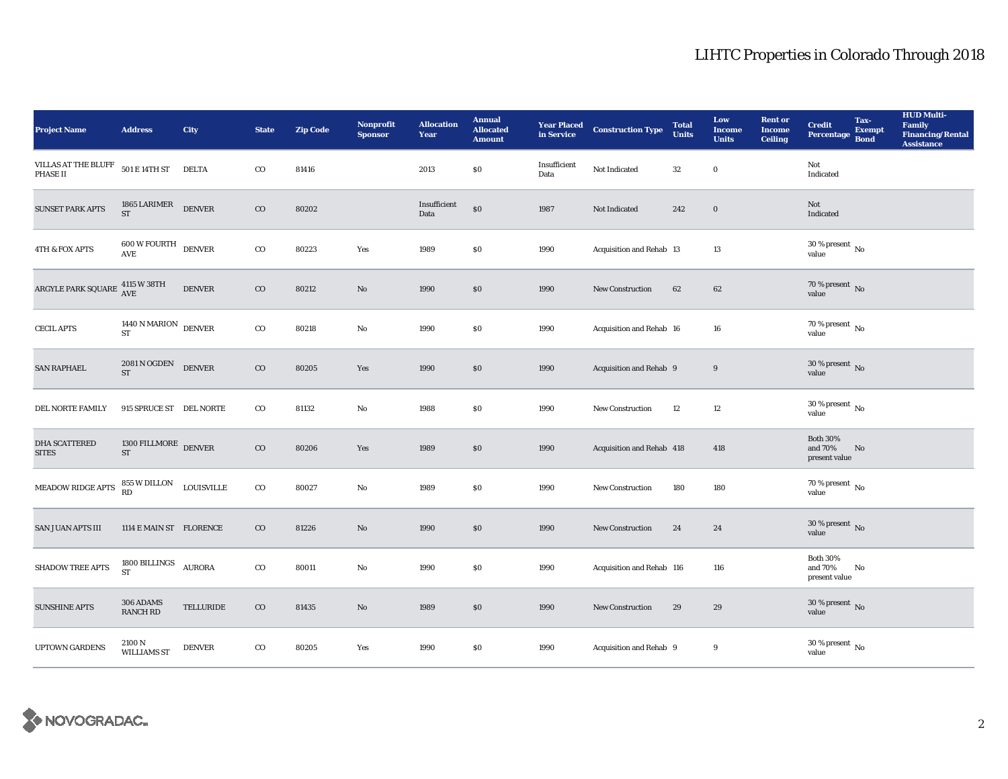| <b>Project Name</b>                                  | <b>Address</b>                                | City          | <b>State</b> | <b>Zip Code</b> | <b>Nonprofit</b><br><b>Sponsor</b> | <b>Allocation</b><br>Year | <b>Annual</b><br><b>Allocated</b><br><b>Amount</b> | <b>Year Placed<br/>in Service</b> | <b>Construction Type</b>  | <b>Total</b><br><b>Units</b> | Low<br><b>Income</b><br><b>Units</b> | <b>Rent or</b><br><b>Income</b><br><b>Ceiling</b> | <b>Credit</b><br><b>Percentage</b>          | Tax-<br><b>Exempt</b><br><b>Bond</b> | <b>HUD Multi-</b><br>Family<br><b>Financing/Rental</b><br><b>Assistance</b> |
|------------------------------------------------------|-----------------------------------------------|---------------|--------------|-----------------|------------------------------------|---------------------------|----------------------------------------------------|-----------------------------------|---------------------------|------------------------------|--------------------------------------|---------------------------------------------------|---------------------------------------------|--------------------------------------|-----------------------------------------------------------------------------|
| VILLAS AT THE BLUFF<br>PHASE II                      | $501\to14\text{TH}$ ST                        | <b>DELTA</b>  | $\rm{CO}$    | 81416           |                                    | 2013                      | \$0\$                                              | Insufficient<br>Data              | Not Indicated             | $32\,$                       | $\mathbf 0$                          |                                                   | Not<br>Indicated                            |                                      |                                                                             |
| <b>SUNSET PARK APTS</b>                              | 1865 LARIMER $\rm DENVER$                     |               | $\rm{CO}$    | 80202           |                                    | Insufficient<br>Data      | \$0                                                | 1987                              | Not Indicated             | 242                          | $\mathbf 0$                          |                                                   | Not<br>Indicated                            |                                      |                                                                             |
| 4TH & FOX APTS                                       | $600\,\mathrm{W}\,\mathrm{FOURTH}$ DENVER AVE |               | $\rm{CO}$    | 80223           | Yes                                | 1989                      | $\$0$                                              | 1990                              | Acquisition and Rehab 13  |                              | 13                                   |                                                   | $30\,\%$ present $\,$ No value              |                                      |                                                                             |
| ARGYLE PARK SQUARE $\frac{\rm 4115~W~38TH}{\rm AVE}$ |                                               | <b>DENVER</b> | $\rm{CO}$    | 80212           | $\mathbf{N}\mathbf{o}$             | 1990                      | \$0                                                | 1990                              | <b>New Construction</b>   | 62                           | 62                                   |                                                   | $70$ % present $\,$ No value                |                                      |                                                                             |
| <b>CECIL APTS</b>                                    | $1440$ N MARION $\;$ DENVER ST                |               | $_{\rm CO}$  | 80218           | $\mathbf{No}$                      | 1990                      | \$0                                                | 1990                              | Acquisition and Rehab 16  |                              | 16                                   |                                                   | $70$ % present $\,$ No $\,$<br>value        |                                      |                                                                             |
| <b>SAN RAPHAEL</b>                                   | 2081 N OGDEN<br><b>ST</b>                     | <b>DENVER</b> | $\rm{CO}$    | 80205           | Yes                                | 1990                      | $\$0$                                              | 1990                              | Acquisition and Rehab 9   |                              | 9                                    |                                                   | $30\,\%$ present $\,$ No value              |                                      |                                                                             |
| DEL NORTE FAMILY                                     | 915 SPRUCE ST DEL NORTE                       |               | $_{\rm CO}$  | 81132           | No                                 | 1988                      | $\$0$                                              | 1990                              | <b>New Construction</b>   | $12\,$                       | $12\,$                               |                                                   | $30\,\%$ present $\,$ No value              |                                      |                                                                             |
| <b>DHA SCATTERED</b><br><b>SITES</b>                 | 1300 FILLMORE DENVER<br><b>ST</b>             |               | $\rm{CO}$    | 80206           | Yes                                | 1989                      | \$0                                                | 1990                              | Acquisition and Rehab 418 |                              | 418                                  |                                                   | <b>Both 30%</b><br>and 70%<br>present value | No                                   |                                                                             |
| MEADOW RIDGE APTS                                    | 855 W DILLON LOUISVILLE<br>RD                 |               | $\rm{co}$    | 80027           | No                                 | 1989                      | \$0                                                | 1990                              | <b>New Construction</b>   | 180                          | 180                                  |                                                   | $70$ % present $\,$ No value                |                                      |                                                                             |
| <b>SAN JUAN APTS III</b>                             | 1114 E MAIN ST FLORENCE                       |               | $\rm{CO}$    | 81226           | $\mathbf{N}\mathbf{o}$             | 1990                      | $\$0$                                              | 1990                              | New Construction          | 24                           | 24                                   |                                                   | $30\,\%$ present $\,$ No value              |                                      |                                                                             |
| <b>SHADOW TREE APTS</b>                              | $1800\,$ BILLINGS<br><b>ST</b>                | <b>AURORA</b> | $\rm{co}$    | 80011           | No                                 | 1990                      | \$0\$                                              | 1990                              | Acquisition and Rehab 116 |                              | 116                                  |                                                   | <b>Both 30%</b><br>and 70%<br>present value | No                                   |                                                                             |
| <b>SUNSHINE APTS</b>                                 | 306 ADAMS<br><b>RANCH RD</b>                  | TELLURIDE     | $\rm{CO}$    | 81435           | No                                 | 1989                      | \$0\$                                              | 1990                              | New Construction          | 29                           | 29                                   |                                                   | $30\,\%$ present $\,$ No value              |                                      |                                                                             |
| UPTOWN GARDENS                                       | 2100 N<br><b>WILLIAMS ST</b>                  | <b>DENVER</b> | $\rm{co}$    | 80205           | Yes                                | 1990                      | $\$0$                                              | 1990                              | Acquisition and Rehab 9   |                              | 9                                    |                                                   | $30\,\%$ present $\,$ No value              |                                      |                                                                             |

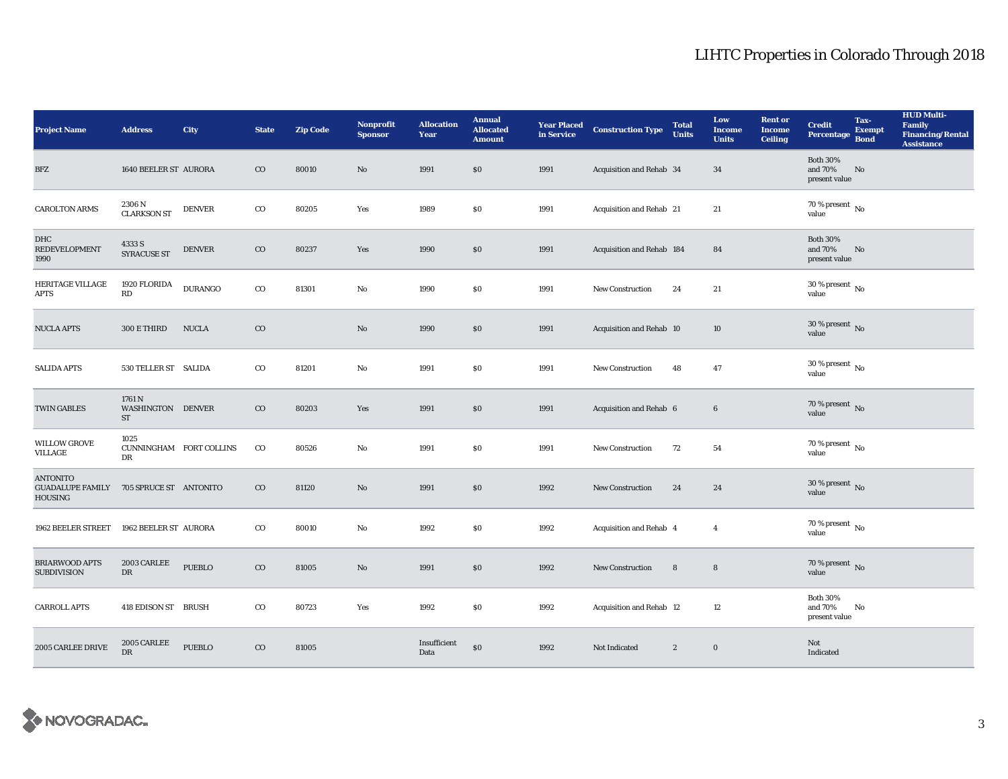| <b>Project Name</b>                                          | <b>Address</b>                        | City           | <b>State</b> | <b>Zip Code</b> | <b>Nonprofit</b><br><b>Sponsor</b> | <b>Allocation</b><br>Year | <b>Annual</b><br><b>Allocated</b><br><b>Amount</b> | <b>Year Placed<br/>in Service</b> | <b>Construction Type</b>  | <b>Total</b><br><b>Units</b> | Low<br><b>Income</b><br><b>Units</b> | <b>Rent or</b><br><b>Income</b><br><b>Ceiling</b> | <b>Credit</b><br><b>Percentage</b>          | Tax-<br><b>Exempt</b><br><b>Bond</b> | <b>HUD Multi-</b><br>Family<br><b>Financing/Rental</b><br><b>Assistance</b> |
|--------------------------------------------------------------|---------------------------------------|----------------|--------------|-----------------|------------------------------------|---------------------------|----------------------------------------------------|-----------------------------------|---------------------------|------------------------------|--------------------------------------|---------------------------------------------------|---------------------------------------------|--------------------------------------|-----------------------------------------------------------------------------|
| BFZ                                                          | 1640 BEELER ST AURORA                 |                | $_{\rm CO}$  | 80010           | No                                 | 1991                      | \$0\$                                              | 1991                              | Acquisition and Rehab 34  |                              | 34                                   |                                                   | <b>Both 30%</b><br>and 70%<br>present value | No                                   |                                                                             |
| <b>CAROLTON ARMS</b>                                         | 2306 N<br><b>CLARKSON ST</b>          | <b>DENVER</b>  | $_{\rm CO}$  | 80205           | Yes                                | 1989                      | \$0                                                | 1991                              | Acquisition and Rehab 21  |                              | 21                                   |                                                   | $70$ % present $\,$ No $\,$<br>value        |                                      |                                                                             |
| DHC<br><b>REDEVELOPMENT</b><br>1990                          | 4333 S<br><b>SYRACUSE ST</b>          | <b>DENVER</b>  | $_{\rm CO}$  | 80237           | Yes                                | 1990                      | \$0                                                | 1991                              | Acquisition and Rehab 184 |                              | 84                                   |                                                   | <b>Both 30%</b><br>and 70%<br>present value | No                                   |                                                                             |
| HERITAGE VILLAGE<br><b>APTS</b>                              | 1920 FLORIDA<br>RD                    | <b>DURANGO</b> | $\rm{co}$    | 81301           | No                                 | 1990                      | $\$0$                                              | 1991                              | New Construction          | 24                           | 21                                   |                                                   | $30$ % present $\,$ No $\,$<br>value        |                                      |                                                                             |
| <b>NUCLA APTS</b>                                            | 300 E THIRD                           | <b>NUCLA</b>   | $_{\rm CO}$  |                 | No                                 | 1990                      | \$0                                                | 1991                              | Acquisition and Rehab 10  |                              | 10                                   |                                                   | 30 % present $\,$ No $\,$<br>value          |                                      |                                                                             |
| <b>SALIDA APTS</b>                                           | 530 TELLER ST SALIDA                  |                | $\rm{CO}$    | 81201           | No                                 | 1991                      | \$0\$                                              | 1991                              | <b>New Construction</b>   | 48                           | 47                                   |                                                   | $30\,\%$ present $\,$ No $\,$<br>value      |                                      |                                                                             |
| <b>TWIN GABLES</b>                                           | 1761 N<br>WASHINGTON DENVER<br>ST     |                | $\rm{CO}$    | 80203           | Yes                                | 1991                      | \$0                                                | 1991                              | Acquisition and Rehab 6   |                              | $\boldsymbol{6}$                     |                                                   | 70 % present $\,$ No $\,$<br>value          |                                      |                                                                             |
| <b>WILLOW GROVE</b><br>VILLAGE                               | 1025<br>CUNNINGHAM FORT COLLINS<br>DR |                | $_{\rm CO}$  | 80526           | No                                 | 1991                      | $\$0$                                              | 1991                              | New Construction          | 72                           | 54                                   |                                                   | 70 % present $\,$ No $\,$<br>value          |                                      |                                                                             |
| <b>ANTONITO</b><br><b>GUADALUPE FAMILY</b><br><b>HOUSING</b> | 705 SPRUCE ST ANTONITO                |                | $\rm{CO}$    | 81120           | No                                 | 1991                      | \$0                                                | 1992                              | <b>New Construction</b>   | 24                           | 24                                   |                                                   | 30 % present $\,$ No $\,$<br>value          |                                      |                                                                             |
| 1962 BEELER STREET                                           | 1962 BEELER ST AURORA                 |                | $\rm{CO}$    | 80010           | No                                 | 1992                      | \$0                                                | 1992                              | Acquisition and Rehab 4   |                              | $\overline{4}$                       |                                                   | $70$ % present $\,$ No value                |                                      |                                                                             |
| <b>BRIARWOOD APTS</b><br><b>SUBDIVISION</b>                  | 2003 CARLEE<br>DR                     | PUEBLO         | $_{\rm CO}$  | 81005           | No                                 | 1991                      | $\$0$                                              | 1992                              | New Construction          | 8                            | $\boldsymbol{8}$                     |                                                   | 70 % present $\overline{N}$<br>value        |                                      |                                                                             |
| <b>CARROLL APTS</b>                                          | 418 EDISON ST BRUSH                   |                | $\rm{CO}$    | 80723           | Yes                                | 1992                      | $\$0$                                              | 1992                              | Acquisition and Rehab 12  |                              | 12                                   |                                                   | <b>Both 30%</b><br>and 70%<br>present value | No                                   |                                                                             |
| 2005 CARLEE DRIVE                                            | 2005 CARLEE<br><b>DR</b>              | <b>PUEBLO</b>  | $\rm{CO}$    | 81005           |                                    | Insufficient<br>Data      | \$0                                                | 1992                              | Not Indicated             | $\mathbf{2}$                 | $\bf{0}$                             |                                                   | Not<br>Indicated                            |                                      |                                                                             |

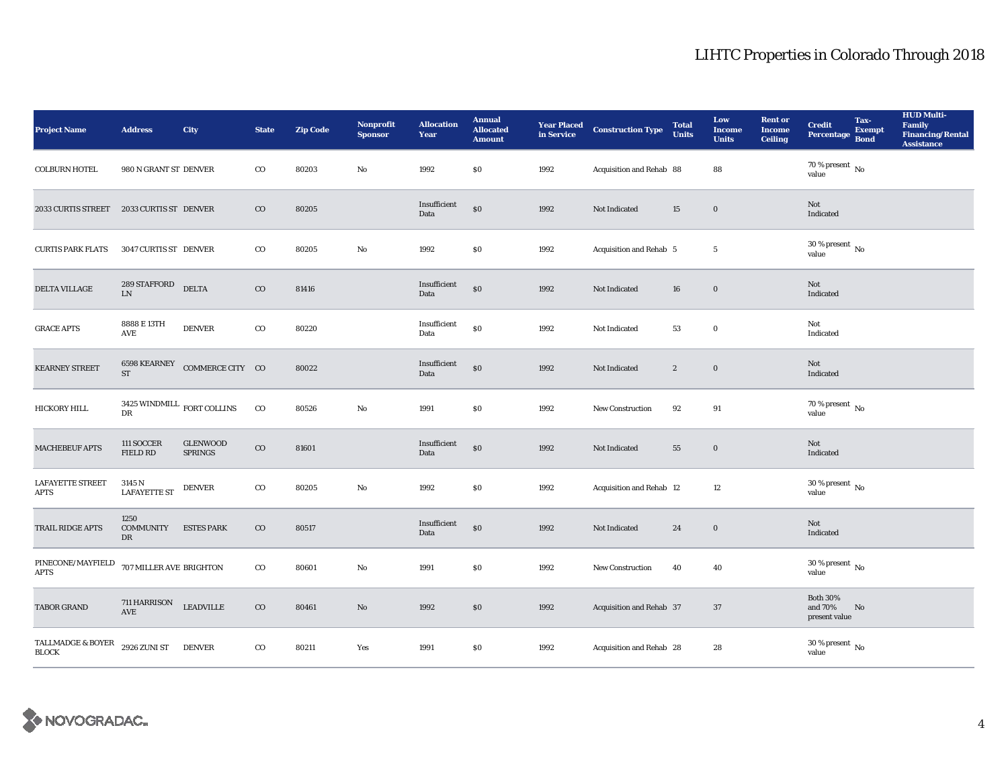| <b>Project Name</b>                                     | <b>Address</b>                                    | City                              | <b>State</b> | <b>Zip Code</b> | Nonprofit<br><b>Sponsor</b> | <b>Allocation</b><br>Year | <b>Annual</b><br><b>Allocated</b><br><b>Amount</b> | <b>Year Placed<br/>in Service</b> | <b>Construction Type</b> | <b>Total</b><br><b>Units</b> | Low<br><b>Income</b><br><b>Units</b> | <b>Rent or</b><br><b>Income</b><br><b>Ceiling</b> | <b>Credit</b><br>Percentage                 | Tax-<br><b>Exempt</b><br><b>Bond</b> | <b>HUD Multi-</b><br><b>Family<br/>Financing/Rental</b><br><b>Assistance</b> |
|---------------------------------------------------------|---------------------------------------------------|-----------------------------------|--------------|-----------------|-----------------------------|---------------------------|----------------------------------------------------|-----------------------------------|--------------------------|------------------------------|--------------------------------------|---------------------------------------------------|---------------------------------------------|--------------------------------------|------------------------------------------------------------------------------|
| <b>COLBURN HOTEL</b>                                    | 980 N GRANT ST DENVER                             |                                   | $_{\rm CO}$  | 80203           | No                          | 1992                      | \$0                                                | 1992                              | Acquisition and Rehab 88 |                              | 88                                   |                                                   | 70 % present $\hbox{~No}$<br>value          |                                      |                                                                              |
| 2033 CURTIS STREET 2033 CURTIS ST DENVER                |                                                   |                                   | $\rm{CO}$    | 80205           |                             | Insufficient<br>Data      | \$0                                                | 1992                              | Not Indicated            | 15                           | $\boldsymbol{0}$                     |                                                   | Not<br>Indicated                            |                                      |                                                                              |
| <b>CURTIS PARK FLATS</b>                                | 3047 CURTIS ST DENVER                             |                                   | $_{\rm CO}$  | 80205           | $\rm No$                    | 1992                      | $\$0$                                              | 1992                              | Acquisition and Rehab 5  |                              | $\sqrt{5}$                           |                                                   | $30$ % present $\,$ No value                |                                      |                                                                              |
| DELTA VILLAGE                                           | $289\,$ STAFFORD<br>LN                            | <b>DELTA</b>                      | $\rm{CO}$    | 81416           |                             | Insufficient<br>Data      | \$0                                                | 1992                              | Not Indicated            | ${\bf 16}$                   | $\bf{0}$                             |                                                   | Not<br>Indicated                            |                                      |                                                                              |
| <b>GRACE APTS</b>                                       | 8888 E 13TH<br>AVE                                | <b>DENVER</b>                     | $_{\rm CO}$  | 80220           |                             | Insufficient<br>Data      | \$0                                                | 1992                              | Not Indicated            | 53                           | $\mathbf 0$                          |                                                   | Not<br>Indicated                            |                                      |                                                                              |
| <b>KEARNEY STREET</b>                                   | <b>ST</b>                                         | 6598 KEARNEY COMMERCE CITY CO     |              | 80022           |                             | Insufficient<br>Data      | \$0                                                | 1992                              | Not Indicated            | $\boldsymbol{2}$             | $\bf{0}$                             |                                                   | Not<br>Indicated                            |                                      |                                                                              |
| HICKORY HILL                                            | 3425 WINDMILL $_{\rm FORT\mbox{\,COLLINS}}$<br>DR |                                   | $_{\rm CO}$  | 80526           | $\rm No$                    | 1991                      | $\$0$                                              | 1992                              | New Construction         | 92                           | 91                                   |                                                   | $70$ % present $\,$ No $\,$<br>value        |                                      |                                                                              |
| <b>MACHEBEUF APTS</b>                                   | 111 SOCCER<br>FIELD RD                            | <b>GLENWOOD</b><br><b>SPRINGS</b> | $_{\rm CO}$  | 81601           |                             | Insufficient<br>Data      | $\$0$                                              | 1992                              | Not Indicated            | 55                           | $\boldsymbol{0}$                     |                                                   | Not<br>Indicated                            |                                      |                                                                              |
| <b>LAFAYETTE STREET</b><br><b>APTS</b>                  | 3145 N<br><b>LAFAYETTE ST</b>                     | <b>DENVER</b>                     | $_{\rm CO}$  | 80205           | $\mathbf{No}$               | 1992                      | $\$0$                                              | 1992                              | Acquisition and Rehab 12 |                              | 12                                   |                                                   | 30 % present $\,$ No $\,$<br>value          |                                      |                                                                              |
| TRAIL RIDGE APTS                                        | 1250<br><b>COMMUNITY</b><br>DR                    | <b>ESTES PARK</b>                 | $_{\rm CO}$  | 80517           |                             | Insufficient<br>Data      | $\boldsymbol{\mathsf{S}}\boldsymbol{\mathsf{O}}$   | 1992                              | Not Indicated            | 24                           | $\boldsymbol{0}$                     |                                                   | Not<br>Indicated                            |                                      |                                                                              |
| $\ensuremath{\mathsf{PINECONE/MAYFIED}}$<br><b>APTS</b> | 707 MILLER AVE BRIGHTON                           |                                   | $\rm{CO}$    | 80601           | No                          | 1991                      | $\$0$                                              | 1992                              | <b>New Construction</b>  | 40                           | 40                                   |                                                   | 30 % present $\,$ No $\,$<br>value          |                                      |                                                                              |
| <b>TABOR GRAND</b>                                      | 711 HARRISON<br>AVE                               | <b>LEADVILLE</b>                  | $\rm{CO}$    | 80461           | No                          | 1992                      | \$0                                                | 1992                              | Acquisition and Rehab 37 |                              | 37                                   |                                                   | <b>Both 30%</b><br>and 70%<br>present value | No                                   |                                                                              |
| TALLMADGE & BOYER<br>$_{\rm BLOCK}$                     | <b>2926 ZUNI ST</b>                               | <b>DENVER</b>                     | $_{\rm CO}$  | 80211           | Yes                         | 1991                      | $\$0$                                              | 1992                              | Acquisition and Rehab 28 |                              | 28                                   |                                                   | $30\,\%$ present $\,$ No value              |                                      |                                                                              |

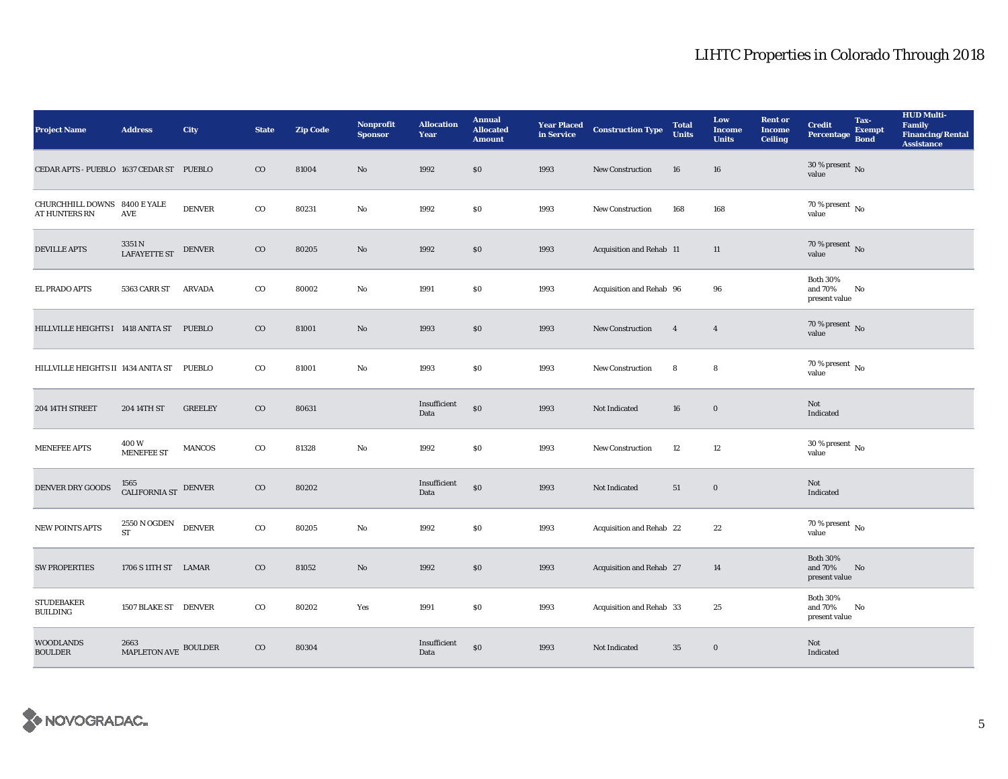| <b>Project Name</b>                                  | <b>Address</b>               | City           | <b>State</b> | <b>Zip Code</b> | <b>Nonprofit</b><br><b>Sponsor</b> | <b>Allocation</b><br>Year | <b>Annual</b><br><b>Allocated</b><br><b>Amount</b> |      | <b>Year Placed Construction Type</b><br>in Service | <b>Total</b><br><b>Units</b> | Low<br><b>Income</b><br><b>Units</b> | <b>Rent or</b><br><b>Income</b><br><b>Ceiling</b> | <b>Credit</b><br><b>Percentage</b>          | Tax-<br><b>Exempt</b><br><b>Bond</b> | <b>HUD Multi-</b><br><b>Family</b><br><b>Financing/Rental</b><br><b>Assistance</b> |
|------------------------------------------------------|------------------------------|----------------|--------------|-----------------|------------------------------------|---------------------------|----------------------------------------------------|------|----------------------------------------------------|------------------------------|--------------------------------------|---------------------------------------------------|---------------------------------------------|--------------------------------------|------------------------------------------------------------------------------------|
| CEDAR APTS - PUEBLO 1637 CEDAR ST PUEBLO             |                              |                | $\rm{CO}$    | 81004           | No                                 | 1992                      | \$0\$                                              | 1993 | <b>New Construction</b>                            | ${\bf 16}$                   | 16                                   |                                                   | $30$ % present $\,$ No $\,$<br>value        |                                      |                                                                                    |
| CHURCHHILL DOWNS 8400 E YALE<br><b>AT HUNTERS RN</b> | AVE                          | <b>DENVER</b>  | $_{\rm CO}$  | 80231           | No                                 | 1992                      | $\$0$                                              | 1993 | <b>New Construction</b>                            | 168                          | 168                                  |                                                   | 70 % present $\,$ No $\,$<br>value          |                                      |                                                                                    |
| <b>DEVILLE APTS</b>                                  | 3351 N<br>LAFAYETTE ST       | <b>DENVER</b>  | $_{\rm CO}$  | 80205           | No                                 | 1992                      | \$0                                                | 1993 | Acquisition and Rehab 11                           |                              | 11                                   |                                                   | $70$ % present $\,$ No value                |                                      |                                                                                    |
| <b>EL PRADO APTS</b>                                 | 5363 CARR ST                 | <b>ARVADA</b>  | $_{\rm CO}$  | 80002           | No                                 | 1991                      | $\$0$                                              | 1993 | Acquisition and Rehab 96                           |                              | 96                                   |                                                   | <b>Both 30%</b><br>and 70%<br>present value | No                                   |                                                                                    |
| HILLVILLE HEIGHTS I 1418 ANITA ST PUEBLO             |                              |                | $_{\rm CO}$  | 81001           | $\mathbf{N}\mathbf{o}$             | 1993                      | $\$0$                                              | 1993 | New Construction                                   | $\overline{4}$               | $\overline{4}$                       |                                                   | $70$ % present $\,$ No value                |                                      |                                                                                    |
| HILLVILLE HEIGHTS II 1434 ANITA ST PUEBLO            |                              |                | $_{\rm CO}$  | 81001           | No                                 | 1993                      | \$0                                                | 1993 | <b>New Construction</b>                            | 8                            | 8                                    |                                                   | $70$ % present $\,$ No $\,$<br>value        |                                      |                                                                                    |
| 204 14TH STREET                                      | 204 14TH ST                  | <b>GREELEY</b> | $_{\rm CO}$  | 80631           |                                    | Insufficient<br>Data      | \$0                                                | 1993 | Not Indicated                                      | 16                           | $\bf{0}$                             |                                                   | Not<br>Indicated                            |                                      |                                                                                    |
| <b>MENEFEE APTS</b>                                  | 400W<br><b>MENEFEE ST</b>    | <b>MANCOS</b>  | $_{\rm CO}$  | 81328           | No                                 | 1992                      | \$0                                                | 1993 | New Construction                                   | 12                           | 12                                   |                                                   | $30\,\%$ present $\,$ No $\,$<br>value      |                                      |                                                                                    |
| DENVER DRY GOODS                                     | 1565<br>CALIFORNIA ST DENVER |                | $_{\rm CO}$  | 80202           |                                    | Insufficient<br>Data      | \$0                                                | 1993 | Not Indicated                                      | 51                           | $\bf{0}$                             |                                                   | Not<br>Indicated                            |                                      |                                                                                    |
| <b>NEW POINTS APTS</b>                               | 2550 N OGDEN<br><b>ST</b>    | <b>DENVER</b>  | $_{\rm CO}$  | 80205           | No                                 | 1992                      | \$0                                                | 1993 | Acquisition and Rehab 22                           |                              | 22                                   |                                                   | $70\,\%$ present $\,$ No value              |                                      |                                                                                    |
| <b>SW PROPERTIES</b>                                 | 1706 S 11TH ST LAMAR         |                | $_{\rm CO}$  | 81052           | $\mathbf{No}$                      | 1992                      | $\$0$                                              | 1993 | Acquisition and Rehab 27                           |                              | 14                                   |                                                   | <b>Both 30%</b><br>and 70%<br>present value | No                                   |                                                                                    |
| <b>STUDEBAKER</b><br><b>BUILDING</b>                 | 1507 BLAKE ST DENVER         |                | $\rm{co}$    | 80202           | Yes                                | 1991                      | $\$0$                                              | 1993 | Acquisition and Rehab 33                           |                              | 25                                   |                                                   | <b>Both 30%</b><br>and 70%<br>present value | No                                   |                                                                                    |
| <b>WOODLANDS</b><br><b>BOULDER</b>                   | 2663<br>MAPLETON AVE BOULDER |                | $_{\rm CO}$  | 80304           |                                    | Insufficient<br>Data      | \$0                                                | 1993 | Not Indicated                                      | 35                           | $\bf{0}$                             |                                                   | Not<br>Indicated                            |                                      |                                                                                    |

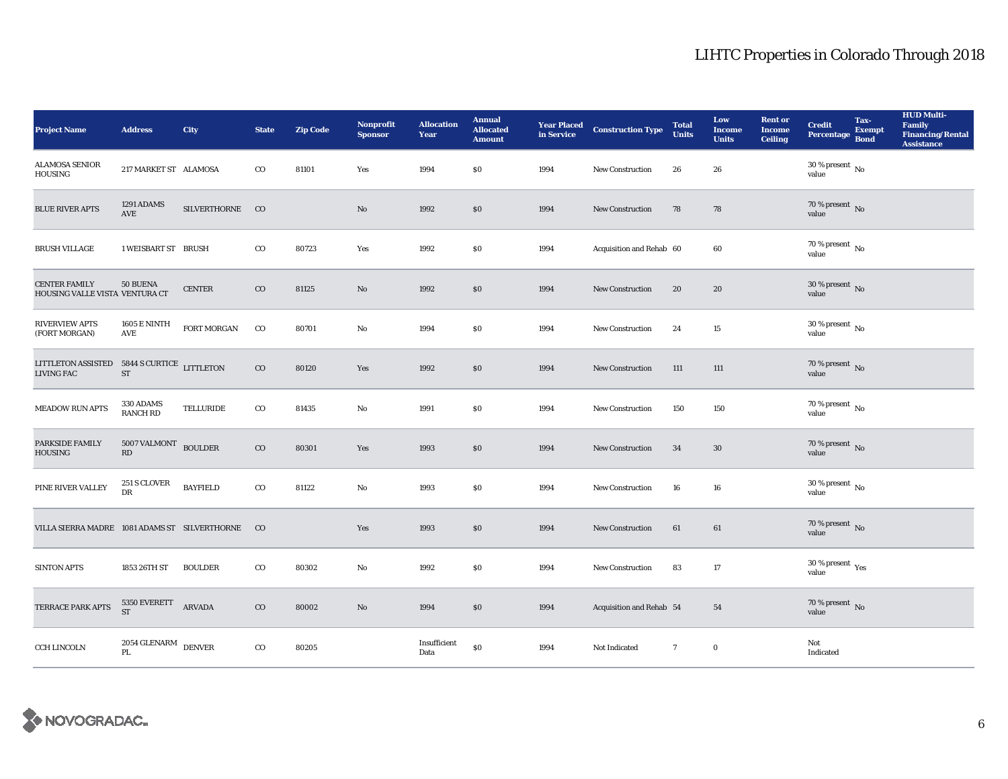| <b>Project Name</b>                                              | <b>Address</b>                              | City                | <b>State</b> | <b>Zip Code</b> | <b>Nonprofit</b><br><b>Sponsor</b> | <b>Allocation</b><br>Year | <b>Annual</b><br><b>Allocated</b><br><b>Amount</b> |      | <b>Year Placed Construction Type</b><br>in Service | <b>Total</b><br><b>Units</b> | Low<br><b>Income</b><br><b>Units</b> | <b>Rent or</b><br><b>Income</b><br><b>Ceiling</b> | <b>Credit</b><br><b>Percentage</b>                   | Tax-<br><b>Exempt</b><br><b>Bond</b> | <b>HUD Multi-</b><br>Family<br>Financing/Rental<br><b>Assistance</b> |
|------------------------------------------------------------------|---------------------------------------------|---------------------|--------------|-----------------|------------------------------------|---------------------------|----------------------------------------------------|------|----------------------------------------------------|------------------------------|--------------------------------------|---------------------------------------------------|------------------------------------------------------|--------------------------------------|----------------------------------------------------------------------|
| <b>ALAMOSA SENIOR</b><br><b>HOUSING</b>                          | 217 MARKET ST ALAMOSA                       |                     | $_{\rm CO}$  | 81101           | Yes                                | 1994                      | \$0                                                | 1994 | New Construction                                   | 26                           | 26                                   |                                                   | 30 % present $\,$ No $\,$<br>value                   |                                      |                                                                      |
| <b>BLUE RIVER APTS</b>                                           | 1291 ADAMS<br>$\operatorname{AVE}$          | SILVERTHORNE CO     |              |                 | $\mathbf{N}\mathbf{o}$             | 1992                      | $\$0$                                              | 1994 | <b>New Construction</b>                            | 78                           | 78                                   |                                                   | $70$ % present $\,$ No value                         |                                      |                                                                      |
| <b>BRUSH VILLAGE</b>                                             | 1 WEISBART ST BRUSH                         |                     | $_{\rm CO}$  | 80723           | Yes                                | 1992                      | \$0                                                | 1994 | Acquisition and Rehab 60                           |                              | 60                                   |                                                   | $70$ % present $\,$ No value                         |                                      |                                                                      |
| <b>CENTER FAMILY</b><br>HOUSING VALLE VISTA VENTURA CT           | 50 BUENA                                    | <b>CENTER</b>       | $\rm{CO}$    | 81125           | No                                 | 1992                      | \$0                                                | 1994 | <b>New Construction</b>                            | 20                           | 20                                   |                                                   | $30\,\%$ present $\,$ No value                       |                                      |                                                                      |
| <b>RIVERVIEW APTS</b><br>(FORT MORGAN)                           | <b>1605 E NINTH</b><br>$\operatorname{AVE}$ | ${\tt FORT}$ MORGAN | $_{\rm CO}$  | 80701           | No                                 | 1994                      | \$0                                                | 1994 | <b>New Construction</b>                            | 24                           | $15\,$                               |                                                   | $30$ % present $\,$ No $\,$<br>value                 |                                      |                                                                      |
| LITTLETON ASSISTED 5844 S CURTICE LITTLETON<br><b>LIVING FAC</b> | ST                                          |                     | $_{\rm CO}$  | 80120           | Yes                                | 1992                      | \$0                                                | 1994 | New Construction                                   | 111                          | 111                                  |                                                   | $70$ % present $\,$ No value                         |                                      |                                                                      |
| <b>MEADOW RUN APTS</b>                                           | 330 ADAMS<br><b>RANCH RD</b>                | TELLURIDE           | $_{\rm CO}$  | 81435           | No                                 | 1991                      | $\$0$                                              | 1994 | <b>New Construction</b>                            | 150                          | 150                                  |                                                   | $70$ % present $\,$ No value                         |                                      |                                                                      |
| PARKSIDE FAMILY<br><b>HOUSING</b>                                | 5007 VALMONT BOULDER<br>RD                  |                     | $\rm{CO}$    | 80301           | Yes                                | 1993                      | \$0                                                | 1994 | <b>New Construction</b>                            | 34                           | 30                                   |                                                   | $70$ % present $_{\rm{No}}$                          |                                      |                                                                      |
| PINE RIVER VALLEY                                                | 251 S CLOVER<br><b>DR</b>                   | <b>BAYFIELD</b>     | $_{\rm CO}$  | 81122           | No                                 | 1993                      | \$0                                                | 1994 | <b>New Construction</b>                            | 16                           | 16                                   |                                                   | $30\,\%$ present $\,$ No value                       |                                      |                                                                      |
| VILLA SIERRA MADRE 1081 ADAMS ST SILVERTHORNE                    |                                             |                     | $_{\rm CO}$  |                 | Yes                                | 1993                      | \$0                                                | 1994 | New Construction                                   | 61                           | 61                                   |                                                   | $70\,\%$ present $\,$ No value                       |                                      |                                                                      |
| <b>SINTON APTS</b>                                               | 1853 26TH ST                                | <b>BOULDER</b>      | $_{\rm CO}$  | 80302           | No                                 | 1992                      | \$0                                                | 1994 | New Construction                                   | 83                           | 17                                   |                                                   | 30 % present $\rm\thinspace\gamma_{\rm es}$<br>value |                                      |                                                                      |
| TERRACE PARK APTS                                                | 5350 EVERETT<br><b>ST</b>                   | ARVADA              | $\rm{CO}$    | 80002           | No                                 | 1994                      | \$0                                                | 1994 | Acquisition and Rehab 54                           |                              | 54                                   |                                                   | $70\,\%$ present $\,$ No value                       |                                      |                                                                      |
| <b>CCH LINCOLN</b>                                               | $2054$ GLENARM $\,$ DENVER $\,$<br>PL       |                     | $_{\rm CO}$  | 80205           |                                    | Insufficient<br>Data      | \$0                                                | 1994 | Not Indicated                                      | $7\overline{ }$              | $\bf{0}$                             |                                                   | Not<br>Indicated                                     |                                      |                                                                      |

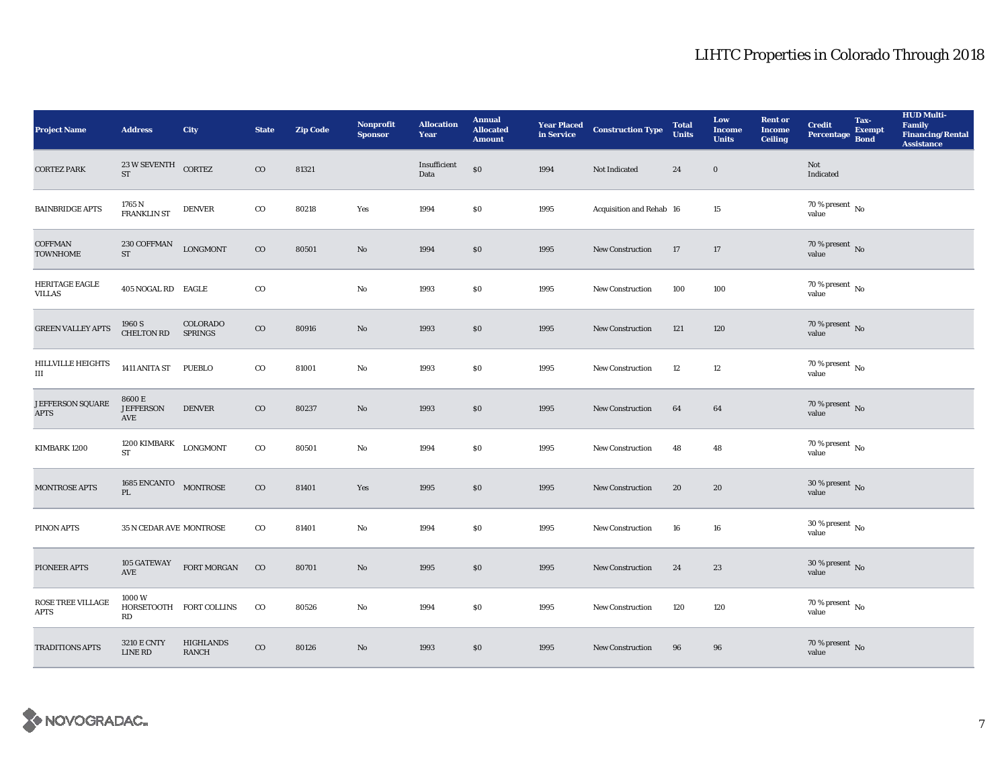| <b>Project Name</b>               | <b>Address</b>                       | <b>City</b>                      | <b>State</b> | <b>Zip Code</b> | Nonprofit<br><b>Sponsor</b> | <b>Allocation</b><br>Year | <b>Annual</b><br><b>Allocated</b><br><b>Amount</b> |      | <b>Year Placed Construction Type</b><br>in Service | <b>Total</b><br><b>Units</b> | Low<br><b>Income</b><br><b>Units</b> | <b>Rent or</b><br><b>Income</b><br><b>Ceiling</b> | <b>Credit</b><br>Percentage Bond     | Tax-<br><b>Exempt</b> | <b>HUD Multi-</b><br>Family<br><b>Financing/Rental</b><br><b>Assistance</b> |
|-----------------------------------|--------------------------------------|----------------------------------|--------------|-----------------|-----------------------------|---------------------------|----------------------------------------------------|------|----------------------------------------------------|------------------------------|--------------------------------------|---------------------------------------------------|--------------------------------------|-----------------------|-----------------------------------------------------------------------------|
| <b>CORTEZ PARK</b>                | 23 W SEVENTH CORTEZ<br><b>ST</b>     |                                  | $_{\rm CO}$  | 81321           |                             | Insufficient<br>Data      | \$0                                                | 1994 | Not Indicated                                      | 24                           | $\boldsymbol{0}$                     |                                                   | Not<br>Indicated                     |                       |                                                                             |
| <b>BAINBRIDGE APTS</b>            | 1765 N<br><b>FRANKLIN ST</b>         | <b>DENVER</b>                    | $_{\rm CO}$  | 80218           | Yes                         | 1994                      | \$0                                                | 1995 | Acquisition and Rehab 16                           |                              | 15                                   |                                                   | 70 % present $\,$ No $\,$<br>value   |                       |                                                                             |
| <b>COFFMAN</b><br><b>TOWNHOME</b> | 230 COFFMAN<br>${\rm ST}$            | <b>LONGMONT</b>                  | $_{\rm CO}$  | 80501           | $\mathbf{No}$               | 1994                      | $\$0$                                              | 1995 | <b>New Construction</b>                            | 17                           | 17                                   |                                                   | $70\,\%$ present $\,$ No value       |                       |                                                                             |
| HERITAGE EAGLE<br><b>VILLAS</b>   | 405 NOGAL RD EAGLE                   |                                  | $_{\rm CO}$  |                 | No                          | 1993                      | \$0                                                | 1995 | New Construction                                   | 100                          | 100                                  |                                                   | 70 % present $\,$ No $\,$<br>value   |                       |                                                                             |
| <b>GREEN VALLEY APTS</b>          | 1960 S<br><b>CHELTON RD</b>          | COLORADO<br><b>SPRINGS</b>       | $_{\rm CO}$  | 80916           | No                          | 1993                      | \$0                                                | 1995 | <b>New Construction</b>                            | 121                          | 120                                  |                                                   | $70$ % present $_{\rm{No}}$          |                       |                                                                             |
| <b>HILLVILLE HEIGHTS</b><br>Ш     | 1411 ANITA ST PUEBLO                 |                                  | $_{\rm CO}$  | 81001           | $\mathbf{No}$               | 1993                      | \$0                                                | 1995 | <b>New Construction</b>                            | 12                           | 12                                   |                                                   | $70$ % present $\,$ No $\,$<br>value |                       |                                                                             |
| JEFFERSON SQUARE<br><b>APTS</b>   | 8600 E<br><b>JEFFERSON</b><br>AVE    | <b>DENVER</b>                    | $_{\rm CO}$  | 80237           | No                          | 1993                      | \$0                                                | 1995 | <b>New Construction</b>                            | 64                           | 64                                   |                                                   | 70 % present $\,$ No $\,$<br>value   |                       |                                                                             |
| KIMBARK 1200                      | 1200 KIMBARK<br>${\rm ST}$           | LONGMONT                         | $_{\rm CO}$  | 80501           | No                          | 1994                      | \$0                                                | 1995 | <b>New Construction</b>                            | 48                           | 48                                   |                                                   | $70$ % present $\,$ No $\,$<br>value |                       |                                                                             |
| MONTROSE APTS                     | 1685 ENCANTO MONTROSE<br>PL          |                                  | $\rm{CO}$    | 81401           | Yes                         | 1995                      | \$0                                                | 1995 | New Construction                                   | 20                           | 20                                   |                                                   | $30\,\%$ present $\,$ No value       |                       |                                                                             |
| PINON APTS                        | 35 N CEDAR AVE MONTROSE              |                                  | $_{\rm CO}$  | 81401           | $_{\rm No}$                 | 1994                      | \$0                                                | 1995 | <b>New Construction</b>                            | 16                           | 16                                   |                                                   | $30\,\%$ present $\,$ No value       |                       |                                                                             |
| PIONEER APTS                      | 105 GATEWAY<br>AVE                   | FORT MORGAN                      | $\rm CO$     | 80701           | No                          | 1995                      | \$0                                                | 1995 | New Construction                                   | 24                           | 23                                   |                                                   | 30 % present $\,$ No $\,$<br>value   |                       |                                                                             |
| ROSE TREE VILLAGE<br><b>APTS</b>  | 1000W<br>RD                          | HORSETOOTH FORT COLLINS          | $_{\rm CO}$  | 80526           | No                          | 1994                      | $\$0$                                              | 1995 | New Construction                                   | 120                          | 120                                  |                                                   | $70\,\%$ present $\,$ No value       |                       |                                                                             |
| <b>TRADITIONS APTS</b>            | <b>3210 E CNTY</b><br><b>LINE RD</b> | <b>HIGHLANDS</b><br><b>RANCH</b> | $_{\rm CO}$  | 80126           | No                          | 1993                      | \$0                                                | 1995 | <b>New Construction</b>                            | 96                           | 96                                   |                                                   | $70\,\%$ present $\,$ No value       |                       |                                                                             |

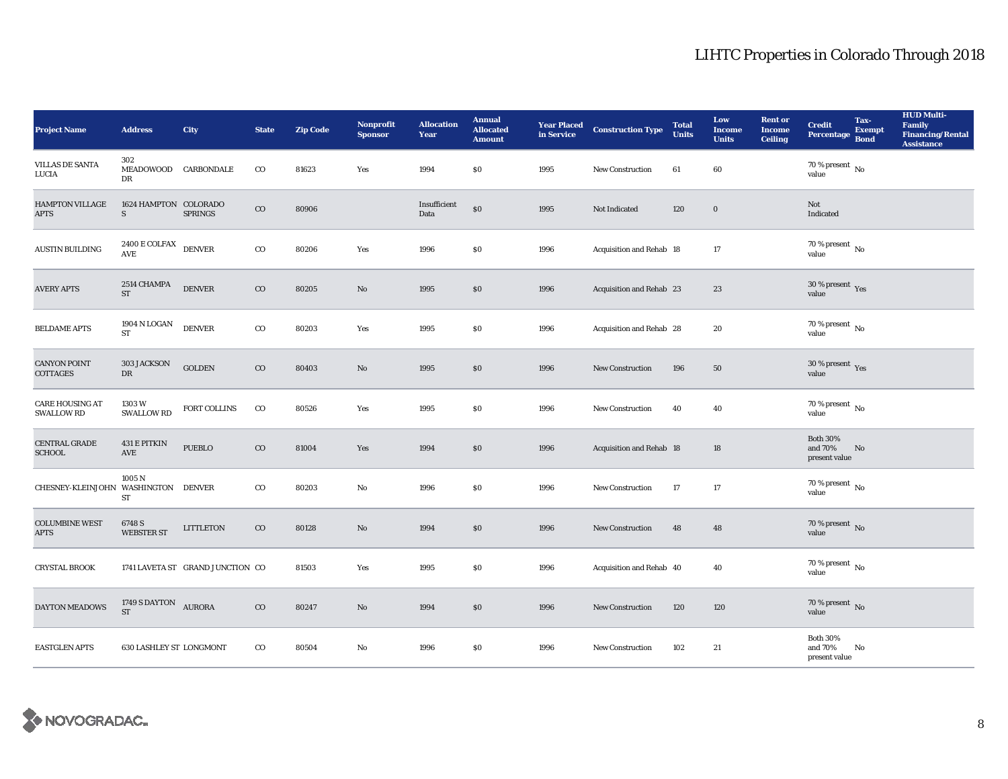| <b>Project Name</b>                         | <b>Address</b>                                        | City                             | <b>State</b> | <b>Zip Code</b> | Nonprofit<br><b>Sponsor</b> | <b>Allocation</b><br>Year | <b>Annual</b><br><b>Allocated</b><br><b>Amount</b> |      | <b>Year Placed Construction Type</b><br>in Service | <b>Total</b><br><b>Units</b> | Low<br><b>Income</b><br><b>Units</b> | <b>Rent or</b><br><b>Income</b><br><b>Ceiling</b> | <b>Credit</b><br><b>Percentage</b>          | Tax-<br><b>Exempt</b><br><b>Bond</b> | <b>HUD Multi-</b><br><b>Family</b><br><b>Financing/Rental</b><br><b>Assistance</b> |
|---------------------------------------------|-------------------------------------------------------|----------------------------------|--------------|-----------------|-----------------------------|---------------------------|----------------------------------------------------|------|----------------------------------------------------|------------------------------|--------------------------------------|---------------------------------------------------|---------------------------------------------|--------------------------------------|------------------------------------------------------------------------------------|
| <b>VILLAS DE SANTA</b><br>LUCIA             | 302<br>MEADOWOOD CARBONDALE<br>DR                     |                                  | $_{\rm CO}$  | 81623           | Yes                         | 1994                      | \$0                                                | 1995 | New Construction                                   | 61                           | 60                                   |                                                   | 70 % present $\,$ No $\,$<br>value          |                                      |                                                                                    |
| <b>HAMPTON VILLAGE</b><br><b>APTS</b>       | 1624 HAMPTON COLORADO<br>S                            | <b>SPRINGS</b>                   | $_{\rm CO}$  | 80906           |                             | Insufficient<br>Data      | \$0                                                | 1995 | Not Indicated                                      | 120                          | $\boldsymbol{0}$                     |                                                   | Not<br>Indicated                            |                                      |                                                                                    |
| <b>AUSTIN BUILDING</b>                      | 2400 E COLFAX DENVER<br>$\operatorname{\mathbf{AVE}}$ |                                  | $_{\rm CO}$  | 80206           | Yes                         | 1996                      | \$0                                                | 1996 | Acquisition and Rehab 18                           |                              | 17                                   |                                                   | $70$ % present $\,$ No value                |                                      |                                                                                    |
| <b>AVERY APTS</b>                           | 2514 CHAMPA<br><b>ST</b>                              | $\textsc{DENVER}$                | $_{\rm CO}$  | 80205           | No                          | 1995                      | \$0                                                | 1996 | Acquisition and Rehab 23                           |                              | 23                                   |                                                   | $30\,\%$ present $\,$ Yes value             |                                      |                                                                                    |
| <b>BELDAME APTS</b>                         | 1904 N LOGAN<br><b>ST</b>                             | <b>DENVER</b>                    | $_{\rm CO}$  | 80203           | Yes                         | 1995                      | \$0                                                | 1996 | Acquisition and Rehab 28                           |                              | 20                                   |                                                   | $70$ % present $\,$ No value                |                                      |                                                                                    |
| <b>CANYON POINT</b><br>COTTAGES             | 303 JACKSON<br>DR                                     | <b>GOLDEN</b>                    | $_{\rm CO}$  | 80403           | $\mathbf{N}\mathbf{o}$      | 1995                      | $\$0$                                              | 1996 | <b>New Construction</b>                            | 196                          | ${\bf 50}$                           |                                                   | $30\,\%$ present $\,$ Yes value             |                                      |                                                                                    |
| <b>CARE HOUSING AT</b><br><b>SWALLOW RD</b> | 1303 W<br><b>SWALLOW RD</b>                           | FORT COLLINS                     | $_{\rm CO}$  | 80526           | Yes                         | 1995                      | $\$0$                                              | 1996 | New Construction                                   | 40                           | 40                                   |                                                   | 70 % present $\,$ No $\,$<br>value          |                                      |                                                                                    |
| <b>CENTRAL GRADE</b><br><b>SCHOOL</b>       | 431 E PITKIN<br>AVE                                   | <b>PUEBLO</b>                    | $_{\rm CO}$  | 81004           | Yes                         | 1994                      | \$0                                                | 1996 | Acquisition and Rehab 18                           |                              | 18                                   |                                                   | <b>Both 30%</b><br>and 70%<br>present value | No                                   |                                                                                    |
| CHESNEY-KLEINJOHN WASHINGTON DENVER         | 1005 N<br>ST                                          |                                  | $_{\rm CO}$  | 80203           | No                          | 1996                      | \$0                                                | 1996 | <b>New Construction</b>                            | 17                           | 17                                   |                                                   | $70$ % present $\,$ No value                |                                      |                                                                                    |
| <b>COLUMBINE WEST</b><br><b>APTS</b>        | 6748 S<br><b>WEBSTER ST</b>                           | LITTLETON                        | $_{\rm CO}$  | 80128           | $\mathbf{N}\mathbf{o}$      | 1994                      | \$0                                                | 1996 | New Construction                                   | 48                           | 48                                   |                                                   | $70\,\%$ present $\,$ No value              |                                      |                                                                                    |
| <b>CRYSTAL BROOK</b>                        |                                                       | 1741 LAVETA ST GRAND JUNCTION CO |              | 81503           | Yes                         | 1995                      | $\$0$                                              | 1996 | Acquisition and Rehab 40                           |                              | 40                                   |                                                   | $70\,\%$ present $\,$ No value              |                                      |                                                                                    |
| <b>DAYTON MEADOWS</b>                       | 1749 S DAYTON AURORA<br><b>ST</b>                     |                                  | $_{\rm CO}$  | 80247           | No                          | 1994                      | $\$0$                                              | 1996 | <b>New Construction</b>                            | 120                          | 120                                  |                                                   | $70\,\%$ present $\,$ No value              |                                      |                                                                                    |
| <b>EASTGLEN APTS</b>                        | <b>630 LASHLEY ST LONGMONT</b>                        |                                  | $_{\rm CO}$  | 80504           | No                          | 1996                      | \$0                                                | 1996 | <b>New Construction</b>                            | 102                          | 21                                   |                                                   | <b>Both 30%</b><br>and 70%<br>present value | No                                   |                                                                                    |

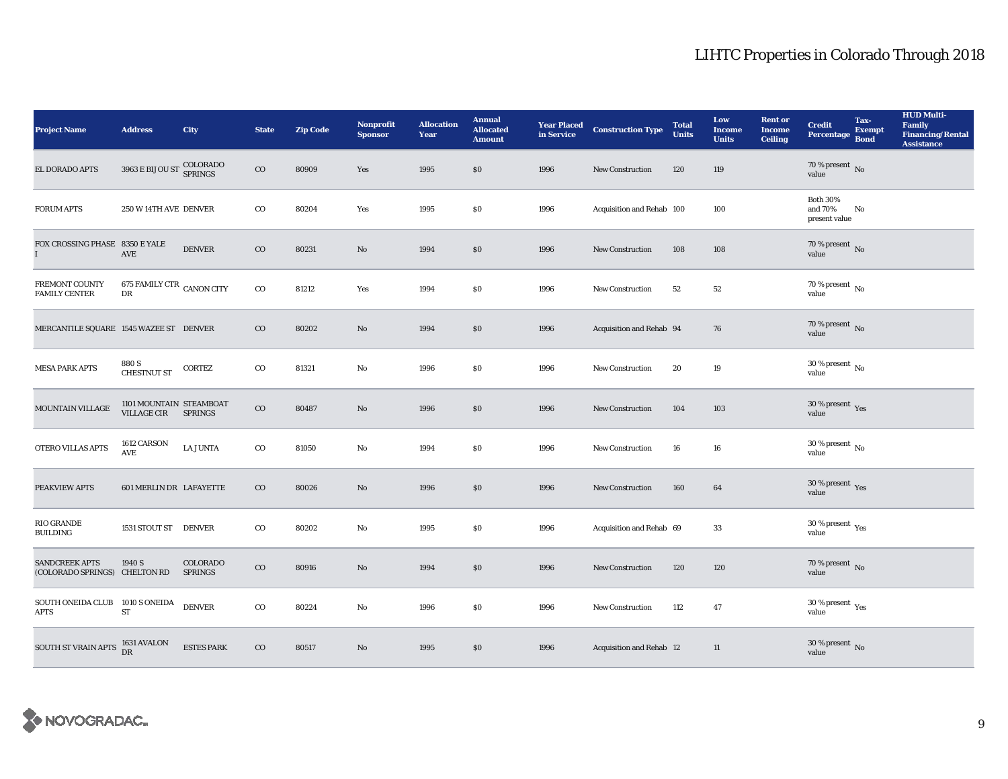| <b>Project Name</b>                                         | <b>Address</b>                                  | <b>City</b>                | <b>State</b> | <b>Zip Code</b> | <b>Nonprofit</b><br><b>Sponsor</b> | <b>Allocation</b><br>Year | <b>Annual</b><br><b>Allocated</b><br><b>Amount</b> |      | <b>Year Placed Construction Type</b><br>in Service | <b>Total</b><br><b>Units</b> | Low<br><b>Income</b><br><b>Units</b> | <b>Rent or</b><br><b>Income</b><br><b>Ceiling</b> | <b>Credit</b><br>Percentage                 | Tax-<br><b>Exempt</b><br><b>Bond</b> | <b>HUD Multi-</b><br>Family<br><b>Financing/Rental</b><br><b>Assistance</b> |
|-------------------------------------------------------------|-------------------------------------------------|----------------------------|--------------|-----------------|------------------------------------|---------------------------|----------------------------------------------------|------|----------------------------------------------------|------------------------------|--------------------------------------|---------------------------------------------------|---------------------------------------------|--------------------------------------|-----------------------------------------------------------------------------|
| EL DORADO APTS                                              | 3963 E BIJOU ST COLORADO                        |                            | $_{\rm CO}$  | 80909           | Yes                                | 1995                      | \$0                                                | 1996 | <b>New Construction</b>                            | 120                          | 119                                  |                                                   | 70 % present $\,$ No $\,$<br>value          |                                      |                                                                             |
| <b>FORUM APTS</b>                                           | 250 W 14TH AVE DENVER                           |                            | $\rm{CO}$    | 80204           | Yes                                | 1995                      | \$0                                                | 1996 | Acquisition and Rehab 100                          |                              | 100                                  |                                                   | <b>Both 30%</b><br>and 70%<br>present value | No                                   |                                                                             |
| FOX CROSSING PHASE 8350 E YALE<br>$\mathbf{I}$              | $\operatorname{AVE}$                            | <b>DENVER</b>              | $_{\rm CO}$  | 80231           | No                                 | 1994                      | $\$0$                                              | 1996 | <b>New Construction</b>                            | 108                          | 108                                  |                                                   | $70$ % present $\,$ No value                |                                      |                                                                             |
| FREMONT COUNTY<br><b>FAMILY CENTER</b>                      | 675 FAMILY CTR CANON CITY<br>DR                 |                            | $_{\rm CO}$  | 81212           | Yes                                | 1994                      | \$0                                                | 1996 | New Construction                                   | 52                           | $52\,$                               |                                                   | 70 % present $\,$ No $\,$<br>value          |                                      |                                                                             |
| MERCANTILE SQUARE 1545 WAZEE ST DENVER                      |                                                 |                            | $\rm{CO}$    | 80202           | No                                 | 1994                      | \$0                                                | 1996 | Acquisition and Rehab 94                           |                              | 76                                   |                                                   | 70 % present $\bar{N}$<br>value             |                                      |                                                                             |
| <b>MESA PARK APTS</b>                                       | 880 S<br><b>CHESTNUT ST</b>                     | CORTEZ                     | $_{\rm CO}$  | 81321           | $\rm No$                           | 1996                      | $\$0$                                              | 1996 | New Construction                                   | 20                           | 19                                   |                                                   | $30\,\%$ present $\,$ No value              |                                      |                                                                             |
| MOUNTAIN VILLAGE                                            | 1101 MOUNTAIN STEAMBOAT<br>VILLAGE CIR SPRINGS  |                            | $_{\rm CO}$  | 80487           | No                                 | 1996                      | \$0                                                | 1996 | <b>New Construction</b>                            | 104                          | 103                                  |                                                   | $30\,\%$ present $\,\mathrm{Yes}$ value     |                                      |                                                                             |
| OTERO VILLAS APTS                                           | 1612 CARSON<br>$\mathbf{A}\mathbf{V}\mathbf{E}$ | <b>LA JUNTA</b>            | $\rm{co}$    | 81050           | No                                 | 1994                      | \$0                                                | 1996 | <b>New Construction</b>                            | 16                           | 16                                   |                                                   | $30\,\%$ present $\,$ No $\,$<br>value      |                                      |                                                                             |
| PEAKVIEW APTS                                               | <b>601 MERLIN DR LAFAYETTE</b>                  |                            | $_{\rm CO}$  | 80026           | $\mathbf{N}\mathbf{o}$             | 1996                      | $\$0$                                              | 1996 | <b>New Construction</b>                            | 160                          | 64                                   |                                                   | $30\,\%$ present $\,\mathrm{Yes}$ value     |                                      |                                                                             |
| RIO GRANDE<br><b>BUILDING</b>                               | 1531 STOUT ST DENVER                            |                            | $\rm{co}$    | 80202           | No                                 | 1995                      | \$0                                                | 1996 | Acquisition and Rehab 69                           |                              | 33                                   |                                                   | $30\,\%$ present $\,$ Yes value             |                                      |                                                                             |
| <b>SANDCREEK APTS</b><br>(COLORADO SPRINGS) CHELTON RD      | 1940 S                                          | COLORADO<br><b>SPRINGS</b> | $_{\rm CO}$  | 80916           | $\mathbf{No}$                      | 1994                      | \$0                                                | 1996 | <b>New Construction</b>                            | 120                          | 120                                  |                                                   | $70\,\%$ present $\,$ No value              |                                      |                                                                             |
| SOUTH ONEIDA CLUB 1010 S ONEIDA<br><b>APTS</b>              | ST                                              | <b>DENVER</b>              | $_{\rm CO}$  | 80224           | No                                 | 1996                      | $\$0$                                              | 1996 | New Construction                                   | 112                          | 47                                   |                                                   | $30$ % present $\,$ $\rm Yes$<br>value      |                                      |                                                                             |
| SOUTH ST VRAIN APTS $\frac{1631 \text{ AVALON}}{\text{DR}}$ |                                                 | <b>ESTES PARK</b>          | $_{\rm CO}$  | 80517           | No                                 | 1995                      | \$0                                                | 1996 | <b>Acquisition and Rehab 12</b>                    |                              | 11                                   |                                                   | $30\,\%$ present $\,$ No value              |                                      |                                                                             |

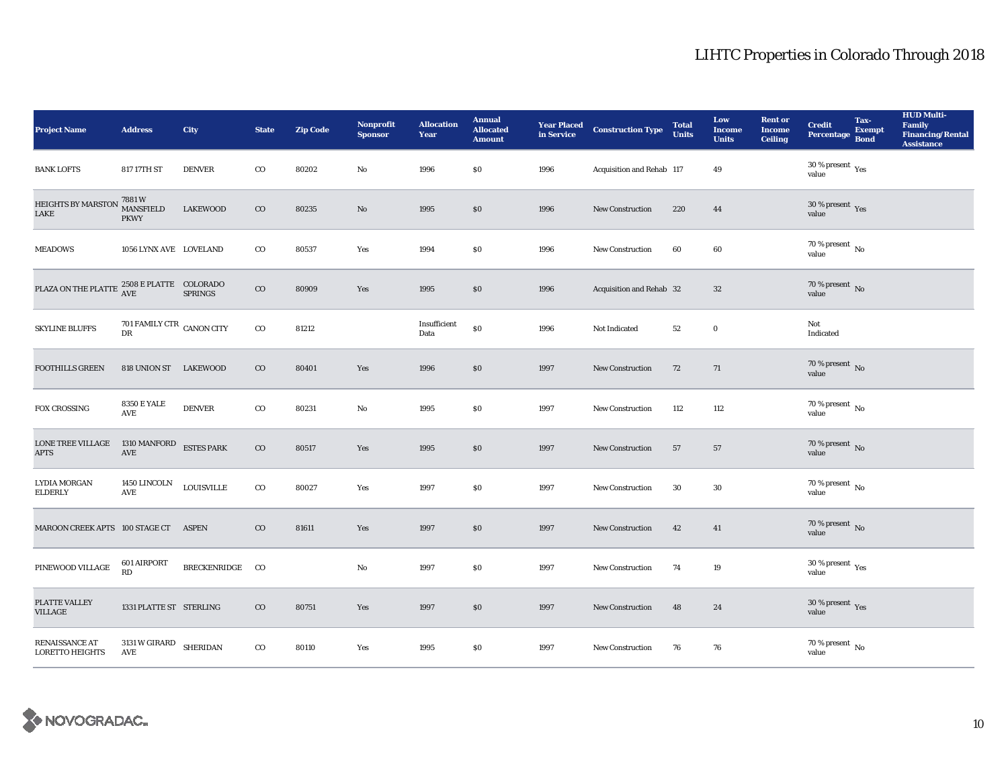| <b>Project Name</b>                                                                                                                                                                         | <b>Address</b>                                  | City              | <b>State</b> | <b>Zip Code</b> | <b>Nonprofit</b><br><b>Sponsor</b> | <b>Allocation</b><br>Year | <b>Annual</b><br><b>Allocated</b><br><b>Amount</b> |      | <b>Year Placed Construction Type</b><br>in Service | <b>Total</b><br><b>Units</b> | Low<br><b>Income</b><br><b>Units</b> | <b>Rent or</b><br><b>Income</b><br><b>Ceiling</b> | <b>Credit</b><br><b>Percentage</b>          | Tax-<br><b>Exempt</b><br><b>Bond</b> | <b>HUD Multi-</b><br>Family<br><b>Financing/Rental</b><br><b>Assistance</b> |
|---------------------------------------------------------------------------------------------------------------------------------------------------------------------------------------------|-------------------------------------------------|-------------------|--------------|-----------------|------------------------------------|---------------------------|----------------------------------------------------|------|----------------------------------------------------|------------------------------|--------------------------------------|---------------------------------------------------|---------------------------------------------|--------------------------------------|-----------------------------------------------------------------------------|
| <b>BANK LOFTS</b>                                                                                                                                                                           | 817 17TH ST                                     | <b>DENVER</b>     | $\rm{CO}$    | 80202           | No                                 | 1996                      | \$0                                                | 1996 | Acquisition and Rehab 117                          |                              | 49                                   |                                                   | 30 % present $\rm\thinspace_{Yes}$<br>value |                                      |                                                                             |
| HEIGHTS BY MARSTON<br>LAKE                                                                                                                                                                  | 7881 W<br>MANSFIELD<br><b>PKWY</b>              | <b>LAKEWOOD</b>   | $\rm{CO}$    | 80235           | No                                 | 1995                      | \$0                                                | 1996 | <b>New Construction</b>                            | 220                          | 44                                   |                                                   | $30\,\%$ present $\,$ Yes value             |                                      |                                                                             |
| <b>MEADOWS</b>                                                                                                                                                                              | 1056 LYNX AVE LOVELAND                          |                   | $_{\rm CO}$  | 80537           | Yes                                | 1994                      | \$0                                                | 1996 | <b>New Construction</b>                            | 60                           | 60                                   |                                                   | $70$ % present $\,$ No value                |                                      |                                                                             |
| $\begin{tabular}{ll} \bf PLAZA ON THE PLATTE & \color{red}\it 2508 E PLATTE & \color{red}\it COLORADO \\ \color{red}\it AVE & \color{red}\it AVE & \color{red}\it SPRINGS \\ \end{tabular}$ |                                                 |                   | $_{\rm CO}$  | 80909           | Yes                                | 1995                      | \$0                                                | 1996 | Acquisition and Rehab 32                           |                              | $32\,$                               |                                                   | $70$ % present $\,$ No value                |                                      |                                                                             |
| <b>SKYLINE BLUFFS</b>                                                                                                                                                                       | 701 FAMILY CTR CANON CITY<br>DR                 |                   | $_{\rm CO}$  | 81212           |                                    | Insufficient<br>Data      | \$0                                                | 1996 | Not Indicated                                      | 52                           | $\bf{0}$                             |                                                   | Not<br>Indicated                            |                                      |                                                                             |
| <b>FOOTHILLS GREEN</b>                                                                                                                                                                      | 818 UNION ST LAKEWOOD                           |                   | $_{\rm CO}$  | 80401           | Yes                                | 1996                      | \$0                                                | 1997 | <b>New Construction</b>                            | 72                           | 71                                   |                                                   | $70$ % present $\,$ No value                |                                      |                                                                             |
| <b>FOX CROSSING</b>                                                                                                                                                                         | <b>8350 E YALE</b><br>AVE                       | <b>DENVER</b>     | $_{\rm CO}$  | 80231           | No                                 | 1995                      | \$0                                                | 1997 | <b>New Construction</b>                            | 112                          | 112                                  |                                                   | 70 % present $\,$ No $\,$<br>value          |                                      |                                                                             |
| <b>LONE TREE VILLAGE</b><br><b>APTS</b>                                                                                                                                                     | 1310 MANFORD ESTES PARK<br>$\operatorname{AVE}$ |                   | $_{\rm CO}$  | 80517           | Yes                                | 1995                      | \$0                                                | 1997 | <b>New Construction</b>                            | 57                           | 57                                   |                                                   | $70$ % present $\,$ No value                |                                      |                                                                             |
| <b>LYDIA MORGAN</b><br><b>ELDERLY</b>                                                                                                                                                       | 1450 LINCOLN<br>AVE                             | <b>LOUISVILLE</b> | $_{\rm CO}$  | 80027           | Yes                                | 1997                      | \$0                                                | 1997 | <b>New Construction</b>                            | 30                           | 30                                   |                                                   | $70\,\%$ present $\,$ No value              |                                      |                                                                             |
| MAROON CREEK APTS 100 STAGE CT                                                                                                                                                              |                                                 | ASPEN             | $_{\rm CO}$  | 81611           | Yes                                | 1997                      | \$0                                                | 1997 | <b>New Construction</b>                            | 42                           | 41                                   |                                                   | $70\,\%$ present $\,$ No value              |                                      |                                                                             |
| PINEWOOD VILLAGE                                                                                                                                                                            | 601 AIRPORT<br>RD                               | BRECKENRIDGE CO   |              |                 | No                                 | 1997                      | $\$0$                                              | 1997 | <b>New Construction</b>                            | 74                           | 19                                   |                                                   | $30\,\%$ present $\,$ Yes value             |                                      |                                                                             |
| PLATTE VALLEY<br><b>VILLAGE</b>                                                                                                                                                             | 1331 PLATTE ST STERLING                         |                   | $_{\rm CO}$  | 80751           | Yes                                | 1997                      | \$0                                                | 1997 | <b>New Construction</b>                            | 48                           | 24                                   |                                                   | $30\,\%$ present $\,\mathrm{Yes}$ value     |                                      |                                                                             |
| RENAISSANCE AT<br><b>LORETTO HEIGHTS</b>                                                                                                                                                    | $3131\,\rm{W}\, \rm{GIRARD}$ SHERIDAN<br>AVE    |                   | $_{\rm CO}$  | 80110           | Yes                                | 1995                      | \$0                                                | 1997 | <b>New Construction</b>                            | 76                           | 76                                   |                                                   | $70\,\%$ present $\,$ No value              |                                      |                                                                             |

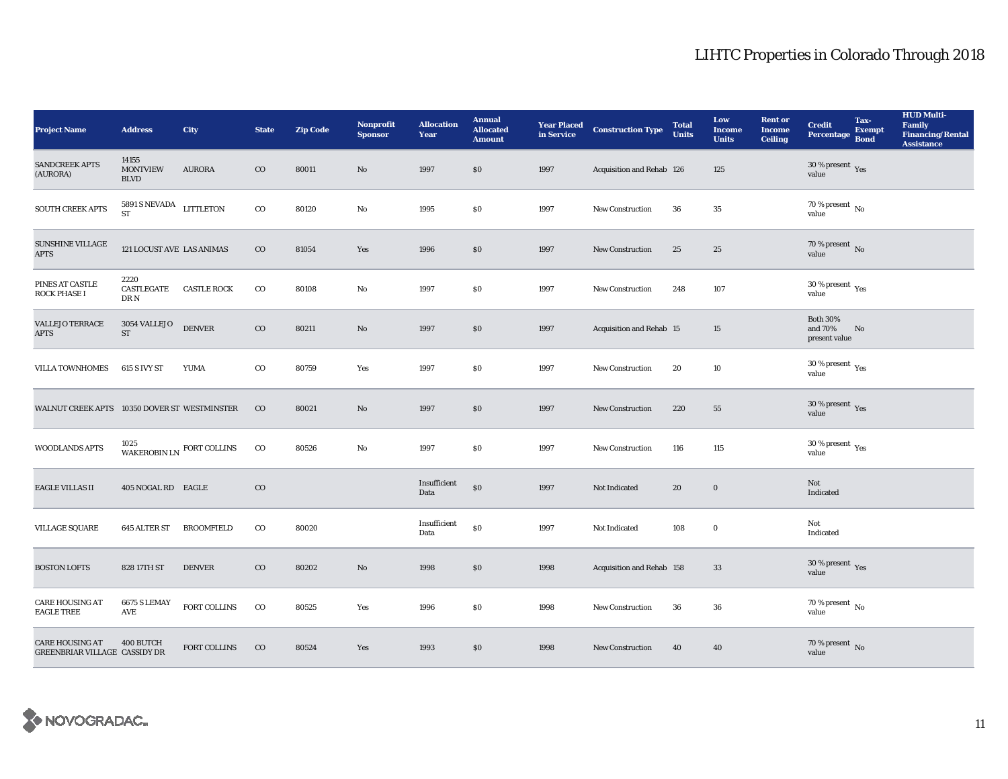| <b>Project Name</b>                                     | <b>Address</b>                          | City                           | <b>State</b> | <b>Zip Code</b> | <b>Nonprofit</b><br><b>Sponsor</b> | <b>Allocation</b><br>Year | <b>Annual</b><br><b>Allocated</b><br><b>Amount</b> |      | <b>Year Placed Construction Type</b><br>in Service <b>Construction</b> Type | <b>Total</b><br><b>Units</b> | Low<br><b>Income</b><br><b>Units</b> | <b>Rent or</b><br><b>Income</b><br><b>Ceiling</b> | <b>Credit</b><br>Percentage                     | Tax-<br><b>Exempt</b><br><b>Bond</b> | <b>HUD Multi-</b><br>Family<br><b>Financing/Rental</b><br><b>Assistance</b> |
|---------------------------------------------------------|-----------------------------------------|--------------------------------|--------------|-----------------|------------------------------------|---------------------------|----------------------------------------------------|------|-----------------------------------------------------------------------------|------------------------------|--------------------------------------|---------------------------------------------------|-------------------------------------------------|--------------------------------------|-----------------------------------------------------------------------------|
| <b>SANDCREEK APTS</b><br>(AURORA)                       | 14155<br><b>MONTVIEW</b><br><b>BLVD</b> | <b>AURORA</b>                  | $\rm{CO}$    | 80011           | No                                 | 1997                      | \$0                                                | 1997 | Acquisition and Rehab 126                                                   |                              | 125                                  |                                                   | 30 % present $Yes$<br>value                     |                                      |                                                                             |
| <b>SOUTH CREEK APTS</b>                                 | 5891 S NEVADA LITTLETON<br><b>ST</b>    |                                | $_{\rm CO}$  | 80120           | $\rm No$                           | 1995                      | $\$0$                                              | 1997 | New Construction                                                            | 36                           | $35\,$                               |                                                   | 70 % present $\,$ No $\,$<br>value              |                                      |                                                                             |
| <b>SUNSHINE VILLAGE</b><br><b>APTS</b>                  | 121 LOCUST AVE LAS ANIMAS               |                                | $_{\rm CO}$  | 81054           | Yes                                | 1996                      | $\$0$                                              | 1997 | <b>New Construction</b>                                                     | 25                           | 25                                   |                                                   | $70$ % present $\,$ No value                    |                                      |                                                                             |
| PINES AT CASTLE<br><b>ROCK PHASE I</b>                  | 2220<br>CASTLEGATE<br>DR N              | <b>CASTLE ROCK</b>             | $_{\rm CO}$  | 80108           | No                                 | 1997                      | $\$0$                                              | 1997 | New Construction                                                            | 248                          | 107                                  |                                                   | 30 % present $\rm \gamma_{\rm PS}$<br>value     |                                      |                                                                             |
| <b>VALLEJO TERRACE</b><br><b>APTS</b>                   | 3054 VALLEJO<br>ST                      | <b>DENVER</b>                  | $_{\rm CO}$  | 80211           | $\mathbf{N}\mathbf{o}$             | 1997                      | \$0                                                | 1997 | Acquisition and Rehab 15                                                    |                              | 15                                   |                                                   | <b>Both 30%</b><br>and 70%<br>present value     | No                                   |                                                                             |
| <b>VILLA TOWNHOMES</b>                                  | 615 S IVY ST                            | YUMA                           | $_{\rm CO}$  | 80759           | Yes                                | 1997                      | \$0                                                | 1997 | <b>New Construction</b>                                                     | 20                           | 10                                   |                                                   | $30\,\%$ present $\rm\thinspace_{Yes}$<br>value |                                      |                                                                             |
| WALNUT CREEK APTS 10350 DOVER ST WESTMINSTER            |                                         |                                | $_{\rm CO}$  | 80021           | $\mathbf{N}\mathbf{o}$             | 1997                      | \$0                                                | 1997 | <b>New Construction</b>                                                     | 220                          | 55                                   |                                                   | 30 % present $\,$ Yes<br>value                  |                                      |                                                                             |
| WOODLANDS APTS                                          |                                         | WAKEROBIN LN $\,$ FORT COLLINS | $_{\rm CO}$  | 80526           | No                                 | 1997                      | \$0                                                | 1997 | <b>New Construction</b>                                                     | 116                          | 115                                  |                                                   | $30\,\%$ present $\rm\thinspace_{Yes}$<br>value |                                      |                                                                             |
| <b>EAGLE VILLAS II</b>                                  | 405 NOGAL RD EAGLE                      |                                | $_{\rm CO}$  |                 |                                    | Insufficient<br>Data      | \$0                                                | 1997 | Not Indicated                                                               | 20                           | $\bf{0}$                             |                                                   | Not<br>Indicated                                |                                      |                                                                             |
| <b>VILLAGE SQUARE</b>                                   | 645 ALTER ST                            | <b>BROOMFIELD</b>              | $_{\rm CO}$  | 80020           |                                    | Insufficient<br>Data      | \$0                                                | 1997 | Not Indicated                                                               | 108                          | $\mathbf 0$                          |                                                   | Not<br>Indicated                                |                                      |                                                                             |
| <b>BOSTON LOFTS</b>                                     | 828 17TH ST                             | <b>DENVER</b>                  | $_{\rm CO}$  | 80202           | No                                 | 1998                      | \$0                                                | 1998 | Acquisition and Rehab 158                                                   |                              | 33                                   |                                                   | 30 % present $\gamma_{\rm{es}}$<br>value        |                                      |                                                                             |
| <b>CARE HOUSING AT</b><br><b>EAGLE TREE</b>             | 6675 S LEMAY<br><b>AVE</b>              | FORT COLLINS                   | $_{\rm CO}$  | 80525           | Yes                                | 1996                      | \$0                                                | 1998 | New Construction                                                            | 36                           | 36                                   |                                                   | $70$ % present $\,$ No $\,$<br>value            |                                      |                                                                             |
| <b>CARE HOUSING AT</b><br>GREENBRIAR VILLAGE CASSIDY DR | 400 BUTCH                               | FORT COLLINS                   | $_{\rm CO}$  | 80524           | Yes                                | 1993                      | \$0                                                | 1998 | <b>New Construction</b>                                                     | 40                           | 40                                   |                                                   | $70\,\%$ present $\,$ No value                  |                                      |                                                                             |

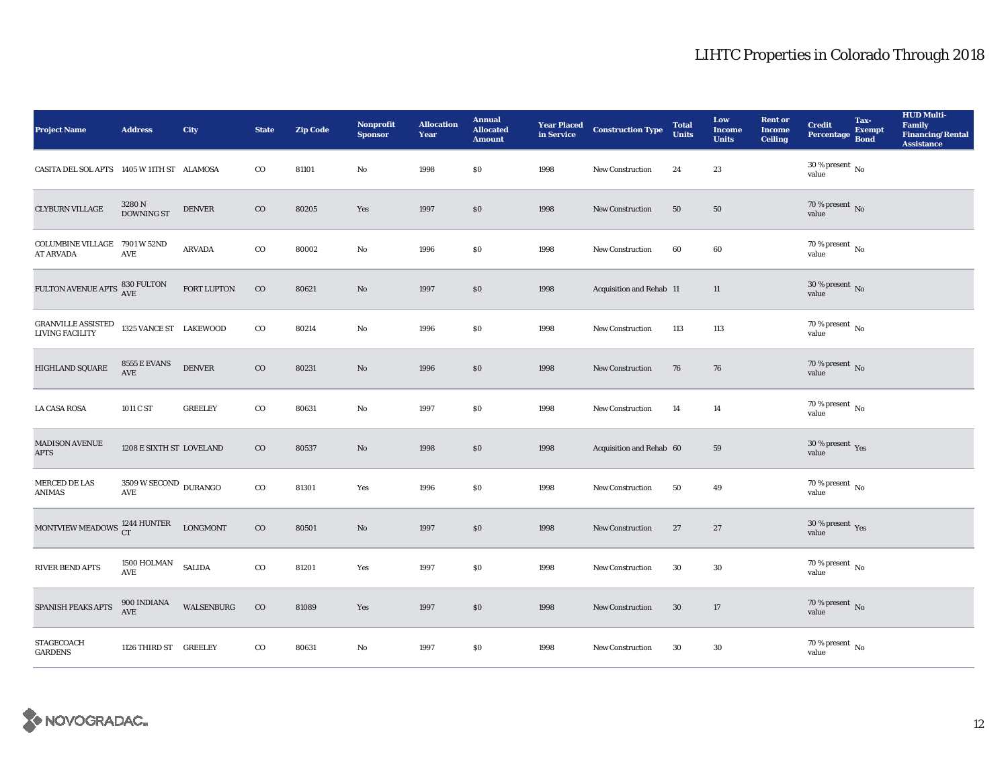| <b>Project Name</b>                               | <b>Address</b>                                       | City            | <b>State</b> | <b>Zip Code</b> | <b>Nonprofit</b><br><b>Sponsor</b> | <b>Allocation</b><br>Year | <b>Annual</b><br><b>Allocated</b><br><b>Amount</b> |      | <b>Year Placed Construction Type</b><br>in Service | <b>Total</b><br><b>Units</b> | Low<br><b>Income</b><br><b>Units</b> | <b>Rent or</b><br><b>Income</b><br><b>Ceiling</b> | <b>Credit</b><br><b>Percentage</b>       | Tax-<br><b>Exempt</b><br><b>Bond</b> | <b>HUD Multi-</b><br>Family<br><b>Financing/Rental</b><br><b>Assistance</b> |
|---------------------------------------------------|------------------------------------------------------|-----------------|--------------|-----------------|------------------------------------|---------------------------|----------------------------------------------------|------|----------------------------------------------------|------------------------------|--------------------------------------|---------------------------------------------------|------------------------------------------|--------------------------------------|-----------------------------------------------------------------------------|
| CASITA DEL SOL APTS 1405 W 11TH ST ALAMOSA        |                                                      |                 | $_{\rm CO}$  | 81101           | No                                 | 1998                      | \$0                                                | 1998 | <b>New Construction</b>                            | 24                           | 23                                   |                                                   | $30$ % present $\,$ No $\,$<br>value     |                                      |                                                                             |
| <b>CLYBURN VILLAGE</b>                            | $3280$ N DOWNING ST                                  | <b>DENVER</b>   | $_{\rm CO}$  | 80205           | Yes                                | 1997                      | \$0                                                | 1998 | <b>New Construction</b>                            | 50                           | 50                                   |                                                   | $70$ % present $\,$ No value             |                                      |                                                                             |
| COLUMBINE VILLAGE 7901 W 52ND<br><b>AT ARVADA</b> | AVE                                                  | <b>ARVADA</b>   | $_{\rm CO}$  | 80002           | No                                 | 1996                      | \$0                                                | 1998 | <b>New Construction</b>                            | 60                           | 60                                   |                                                   | $70$ % present $\,$ No value             |                                      |                                                                             |
| FULTON AVENUE APTS 830 FULTON                     |                                                      | FORT LUPTON     | $_{\rm CO}$  | 80621           | No                                 | 1997                      | \$0                                                | 1998 | Acquisition and Rehab 11                           |                              | 11                                   |                                                   | $30$ % present $\,$ No $\,$<br>value     |                                      |                                                                             |
| GRANVILLE ASSISTED<br>LIVING FACILITY             | 1325 VANCE ST LAKEWOOD                               |                 | $_{\rm CO}$  | 80214           | No                                 | 1996                      | \$0                                                | 1998 | <b>New Construction</b>                            | 113                          | 113                                  |                                                   | $70$ % present $\,$ No value             |                                      |                                                                             |
| <b>HIGHLAND SQUARE</b>                            | <b>8555 E EVANS</b><br>AVE                           | <b>DENVER</b>   | $\rm{CO}$    | 80231           | No                                 | 1996                      | \$0                                                | 1998 | <b>New Construction</b>                            | 76                           | 76                                   |                                                   | $70$ % present $\,$ No value             |                                      |                                                                             |
| <b>LA CASA ROSA</b>                               | 1011 C ST                                            | <b>GREELEY</b>  | $\rm{co}$    | 80631           | No                                 | 1997                      | \$0                                                | 1998 | <b>New Construction</b>                            | 14                           | 14                                   |                                                   | 70 % present $\hbox{~No}$<br>value       |                                      |                                                                             |
| <b>MADISON AVENUE</b><br><b>APTS</b>              | 1208 E SIXTH ST LOVELAND                             |                 | $\rm{CO}$    | 80537           | No                                 | 1998                      | \$0                                                | 1998 | Acquisition and Rehab 60                           |                              | 59                                   |                                                   | 30 % present $\gamma_{\rm{es}}$<br>value |                                      |                                                                             |
| MERCED DE LAS<br>ANIMAS                           | $3509\,\mathrm{W}\,\mathrm{SECOND}\;$ DURANGO<br>AVE |                 | $\rm{co}$    | 81301           | Yes                                | 1996                      | \$0                                                | 1998 | <b>New Construction</b>                            | 50                           | 49                                   |                                                   | $70$ % present $\,$ No $\,$<br>value     |                                      |                                                                             |
| MONTVIEW MEADOWS $_{\rm CT}^{1244}$ HUNTER        |                                                      | <b>LONGMONT</b> | $\rm{CO}$    | 80501           | No                                 | 1997                      | \$0                                                | 1998 | <b>New Construction</b>                            | 27                           | 27                                   |                                                   | $30\,\%$ present $\,$ Yes value          |                                      |                                                                             |
| <b>RIVER BEND APTS</b>                            | 1500 HOLMAN<br>$\operatorname{AVE}$                  | <b>SALIDA</b>   | $_{\rm CO}$  | 81201           | Yes                                | 1997                      | $\$0$                                              | 1998 | <b>New Construction</b>                            | 30                           | 30                                   |                                                   | $70\,\%$ present $\,$ No value           |                                      |                                                                             |
| SPANISH PEAKS APTS                                | 900 INDIANA<br><b>AVE</b>                            | WALSENBURG      | $_{\rm CO}$  | 81089           | Yes                                | 1997                      | \$0                                                | 1998 | <b>New Construction</b>                            | 30                           | 17                                   |                                                   | $70\,\%$ present $\,$ No value           |                                      |                                                                             |
| STAGECOACH<br><b>GARDENS</b>                      | 1126 THIRD ST GREELEY                                |                 | $\rm{co}$    | 80631           | No                                 | 1997                      | \$0                                                | 1998 | <b>New Construction</b>                            | 30                           | 30                                   |                                                   | $70\,\%$ present $\,$ No value           |                                      |                                                                             |

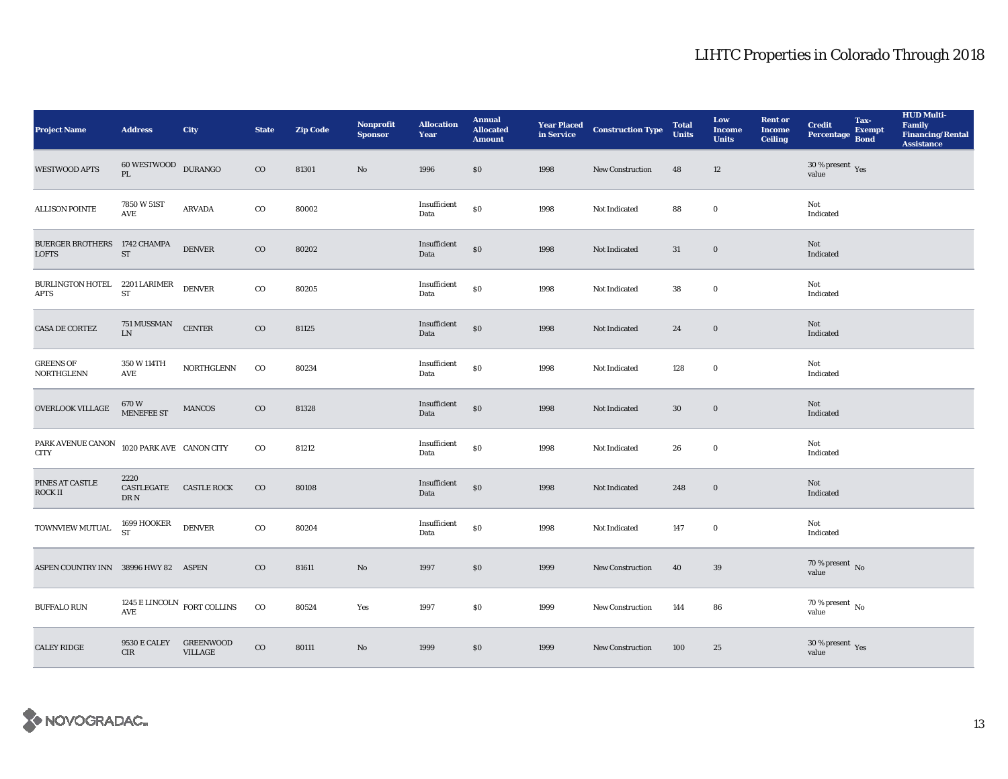| <b>Project Name</b>                                             | <b>Address</b>                            | <b>City</b>                        | <b>State</b> | <b>Zip Code</b> | <b>Nonprofit</b><br><b>Sponsor</b> | <b>Allocation</b><br>Year | <b>Annual</b><br><b>Allocated</b><br><b>Amount</b> |      | <b>Year Placed Construction Type</b><br>in Service | <b>Total</b><br><b>Units</b> | Low<br><b>Income</b><br><b>Units</b> | <b>Rent or</b><br><b>Income</b><br><b>Ceiling</b> | <b>Credit</b><br>Percentage Bond | Tax-<br>Exempt | <b>HUD Multi-</b><br>Family<br><b>Financing/Rental</b><br><b>Assistance</b> |
|-----------------------------------------------------------------|-------------------------------------------|------------------------------------|--------------|-----------------|------------------------------------|---------------------------|----------------------------------------------------|------|----------------------------------------------------|------------------------------|--------------------------------------|---------------------------------------------------|----------------------------------|----------------|-----------------------------------------------------------------------------|
| <b>WESTWOOD APTS</b>                                            | 60 WESTWOOD DURANGO<br>PL                 |                                    | $\rm{CO}$    | 81301           | No                                 | 1996                      | \$0\$                                              | 1998 | <b>New Construction</b>                            | 48                           | 12                                   |                                                   | 30 % present $\,$ Yes<br>value   |                |                                                                             |
| <b>ALLISON POINTE</b>                                           | 7850 W 51ST<br>$\operatorname{AVE}$       | <b>ARVADA</b>                      | $_{\rm CO}$  | 80002           |                                    | Insufficient<br>Data      | \$0                                                | 1998 | Not Indicated                                      | 88                           | $\bf{0}$                             |                                                   | Not<br>Indicated                 |                |                                                                             |
| BUERGER BROTHERS 1742 CHAMPA<br><b>LOFTS</b>                    | ${\rm ST}$                                | <b>DENVER</b>                      | $\rm{CO}$    | 80202           |                                    | Insufficient<br>Data      | $\$0$                                              | 1998 | Not Indicated                                      | 31                           | $\mathbf 0$                          |                                                   | Not<br>Indicated                 |                |                                                                             |
| BURLINGTON HOTEL 2201 LARIMER<br><b>APTS</b>                    | ${\rm ST}$                                | <b>DENVER</b>                      | $_{\rm CO}$  | 80205           |                                    | Insufficient<br>Data      | \$0                                                | 1998 | Not Indicated                                      | ${\bf 38}$                   | $\mathbf 0$                          |                                                   | Not<br>Indicated                 |                |                                                                             |
| <b>CASA DE CORTEZ</b>                                           | 751 MUSSMAN<br>${\rm LN}$                 | <b>CENTER</b>                      | $\rm{CO}$    | 81125           |                                    | Insufficient<br>Data      | \$0                                                | 1998 | Not Indicated                                      | 24                           | $\boldsymbol{0}$                     |                                                   | Not<br>Indicated                 |                |                                                                             |
| <b>GREENS OF</b><br>NORTHGLENN                                  | 350 W 114TH<br>$\operatorname{AVE}$       | <b>NORTHGLENN</b>                  | $_{\rm CO}$  | 80234           |                                    | Insufficient<br>Data      | $\$0$                                              | 1998 | Not Indicated                                      | 128                          | $\boldsymbol{0}$                     |                                                   | Not<br>Indicated                 |                |                                                                             |
| OVERLOOK VILLAGE                                                | $670\mathrm{~W}$ MENEFEE ST               | <b>MANCOS</b>                      | $\rm{CO}$    | 81328           |                                    | Insufficient<br>Data      | $\$0$                                              | 1998 | Not Indicated                                      | $30\,$                       | $\boldsymbol{0}$                     |                                                   | Not<br><b>Indicated</b>          |                |                                                                             |
| $\ensuremath{\mathsf{PARK}}\xspace$ AVENUE CANON<br><b>CITY</b> | 1020 PARK AVE CANON CITY                  |                                    | $_{\rm CO}$  | 81212           |                                    | Insufficient<br>Data      | $\$0$                                              | 1998 | Not Indicated                                      | 26                           | $\mathbf 0$                          |                                                   | Not<br>Indicated                 |                |                                                                             |
| PINES AT CASTLE<br><b>ROCK II</b>                               | 2220<br>CASTLEGATE CASTLE ROCK<br>DR N    |                                    | $_{\rm CO}$  | 80108           |                                    | Insufficient<br>Data      | $\$0$                                              | 1998 | Not Indicated                                      | 248                          | $\boldsymbol{0}$                     |                                                   | Not<br>Indicated                 |                |                                                                             |
| TOWNVIEW MUTUAL                                                 | 1699 HOOKER<br><b>ST</b>                  | <b>DENVER</b>                      | $\rm{co}$    | 80204           |                                    | Insufficient<br>Data      | $\$0$                                              | 1998 | Not Indicated                                      | 147                          | $\pmb{0}$                            |                                                   | Not<br>Indicated                 |                |                                                                             |
| ASPEN COUNTRY INN 38996 HWY 82 ASPEN                            |                                           |                                    | $_{\rm CO}$  | 81611           | No                                 | 1997                      | $\$0$                                              | 1999 | <b>New Construction</b>                            | 40                           | 39                                   |                                                   | $70\,\%$ present $\,$ No value   |                |                                                                             |
| <b>BUFFALO RUN</b>                                              | $1245$ E LINCOLN $\,$ FORT COLLINS<br>AVE |                                    | $_{\rm CO}$  | 80524           | Yes                                | 1997                      | \$0                                                | 1999 | <b>New Construction</b>                            | 144                          | 86                                   |                                                   | $70\,\%$ present $\,$ No value   |                |                                                                             |
| <b>CALEY RIDGE</b>                                              | <b>9530 E CALEY</b><br>CIR                | <b>GREENWOOD</b><br><b>VILLAGE</b> | $_{\rm CO}$  | 80111           | No                                 | 1999                      | \$0                                                | 1999 | <b>New Construction</b>                            | 100                          | 25                                   |                                                   | $30\,\%$ present $\,$ Yes value  |                |                                                                             |

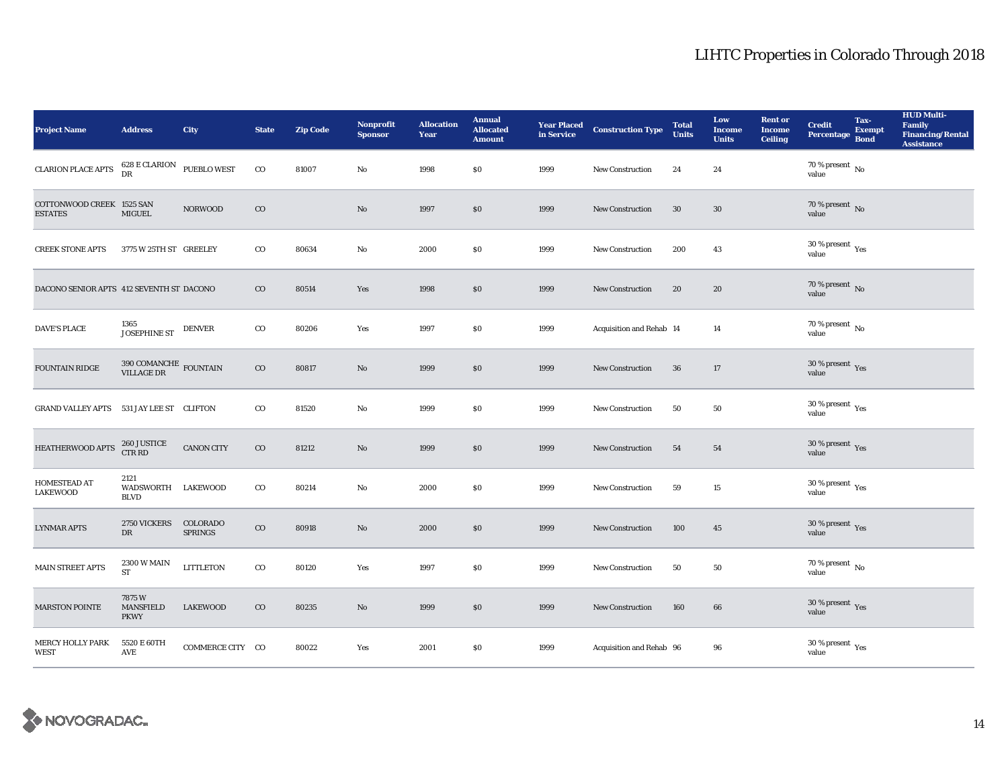| <b>Project Name</b>                         | <b>Address</b>                                     | City                       | <b>State</b> | <b>Zip Code</b> | <b>Nonprofit</b><br><b>Sponsor</b> | <b>Allocation</b><br>Year | <b>Annual</b><br><b>Allocated</b><br><b>Amount</b> |      | <b>Year Placed Construction Type</b><br>in Service | <b>Total</b><br><b>Units</b> | Low<br><b>Income</b><br><b>Units</b> | <b>Rent or</b><br><b>Income</b><br>Ceiling | <b>Credit</b><br><b>Percentage</b>         | Tax-<br><b>Exempt</b><br><b>Bond</b> | <b>HUD Multi-</b><br>Family<br><b>Financing/Rental</b><br><b>Assistance</b> |
|---------------------------------------------|----------------------------------------------------|----------------------------|--------------|-----------------|------------------------------------|---------------------------|----------------------------------------------------|------|----------------------------------------------------|------------------------------|--------------------------------------|--------------------------------------------|--------------------------------------------|--------------------------------------|-----------------------------------------------------------------------------|
| $\mbox{CLARION PLACE}\,\mbox{APTS}$         | $628\to$ CLARION $$\,{\rm PUEBLO}\,{\rm WEST}$$ DR |                            | $_{\rm CO}$  | 81007           | No                                 | 1998                      | \$0                                                | 1999 | New Construction                                   | 24                           | 24                                   |                                            | 70 % present $\,$ No $\,$<br>value         |                                      |                                                                             |
| COTTONWOOD CREEK 1525 SAN<br><b>ESTATES</b> | MIGUEL                                             | <b>NORWOOD</b>             | $_{\rm CO}$  |                 | $\mathbf{N}\mathbf{o}$             | 1997                      | \$0                                                | 1999 | <b>New Construction</b>                            | 30                           | 30                                   |                                            | $70$ % present $\,$ No value               |                                      |                                                                             |
| <b>CREEK STONE APTS</b>                     | 3775 W 25TH ST GREELEY                             |                            | $_{\rm CO}$  | 80634           | No                                 | 2000                      | \$0                                                | 1999 | <b>New Construction</b>                            | 200                          | 43                                   |                                            | $30\,\%$ present $\,$ Yes value            |                                      |                                                                             |
| DACONO SENIOR APTS 412 SEVENTH ST DACONO    |                                                    |                            | $\rm{CO}$    | 80514           | Yes                                | 1998                      | $\$0$                                              | 1999 | <b>New Construction</b>                            | 20                           | ${\bf 20}$                           |                                            | 70 % present $\hbox{~No}$<br>value         |                                      |                                                                             |
| <b>DAVE'S PLACE</b>                         | $1365$ JOSEPHINE ST $\;$ DENVER                    |                            | $_{\rm CO}$  | 80206           | Yes                                | 1997                      | $\$0$                                              | 1999 | Acquisition and Rehab 14                           |                              | 14                                   |                                            | $70$ % present $\,$ No value               |                                      |                                                                             |
| FOUNTAIN RIDGE                              | $390$ COMANCHE $\:$ FOUNTAIN VILLAGE DR            |                            | $_{\rm CO}$  | 80817           | No                                 | 1999                      | \$0                                                | 1999 | New Construction                                   | 36                           | 17                                   |                                            | $30\,\%$ present $\,$ Yes value            |                                      |                                                                             |
| GRAND VALLEY APTS 531 JAY LEE ST CLIFTON    |                                                    |                            | $\rm{co}$    | 81520           | No                                 | 1999                      | \$0                                                | 1999 | New Construction                                   | 50                           | 50                                   |                                            | 30 % present $\rm_{Yes}$<br>value          |                                      |                                                                             |
| HEATHERWOOD APTS                            | 260 JUSTICE<br>CTR RD                              | <b>CANON CITY</b>          | $_{\rm CO}$  | 81212           | No                                 | 1999                      | \$0                                                | 1999 | New Construction                                   | 54                           | 54                                   |                                            | $30\,\%$ present $\,$ Yes value            |                                      |                                                                             |
| HOMESTEAD AT<br><b>LAKEWOOD</b>             | 2121<br>WADSWORTH LAKEWOOD<br><b>BLVD</b>          |                            | $_{\rm CO}$  | 80214           | No                                 | 2000                      | \$0                                                | 1999 | New Construction                                   | 59                           | 15                                   |                                            | $30\,\%$ present $\,$ Yes value            |                                      |                                                                             |
| <b>LYNMAR APTS</b>                          | <b>2750 VICKERS</b><br>DR                          | COLORADO<br><b>SPRINGS</b> | $_{\rm CO}$  | 80918           | No                                 | 2000                      | \$0                                                | 1999 | <b>New Construction</b>                            | 100                          | $45\,$                               |                                            | $30\,\%$ present $\,$ Yes value            |                                      |                                                                             |
| MAIN STREET APTS                            | <b>2300 W MAIN</b><br>ST                           | <b>LITTLETON</b>           | $_{\rm CO}$  | 80120           | Yes                                | 1997                      | \$0                                                | 1999 | New Construction                                   | 50                           | 50                                   |                                            | $70\,\%$ present $\overline{N_0}$<br>value |                                      |                                                                             |
| <b>MARSTON POINTE</b>                       | 7875W<br><b>MANSFIELD</b><br><b>PKWY</b>           | <b>LAKEWOOD</b>            | $_{\rm CO}$  | 80235           | No                                 | 1999                      | \$0                                                | 1999 | <b>New Construction</b>                            | 160                          | 66                                   |                                            | $30\,\%$ present $\,$ Yes value            |                                      |                                                                             |
| <b>MERCY HOLLY PARK</b><br><b>WEST</b>      | 5520 E 60TH<br>AVE                                 | COMMERCE CITY CO           |              | 80022           | Yes                                | 2001                      | $\$0$                                              | 1999 | Acquisition and Rehab 96                           |                              | 96                                   |                                            | $30\,\%$ present $\,$ Yes value            |                                      |                                                                             |

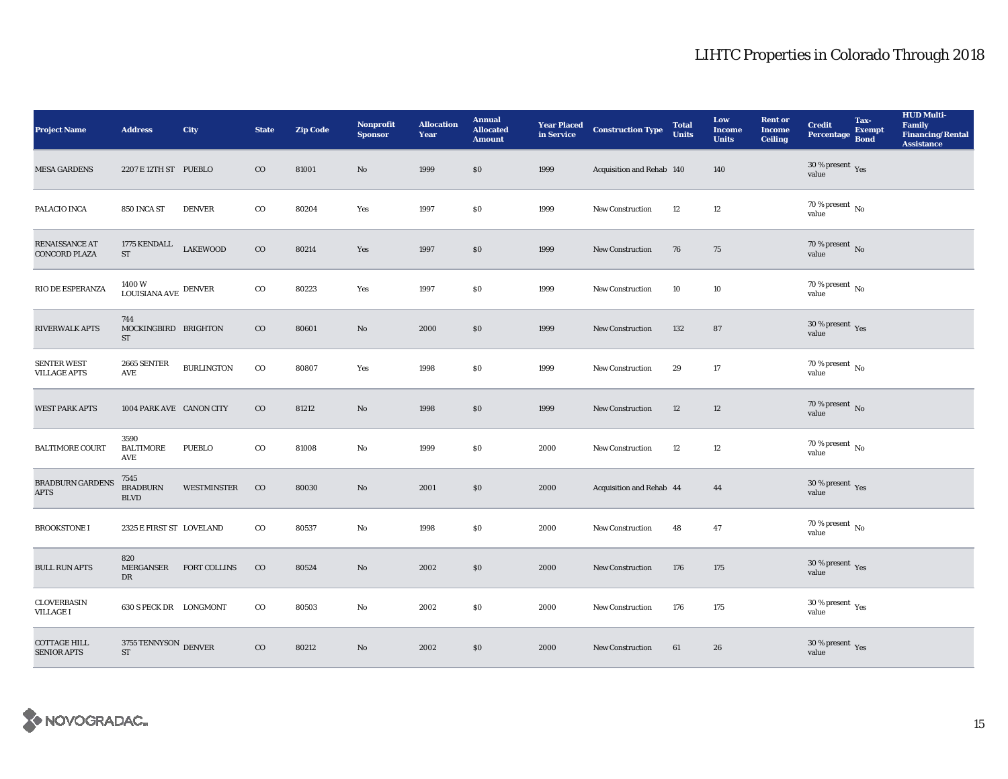| <b>Project Name</b>                       | <b>Address</b>                               | City                | <b>State</b> | <b>Zip Code</b> | <b>Nonprofit</b><br><b>Sponsor</b> | <b>Allocation</b><br>Year | <b>Annual</b><br><b>Allocated</b><br><b>Amount</b> |      | <b>Year Placed Construction Type</b><br>in Service | <b>Total</b><br><b>Units</b> | Low<br><b>Income</b><br><b>Units</b> | <b>Rent or</b><br><b>Income</b><br><b>Ceiling</b> | <b>Credit</b><br>Percentage                     | Tax-<br><b>Exempt</b><br><b>Bond</b> | <b>HUD Multi-</b><br>Family<br><b>Financing/Rental</b><br><b>Assistance</b> |
|-------------------------------------------|----------------------------------------------|---------------------|--------------|-----------------|------------------------------------|---------------------------|----------------------------------------------------|------|----------------------------------------------------|------------------------------|--------------------------------------|---------------------------------------------------|-------------------------------------------------|--------------------------------------|-----------------------------------------------------------------------------|
| <b>MESA GARDENS</b>                       | 2207 E 12TH ST PUEBLO                        |                     | $_{\rm CO}$  | 81001           | No                                 | 1999                      | \$0\$                                              | 1999 | Acquisition and Rehab 140                          |                              | 140                                  |                                                   | 30 % present $\,$ Yes<br>value                  |                                      |                                                                             |
| PALACIO INCA                              | 850 INCA ST                                  | <b>DENVER</b>       | $_{\rm CO}$  | 80204           | Yes                                | 1997                      | \$0                                                | 1999 | New Construction                                   | 12                           | 12                                   |                                                   | $70$ % present $\,$ No value                    |                                      |                                                                             |
| RENAISSANCE AT<br><b>CONCORD PLAZA</b>    | 1775 KENDALL<br>${\rm ST}$                   | <b>LAKEWOOD</b>     | $\rm{CO}$    | 80214           | Yes                                | 1997                      | $\$0$                                              | 1999 | <b>New Construction</b>                            | 76                           | 75                                   |                                                   | $70$ % present $\,$ No value                    |                                      |                                                                             |
| RIO DE ESPERANZA                          | $1400\,\mathrm{W}$ LOUISIANA AVE $\,$ DENVER |                     | $_{\rm CO}$  | 80223           | Yes                                | 1997                      | \$0\$                                              | 1999 | <b>New Construction</b>                            | 10                           | 10                                   |                                                   | 70 % present $\,$ No $\,$<br>value              |                                      |                                                                             |
| <b>RIVERWALK APTS</b>                     | 744<br>MOCKINGBIRD BRIGHTON<br>ST            |                     | $\rm{CO}$    | 80601           | No                                 | 2000                      | \$0                                                | 1999 | <b>New Construction</b>                            | 132                          | 87                                   |                                                   | $30\,\%$ present $\,\mathrm{Yes}$ value         |                                      |                                                                             |
| <b>SENTER WEST</b><br><b>VILLAGE APTS</b> | 2665 SENTER<br>AVE                           | <b>BURLINGTON</b>   | $_{\rm CO}$  | 80807           | Yes                                | 1998                      | \$0\$                                              | 1999 | <b>New Construction</b>                            | 29                           | 17                                   |                                                   | $70$ % present $\,$ No value                    |                                      |                                                                             |
| <b>WEST PARK APTS</b>                     | 1004 PARK AVE CANON CITY                     |                     | $\rm{CO}$    | 81212           | No                                 | 1998                      | \$0                                                | 1999 | <b>New Construction</b>                            | 12                           | 12                                   |                                                   | 70 % present $\,$ No $\,$<br>value              |                                      |                                                                             |
| <b>BALTIMORE COURT</b>                    | 3590<br><b>BALTIMORE</b><br>AVE              | <b>PUEBLO</b>       | $_{\rm CO}$  | 81008           | No                                 | 1999                      | \$0\$                                              | 2000 | <b>New Construction</b>                            | 12                           | 12                                   |                                                   | $70\,\%$ present $\,$ No $\,$<br>value          |                                      |                                                                             |
| BRADBURN GARDENS<br><b>APTS</b>           | 7545<br><b>BRADBURN</b><br><b>BLVD</b>       | WESTMINSTER         | $_{\rm CO}$  | 80030           | No                                 | 2001                      | \$0\$                                              | 2000 | Acquisition and Rehab 44                           |                              | 44                                   |                                                   | $30\,\%$ present $\,$ Yes value                 |                                      |                                                                             |
| <b>BROOKSTONE I</b>                       | 2325 E FIRST ST LOVELAND                     |                     | $\rm{co}$    | 80537           | No                                 | 1998                      | \$0\$                                              | 2000 | <b>New Construction</b>                            | 48                           | $\bf 47$                             |                                                   | $70\,\%$ present $\,$ No value                  |                                      |                                                                             |
| <b>BULL RUN APTS</b>                      | 820<br>MERGANSER<br>DR                       | <b>FORT COLLINS</b> | $_{\rm CO}$  | 80524           | No                                 | 2002                      | \$0                                                | 2000 | <b>New Construction</b>                            | 176                          | 175                                  |                                                   | 30 % present $\gamma_{\rm{es}}$<br>value        |                                      |                                                                             |
| <b>CLOVERBASIN</b><br><b>VILLAGE I</b>    | 630 S PECK DR LONGMONT                       |                     | $\rm{CO}$    | 80503           | No                                 | 2002                      | \$0\$                                              | 2000 | <b>New Construction</b>                            | 176                          | 175                                  |                                                   | $30\,\%$ present $\rm\thinspace_{Yes}$<br>value |                                      |                                                                             |
| <b>COTTAGE HILL</b><br><b>SENIOR APTS</b> | 3755 TENNYSON DENVER<br><b>ST</b>            |                     | $\rm{CO}$    | 80212           | No                                 | 2002                      | \$0                                                | 2000 | <b>New Construction</b>                            | 61                           | 26                                   |                                                   | $30\,\%$ present $\,\mathrm{Yes}$ value         |                                      |                                                                             |

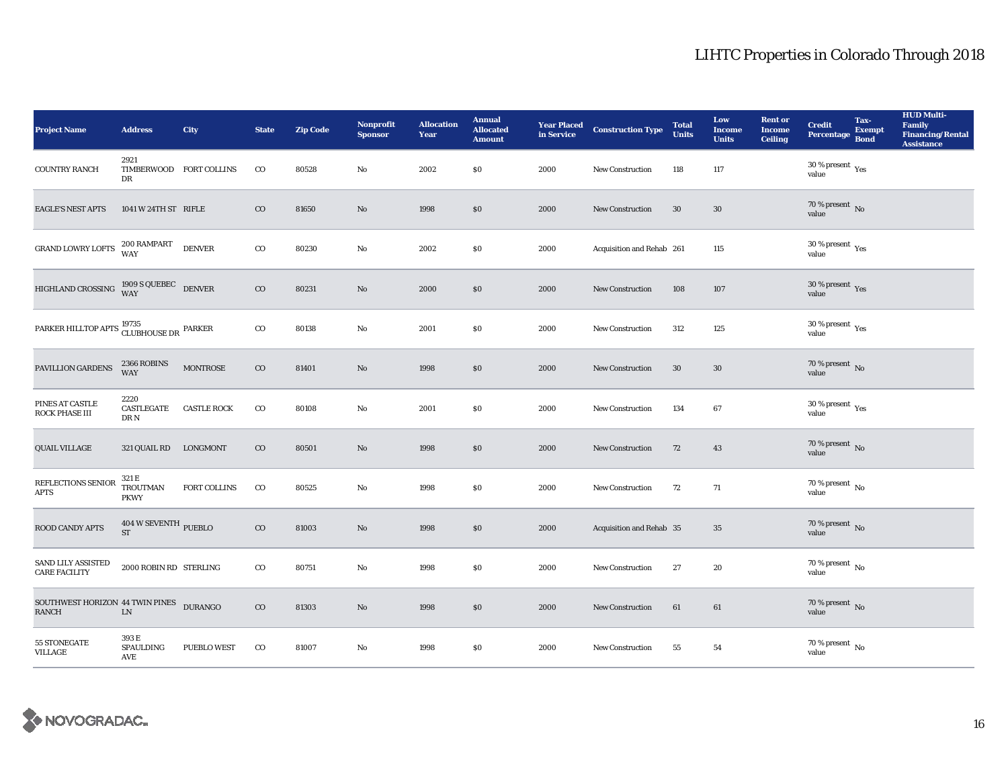| <b>Project Name</b>                                             | <b>Address</b>                                    | <b>City</b>         | <b>State</b> | <b>Zip Code</b> | <b>Nonprofit</b><br><b>Sponsor</b> | <b>Allocation</b><br>Year | <b>Annual</b><br><b>Allocated</b><br><b>Amount</b> |      | <b>Year Placed Construction Type</b><br>in Service <b>Construction</b> Type | <b>Total</b><br><b>Units</b> | Low<br><b>Income</b><br><b>Units</b> | <b>Rent or</b><br><b>Income</b><br><b>Ceiling</b> | <b>Credit</b><br><b>Percentage</b>          | Tax-<br><b>Exempt</b><br><b>Bond</b> | <b>HUD Multi-</b><br>Family<br><b>Financing/Rental</b><br><b>Assistance</b> |
|-----------------------------------------------------------------|---------------------------------------------------|---------------------|--------------|-----------------|------------------------------------|---------------------------|----------------------------------------------------|------|-----------------------------------------------------------------------------|------------------------------|--------------------------------------|---------------------------------------------------|---------------------------------------------|--------------------------------------|-----------------------------------------------------------------------------|
| <b>COUNTRY RANCH</b>                                            | 2921<br>TIMBERWOOD FORT COLLINS<br>DR             |                     | $_{\rm CO}$  | 80528           | No                                 | 2002                      | \$0                                                | 2000 | <b>New Construction</b>                                                     | 118                          | 117                                  |                                                   | 30 % present $\rm_{Yes}$<br>value           |                                      |                                                                             |
| <b>EAGLE'S NEST APTS</b>                                        | 1041 W 24TH ST RIFLE                              |                     | $_{\rm CO}$  | 81650           | $\mathbf{N}\mathbf{o}$             | 1998                      | \$0                                                | 2000 | New Construction                                                            | 30                           | $30\,$                               |                                                   | $70$ % present $\,$ No value                |                                      |                                                                             |
| GRAND LOWRY LOFTS                                               | 200 RAMPART<br>WAY                                | <b>DENVER</b>       | $_{\rm CO}$  | 80230           | $\rm No$                           | 2002                      | \$0                                                | 2000 | Acquisition and Rehab 261                                                   |                              | 115                                  |                                                   | $30\,\%$ present $\,\mathrm{Yes}$ value     |                                      |                                                                             |
| HIGHLAND CROSSING 1909 S QUEBEC DENVER                          |                                                   |                     | $_{\rm CO}$  | 80231           | $\mathbf{N}\mathbf{o}$             | 2000                      | \$0                                                | 2000 | New Construction                                                            | 108                          | 107                                  |                                                   | $30\,\%$ present $\,$ Yes value             |                                      |                                                                             |
| PARKER HILLTOP APTS $\frac{19735}{\text{CLUBHOUSE\,DR}}$ PARKER |                                                   |                     | $_{\rm CO}$  | 80138           | No                                 | 2001                      | \$0                                                | 2000 | New Construction                                                            | 312                          | 125                                  |                                                   | 30 % present $\rm \gamma_{\rm es}$<br>value |                                      |                                                                             |
| PAVILLION GARDENS                                               | 2366 ROBINS<br><b>WAY</b>                         | <b>MONTROSE</b>     | $_{\rm CO}$  | 81401           | $\mathbf{N}\mathbf{o}$             | 1998                      | $\$0$                                              | 2000 | <b>New Construction</b>                                                     | 30                           | $30\,$                               |                                                   | $70$ % present $\,$ No value                |                                      |                                                                             |
| PINES AT CASTLE<br>ROCK PHASE III                               | 2220<br>CASTLEGATE<br>DR N                        | <b>CASTLE ROCK</b>  | $_{\rm CO}$  | 80108           | No                                 | 2001                      | \$0                                                | 2000 | <b>New Construction</b>                                                     | 134                          | $\bf{67}$                            |                                                   | $30$ % present $\,$ $\rm{Yes}$<br>value     |                                      |                                                                             |
| <b>QUAIL VILLAGE</b>                                            | 321 QUAIL RD                                      | LONGMONT            | $_{\rm CO}$  | 80501           | $\mathbf{N}\mathbf{o}$             | 1998                      | \$0                                                | 2000 | New Construction                                                            | 72                           | 43                                   |                                                   | $70$ % present $\,$ No value                |                                      |                                                                             |
| REFLECTIONS SENIOR<br><b>APTS</b>                               | 321 E<br><b>TROUTMAN</b><br><b>PKWY</b>           | <b>FORT COLLINS</b> | $_{\rm CO}$  | 80525           | $\rm No$                           | 1998                      | \$0                                                | 2000 | <b>New Construction</b>                                                     | 72                           | 71                                   |                                                   | $70$ % present $\,$ No value                |                                      |                                                                             |
| <b>ROOD CANDY APTS</b>                                          | 404 W SEVENTH PUEBLO<br><b>ST</b>                 |                     | $_{\rm CO}$  | 81003           | $\mathbf{N}\mathbf{o}$             | 1998                      | \$0                                                | 2000 | Acquisition and Rehab 35                                                    |                              | 35                                   |                                                   | $70\,\%$ present $\,$ No value              |                                      |                                                                             |
| SAND LILY ASSISTED<br><b>CARE FACILITY</b>                      | 2000 ROBIN RD STERLING                            |                     | $_{\rm CO}$  | 80751           | No                                 | 1998                      | \$0                                                | 2000 | <b>New Construction</b>                                                     | 27                           | 20                                   |                                                   | $70$ % present $\,$ No $\,$<br>value        |                                      |                                                                             |
| SOUTHWEST HORIZON 44 TWIN PINES DURANGO<br>RANCH                | ${\rm LN}$                                        |                     | $_{\rm CO}$  | 81303           | No                                 | 1998                      | \$0                                                | 2000 | <b>New Construction</b>                                                     | 61                           | 61                                   |                                                   | $70\,\%$ present $\,$ No value              |                                      |                                                                             |
| 55 STONEGATE<br><b>VILLAGE</b>                                  | 393 E<br><b>SPAULDING</b><br>$\operatorname{AVE}$ | <b>PUEBLO WEST</b>  | $_{\rm CO}$  | 81007           | No                                 | 1998                      | \$0                                                | 2000 | <b>New Construction</b>                                                     | 55                           | 54                                   |                                                   | $70\,\%$ present $\,$ No value              |                                      |                                                                             |

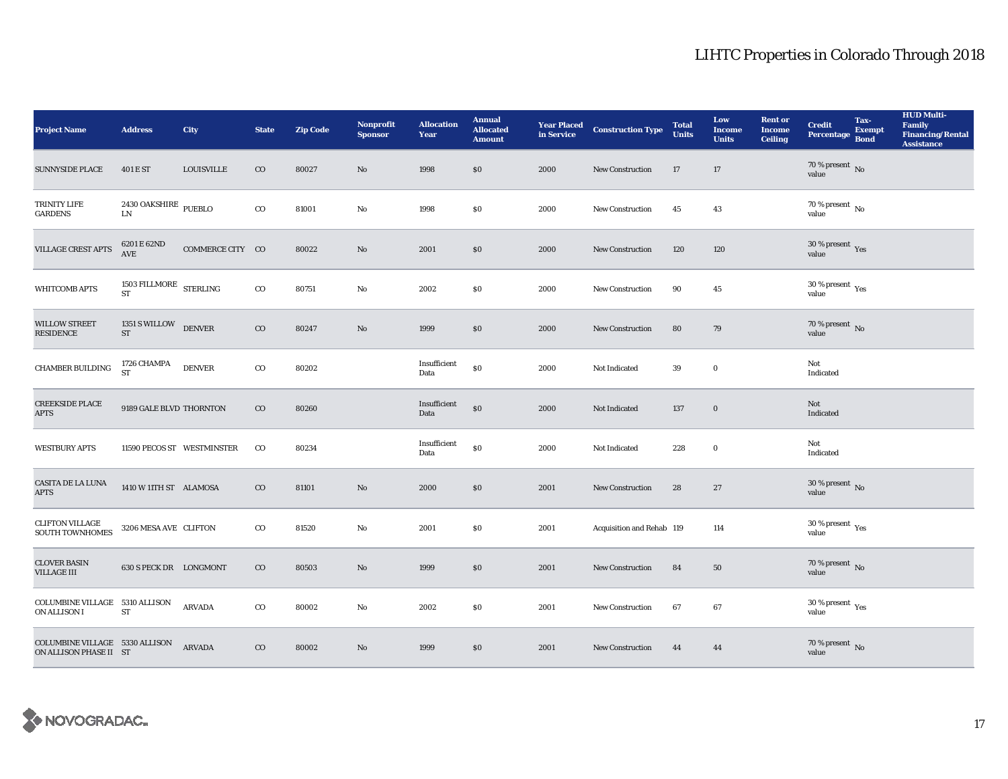| <b>Project Name</b>                                      | <b>Address</b>                               | City              | <b>State</b> | <b>Zip Code</b> | <b>Nonprofit</b><br><b>Sponsor</b> | <b>Allocation</b><br>Year | <b>Annual</b><br><b>Allocated</b><br><b>Amount</b> |      | <b>Year Placed Construction Type</b><br>in Service | <b>Total</b><br><b>Units</b> | Low<br><b>Income</b><br><b>Units</b> | <b>Rent or</b><br><b>Income</b><br><b>Ceiling</b> | <b>Credit</b><br>Percentage            | Tax-<br><b>Exempt</b><br><b>Bond</b> | <b>HUD Multi-</b><br>Family<br><b>Financing/Rental</b><br><b>Assistance</b> |
|----------------------------------------------------------|----------------------------------------------|-------------------|--------------|-----------------|------------------------------------|---------------------------|----------------------------------------------------|------|----------------------------------------------------|------------------------------|--------------------------------------|---------------------------------------------------|----------------------------------------|--------------------------------------|-----------------------------------------------------------------------------|
| <b>SUNNYSIDE PLACE</b>                                   | 401 E ST                                     | <b>LOUISVILLE</b> | $\rm CO$     | 80027           | No                                 | 1998                      | $\$0$                                              | 2000 | <b>New Construction</b>                            | 17                           | 17                                   |                                                   | 70 % present $\,$ No $\,$<br>value     |                                      |                                                                             |
| TRINITY LIFE<br><b>GARDENS</b>                           | 2430 OAKSHIRE $_{\rm{PUEBLO}}$<br>${\rm LN}$ |                   | $_{\rm CO}$  | 81001           | No                                 | 1998                      | \$0                                                | 2000 | <b>New Construction</b>                            | 45                           | 43                                   |                                                   | $70\,\%$ present $\,$ No value         |                                      |                                                                             |
| <b>VILLAGE CREST APTS</b>                                | 6201 E 62ND<br>$\operatorname{AVE}$          | COMMERCE CITY CO  |              | 80022           | No                                 | 2001                      | $\$0$                                              | 2000 | <b>New Construction</b>                            | 120                          | 120                                  |                                                   | $30\,\%$ present $\,$ Yes value        |                                      |                                                                             |
| <b>WHITCOMB APTS</b>                                     | 1503 FILLMORE STERLING<br><b>ST</b>          |                   | $_{\rm CO}$  | 80751           | No                                 | 2002                      | $\$0$                                              | 2000 | New Construction                                   | 90                           | 45                                   |                                                   | $30\,\%$ present $\,$ Yes value        |                                      |                                                                             |
| <b>WILLOW STREET</b><br><b>RESIDENCE</b>                 | 1351 S WILLOW DENVER<br>${\rm ST}$           |                   | $\rm{CO}$    | 80247           | $\mathbf{N}\mathbf{o}$             | 1999                      | $\$0$                                              | 2000 | <b>New Construction</b>                            | 80                           | 79                                   |                                                   | $70$ % present $\,$ No value           |                                      |                                                                             |
| CHAMBER BUILDING                                         | 1726 CHAMPA<br><b>ST</b>                     | <b>DENVER</b>     | $_{\rm CO}$  | 80202           |                                    | Insufficient<br>Data      | $\$0$                                              | 2000 | Not Indicated                                      | 39                           | $\mathbf 0$                          |                                                   | Not<br>Indicated                       |                                      |                                                                             |
| <b>CREEKSIDE PLACE</b><br><b>APTS</b>                    | 9189 GALE BLVD THORNTON                      |                   | $\rm{CO}$    | 80260           |                                    | Insufficient<br>Data      | $\boldsymbol{\mathsf{S}}\boldsymbol{\mathsf{0}}$   | 2000 | Not Indicated                                      | 137                          | $\bf{0}$                             |                                                   | Not<br>Indicated                       |                                      |                                                                             |
| <b>WESTBURY APTS</b>                                     | 11590 PECOS ST WESTMINSTER                   |                   | $_{\rm CO}$  | 80234           |                                    | Insufficient<br>Data      | $\$0$                                              | 2000 | Not Indicated                                      | 228                          | $\bf{0}$                             |                                                   | Not<br>Indicated                       |                                      |                                                                             |
| <b>CASITA DE LA LUNA</b><br><b>APTS</b>                  | 1410 W 11TH ST ALAMOSA                       |                   | $\rm{CO}$    | 81101           | No                                 | 2000                      | \$0\$                                              | 2001 | <b>New Construction</b>                            | 28                           | 27                                   |                                                   | $30\,\%$ present $\,$ No value         |                                      |                                                                             |
| <b>CLIFTON VILLAGE</b><br><b>SOUTH TOWNHOMES</b>         | 3206 MESA AVE CLIFTON                        |                   | $_{\rm CO}$  | 81520           | No                                 | 2001                      | \$0\$                                              | 2001 | Acquisition and Rehab 119                          |                              | 114                                  |                                                   | 30 % present $\rm\,Yes$<br>value       |                                      |                                                                             |
| <b>CLOVER BASIN</b><br><b>VILLAGE III</b>                | 630 S PECK DR LONGMONT                       |                   | $_{\rm CO}$  | 80503           | No                                 | 1999                      | \$0\$                                              | 2001 | New Construction                                   | 84                           | 50                                   |                                                   | $70\,\%$ present $\,$ No value         |                                      |                                                                             |
| COLUMBINE VILLAGE 5310 ALLISON<br>ON ALLISON I           | <b>ST</b>                                    | <b>ARVADA</b>     | $\rm{CO}$    | 80002           | No                                 | 2002                      | \$0\$                                              | 2001 | <b>New Construction</b>                            | 67                           | 67                                   |                                                   | $30$ % present $\,$ $\rm Yes$<br>value |                                      |                                                                             |
| COLUMBINE VILLAGE 5330 ALLISON<br>ON ALLISON PHASE II ST |                                              | <b>ARVADA</b>     | $\rm{CO}$    | 80002           | No                                 | 1999                      | \$0                                                | 2001 | <b>New Construction</b>                            | 44                           | 44                                   |                                                   | $70$ % present $\,$ No value           |                                      |                                                                             |

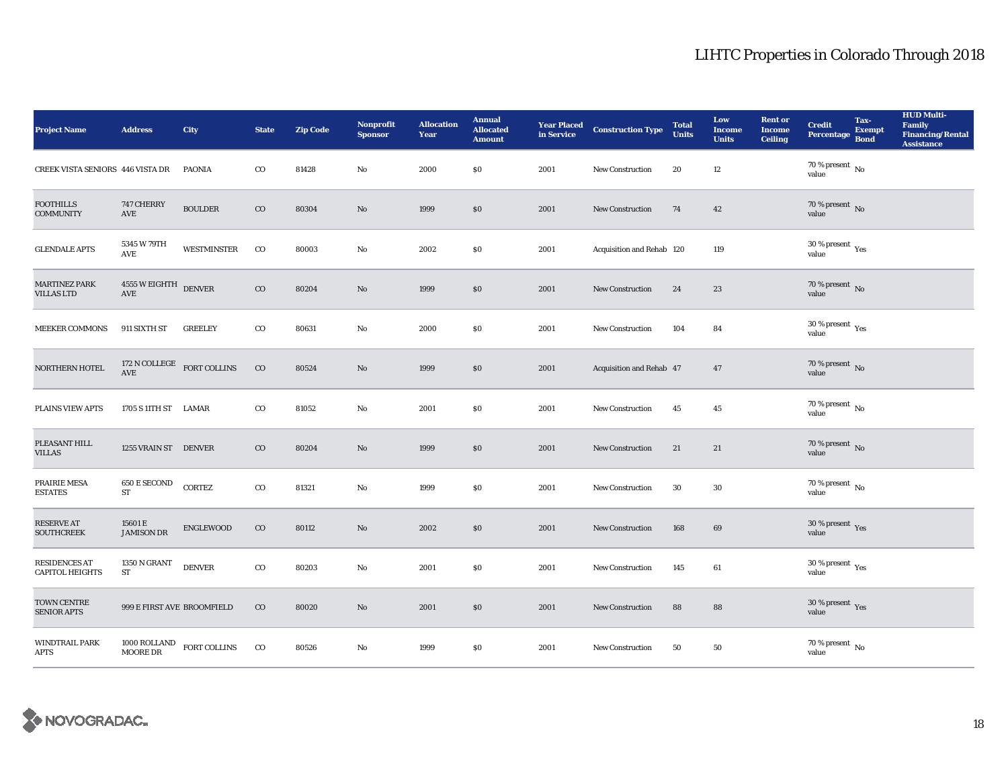| <b>Project Name</b>                            | <b>Address</b>                                     | City                                      | <b>State</b> | <b>Zip Code</b> | Nonprofit<br><b>Sponsor</b> | <b>Allocation</b><br>Year | <b>Annual</b><br><b>Allocated</b><br><b>Amount</b> | <b>Year Placed<br/>in Service</b> | <b>Construction Type</b>  | <b>Total</b><br><b>Units</b> | Low<br><b>Income</b><br><b>Units</b> | <b>Rent or</b><br><b>Income</b><br><b>Ceiling</b> | <b>Credit</b><br><b>Percentage</b>              | Tax-<br><b>Exempt</b><br><b>Bond</b> | <b>HUD Multi-</b><br>Family<br><b>Financing/Rental</b><br><b>Assistance</b> |
|------------------------------------------------|----------------------------------------------------|-------------------------------------------|--------------|-----------------|-----------------------------|---------------------------|----------------------------------------------------|-----------------------------------|---------------------------|------------------------------|--------------------------------------|---------------------------------------------------|-------------------------------------------------|--------------------------------------|-----------------------------------------------------------------------------|
| CREEK VISTA SENIORS 446 VISTA DR               |                                                    | PAONIA                                    | $\rm{CO}$    | 81428           | No                          | 2000                      | $\$0$                                              | 2001                              | New Construction          | 20                           | 12                                   |                                                   | 70 % present $\hbox{~No}$<br>value              |                                      |                                                                             |
| <b>FOOTHILLS</b><br><b>COMMUNITY</b>           | 747 CHERRY<br>AVE                                  | <b>BOULDER</b>                            | $_{\rm CO}$  | 80304           | No                          | 1999                      | $\$0$                                              | 2001                              | New Construction          | 74                           | 42                                   |                                                   | $70$ % present $\,$ No value                    |                                      |                                                                             |
| <b>GLENDALE APTS</b>                           | 5345 W 79TH<br>AVE                                 | <b>WESTMINSTER</b>                        | $_{\rm CO}$  | 80003           | $\mathbf{No}$               | 2002                      | \$0\$                                              | 2001                              | Acquisition and Rehab 120 |                              | 119                                  |                                                   | $30\ \%$ present $\ _{\mbox{Yes}}$ value        |                                      |                                                                             |
| <b>MARTINEZ PARK</b><br><b>VILLAS LTD</b>      | 4555 W EIGHTH DENVER<br>AVE                        |                                           | $_{\rm CO}$  | 80204           | No                          | 1999                      | \$0                                                | 2001                              | <b>New Construction</b>   | 24                           | 23                                   |                                                   | $70$ % present $\,$ No value                    |                                      |                                                                             |
| MEEKER COMMONS                                 | 911 SIXTH ST                                       | <b>GREELEY</b>                            | $_{\rm CO}$  | 80631           | No                          | 2000                      | $\$0$                                              | 2001                              | <b>New Construction</b>   | 104                          | 84                                   |                                                   | $30\,\%$ present $\,$ $_{\rm Yes}$<br>value     |                                      |                                                                             |
| NORTHERN HOTEL                                 |                                                    | $172$ N COLLEGE $$\tt FORT\,COLLINS$$ AVE | $_{\rm CO}$  | 80524           | No                          | 1999                      | \$0                                                | 2001                              | Acquisition and Rehab 47  |                              | 47                                   |                                                   | $70$ % present $\,$ No value                    |                                      |                                                                             |
| <b>PLAINS VIEW APTS</b>                        | 1705 S 11TH ST LAMAR                               |                                           | $_{\rm CO}$  | 81052           | No                          | 2001                      | \$0\$                                              | 2001                              | <b>New Construction</b>   | 45                           | 45                                   |                                                   | 70 % present $\hbox{~No}$<br>value              |                                      |                                                                             |
| PLEASANT HILL<br><b>VILLAS</b>                 | 1255 VRAIN ST DENVER                               |                                           | $\rm{CO}$    | 80204           | No                          | 1999                      | \$0\$                                              | 2001                              | New Construction          | 21                           | 21                                   |                                                   | $70$ % present $\,$ No value                    |                                      |                                                                             |
| PRAIRIE MESA<br><b>ESTATES</b>                 | 650 E SECOND<br><b>ST</b>                          | <b>CORTEZ</b>                             | $\rm{CO}$    | 81321           | No                          | 1999                      | \$0                                                | 2001                              | <b>New Construction</b>   | $30\,$                       | 30                                   |                                                   | $70\,\%$ present $\,$ No value                  |                                      |                                                                             |
| RESERVE AT<br><b>SOUTHCREEK</b>                | 15601 E<br><b>JAMISON DR</b>                       | <b>ENGLEWOOD</b>                          | $\rm{CO}$    | 80112           | No                          | 2002                      | \$0                                                | 2001                              | <b>New Construction</b>   | 168                          | 69                                   |                                                   | $30\,\%$ present $\,$ Yes value                 |                                      |                                                                             |
| <b>RESIDENCES AT</b><br><b>CAPITOL HEIGHTS</b> | 1350 N GRANT<br>ST                                 | <b>DENVER</b>                             | $_{\rm CO}$  | 80203           | No                          | 2001                      | $\$0$                                              | 2001                              | New Construction          | 145                          | 61                                   |                                                   | $30\,\%$ present $\rm\thinspace_{Yes}$<br>value |                                      |                                                                             |
| TOWN CENTRE<br><b>SENIOR APTS</b>              | 999 E FIRST AVE BROOMFIELD                         |                                           | $\rm{CO}$    | 80020           | No                          | 2001                      | \$0\$                                              | 2001                              | <b>New Construction</b>   | 88                           | 88                                   |                                                   | $30\,\%$ present $\,$ Yes value                 |                                      |                                                                             |
| WINDTRAIL PARK<br><b>APTS</b>                  | $1000$ ROLLAND $$\tt FORT\,COLLINS\rm\,MOORE\,DR$$ |                                           | $_{\rm CO}$  | 80526           | No                          | 1999                      | \$0                                                | 2001                              | <b>New Construction</b>   | 50                           | 50                                   |                                                   | $70\,\%$ present $\,$ No value                  |                                      |                                                                             |

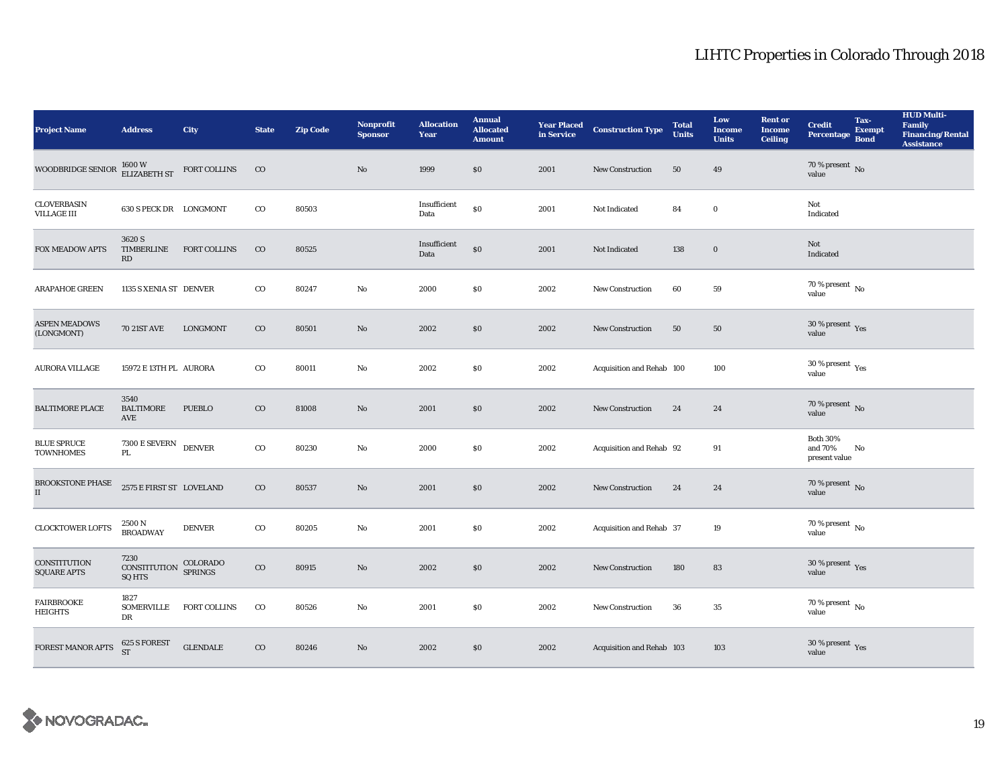| <b>Project Name</b>                       | <b>Address</b>                        | City                | <b>State</b> | <b>Zip Code</b> | <b>Nonprofit</b><br><b>Sponsor</b> | <b>Allocation</b><br>Year | <b>Annual</b><br><b>Allocated</b><br><b>Amount</b> |      | <b>Year Placed Construction Type</b><br>in Service | <b>Total</b><br><b>Units</b> | Low<br><b>Income</b><br><b>Units</b> | <b>Rent or</b><br><b>Income</b><br><b>Ceiling</b> | <b>Credit</b><br><b>Percentage</b>          | Tax-<br><b>Exempt</b><br><b>Bond</b> | <b>HUD Multi-</b><br>Family<br><b>Financing/Rental</b><br><b>Assistance</b> |
|-------------------------------------------|---------------------------------------|---------------------|--------------|-----------------|------------------------------------|---------------------------|----------------------------------------------------|------|----------------------------------------------------|------------------------------|--------------------------------------|---------------------------------------------------|---------------------------------------------|--------------------------------------|-----------------------------------------------------------------------------|
| WOODBRIDGE SENIOR                         | 1600 W<br>ELIZABETH ST                | FORT COLLINS        | $\rm CO$     |                 | $\mathbf{No}$                      | 1999                      | \$0                                                | 2001 | <b>New Construction</b>                            | 50                           | 49                                   |                                                   | 70 % present $\,$ No $\,$<br>value          |                                      |                                                                             |
| CLOVERBASIN<br><b>VILLAGE III</b>         | 630 S PECK DR LONGMONT                |                     | $_{\rm CO}$  | 80503           |                                    | Insufficient<br>Data      | \$0                                                | 2001 | Not Indicated                                      | 84                           | $\bf{0}$                             |                                                   | Not<br>Indicated                            |                                      |                                                                             |
| <b>FOX MEADOW APTS</b>                    | 3620 S<br>TIMBERLINE<br>RD            | <b>FORT COLLINS</b> | $_{\rm CO}$  | 80525           |                                    | Insufficient<br>Data      | \$0                                                | 2001 | Not Indicated                                      | 138                          | $\bf{0}$                             |                                                   | Not<br>Indicated                            |                                      |                                                                             |
| <b>ARAPAHOE GREEN</b>                     | 1135 S XENIA ST DENVER                |                     | $_{\rm CO}$  | 80247           | $\rm No$                           | 2000                      | $\$0$                                              | 2002 | New Construction                                   | 60                           | 59                                   |                                                   | 70 % present $\,$ No $\,$<br>value          |                                      |                                                                             |
| <b>ASPEN MEADOWS</b><br>(LONGMONT)        | <b>70 21ST AVE</b>                    | <b>LONGMONT</b>     | $_{\rm CO}$  | 80501           | No                                 | 2002                      | $\$0$                                              | 2002 | <b>New Construction</b>                            | 50                           | 50                                   |                                                   | $30\,\%$ present $\,$ Yes value             |                                      |                                                                             |
| <b>AURORA VILLAGE</b>                     | 15972 E 13TH PL AURORA                |                     | $_{\rm CO}$  | 80011           | No                                 | 2002                      | \$0                                                | 2002 | Acquisition and Rehab 100                          |                              | 100                                  |                                                   | $30\,\%$ present $\,$ $\rm Yes$<br>value    |                                      |                                                                             |
| <b>BALTIMORE PLACE</b>                    | 3540<br><b>BALTIMORE</b><br>AVE       | <b>PUEBLO</b>       | $\rm{CO}$    | 81008           | No                                 | 2001                      | \$0                                                | 2002 | <b>New Construction</b>                            | 24                           | 24                                   |                                                   | $70$ % present $\,$ No value                |                                      |                                                                             |
| <b>BLUE SPRUCE</b><br><b>TOWNHOMES</b>    | 7300 E SEVERN DENVER<br>PL.           |                     | $_{\rm CO}$  | 80230           | No                                 | 2000                      | $\$0$                                              | 2002 | Acquisition and Rehab 92                           |                              | 91                                   |                                                   | <b>Both 30%</b><br>and 70%<br>present value | No                                   |                                                                             |
| <b>BROOKSTONE PHASE</b><br>$\rm II$       | 2575 E FIRST ST LOVELAND              |                     | $\rm{CO}$    | 80537           | $\mathbf{N}\mathbf{o}$             | 2001                      | \$0                                                | 2002 | New Construction                                   | 24                           | 24                                   |                                                   | $70$ % present $\,$ No value                |                                      |                                                                             |
| <b>CLOCKTOWER LOFTS</b>                   | 2500 N<br><b>BROADWAY</b>             | <b>DENVER</b>       | $_{\rm CO}$  | 80205           | No                                 | 2001                      | \$0                                                | 2002 | <b>Acquisition and Rehab 37</b>                    |                              | 19                                   |                                                   | $70$ % present $\,$ No value                |                                      |                                                                             |
| <b>CONSTITUTION</b><br><b>SQUARE APTS</b> | 7230<br>CONSTITUTION<br><b>SQ HTS</b> | COLORADO<br>SPRINGS | $\rm{CO}$    | 80915           | $\mathbf{N}\mathbf{o}$             | 2002                      | $\$0$                                              | 2002 | <b>New Construction</b>                            | 180                          | 83                                   |                                                   | $30\,\%$ present $\,\mathrm{Yes}$ value     |                                      |                                                                             |
| <b>FAIRBROOKE</b><br><b>HEIGHTS</b>       | 1827<br>SOMERVILLE<br>DR              | <b>FORT COLLINS</b> | $_{\rm CO}$  | 80526           | No                                 | 2001                      | $\$0$                                              | 2002 | New Construction                                   | 36                           | 35                                   |                                                   | $70$ % present $\,$ No $\,$<br>value        |                                      |                                                                             |
| FOREST MANOR APTS                         | 625 S FOREST<br><b>ST</b>             | <b>GLENDALE</b>     | $\rm{CO}$    | 80246           | No                                 | 2002                      | \$0                                                | 2002 | Acquisition and Rehab 103                          |                              | 103                                  |                                                   | $30\,\%$ present $\,\mathrm{Yes}$ value     |                                      |                                                                             |

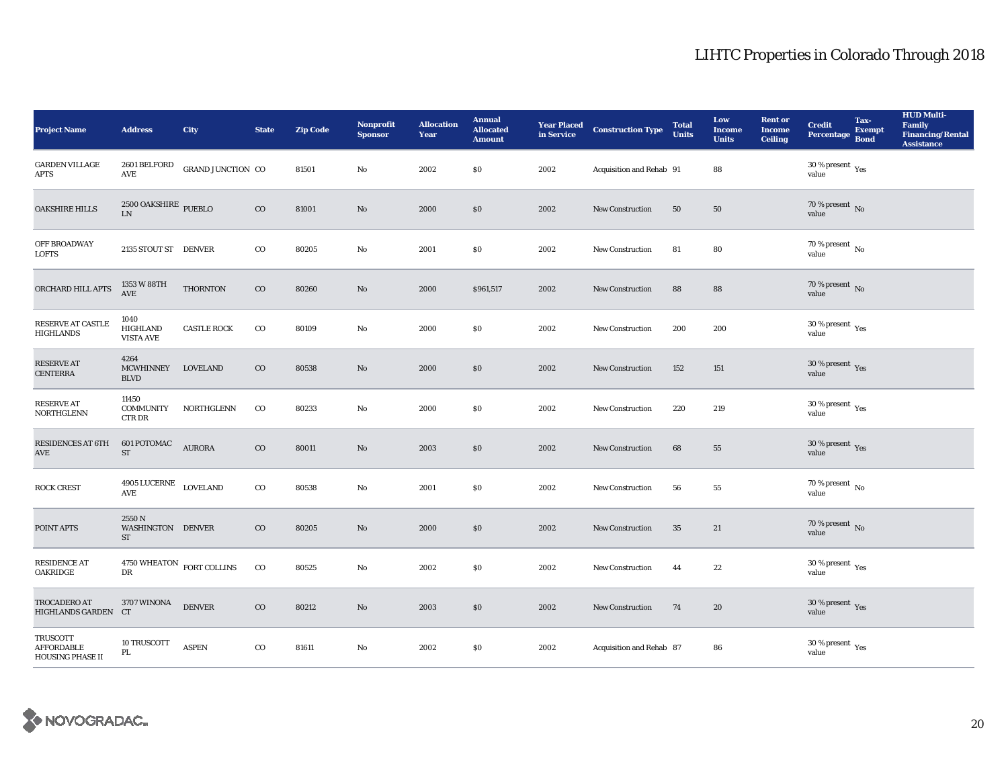| <b>Project Name</b>                               | <b>Address</b>                               | <b>City</b>        | <b>State</b> | <b>Zip Code</b> | <b>Nonprofit</b><br><b>Sponsor</b> | <b>Allocation</b><br>Year | <b>Annual</b><br><b>Allocated</b><br><b>Amount</b> |      | <b>Year Placed Construction Type</b><br>in Service | <b>Total</b><br><b>Units</b> | Low<br><b>Income</b><br><b>Units</b> | <b>Rent or</b><br><b>Income</b><br><b>Ceiling</b> | <b>Credit</b><br><b>Percentage</b>      | Tax-<br><b>Exempt</b><br><b>Bond</b> | <b>HUD Multi-</b><br><b>Family</b><br><b>Financing/Rental</b><br><b>Assistance</b> |
|---------------------------------------------------|----------------------------------------------|--------------------|--------------|-----------------|------------------------------------|---------------------------|----------------------------------------------------|------|----------------------------------------------------|------------------------------|--------------------------------------|---------------------------------------------------|-----------------------------------------|--------------------------------------|------------------------------------------------------------------------------------|
| <b>GARDEN VILLAGE</b><br><b>APTS</b>              | 2601 BELFORD<br>$\operatorname{AVE}$         | GRAND JUNCTION CO  |              | 81501           | No                                 | 2002                      | \$0                                                | 2002 | Acquisition and Rehab 91                           |                              | 88                                   |                                                   | 30 % present $\rm_{Yes}$<br>value       |                                      |                                                                                    |
| <b>OAKSHIRE HILLS</b>                             | $2500$ OAKSHIRE $\,$ PUEBLO LN               |                    | $_{\rm CO}$  | 81001           | $\mathbf{N}\mathbf{o}$             | 2000                      | \$0                                                | 2002 | <b>New Construction</b>                            | 50                           | $50\,$                               |                                                   | $70$ % present $\,$ No value            |                                      |                                                                                    |
| OFF BROADWAY<br><b>LOFTS</b>                      | 2135 STOUT ST DENVER                         |                    | $_{\rm CO}$  | 80205           | No                                 | 2001                      | \$0                                                | 2002 | <b>New Construction</b>                            | 81                           | 80                                   |                                                   | $70$ % present $\,$ No value            |                                      |                                                                                    |
| ORCHARD HILL APTS                                 | 1353 W 88TH<br>$\operatorname{AVE}$          | <b>THORNTON</b>    | $_{\rm CO}$  | 80260           | No                                 | 2000                      | \$961,517                                          | 2002 | <b>New Construction</b>                            | 88                           | 88                                   |                                                   | 70 % present $\,$ No $\,$<br>value      |                                      |                                                                                    |
| <b>RESERVE AT CASTLE</b><br><b>HIGHLANDS</b>      | 1040<br><b>HIGHLAND</b><br><b>VISTA AVE</b>  | <b>CASTLE ROCK</b> | $_{\rm CO}$  | 80109           | No                                 | 2000                      | $\$0$                                              | 2002 | New Construction                                   | 200                          | 200                                  |                                                   | $30\,\%$ present $\,$ Yes value         |                                      |                                                                                    |
| <b>RESERVE AT</b><br><b>CENTERRA</b>              | 4264<br><b>MCWHINNEY</b><br><b>BLVD</b>      | <b>LOVELAND</b>    | $_{\rm CO}$  | 80538           | No                                 | 2000                      | \$0                                                | 2002 | <b>New Construction</b>                            | 152                          | 151                                  |                                                   | $30\,\%$ present $\,$ Yes value         |                                      |                                                                                    |
| <b>RESERVE AT</b><br>NORTHGLENN                   | 11450<br><b>COMMUNITY</b><br><b>CTRDR</b>    | NORTHGLENN         | $_{\rm CO}$  | 80233           | No                                 | 2000                      | $\$0$                                              | 2002 | New Construction                                   | 220                          | 219                                  |                                                   | 30 % present $\rm_{Yes}$<br>value       |                                      |                                                                                    |
| <b>RESIDENCES AT 6TH</b><br>$\operatorname{AVE}$  | 601 POTOMAC<br>ST                            | <b>AURORA</b>      | $_{\rm CO}$  | 80011           | No                                 | 2003                      | \$0                                                | 2002 | New Construction                                   | 68                           | 55                                   |                                                   | $30\,\%$ present $\,$ Yes value         |                                      |                                                                                    |
| <b>ROCK CREST</b>                                 | 4905 LUCERNE<br>AVE                          | <b>LOVELAND</b>    | $_{\rm CO}$  | 80538           | No                                 | 2001                      | \$0                                                | 2002 | New Construction                                   | 56                           | 55                                   |                                                   | 70 % present $\overline{N_0}$<br>value  |                                      |                                                                                    |
| POINT APTS                                        | 2550N<br>WASHINGTON DENVER<br>ST             |                    | $_{\rm CO}$  | 80205           | No                                 | 2000                      | \$0                                                | 2002 | <b>New Construction</b>                            | 35                           | 21                                   |                                                   | $70\,\%$ present $\,$ No value          |                                      |                                                                                    |
| <b>RESIDENCE AT</b><br><b>OAKRIDGE</b>            | $4750 \, \rm{WHEATON} \;$ FORT COLLINS<br>DR |                    | $_{\rm CO}$  | 80525           | No                                 | 2002                      | $\$0$                                              | 2002 | New Construction                                   | 44                           | 22                                   |                                                   | $30\,\%$ present $\,\mathrm{Yes}$ value |                                      |                                                                                    |
| TROCADERO AT<br>HIGHLANDS GARDEN CT               | 3707 WINONA                                  | <b>DENVER</b>      | $_{\rm CO}$  | 80212           | $\rm No$                           | 2003                      | \$0                                                | 2002 | New Construction                                   | 74                           | 20                                   |                                                   | $30\,\%$ present $\,$ Yes value         |                                      |                                                                                    |
| TRUSCOTT<br><b>AFFORDABLE</b><br>HOUSING PHASE II | 10 TRUSCOTT<br>PL                            | <b>ASPEN</b>       | $_{\rm CO}$  | 81611           | No                                 | 2002                      | \$0                                                | 2002 | Acquisition and Rehab 87                           |                              | 86                                   |                                                   | $30\,\%$ present $\,\mathrm{Yes}$ value |                                      |                                                                                    |

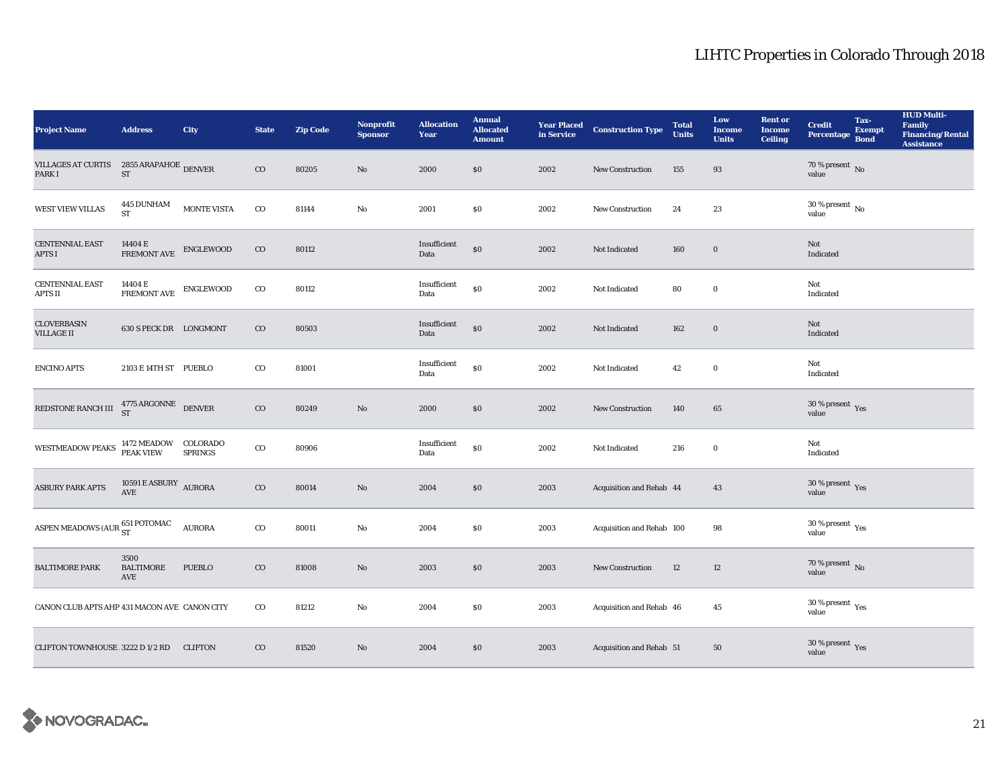| <b>Project Name</b>                                  | <b>Address</b>                                  | <b>City</b>        | <b>State</b> | <b>Zip Code</b> | Nonprofit<br><b>Sponsor</b> | <b>Allocation</b><br>Year | <b>Annual</b><br><b>Allocated</b><br><b>Amount</b> |      | <b>Year Placed Construction Type</b><br>in Service | <b>Total</b><br><b>Units</b> | Low<br><b>Income</b><br><b>Units</b> | <b>Rent or</b><br><b>Income</b><br><b>Ceiling</b> | <b>Credit</b><br><b>Percentage</b>      | Tax-<br><b>Exempt</b><br><b>Bond</b> | <b>HUD Multi-</b><br><b>Family</b><br><b>Financing/Rental</b><br><b>Assistance</b> |
|------------------------------------------------------|-------------------------------------------------|--------------------|--------------|-----------------|-----------------------------|---------------------------|----------------------------------------------------|------|----------------------------------------------------|------------------------------|--------------------------------------|---------------------------------------------------|-----------------------------------------|--------------------------------------|------------------------------------------------------------------------------------|
| VILLAGES AT CURTIS 2855 ARAPAHOE DENVER<br>PARK I    | $ST\,$                                          |                    | $_{\rm CO}$  | 80205           | $\mathbf{N}\mathbf{o}$      | 2000                      | \$0\$                                              | 2002 | <b>New Construction</b>                            | 155                          | 93                                   |                                                   | 70 % present $\,$ No $\,$<br>value      |                                      |                                                                                    |
| WEST VIEW VILLAS                                     | 445 DUNHAM<br><b>ST</b>                         | <b>MONTE VISTA</b> | $_{\rm CO}$  | 81144           | $\rm No$                    | 2001                      | $\$0$                                              | 2002 | <b>New Construction</b>                            | 24                           | 23                                   |                                                   | $30$ % present $\,$ No value            |                                      |                                                                                    |
| <b>CENTENNIAL EAST</b><br><b>APTS I</b>              | $14404$ E $$\rm FREMONT\,\,AVE$$                | ENGLEWOOD          | $_{\rm CO}$  | 80112           |                             | Insufficient<br>Data      | \$0                                                | 2002 | Not Indicated                                      | 160                          | $\bf{0}$                             |                                                   | Not<br>Indicated                        |                                      |                                                                                    |
| <b>CENTENNIAL EAST</b><br>APTS II                    | 14404 E<br><b>FREMONT AVE</b>                   | ENGLEWOOD          | $_{\rm CO}$  | 80112           |                             | Insufficient<br>Data      | \$0                                                | 2002 | Not Indicated                                      | 80                           | $\bf{0}$                             |                                                   | Not<br>Indicated                        |                                      |                                                                                    |
| <b>CLOVERBASIN</b><br><b>VILLAGE II</b>              | 630 S PECK DR LONGMONT                          |                    | $_{\rm CO}$  | 80503           |                             | Insufficient<br>Data      | $\$0$                                              | 2002 | Not Indicated                                      | 162                          | $\mathbf 0$                          |                                                   | Not<br>Indicated                        |                                      |                                                                                    |
| <b>ENCINO APTS</b>                                   | 2103 E 14TH ST PUEBLO                           |                    | $_{\rm CO}$  | 81001           |                             | Insufficient<br>Data      | \$0                                                | 2002 | Not Indicated                                      | 42                           | $\bf{0}$                             |                                                   | Not<br>Indicated                        |                                      |                                                                                    |
| REDSTONE RANCH III                                   | $4775$ ARGONNE DENVER ST                        |                    | $_{\rm CO}$  | 80249           | No                          | 2000                      | \$0                                                | 2002 | <b>New Construction</b>                            | 140                          | 65                                   |                                                   | $30\,\%$ present $\,$ Yes value         |                                      |                                                                                    |
| WESTMEADOW PEAKS                                     | 1472 MEADOW COLORADO<br>PEAK VIEW SPRINGS       |                    | $_{\rm CO}$  | 80906           |                             | Insufficient<br>Data      | $\$0$                                              | 2002 | Not Indicated                                      | 216                          | $\mathbf 0$                          |                                                   | Not<br>Indicated                        |                                      |                                                                                    |
| <b>ASBURY PARK APTS</b>                              | $10591\,\mathrm{E}\,\mathrm{ASBURY}$ AURORA AVE |                    | $_{\rm CO}$  | 80014           | No                          | 2004                      | \$0                                                | 2003 | Acquisition and Rehab 44                           |                              | 43                                   |                                                   | $30\,\%$ present $\,\mathrm{Yes}$ value |                                      |                                                                                    |
| ASPEN MEADOWS (AUR $^{651\, {\rm POTOMAC}}_{\rm ST}$ |                                                 | <b>AURORA</b>      | $\rm{CO}$    | 80011           | No                          | 2004                      | \$0                                                | 2003 | Acquisition and Rehab 100                          |                              | 98                                   |                                                   | $30\,\%$ present $\,$ Yes value         |                                      |                                                                                    |
| <b>BALTIMORE PARK</b>                                | 3500<br><b>BALTIMORE</b><br>AVE                 | <b>PUEBLO</b>      | $_{\rm CO}$  | 81008           | $\mathbf{N}\mathbf{o}$      | 2003                      | $\$0$                                              | 2003 | New Construction                                   | 12                           | 12                                   |                                                   | $70$ % present $\,$ No value            |                                      |                                                                                    |
| CANON CLUB APTS AHP 431 MACON AVE CANON CITY         |                                                 |                    | $\rm{CO}$    | 81212           | No                          | 2004                      | \$0\$                                              | 2003 | Acquisition and Rehab 46                           |                              | $45\,$                               |                                                   | $30$ % present $\,$ $\rm Yes$<br>value  |                                      |                                                                                    |
| CLIFTON TOWNHOUSE 3222 D 1/2 RD                      |                                                 | <b>CLIFTON</b>     | $_{\rm CO}$  | 81520           | No                          | 2004                      | \$0                                                | 2003 | Acquisition and Rehab 51                           |                              | 50                                   |                                                   | $30\,\%$ present $\,$ Yes value         |                                      |                                                                                    |

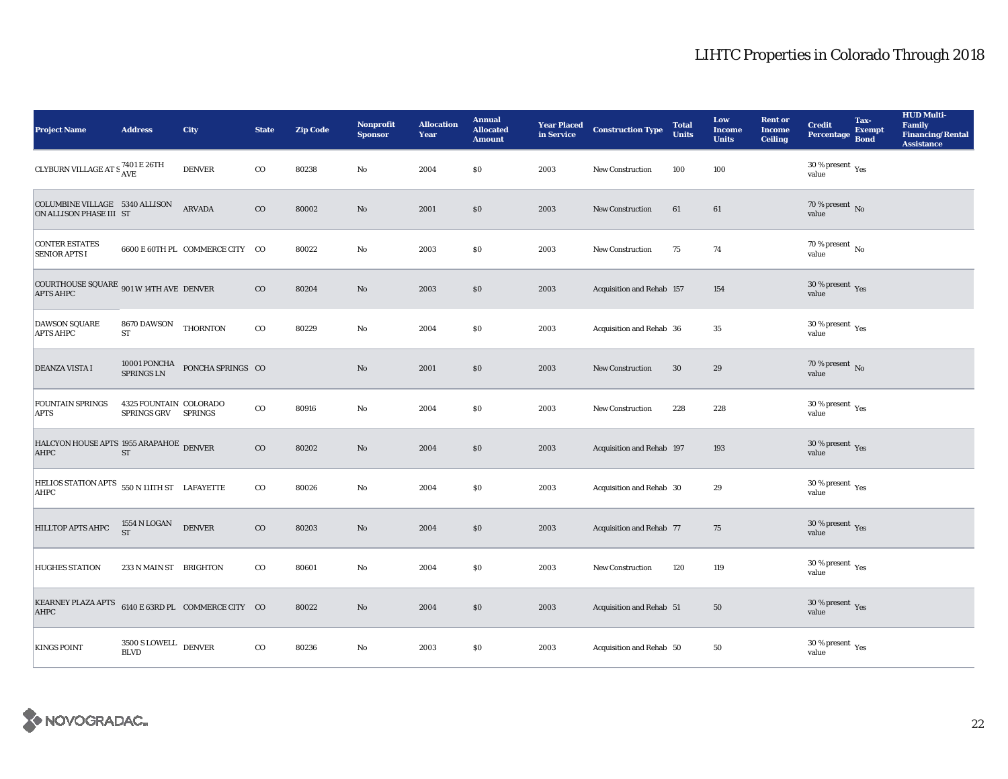| <b>Project Name</b>                                           | <b>Address</b>                                | City                                                               | <b>State</b> | <b>Zip Code</b> | <b>Nonprofit</b><br><b>Sponsor</b> | <b>Allocation</b><br>Year | <b>Annual</b><br><b>Allocated</b><br><b>Amount</b> |      | <b>Year Placed Construction Type</b><br>in Service <b>Construction Type</b> | <b>Total</b><br><b>Units</b> | Low<br><b>Income</b><br><b>Units</b> | <b>Rent or</b><br><b>Income</b><br><b>Ceiling</b> | <b>Credit</b><br><b>Percentage</b>             | Tax-<br><b>Exempt</b><br><b>Bond</b> | <b>HUD Multi-</b><br>Family<br><b>Financing/Rental</b><br><b>Assistance</b> |
|---------------------------------------------------------------|-----------------------------------------------|--------------------------------------------------------------------|--------------|-----------------|------------------------------------|---------------------------|----------------------------------------------------|------|-----------------------------------------------------------------------------|------------------------------|--------------------------------------|---------------------------------------------------|------------------------------------------------|--------------------------------------|-----------------------------------------------------------------------------|
| CLYBURN VILLAGE AT S $_{\rm AVE}^{7401\text{ E }26\text{TH}}$ |                                               | <b>DENVER</b>                                                      | $_{\rm CO}$  | 80238           | $\mathbf{No}$                      | 2004                      | <b>SO</b>                                          | 2003 | New Construction                                                            | 100                          | 100                                  |                                                   | 30 % present $\rm \gamma_{\rm es}$<br>value    |                                      |                                                                             |
| COLUMBINE VILLAGE 5340 ALLISON<br>ON ALLISON PHASE III ST     |                                               | <b>ARVADA</b>                                                      | $\rm{CO}$    | 80002           | $\rm No$                           | 2001                      | \$0                                                | 2003 | New Construction                                                            | 61                           | 61                                   |                                                   | $70$ % present $\,$ No value                   |                                      |                                                                             |
| <b>CONTER ESTATES</b><br><b>SENIOR APTS I</b>                 |                                               | 6600 E 60TH PL COMMERCE CITY CO                                    |              | 80022           | $\rm No$                           | 2003                      | \$0                                                | 2003 | <b>New Construction</b>                                                     | 75                           | 74                                   |                                                   | $70\,\%$ present $\,$ No value                 |                                      |                                                                             |
| COURTHOUSE SQUARE 901 W 14TH AVE DENVER<br><b>APTS AHPC</b>   |                                               |                                                                    | $\rm{CO}$    | 80204           | $\rm No$                           | 2003                      | \$0                                                | 2003 | Acquisition and Rehab 157                                                   |                              | 154                                  |                                                   | $30\,\%$ present $\,$ $\rm Yes$<br>value       |                                      |                                                                             |
| <b>DAWSON SQUARE</b><br><b>APTS AHPC</b>                      | 8670 DAWSON THORNTON<br><b>ST</b>             |                                                                    | $\rm{co}$    | 80229           | $\mathbf{N}\mathbf{o}$             | 2004                      | \$0                                                | 2003 | Acquisition and Rehab 36                                                    |                              | 35                                   |                                                   | 30 % present $\rm \gamma_{\rm es}$<br>value    |                                      |                                                                             |
| <b>DEANZA VISTA I</b>                                         |                                               | $10001$ PONCHA $$\tt PONCHA$ SPRINGS $$\tt CO$$ SPRINGS $$\tt LN$$ |              |                 | No                                 | 2001                      | \$0                                                | 2003 | <b>New Construction</b>                                                     | 30                           | 29                                   |                                                   | $70\,\%$ present $\,$ No value                 |                                      |                                                                             |
| <b>FOUNTAIN SPRINGS</b><br><b>APTS</b>                        | 4325 FOUNTAIN COLORADO<br>SPRINGS GRV SPRINGS |                                                                    | $_{\rm CO}$  | 80916           | $\mathbf{N}\mathbf{o}$             | 2004                      | <b>SO</b>                                          | 2003 | <b>New Construction</b>                                                     | 228                          | 228                                  |                                                   | $30$ % present $\,$ $\rm Yes$<br>value         |                                      |                                                                             |
| HALCYON HOUSE APTS 1955 ARAPAHOE DENVER<br>AHPC               | ST                                            |                                                                    | $_{\rm CO}$  | 80202           | $\mathbf{N}\mathbf{o}$             | 2004                      | \$0                                                | 2003 | Acquisition and Rehab 197                                                   |                              | 193                                  |                                                   | 30 % present Yes<br>value                      |                                      |                                                                             |
| HELIOS STATION APTS 550 N 111TH ST LAFAYETTE<br>AHPC          |                                               |                                                                    | $\rm{co}$    | 80026           | $\mathbf{No}$                      | 2004                      | \$0                                                | 2003 | Acquisition and Rehab 30                                                    |                              | 29                                   |                                                   | $30\,\%$ present $\,$ $\rm{Yes}$<br>value      |                                      |                                                                             |
| <b>HILLTOP APTS AHPC</b>                                      | 1554 N LOGAN<br><b>ST</b>                     | <b>DENVER</b>                                                      | $\rm{CO}$    | 80203           | $\rm No$                           | 2004                      | $\$0$                                              | 2003 | <b>Acquisition and Rehab 77</b>                                             |                              | 75                                   |                                                   | $30\,\%$ present $\,$ Yes value                |                                      |                                                                             |
| <b>HUGHES STATION</b>                                         | 233 N MAIN ST BRIGHTON                        |                                                                    | $_{\rm CO}$  | 80601           | No                                 | 2004                      | \$0                                                | 2003 | New Construction                                                            | 120                          | 119                                  |                                                   | 30 % present $\rm \gamma_{\rm es}$<br>value    |                                      |                                                                             |
| KEARNEY PLAZA APTS 6140 E 63RD PL COMMERCE CITY CO<br>AHPC    |                                               |                                                                    |              | 80022           | $\mathbf{No}$                      | 2004                      | \$0                                                | 2003 | Acquisition and Rehab 51                                                    |                              | 50                                   |                                                   | 30 % present $\sqrt{\gamma_{\rm PS}}$<br>value |                                      |                                                                             |
| <b>KINGS POINT</b>                                            | $3500$ S LOWELL $\quad$ DENVER<br><b>BLVD</b> |                                                                    | $_{\rm CO}$  | 80236           | $\mathbf{No}$                      | 2003                      | \$0                                                | 2003 | Acquisition and Rehab 50                                                    |                              | 50                                   |                                                   | $30\,\%$ present $\,$ Yes value                |                                      |                                                                             |

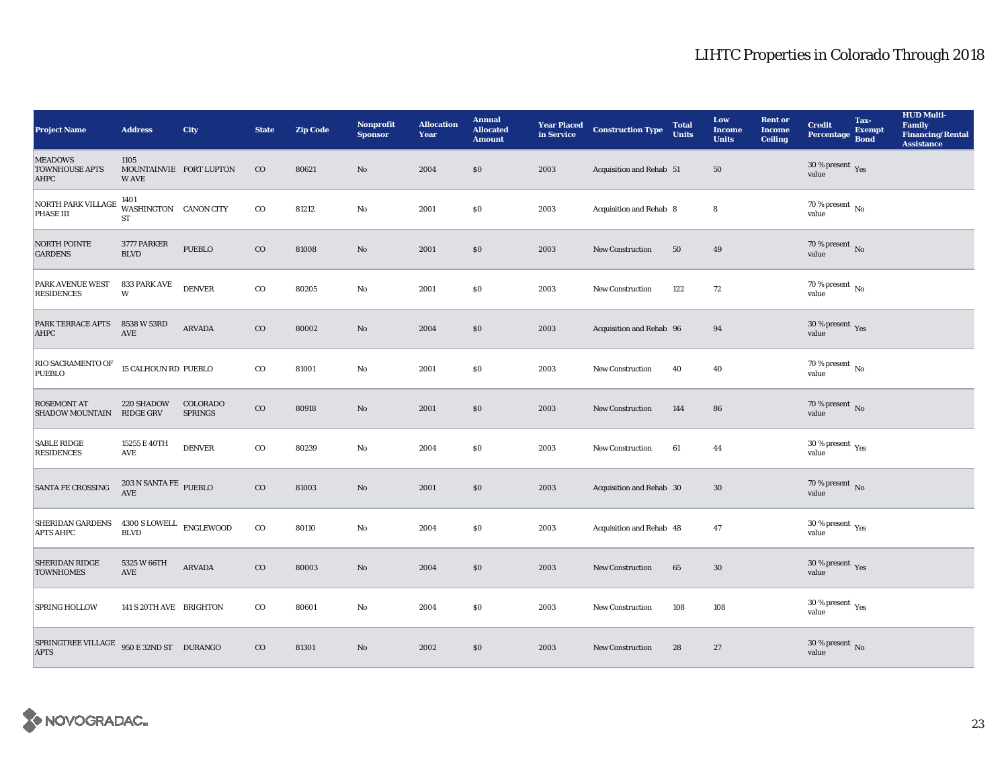| <b>Project Name</b>                                                                         | <b>Address</b>                                   | <b>City</b>                | <b>State</b> | <b>Zip Code</b> | <b>Nonprofit</b><br><b>Sponsor</b> | <b>Allocation</b><br>Year | <b>Annual</b><br><b>Allocated</b><br><b>Amount</b> |      | <b>Year Placed Construction Type</b><br>in Service <b>Construction</b> Type | <b>Total</b><br><b>Units</b> | Low<br><b>Income</b><br><b>Units</b> | <b>Rent or</b><br><b>Income</b><br><b>Ceiling</b> | <b>Credit</b><br>Percentage             | Tax-<br><b>Exempt</b><br><b>Bond</b> | <b>HUD Multi-</b><br><b>Family</b><br><b>Financing/Rental</b><br><b>Assistance</b> |
|---------------------------------------------------------------------------------------------|--------------------------------------------------|----------------------------|--------------|-----------------|------------------------------------|---------------------------|----------------------------------------------------|------|-----------------------------------------------------------------------------|------------------------------|--------------------------------------|---------------------------------------------------|-----------------------------------------|--------------------------------------|------------------------------------------------------------------------------------|
| <b>MEADOWS</b><br><b>TOWNHOUSE APTS</b><br>AHPC                                             | 1105<br>MOUNTAINVIE FORT LUPTON<br><b>WAVE</b>   |                            | $_{\rm CO}$  | 80621           | No                                 | 2004                      | \$0\$                                              | 2003 | Acquisition and Rehab 51                                                    |                              | 50                                   |                                                   | $30$ % present $\,$ $\rm Yes$<br>value  |                                      |                                                                                    |
| NORTH PARK VILLAGE<br>PHASE III                                                             | 1401<br>WASHINGTON CANON CITY<br>ST              |                            | $_{\rm CO}$  | 81212           | No                                 | 2001                      | \$0\$                                              | 2003 | Acquisition and Rehab 8                                                     |                              | 8                                    |                                                   | 70 % present $\,$ No $\,$<br>value      |                                      |                                                                                    |
| NORTH POINTE<br><b>GARDENS</b>                                                              | 3777 PARKER<br><b>BLVD</b>                       | <b>PUEBLO</b>              | $_{\rm CO}$  | 81008           | No                                 | 2001                      | \$0                                                | 2003 | <b>New Construction</b>                                                     | 50                           | 49                                   |                                                   | $70$ % present $\,$ No value            |                                      |                                                                                    |
| PARK AVENUE WEST<br><b>RESIDENCES</b>                                                       | 833 PARK AVE<br>W                                | <b>DENVER</b>              | $_{\rm CO}$  | 80205           | No                                 | 2001                      | \$0                                                | 2003 | New Construction                                                            | 122                          | 72                                   |                                                   | 70 % present $\,$ No $\,$<br>value      |                                      |                                                                                    |
| PARK TERRACE APTS<br>AHPC                                                                   | 8538 W 53RD<br>$\operatorname{AVE}$              | ARVADA                     | $_{\rm CO}$  | 80002           | $\mathbf{No}$                      | 2004                      | $\$0$                                              | 2003 | Acquisition and Rehab 96                                                    |                              | 94                                   |                                                   | 30 % present $\,$ $\rm Yes$<br>value    |                                      |                                                                                    |
| RIO SACRAMENTO OF<br><b>PUEBLO</b>                                                          | <b>15 CALHOUN RD PUEBLO</b>                      |                            | $_{\rm CO}$  | 81001           | No                                 | 2001                      | \$0\$                                              | 2003 | <b>New Construction</b>                                                     | 40                           | 40                                   |                                                   | 70 % present $\,$ No $\,$<br>value      |                                      |                                                                                    |
| <b>ROSEMONT AT</b><br><b>SHADOW MOUNTAIN</b>                                                | 220 SHADOW<br><b>RIDGE GRV</b>                   | COLORADO<br><b>SPRINGS</b> | $_{\rm CO}$  | 80918           | No                                 | 2001                      | \$0                                                | 2003 | <b>New Construction</b>                                                     | 144                          | 86                                   |                                                   | 70 % present $\,$ No $\,$<br>value      |                                      |                                                                                    |
| <b>SABLE RIDGE</b><br><b>RESIDENCES</b>                                                     | 15255 E 40TH<br>AVE                              | <b>DENVER</b>              | $_{\rm CO}$  | 80239           | $\mathbf{N}\mathbf{o}$             | 2004                      | \$0\$                                              | 2003 | New Construction                                                            | 61                           | 44                                   |                                                   | 30 % present $\rm \gamma_{ES}$<br>value |                                      |                                                                                    |
| <b>SANTA FE CROSSING</b>                                                                    | $203$ N SANTA FE $\,$ PUEBLO<br><b>AVE</b>       |                            | $_{\rm CO}$  | 81003           | $\rm No$                           | 2001                      | \$0                                                | 2003 | Acquisition and Rehab 30                                                    |                              | 30                                   |                                                   | $70\,\%$ present $\,$ No value          |                                      |                                                                                    |
| SHERIDAN GARDENS<br><b>APTS AHPC</b>                                                        | $4300$ S LOWELL $\quad$ ENGLEWOOD<br><b>BLVD</b> |                            | $_{\rm CO}$  | 80110           | $\mathbf{N}\mathbf{o}$             | 2004                      | \$0                                                | 2003 | Acquisition and Rehab 48                                                    |                              | 47                                   |                                                   | $30\,\%$ present $\,\mathrm{Yes}$ value |                                      |                                                                                    |
| <b>SHERIDAN RIDGE</b><br><b>TOWNHOMES</b>                                                   | 5325 W 66TH<br>$\operatorname{AVE}$              | ARVADA                     | $_{\rm CO}$  | 80003           | $\rm No$                           | 2004                      | \$0                                                | 2003 | New Construction                                                            | 65                           | $30\,$                               |                                                   | $30\,\%$ present $\,$ Yes value         |                                      |                                                                                    |
| <b>SPRING HOLLOW</b>                                                                        | 141 S 20TH AVE BRIGHTON                          |                            | $_{\rm CO}$  | 80601           | No                                 | 2004                      | \$0\$                                              | 2003 | <b>New Construction</b>                                                     | 108                          | 108                                  |                                                   | $30$ % present $\,$ $\rm Yes$<br>value  |                                      |                                                                                    |
| ${\tt SPRINGTREE\,VILLAGE} \quad {\tt 950\,E\,32ND\,ST} \quad {\tt DURANGO}$<br><b>APTS</b> |                                                  |                            | $_{\rm CO}$  | 81301           | No                                 | 2002                      | \$0                                                | 2003 | <b>New Construction</b>                                                     | 28                           | 27                                   |                                                   | $30\,\%$ present $\,$ No value          |                                      |                                                                                    |

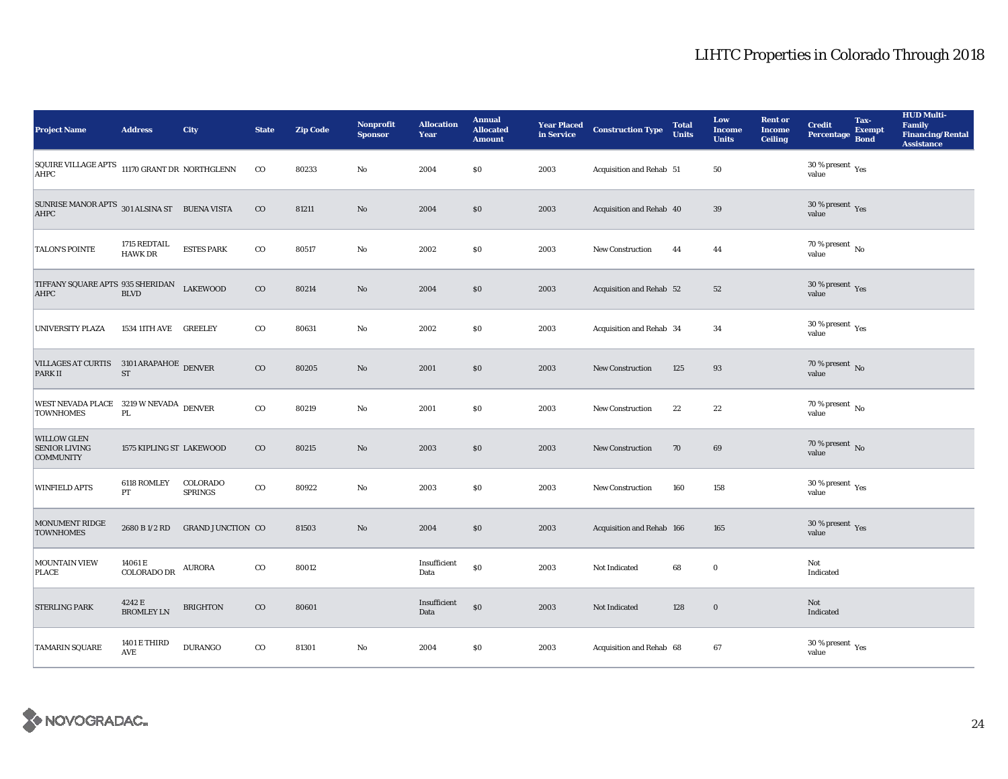| <b>Project Name</b>                                            | <b>Address</b>                 | City                       | <b>State</b> | <b>Zip Code</b> | <b>Nonprofit</b><br><b>Sponsor</b> | <b>Allocation</b><br>Year | <b>Annual</b><br><b>Allocated</b><br><b>Amount</b> |      | <b>Year Placed Construction Type</b><br>in Service | <b>Total</b><br><b>Units</b> | Low<br><b>Income</b><br><b>Units</b> | <b>Rent or</b><br><b>Income</b><br><b>Ceiling</b> | <b>Credit</b><br><b>Percentage</b>          | Tax-<br><b>Exempt</b><br><b>Bond</b> | <b>HUD Multi-</b><br><b>Family</b><br><b>Financing/Rental</b><br><b>Assistance</b> |
|----------------------------------------------------------------|--------------------------------|----------------------------|--------------|-----------------|------------------------------------|---------------------------|----------------------------------------------------|------|----------------------------------------------------|------------------------------|--------------------------------------|---------------------------------------------------|---------------------------------------------|--------------------------------------|------------------------------------------------------------------------------------|
| SQUIRE VILLAGE APTS 11170 GRANT DR NORTHGLENN<br>AHPC          |                                |                            | $_{\rm CO}$  | 80233           | $\mathbf{No}$                      | 2004                      | \$0\$                                              | 2003 | Acquisition and Rehab 51                           |                              | ${\bf 50}$                           |                                                   | 30 % present $\rm \gamma_{\rm es}$<br>value |                                      |                                                                                    |
| SUNRISE MANOR APTS 301 ALSINA ST BUENA VISTA<br>AHPC           |                                |                            | $_{\rm CO}$  | 81211           | $\rm\thinspace No$                 | 2004                      | \$0                                                | 2003 | Acquisition and Rehab 40                           |                              | $39\,$                               |                                                   | $30\,\%$ present $\,$ Yes value             |                                      |                                                                                    |
| <b>TALON'S POINTE</b>                                          | 1715 REDTAIL<br><b>HAWK DR</b> | <b>ESTES PARK</b>          | $\rm{CO}$    | 80517           | $\rm No$                           | 2002                      | $\$0$                                              | 2003 | <b>New Construction</b>                            | 44                           | 44                                   |                                                   | $70$ % present $\,$ No value                |                                      |                                                                                    |
| TIFFANY SQUARE APTS 935 SHERIDAN<br>AHPC                       | <b>BLVD</b>                    | <b>LAKEWOOD</b>            | $_{\rm CO}$  | 80214           | $\rm No$                           | 2004                      | \$0\$                                              | 2003 | Acquisition and Rehab 52                           |                              | ${\bf 52}$                           |                                                   | $30$ % present $\,$ $\rm Yes$<br>value      |                                      |                                                                                    |
| UNIVERSITY PLAZA                                               | 1534 11TH AVE GREELEY          |                            | $_{\rm CO}$  | 80631           | $\mathbf {No}$                     | 2002                      | $\$0$                                              | 2003 | Acquisition and Rehab 34                           |                              | 34                                   |                                                   | $30\,\%$ present $\,$ $\rm Yes$<br>value    |                                      |                                                                                    |
| VILLAGES AT CURTIS 3101 ARAPAHOE DENVER<br><b>PARK II</b>      | $\operatorname{ST}$            |                            | $_{\rm CO}$  | 80205           | $\rm No$                           | 2001                      | \$0                                                | 2003 | <b>New Construction</b>                            | 125                          | 93                                   |                                                   | $70$ % present $\,$ No value                |                                      |                                                                                    |
| WEST NEVADA PLACE 3219 W NEVADA DENVER<br><b>TOWNHOMES</b>     | $\rm PL$                       |                            | $_{\rm CO}$  | 80219           | $\mathbf {No}$                     | 2001                      | \$0                                                | 2003 | <b>New Construction</b>                            | 22                           | 22                                   |                                                   | 70 % present $\,$ No $\,$<br>value          |                                      |                                                                                    |
| <b>WILLOW GLEN</b><br><b>SENIOR LIVING</b><br><b>COMMUNITY</b> | 1575 KIPLING ST LAKEWOOD       |                            | $_{\rm CO}$  | 80215           | $\rm\thinspace No$                 | 2003                      | \$0\$                                              | 2003 | New Construction                                   | 70                           | 69                                   |                                                   | 70 % present $\overline{N_0}$<br>value      |                                      |                                                                                    |
| <b>WINFIELD APTS</b>                                           | 6118 ROMLEY<br>PT              | COLORADO<br><b>SPRINGS</b> | $_{\rm CO}$  | 80922           | No                                 | 2003                      | \$0                                                | 2003 | New Construction                                   | 160                          | 158                                  |                                                   | $30\,\%$ present $\,\mathrm{Yes}$ value     |                                      |                                                                                    |
| MONUMENT RIDGE<br><b>TOWNHOMES</b>                             | 2680 B 1/2 RD                  | <b>GRAND JUNCTION CO</b>   |              | 81503           | $\rm No$                           | 2004                      | \$0                                                | 2003 | Acquisition and Rehab 166                          |                              | 165                                  |                                                   | $30\,\%$ present $\,$ Yes value             |                                      |                                                                                    |
| <b>MOUNTAIN VIEW</b><br><b>PLACE</b>                           | 14061 E<br>COLORADO DR         | <b>AURORA</b>              | $_{\rm CO}$  | 80012           |                                    | Insufficient<br>Data      | $\$0$                                              | 2003 | Not Indicated                                      | 68                           | $\mathbf 0$                          |                                                   | Not<br>Indicated                            |                                      |                                                                                    |
| <b>STERLING PARK</b>                                           | 4242 E<br><b>BROMLEY LN</b>    | <b>BRIGHTON</b>            | $_{\rm CO}$  | 80601           |                                    | Insufficient<br>Data      | $\$0$                                              | 2003 | Not Indicated                                      | 128                          | $\mathbf 0$                          |                                                   | Not<br>Indicated                            |                                      |                                                                                    |
| <b>TAMARIN SQUARE</b>                                          | 1401 E THIRD<br><b>AVE</b>     | <b>DURANGO</b>             | $_{\rm CO}$  | 81301           | No                                 | 2004                      | $\$0$                                              | 2003 | Acquisition and Rehab 68                           |                              | 67                                   |                                                   | $30\,\%$ present $\,\mathrm{Yes}$ value     |                                      |                                                                                    |

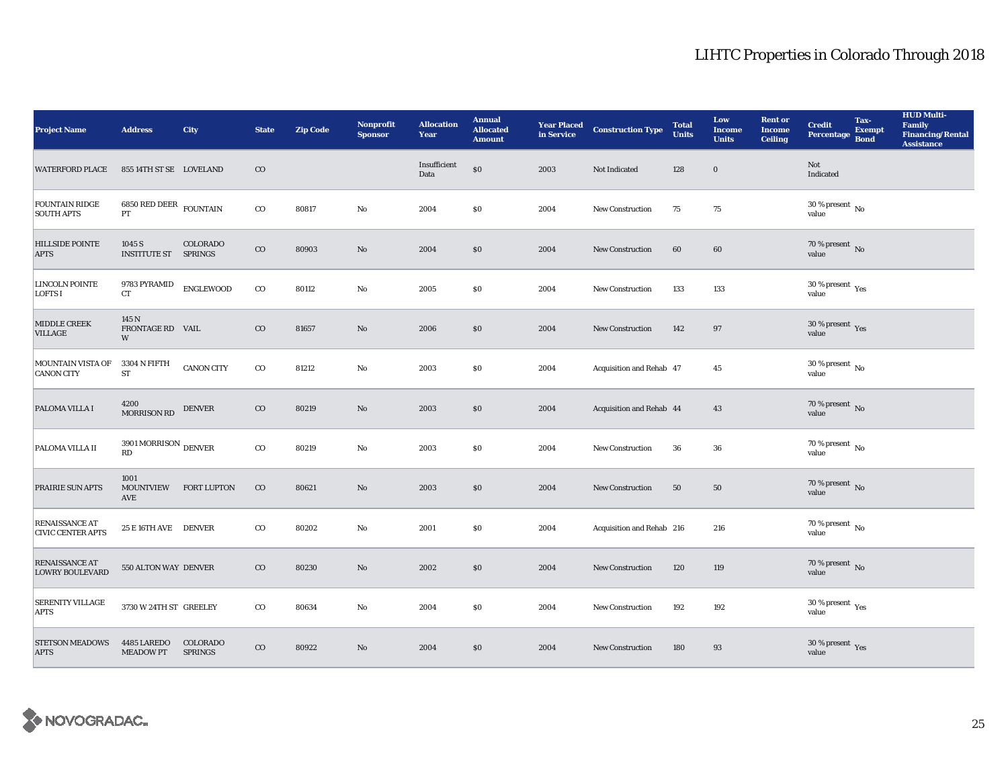| <b>Project Name</b>                             | <b>Address</b>                        | City                       | <b>State</b> | <b>Zip Code</b> | <b>Nonprofit</b><br><b>Sponsor</b> | <b>Allocation</b><br>Year | <b>Annual</b><br><b>Allocated</b><br><b>Amount</b> |      | <b>Year Placed Construction Type</b><br>in Service | <b>Total</b><br><b>Units</b> | Low<br><b>Income</b><br><b>Units</b> | <b>Rent or</b><br><b>Income</b><br><b>Ceiling</b> | <b>Credit</b><br><b>Percentage</b>      | Tax-<br><b>Exempt</b><br><b>Bond</b> | <b>HUD Multi-</b><br><b>Family</b><br><b>Financing/Rental</b><br><b>Assistance</b> |
|-------------------------------------------------|---------------------------------------|----------------------------|--------------|-----------------|------------------------------------|---------------------------|----------------------------------------------------|------|----------------------------------------------------|------------------------------|--------------------------------------|---------------------------------------------------|-----------------------------------------|--------------------------------------|------------------------------------------------------------------------------------|
| <b>WATERFORD PLACE</b>                          | 855 14TH ST SE LOVELAND               |                            | $\rm CO$     |                 |                                    | Insufficient<br>Data      | $\$0$                                              | 2003 | Not Indicated                                      | 128                          | $\boldsymbol{0}$                     |                                                   | Not<br>Indicated                        |                                      |                                                                                    |
| <b>FOUNTAIN RIDGE</b><br><b>SOUTH APTS</b>      | 6850 RED DEER $\,$ FOUNTAIN<br>PT     |                            | $_{\rm CO}$  | 80817           | $\mathbf {No}$                     | 2004                      | \$0                                                | 2004 | New Construction                                   | 75                           | 75                                   |                                                   | $30$ % present $\,$ No $\,$<br>value    |                                      |                                                                                    |
| <b>HILLSIDE POINTE</b><br><b>APTS</b>           | 1045 S<br><b>INSTITUTE ST SPRINGS</b> | COLORADO                   | $\rm CO$     | 80903           | No                                 | 2004                      | \$0                                                | 2004 | <b>New Construction</b>                            | 60                           | 60                                   |                                                   | $70$ % present $\,$ No value            |                                      |                                                                                    |
| LINCOLN POINTE<br><b>LOFTS I</b>                | 9783 PYRAMID<br>CT                    | <b>ENGLEWOOD</b>           | $_{\rm CO}$  | 80112           | No                                 | 2005                      | \$0                                                | 2004 | New Construction                                   | 133                          | 133                                  |                                                   | 30 % present $\rm_{Yes}$<br>value       |                                      |                                                                                    |
| MIDDLE CREEK<br><b>VILLAGE</b>                  | 145 N<br>FRONTAGE RD VAIL<br>W        |                            | $_{\rm CO}$  | 81657           | $\rm No$                           | 2006                      | \$0                                                | 2004 | <b>New Construction</b>                            | 142                          | 97                                   |                                                   | $30\,\%$ present $\,$ Yes value         |                                      |                                                                                    |
| MOUNTAIN VISTA OF<br><b>CANON CITY</b>          | 3304 N FIFTH<br><b>ST</b>             | <b>CANON CITY</b>          | $_{\rm CO}$  | 81212           | No                                 | 2003                      | <b>SO</b>                                          | 2004 | Acquisition and Rehab 47                           |                              | 45                                   |                                                   | $30\,\%$ present $\,$ No $\,$<br>value  |                                      |                                                                                    |
| PALOMA VILLA I                                  | 4200<br><b>MORRISON RD</b>            | <b>DENVER</b>              | $_{\rm CO}$  | 80219           | No                                 | 2003                      | \$0                                                | 2004 | Acquisition and Rehab 44                           |                              | 43                                   |                                                   | $70$ % present $\,$ No value            |                                      |                                                                                    |
| PALOMA VILLA II                                 | 3901 MORRISON $_{\rm DENVER}$<br>RD   |                            | $_{\rm CO}$  | 80219           | $\mathbf{No}$                      | 2003                      | <b>SO</b>                                          | 2004 | New Construction                                   | 36                           | 36                                   |                                                   | $70$ % present $\,$ No $\,$<br>value    |                                      |                                                                                    |
| PRAIRIE SUN APTS                                | 1001<br><b>MOUNTVIEW</b><br>AVE       | <b>FORT LUPTON</b>         | $_{\rm CO}$  | 80621           | $\rm No$                           | 2003                      | \$0                                                | 2004 | New Construction                                   | 50                           | 50                                   |                                                   | $70$ % present $\,$ No value            |                                      |                                                                                    |
| RENAISSANCE AT<br><b>CIVIC CENTER APTS</b>      | 25 E 16TH AVE DENVER                  |                            | $_{\rm CO}$  | 80202           | No                                 | 2001                      | <b>SO</b>                                          | 2004 | Acquisition and Rehab 216                          |                              | 216                                  |                                                   | $70\,\%$ present $\,$ No value          |                                      |                                                                                    |
| <b>RENAISSANCE AT</b><br><b>LOWRY BOULEVARD</b> | 550 ALTON WAY DENVER                  |                            | $_{\rm CO}$  | 80230           | $\rm No$                           | 2002                      | $\$0$                                              | 2004 | <b>New Construction</b>                            | 120                          | 119                                  |                                                   | $70\,\%$ present $\,$ No value          |                                      |                                                                                    |
| <b>SERENITY VILLAGE</b><br><b>APTS</b>          | 3730 W 24TH ST GREELEY                |                            | $_{\rm CO}$  | 80634           | $\mathbf{No}$                      | 2004                      | $\$0$                                              | 2004 | New Construction                                   | 192                          | 192                                  |                                                   | 30 % present $\rm_{Yes}$<br>value       |                                      |                                                                                    |
| <b>STETSON MEADOWS</b><br><b>APTS</b>           | 4485 LAREDO<br><b>MEADOW PT</b>       | COLORADO<br><b>SPRINGS</b> | $\rm{CO}$    | 80922           | $\rm No$                           | 2004                      | \$0                                                | 2004 | <b>New Construction</b>                            | 180                          | 93                                   |                                                   | $30\,\%$ present $\,\mathrm{Yes}$ value |                                      |                                                                                    |

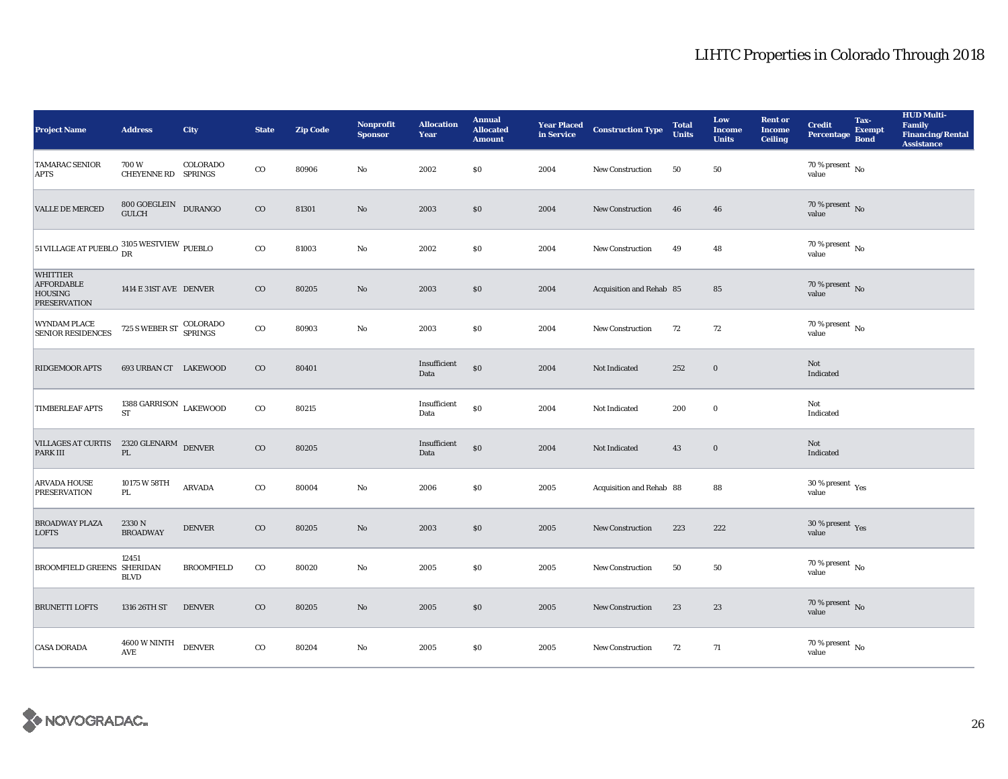| <b>Project Name</b>                                                           | <b>Address</b>                                 | City              | <b>State</b> | <b>Zip Code</b> | <b>Nonprofit</b><br><b>Sponsor</b> | <b>Allocation</b><br>Year | <b>Annual</b><br><b>Allocated</b><br><b>Amount</b> |      | <b>Year Placed Construction Type</b><br>in Service | <b>Total</b><br><b>Units</b> | Low<br><b>Income</b><br><b>Units</b> | <b>Rent or</b><br><b>Income</b><br><b>Ceiling</b> | <b>Credit</b><br><b>Percentage</b>      | Tax-<br><b>Exempt</b><br><b>Bond</b> | <b>HUD Multi-</b><br>Family<br><b>Financing/Rental</b><br><b>Assistance</b> |
|-------------------------------------------------------------------------------|------------------------------------------------|-------------------|--------------|-----------------|------------------------------------|---------------------------|----------------------------------------------------|------|----------------------------------------------------|------------------------------|--------------------------------------|---------------------------------------------------|-----------------------------------------|--------------------------------------|-----------------------------------------------------------------------------|
| <b>TAMARAC SENIOR</b><br><b>APTS</b>                                          | 700W<br>CHEYENNE RD SPRINGS                    | COLORADO          | $_{\rm CO}$  | 80906           | $\rm No$                           | 2002                      | $\$0$                                              | 2004 | New Construction                                   | 50                           | ${\bf 50}$                           |                                                   | 70 % present $\hbox{~No}$<br>value      |                                      |                                                                             |
| <b>VALLE DE MERCED</b>                                                        | $800$ GOEGLEIN DURANGO GULCH                   |                   | $_{\rm CO}$  | 81301           | $\mathbf{No}$                      | 2003                      | $\$0$                                              | 2004 | New Construction                                   | 46                           | 46                                   |                                                   | $70$ % present $\,$ No value            |                                      |                                                                             |
| 51 VILLAGE AT PUEBLO $^{3105}_{\text{DR}}$ WESTVIEW PUEBLO                    |                                                |                   | $_{\rm CO}$  | 81003           | $\rm No$                           | 2002                      | $\$0$                                              | 2004 | <b>New Construction</b>                            | 49                           | 48                                   |                                                   | $70$ % present $\,$ No value            |                                      |                                                                             |
| <b>WHITTIER</b><br><b>AFFORDABLE</b><br><b>HOUSING</b><br><b>PRESERVATION</b> | 1414 E 31ST AVE DENVER                         |                   | $_{\rm CO}$  | 80205           | $\mathbf{N}\mathbf{o}$             | 2003                      | $\$0$                                              | 2004 | Acquisition and Rehab 85                           |                              | 85                                   |                                                   | 70 % present $\,$ No $\,$<br>value      |                                      |                                                                             |
| WYNDAM PLACE<br><b>SENIOR RESIDENCES</b>                                      | 725 S WEBER ST COLORADO                        |                   | $_{\rm CO}$  | 80903           | No                                 | 2003                      | $\$0$                                              | 2004 | New Construction                                   | 72                           | $72\,$                               |                                                   | 70 % present $\,$ No $\,$<br>value      |                                      |                                                                             |
| <b>RIDGEMOOR APTS</b>                                                         | 693 URBAN CT LAKEWOOD                          |                   | $_{\rm CO}$  | 80401           |                                    | Insufficient<br>Data      | $\$0$                                              | 2004 | Not Indicated                                      | 252                          | $\mathbf 0$                          |                                                   | Not<br>Indicated                        |                                      |                                                                             |
| <b>TIMBERLEAF APTS</b>                                                        | 1388 GARRISON $$\tt LAKEWOOD$$<br><b>ST</b>    |                   | $_{\rm CO}$  | 80215           |                                    | Insufficient<br>Data      | $\$0$                                              | 2004 | Not Indicated                                      | 200                          | $\bf{0}$                             |                                                   | Not<br>Indicated                        |                                      |                                                                             |
| <b>VILLAGES AT CURTIS</b><br>PARK III                                         | $2320\,\mbox{GLENARM}$ DENVER<br>$\mathbf{PL}$ |                   | $_{\rm CO}$  | 80205           |                                    | Insufficient<br>Data      | $\$0$                                              | 2004 | Not Indicated                                      | 43                           | $\boldsymbol{0}$                     |                                                   | Not<br>Indicated                        |                                      |                                                                             |
| <b>ARVADA HOUSE</b><br><b>PRESERVATION</b>                                    | 10175 W 58TH<br>PL                             | ARVADA            | $_{\rm CO}$  | 80004           | No                                 | 2006                      | $\$0$                                              | 2005 | Acquisition and Rehab 88                           |                              | 88                                   |                                                   | $30\,\%$ present $\,$ Yes value         |                                      |                                                                             |
| <b>BROADWAY PLAZA</b><br><b>LOFTS</b>                                         | 2330 N<br><b>BROADWAY</b>                      | <b>DENVER</b>     | $_{\rm CO}$  | 80205           | $\rm No$                           | 2003                      | \$0                                                | 2005 | <b>New Construction</b>                            | 223                          | 222                                  |                                                   | $30\,\%$ present $\,\mathrm{Yes}$ value |                                      |                                                                             |
| BROOMFIELD GREENS SHERIDAN                                                    | 12451<br><b>BLVD</b>                           | <b>BROOMFIELD</b> | $_{\rm CO}$  | 80020           | No                                 | 2005                      | \$0                                                | 2005 | New Construction                                   | 50                           | 50                                   |                                                   | 70 % present $N_{\rm O}$<br>value       |                                      |                                                                             |
| <b>BRUNETTI LOFTS</b>                                                         | 1316 26TH ST                                   | <b>DENVER</b>     | $_{\rm CO}$  | 80205           | $\mathbf{No}$                      | 2005                      | \$0                                                | 2005 | <b>New Construction</b>                            | 23                           | 23                                   |                                                   | $70\,\%$ present $\,$ No value          |                                      |                                                                             |
| <b>CASA DORADA</b>                                                            | <b>4600 W NINTH</b><br>AVE                     | <b>DENVER</b>     | $_{\rm CO}$  | 80204           | No                                 | 2005                      | \$0                                                | 2005 | <b>New Construction</b>                            | 72                           | 71                                   |                                                   | $70\,\%$ present $\,$ No value          |                                      |                                                                             |

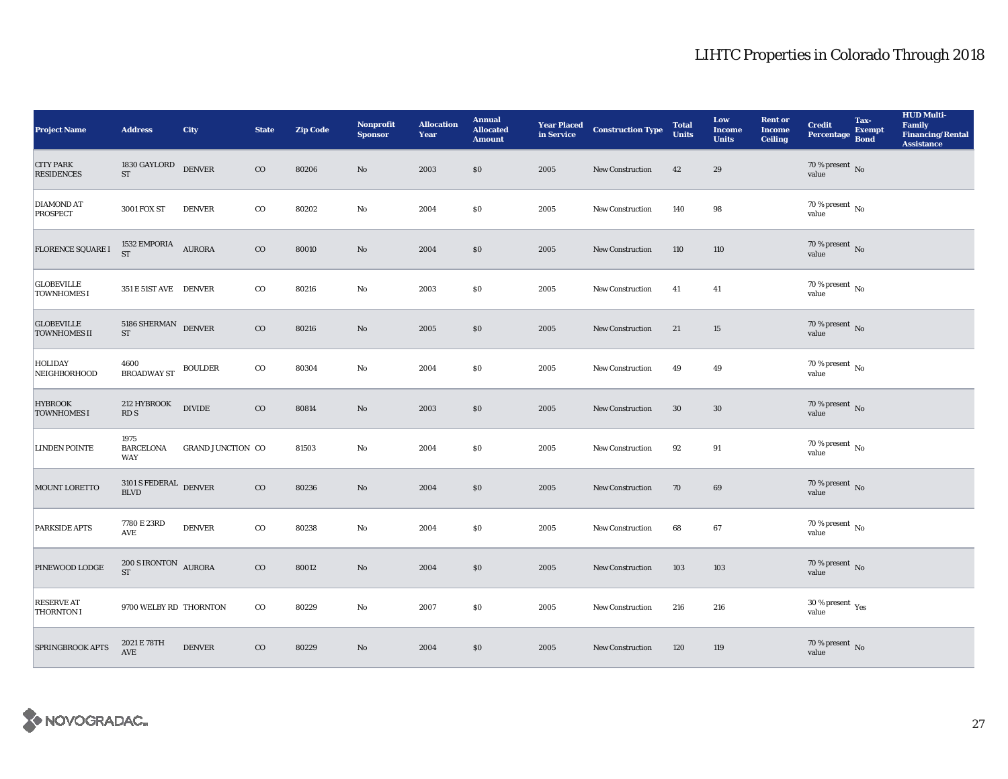| <b>Project Name</b>                      | <b>Address</b>                               | City                     | <b>State</b> | <b>Zip Code</b> | <b>Nonprofit</b><br><b>Sponsor</b> | <b>Allocation</b><br>Year | <b>Annual</b><br><b>Allocated</b><br><b>Amount</b> |      | <b>Year Placed Construction Type</b><br>in Service | <b>Total</b><br><b>Units</b> | Low<br><b>Income</b><br><b>Units</b> | <b>Rent or</b><br><b>Income</b><br><b>Ceiling</b> | <b>Credit</b><br>Percentage Bond     | Tax-<br><b>Exempt</b> | <b>HUD Multi-</b><br>Family<br><b>Financing/Rental</b><br><b>Assistance</b> |
|------------------------------------------|----------------------------------------------|--------------------------|--------------|-----------------|------------------------------------|---------------------------|----------------------------------------------------|------|----------------------------------------------------|------------------------------|--------------------------------------|---------------------------------------------------|--------------------------------------|-----------------------|-----------------------------------------------------------------------------|
| <b>CITY PARK</b><br><b>RESIDENCES</b>    | 1830 GAYLORD<br>$\operatorname{ST}$          | <b>DENVER</b>            | $_{\rm CO}$  | 80206           | $\mathbf{No}$                      | 2003                      | \$0                                                | 2005 | <b>New Construction</b>                            | 42                           | 29                                   |                                                   | 70 % present $\,$ No $\,$<br>value   |                       |                                                                             |
| DIAMOND AT<br><b>PROSPECT</b>            | 3001 FOX ST                                  | <b>DENVER</b>            | $_{\rm CO}$  | 80202           | $\mathbf {No}$                     | 2004                      | $\$0$                                              | 2005 | New Construction                                   | 140                          | 98                                   |                                                   | $70$ % present $\,$ No value         |                       |                                                                             |
| FLORENCE SQUARE I                        | $1532$ EMPORIA $$\,{\rm AURORA}$$ ST         |                          | $\rm CO$     | 80010           | $\mathbf{No}$                      | 2004                      | \$0                                                | 2005 | <b>New Construction</b>                            | 110                          | 110                                  |                                                   | $70$ % present $\,$ No value         |                       |                                                                             |
| <b>GLOBEVILLE</b><br><b>TOWNHOMES I</b>  | 351 E 51ST AVE DENVER                        |                          | $_{\rm CO}$  | 80216           | $\rm No$                           | 2003                      | \$0                                                | 2005 | New Construction                                   | 41                           | 41                                   |                                                   | 70 % present $\,$ No $\,$<br>value   |                       |                                                                             |
| <b>GLOBEVILLE</b><br><b>TOWNHOMES II</b> | $5186$ SHERMAN $\quad$ DENVER<br>ST          |                          | $_{\rm CO}$  | 80216           | $\mathbf{No}$                      | 2005                      | $\$0$                                              | 2005 | New Construction                                   | 21                           | 15                                   |                                                   | $70$ % present $\,$ No value         |                       |                                                                             |
| <b>HOLIDAY</b><br><b>NEIGHBORHOOD</b>    | 4600<br><b>BROADWAY ST</b>                   | <b>BOULDER</b>           | $_{\rm CO}$  | 80304           | No                                 | 2004                      | \$0\$                                              | 2005 | <b>New Construction</b>                            | 49                           | 49                                   |                                                   | $70$ % present $\,$ No value         |                       |                                                                             |
| <b>HYBROOK</b><br><b>TOWNHOMES I</b>     | 212 HYBROOK<br>RDS                           | <b>DIVIDE</b>            | $_{\rm CO}$  | 80814           | No                                 | 2003                      | \$0                                                | 2005 | <b>New Construction</b>                            | $30\,$                       | $30\,$                               |                                                   | $70$ % present $\,$ No value         |                       |                                                                             |
| <b>LINDEN POINTE</b>                     | 1975<br><b>BARCELONA</b><br><b>WAY</b>       | <b>GRAND JUNCTION CO</b> |              | 81503           | $\mathbf {No}$                     | 2004                      | \$0\$                                              | 2005 | New Construction                                   | 92                           | 91                                   |                                                   | $70$ % present $\,$ No $\,$<br>value |                       |                                                                             |
| MOUNT LORETTO                            | $3101$ S FEDERAL $\,$ DENVER $\,$ BLVD       |                          | $_{\rm CO}$  | 80236           | $\mathbf{No}$                      | 2004                      | \$0                                                | 2005 | New Construction                                   | 70                           | 69                                   |                                                   | $70$ % present $\,$ No value         |                       |                                                                             |
| <b>PARKSIDE APTS</b>                     | 7780 E 23RD<br>$\operatorname{\mathsf{AVE}}$ | <b>DENVER</b>            | $_{\rm CO}$  | 80238           | No                                 | 2004                      | <b>SO</b>                                          | 2005 | <b>New Construction</b>                            | 68                           | 67                                   |                                                   | $70\,\%$ present $\,$ No value       |                       |                                                                             |
| PINEWOOD LODGE                           | $200$ S IRONTON $\,$ AURORA<br><b>ST</b>     |                          | $_{\rm CO}$  | 80012           | $\rm No$                           | 2004                      | \$0                                                | 2005 | New Construction                                   | 103                          | 103                                  |                                                   | $70\,\%$ present $\,$ No value       |                       |                                                                             |
| <b>RESERVE AT</b><br><b>THORNTON I</b>   | 9700 WELBY RD THORNTON                       |                          | $_{\rm CO}$  | 80229           | $\mathbf{No}$                      | 2007                      | \$0\$                                              | 2005 | <b>New Construction</b>                            | 216                          | 216                                  |                                                   | $30\,\%$ present $\,$ Yes value      |                       |                                                                             |
| <b>SPRINGBROOK APTS</b>                  | 2021 E 78TH<br><b>AVE</b>                    | <b>DENVER</b>            | $_{\rm CO}$  | 80229           | $\rm No$                           | 2004                      | \$0                                                | 2005 | <b>New Construction</b>                            | 120                          | 119                                  |                                                   | $70\,\%$ present $\,$ No value       |                       |                                                                             |

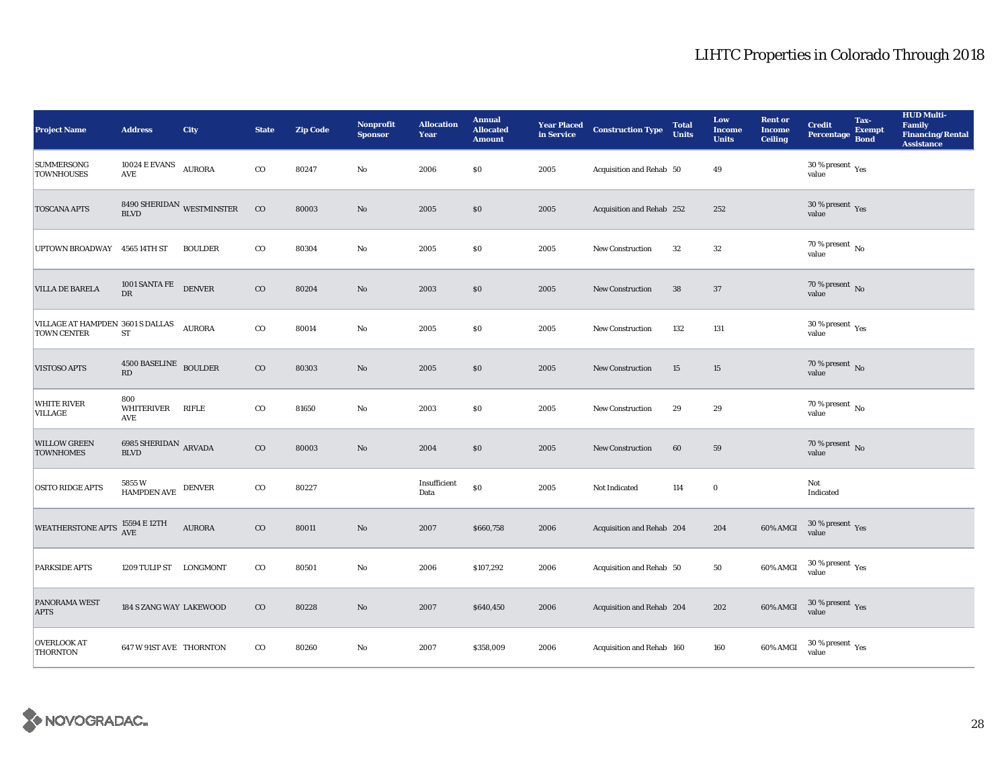| <b>Project Name</b>                                  | <b>Address</b>                                                              | City                                      | <b>State</b> | <b>Zip Code</b> | Nonprofit<br><b>Sponsor</b> | <b>Allocation</b><br>Year | <b>Annual</b><br><b>Allocated</b><br><b>Amount</b> |      | <b>Year Placed Construction Type</b><br>in Service <b>Construction</b> Type | <b>Total</b><br><b>Units</b> | Low<br><b>Income</b><br><b>Units</b> | <b>Rent or</b><br><b>Income</b><br><b>Ceiling</b> | <b>Credit</b><br><b>Percentage</b>       | Tax-<br><b>Exempt</b><br><b>Bond</b> | <b>HUD Multi-</b><br>Family<br><b>Financing/Rental</b><br><b>Assistance</b> |
|------------------------------------------------------|-----------------------------------------------------------------------------|-------------------------------------------|--------------|-----------------|-----------------------------|---------------------------|----------------------------------------------------|------|-----------------------------------------------------------------------------|------------------------------|--------------------------------------|---------------------------------------------------|------------------------------------------|--------------------------------------|-----------------------------------------------------------------------------|
| <b>SUMMERSONG</b><br><b>TOWNHOUSES</b>               | <b>10024 E EVANS</b><br><b>AVE</b>                                          | <b>AURORA</b>                             | $_{\rm CO}$  | 80247           | No                          | 2006                      | \$0\$                                              | 2005 | Acquisition and Rehab 50                                                    |                              | 49                                   |                                                   | 30 % present $\rm_{Yes}$<br>value        |                                      |                                                                             |
| <b>TOSCANA APTS</b>                                  |                                                                             | $8490\;{\rm SHERIDAN}\;$ WESTMINSTER BLVD | $_{\rm CO}$  | 80003           | $\rm No$                    | 2005                      | \$0                                                | 2005 | Acquisition and Rehab 252                                                   |                              | 252                                  |                                                   | $30\,\%$ present $\,$ Yes value          |                                      |                                                                             |
| UPTOWN BROADWAY 4565 14TH ST                         |                                                                             | <b>BOULDER</b>                            | $_{\rm CO}$  | 80304           | No                          | 2005                      | $\$0$                                              | 2005 | New Construction                                                            | $32\,$                       | ${\bf 32}$                           |                                                   | 70 % present $\overline{N_0}$<br>value   |                                      |                                                                             |
| <b>VILLA DE BARELA</b>                               | 1001 SANTA FE DENVER<br>DR                                                  |                                           | $_{\rm CO}$  | 80204           | $\mathbf{No}$               | 2003                      | \$0                                                | 2005 | New Construction                                                            | 38                           | 37                                   |                                                   | 70 % present $\overline{N}$<br>value     |                                      |                                                                             |
| VILLAGE AT HAMPDEN $\,3601\,S$ DALLAS<br>TOWN CENTER | ${\rm ST}$                                                                  | <b>AURORA</b>                             | $_{\rm CO}$  | 80014           | No                          | 2005                      | \$0\$                                              | 2005 | New Construction                                                            | 132                          | 131                                  |                                                   | $30\,\%$ present $\,$ Yes value          |                                      |                                                                             |
| <b>VISTOSO APTS</b>                                  | 4500 BASELINE BOULDER<br>RD                                                 |                                           | $_{\rm CO}$  | 80303           | $\mathbf{No}$               | 2005                      | $\$0$                                              | 2005 | <b>New Construction</b>                                                     | 15                           | 15                                   |                                                   | $70$ % present $\,$ No value             |                                      |                                                                             |
| <b>WHITE RIVER</b><br><b>VILLAGE</b>                 | 800<br><b>WHITERIVER</b><br>AVE                                             | <b>RIFLE</b>                              | $_{\rm CO}$  | 81650           | No                          | 2003                      | $\$0$                                              | 2005 | <b>New Construction</b>                                                     | 29                           | 29                                   |                                                   | 70 % present $\,$ No $\,$<br>value       |                                      |                                                                             |
| <b>WILLOW GREEN</b><br><b>TOWNHOMES</b>              | 6985 SHERIDAN ARVADA<br><b>BLVD</b>                                         |                                           | $_{\rm CO}$  | 80003           | $\mathbf{No}$               | 2004                      | $\$0$                                              | 2005 | New Construction                                                            | 60                           | 59                                   |                                                   | 70 % present $\overline{N}$<br>value     |                                      |                                                                             |
| <b>OSITO RIDGE APTS</b>                              | 5855W<br>$\begin{tabular}{ll} \bf{HAMPDEN AVE} & \bf{DENVER} \end{tabular}$ |                                           | $_{\rm CO}$  | 80227           |                             | Insufficient<br>Data      | $\$0$                                              | 2005 | Not Indicated                                                               | 114                          | $\mathbf 0$                          |                                                   | Not<br>Indicated                         |                                      |                                                                             |
| <b>WEATHERSTONE APTS</b>                             | 15594 E 12TH<br>AVE                                                         | <b>AURORA</b>                             | $_{\rm CO}$  | 80011           | $\mathbf{No}$               | 2007                      | \$660,758                                          | 2006 | Acquisition and Rehab 204                                                   |                              | 204                                  | 60% AMGI                                          | $30\,\%$ present $\,$ Yes value          |                                      |                                                                             |
| <b>PARKSIDE APTS</b>                                 | 1209 TULIP ST LONGMONT                                                      |                                           | $_{\rm CO}$  | 80501           | No                          | 2006                      | \$107,292                                          | 2006 | Acquisition and Rehab 50                                                    |                              | 50                                   | 60% AMGI                                          | $30\,\%$ present $\,\mathrm{Yes}$ value  |                                      |                                                                             |
| PANORAMA WEST<br><b>APTS</b>                         | 184 S ZANG WAY LAKEWOOD                                                     |                                           | $_{\rm CO}$  | 80228           | No                          | 2007                      | \$640,450                                          | 2006 | Acquisition and Rehab 204                                                   |                              | 202                                  | 60% AMGI                                          | $30\,\%$ present $\,$ Yes value          |                                      |                                                                             |
| <b>OVERLOOK AT</b><br><b>THORNTON</b>                | 647 W 91ST AVE THORNTON                                                     |                                           | $_{\rm CO}$  | 80260           | No                          | 2007                      | \$358,009                                          | 2006 | Acquisition and Rehab 160                                                   |                              | 160                                  | 60% AMGI                                          | $30\,\%$ present $\,$ $\rm Yes$<br>value |                                      |                                                                             |

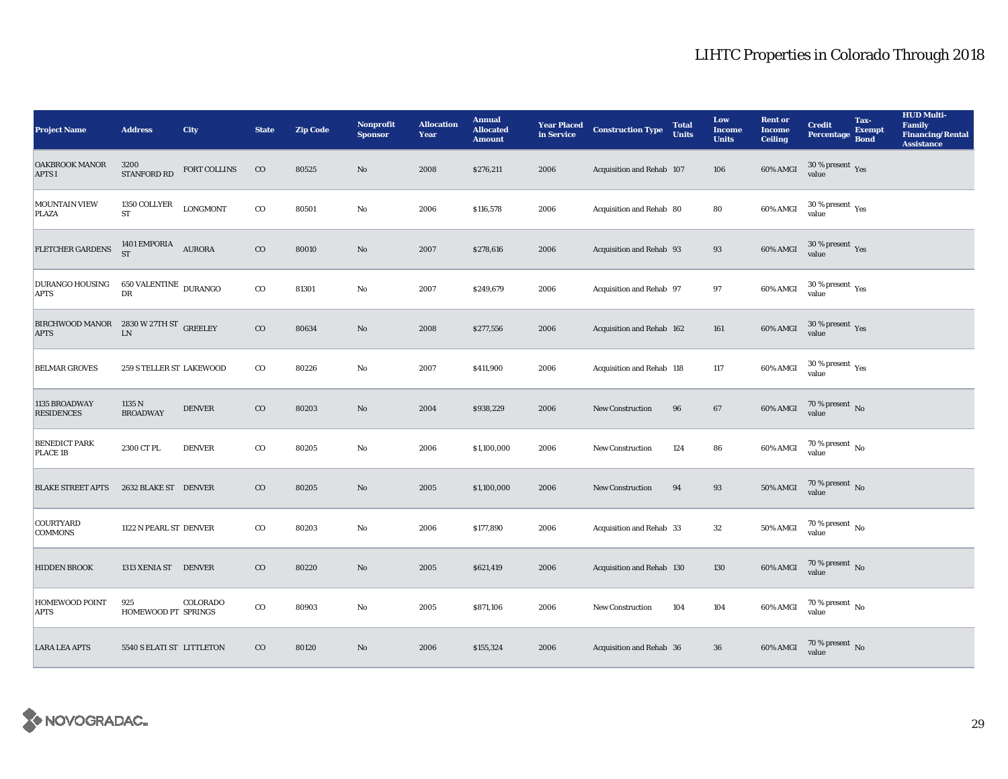| <b>Project Name</b>                                                                                                                                      | <b>Address</b>                          | City                | <b>State</b> | <b>Zip Code</b> | <b>Nonprofit</b><br><b>Sponsor</b> | <b>Allocation</b><br>Year | <b>Annual</b><br><b>Allocated</b><br><b>Amount</b> |      | <b>Year Placed Construction Type</b><br>in Service | <b>Total</b><br><b>Units</b> | Low<br><b>Income</b><br><b>Units</b> | <b>Rent or</b><br><b>Income</b><br><b>Ceiling</b> | <b>Credit</b><br><b>Percentage</b>              | Tax-<br><b>Exempt</b><br><b>Bond</b> | <b>HUD Multi-</b><br><b>Family</b><br><b>Financing/Rental</b><br><b>Assistance</b> |
|----------------------------------------------------------------------------------------------------------------------------------------------------------|-----------------------------------------|---------------------|--------------|-----------------|------------------------------------|---------------------------|----------------------------------------------------|------|----------------------------------------------------|------------------------------|--------------------------------------|---------------------------------------------------|-------------------------------------------------|--------------------------------------|------------------------------------------------------------------------------------|
| <b>OAKBROOK MANOR</b><br><b>APTS I</b>                                                                                                                   | 3200<br><b>STANFORD RD</b>              | <b>FORT COLLINS</b> | $_{\rm CO}$  | 80525           | $\mathbf{N}\mathbf{o}$             | 2008                      | \$276,211                                          | 2006 | Acquisition and Rehab 107                          |                              | 106                                  | 60% AMGI                                          | $30$ % present $\,$ $\rm Yes$<br>value          |                                      |                                                                                    |
| <b>MOUNTAIN VIEW</b><br>PLAZA                                                                                                                            | 1350 COLLYER<br>ST                      | <b>LONGMONT</b>     | $\rm{co}$    | 80501           | No                                 | 2006                      | \$116,578                                          | 2006 | Acquisition and Rehab 80                           |                              | 80                                   | 60% AMGI                                          | $30\,\%$ present $\,\mathrm{Yes}$ value         |                                      |                                                                                    |
| FLETCHER GARDENS                                                                                                                                         | 1401 EMPORIA $\quad$ AURORA ST          |                     | $_{\rm CO}$  | 80010           | $\rm No$                           | 2007                      | \$278,616                                          | 2006 | Acquisition and Rehab 93                           |                              | 93                                   | 60% AMGI                                          | $30\,\%$ present $\,$ Yes value                 |                                      |                                                                                    |
| <b>DURANGO HOUSING</b><br><b>APTS</b>                                                                                                                    | $650\,\mbox{VALENTINE}\,$ DURANGO<br>DR |                     | $_{\rm CO}$  | 81301           | $\mathbf{No}$                      | 2007                      | \$249,679                                          | 2006 | Acquisition and Rehab 97                           |                              | 97                                   | 60% AMGI                                          | $30\,\%$ present $\rm\thinspace_{Yes}$<br>value |                                      |                                                                                    |
| ${\begin{array}{ll} \mbox{BIRCHWOOD MANOR} & \mbox{2830 W 27TH ST} \\ \mbox{APTS} & \mbox{LN} \end{array}} \begin{array}{ll} \mbox{GREELEY} \end{array}$ |                                         |                     | $_{\rm CO}$  | 80634           | No                                 | 2008                      | \$277,556                                          | 2006 | Acquisition and Rehab 162                          |                              | 161                                  | 60% AMGI                                          | $30\,\%$ present $\,$ Yes value                 |                                      |                                                                                    |
| <b>BELMAR GROVES</b>                                                                                                                                     | 259 S TELLER ST LAKEWOOD                |                     | $_{\rm CO}$  | 80226           | $\mathbf{N}\mathbf{o}$             | 2007                      | \$411,900                                          | 2006 | Acquisition and Rehab 118                          |                              | 117                                  | 60% AMGI                                          | $30\,\%$ present $\,$ Yes value                 |                                      |                                                                                    |
| 1135 BROADWAY<br><b>RESIDENCES</b>                                                                                                                       | 1135 N<br><b>BROADWAY</b>               | <b>DENVER</b>       | $_{\rm CO}$  | 80203           | $\rm No$                           | 2004                      | \$938,229                                          | 2006 | New Construction                                   | 96                           | $\bf 67$                             | <b>60% AMGI</b>                                   | $70$ % present $_{\rm{No}}$                     |                                      |                                                                                    |
| <b>BENEDICT PARK</b><br>PLACE 1B                                                                                                                         | 2300 CT PL                              | <b>DENVER</b>       | $_{\rm CO}$  | 80205           | $\mathbf{No}$                      | 2006                      | \$1,100,000                                        | 2006 | <b>New Construction</b>                            | 124                          | 86                                   | 60% AMGI                                          | $70$ % present $_{\rm No}$                      |                                      |                                                                                    |
| <b>BLAKE STREET APTS</b>                                                                                                                                 | 2632 BLAKE ST DENVER                    |                     | $_{\rm CO}$  | 80205           | $\rm No$                           | 2005                      | \$1,100,000                                        | 2006 | New Construction                                   | 94                           | $\bf 93$                             | $50\%$ AMGI                                       | $70$ % present $\,$ No value                    |                                      |                                                                                    |
| COURTYARD<br><b>COMMONS</b>                                                                                                                              | 1122 N PEARL ST DENVER                  |                     | $_{\rm CO}$  | 80203           | No                                 | 2006                      | \$177,890                                          | 2006 | Acquisition and Rehab 33                           |                              | 32                                   | 50% AMGI                                          | $70\,\%$ present $\,$ No value                  |                                      |                                                                                    |
| <b>HIDDEN BROOK</b>                                                                                                                                      | 1313 XENIA ST DENVER                    |                     | $_{\rm CO}$  | 80220           | No                                 | 2005                      | \$621,419                                          | 2006 | Acquisition and Rehab 130                          |                              | 130                                  | 60% AMGI                                          | $70\,\%$ present $\,$ No value                  |                                      |                                                                                    |
| HOMEWOOD POINT<br><b>APTS</b>                                                                                                                            | 925<br>HOMEWOOD PT SPRINGS              | COLORADO            | $_{\rm CO}$  | 80903           | $\mathbf{No}$                      | 2005                      | \$871,106                                          | 2006 | New Construction                                   | 104                          | $104\,$                              | 60% AMGI                                          | $70\,\%$ present $\,$ No value                  |                                      |                                                                                    |
| <b>LARA LEA APTS</b>                                                                                                                                     | 5540 S ELATI ST LITTLETON               |                     | $_{\rm CO}$  | 80120           | $\rm No$                           | 2006                      | \$155,324                                          | 2006 | Acquisition and Rehab 36                           |                              | 36                                   | 60% AMGI                                          | $70\,\%$ present $\,$ No value                  |                                      |                                                                                    |

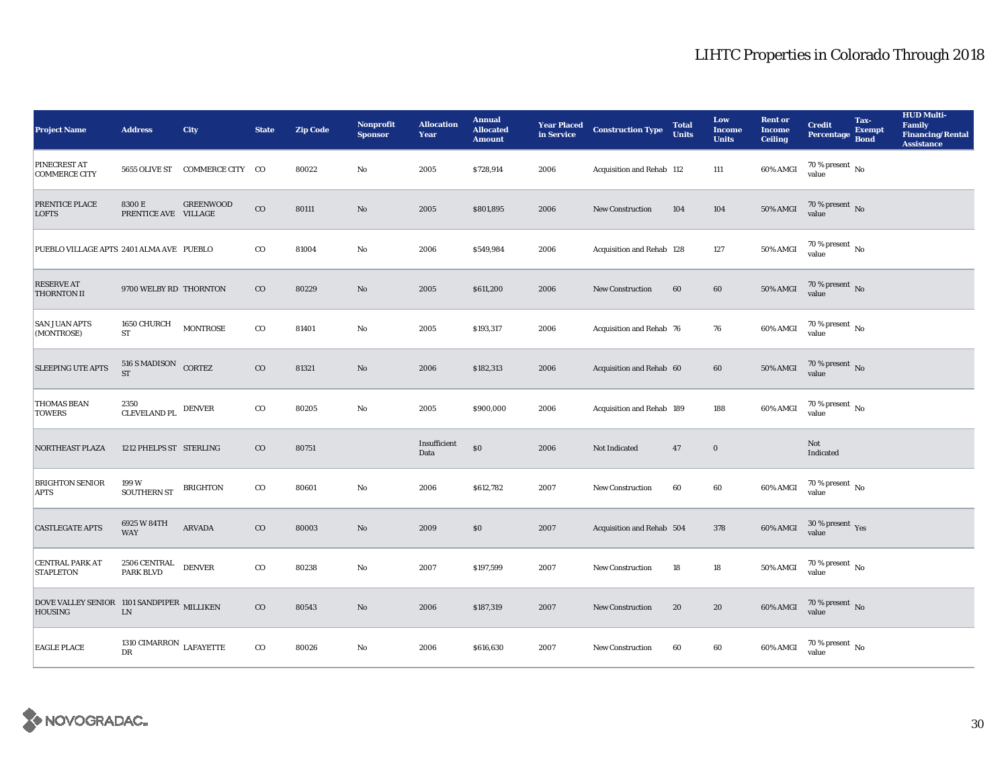| <b>Project Name</b>                                          | <b>Address</b>                         | City                           | <b>State</b> | <b>Zip Code</b> | <b>Nonprofit</b><br><b>Sponsor</b> | <b>Allocation</b><br>Year | <b>Annual</b><br><b>Allocated</b><br><b>Amount</b> |      | <b>Year Placed Construction Type</b><br>in Service | <b>Total</b><br><b>Units</b> | Low<br><b>Income</b><br><b>Units</b> | <b>Rent or</b><br><b>Income</b><br><b>Ceiling</b> | <b>Credit</b><br><b>Percentage</b>      | Tax-<br><b>Exempt</b><br><b>Bond</b> | <b>HUD Multi-</b><br><b>Family</b><br><b>Financing/Rental</b><br><b>Assistance</b> |
|--------------------------------------------------------------|----------------------------------------|--------------------------------|--------------|-----------------|------------------------------------|---------------------------|----------------------------------------------------|------|----------------------------------------------------|------------------------------|--------------------------------------|---------------------------------------------------|-----------------------------------------|--------------------------------------|------------------------------------------------------------------------------------|
| PINECREST AT<br><b>COMMERCE CITY</b>                         |                                        | 5655 OLIVE ST COMMERCE CITY CO |              | 80022           | No                                 | 2005                      | \$728,914                                          | 2006 | Acquisition and Rehab 112                          |                              | 111                                  | 60% AMGI                                          | 70 % present $\hbox{~No}$<br>value      |                                      |                                                                                    |
| PRENTICE PLACE<br><b>LOFTS</b>                               | 8300 E<br>PRENTICE AVE VILLAGE         | <b>GREENWOOD</b>               | $\rm{CO}$    | 80111           | $\rm No$                           | 2005                      | \$801,895                                          | 2006 | New Construction                                   | 104                          | 104                                  | <b>50% AMGI</b>                                   | $70$ % present $\,$ No value            |                                      |                                                                                    |
| PUEBLO VILLAGE APTS 2401 ALMA AVE PUEBLO                     |                                        |                                | $_{\rm CO}$  | 81004           | $\mathbf{No}$                      | 2006                      | \$549,984                                          | 2006 | Acquisition and Rehab 128                          |                              | 127                                  | <b>50% AMGI</b>                                   | $70$ % present $\,$ No value            |                                      |                                                                                    |
| <b>RESERVE AT</b><br><b>THORNTON II</b>                      | 9700 WELBY RD THORNTON                 |                                | $_{\rm CO}$  | 80229           | No                                 | 2005                      | \$611,200                                          | 2006 | <b>New Construction</b>                            | 60                           | 60                                   | <b>50% AMGI</b>                                   | $70$ % present $\,$ No value            |                                      |                                                                                    |
| <b>SAN JUAN APTS</b><br>(MONTROSE)                           | 1650 CHURCH<br>${\rm ST}$              | <b>MONTROSE</b>                | $_{\rm CO}$  | 81401           | No                                 | 2005                      | \$193,317                                          | 2006 | Acquisition and Rehab 76                           |                              | 76                                   | 60% AMGI                                          | $70$ % present $\,$ No value            |                                      |                                                                                    |
| <b>SLEEPING UTE APTS</b>                                     | $516$ S MADISON $\quad$ CORTEZ ST      |                                | $_{\rm CO}$  | 81321           | No                                 | 2006                      | \$182,313                                          | 2006 | Acquisition and Rehab 60                           |                              | 60                                   | <b>50% AMGI</b>                                   | $70\,\%$ present $\,$ No value          |                                      |                                                                                    |
| <b>THOMAS BEAN</b><br><b>TOWERS</b>                          | 2350<br><b>CLEVELAND PL</b>            | <b>DENVER</b>                  | $_{\rm CO}$  | 80205           | No                                 | 2005                      | \$900,000                                          | 2006 | Acquisition and Rehab 189                          |                              | 188                                  | 60% AMGI                                          | 70 % present $\,$ No $\,$<br>value      |                                      |                                                                                    |
| <b>NORTHEAST PLAZA</b>                                       | 1212 PHELPS ST STERLING                |                                | $_{\rm CO}$  | 80751           |                                    | Insufficient<br>Data      | $\$0$                                              | 2006 | Not Indicated                                      | 47                           | $\bf{0}$                             |                                                   | Not<br>Indicated                        |                                      |                                                                                    |
| <b>BRIGHTON SENIOR</b><br><b>APTS</b>                        | 199 W<br><b>SOUTHERN ST</b>            | <b>BRIGHTON</b>                | $_{\rm CO}$  | 80601           | No                                 | 2006                      | \$612,782                                          | 2007 | <b>New Construction</b>                            | 60                           | 60                                   | 60% AMGI                                          | $70$ % present $\,$ No $\,$<br>value    |                                      |                                                                                    |
| <b>CASTLEGATE APTS</b>                                       | 6925 W 84TH<br><b>WAY</b>              | <b>ARVADA</b>                  | $_{\rm CO}$  | 80003           | No                                 | 2009                      | \$0                                                | 2007 | Acquisition and Rehab 504                          |                              | 378                                  | 60% AMGI                                          | $30\,\%$ present $\,\mathrm{Yes}$ value |                                      |                                                                                    |
| <b>CENTRAL PARK AT</b><br><b>STAPLETON</b>                   | 2506 CENTRAL<br>PARK BLVD              | <b>DENVER</b>                  | $_{\rm CO}$  | 80238           | No                                 | 2007                      | \$197,599                                          | 2007 | <b>New Construction</b>                            | 18                           | $18\,$                               | <b>50% AMGI</b>                                   | $70\,\%$ present $\,$ No value          |                                      |                                                                                    |
| DOVE VALLEY SENIOR 1101 SANDPIPER MILLIKEN<br><b>HOUSING</b> | ${\rm LN}$                             |                                | $_{\rm CO}$  | 80543           | No                                 | 2006                      | \$187,319                                          | 2007 | <b>New Construction</b>                            | 20                           | 20                                   | 60% AMGI                                          | $70\,\%$ present $_{\rm{No}}$           |                                      |                                                                                    |
| <b>EAGLE PLACE</b>                                           | 1310 CIMARRON $_{\rm LAFAYETTE}$<br>DR |                                | $_{\rm CO}$  | 80026           | No                                 | 2006                      | \$616,630                                          | 2007 | <b>New Construction</b>                            | 60                           | 60                                   | 60% AMGI                                          | 70 % present $\,$ No $\,$<br>value      |                                      |                                                                                    |

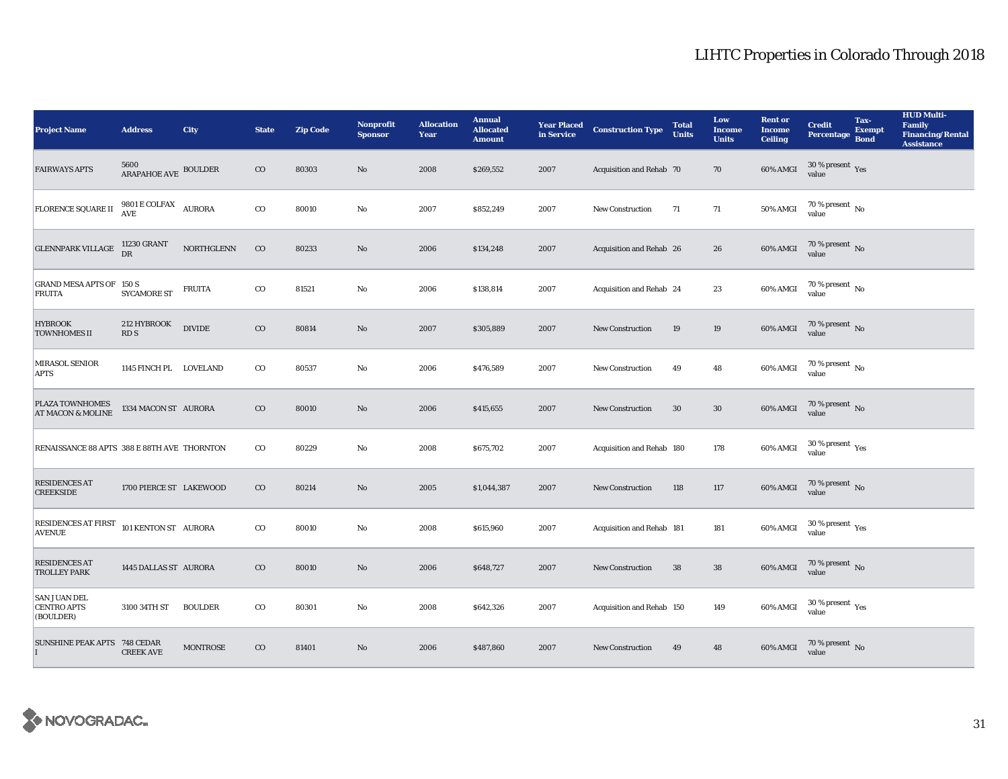| <b>Project Name</b>                                    | <b>Address</b>                                 | <b>City</b>     | <b>State</b> | <b>Zip Code</b> | <b>Nonprofit</b><br><b>Sponsor</b> | <b>Allocation</b><br>Year | <b>Annual</b><br><b>Allocated</b><br><b>Amount</b> | <b>Year Placed<br/>in Service</b> | <b>Construction Type</b>  | <b>Total</b><br><b>Units</b> | Low<br><b>Income</b><br><b>Units</b> | <b>Rent or</b><br><b>Income</b><br><b>Ceiling</b> | <b>Credit</b><br><b>Percentage</b>                   | Tax-<br><b>Exempt</b><br><b>Bond</b> | <b>HUD Multi-</b><br><b>Family</b><br><b>Financing/Rental</b><br><b>Assistance</b> |
|--------------------------------------------------------|------------------------------------------------|-----------------|--------------|-----------------|------------------------------------|---------------------------|----------------------------------------------------|-----------------------------------|---------------------------|------------------------------|--------------------------------------|---------------------------------------------------|------------------------------------------------------|--------------------------------------|------------------------------------------------------------------------------------|
| <b>FAIRWAYS APTS</b>                                   | 5600<br>ARAPAHOE AVE BOULDER                   |                 | $\rm CO$     | 80303           | No                                 | 2008                      | \$269,552                                          | 2007                              | Acquisition and Rehab 70  |                              | 70                                   | 60% AMGI                                          | $30\,\%$ present $\,$ Yes value                      |                                      |                                                                                    |
| FLORENCE SQUARE II                                     | $9801\,\mathrm{E}\,\mathrm{COLFAX}$ AURORA AVE |                 | $_{\rm CO}$  | 80010           | $\mathbf {No}$                     | 2007                      | \$852,249                                          | 2007                              | <b>New Construction</b>   | 71                           | 71                                   | <b>50% AMGI</b>                                   | $70$ % present $\,$ No value                         |                                      |                                                                                    |
| <b>GLENNPARK VILLAGE</b>                               | 11230 GRANT<br>DR                              | NORTHGLENN      | $_{\rm CO}$  | 80233           | $\rm No$                           | 2006                      | \$134,248                                          | 2007                              | Acquisition and Rehab 26  |                              | 26                                   | 60% AMGI                                          | $70$ % present $\,$ No value                         |                                      |                                                                                    |
| GRAND MESA APTS OF 150 S<br><b>FRUITA</b>              | <b>SYCAMORE ST</b>                             | <b>FRUITA</b>   | $_{\rm CO}$  | 81521           | $\mathbf {No}$                     | 2006                      | \$138,814                                          | 2007                              | Acquisition and Rehab 24  |                              | $\bf 23$                             | 60% AMGI                                          | $70$ % present $\,$ No value                         |                                      |                                                                                    |
| <b>HYBROOK</b><br><b>TOWNHOMES II</b>                  | 212 HYBROOK<br>RD <sub>S</sub>                 | <b>DIVIDE</b>   | $_{\rm CO}$  | 80814           | $\rm\thinspace No$                 | 2007                      | \$305,889                                          | 2007                              | New Construction          | 19                           | 19                                   | 60% AMGI                                          | $70$ % present $\,$ No value                         |                                      |                                                                                    |
| MIRASOL SENIOR<br>APTS                                 | 1145 FINCH PL LOVELAND                         |                 | $_{\rm CO}$  | 80537           | $\mathbf{No}$                      | 2006                      | \$476,589                                          | 2007                              | <b>New Construction</b>   | 49                           | 48                                   | 60% AMGI                                          | $70\,\%$ present $\,$ No value                       |                                      |                                                                                    |
| <b>PLAZA TOWNHOMES</b><br><b>AT MACON &amp; MOLINE</b> | 1334 MACON ST AURORA                           |                 | $_{\rm CO}$  | 80010           | No                                 | 2006                      | \$415,655                                          | 2007                              | <b>New Construction</b>   | 30                           | $30\,$                               | 60% AMGI                                          | $70$ % present $\,$ No value                         |                                      |                                                                                    |
| RENAISSANCE 88 APTS 388 E 88TH AVE THORNTON            |                                                |                 | $_{\rm CO}$  | 80229           | No                                 | 2008                      | \$675,702                                          | 2007                              | Acquisition and Rehab 180 |                              | 178                                  | 60% AMGI                                          | $30\,\%$ present $\,$ Yes value                      |                                      |                                                                                    |
| <b>RESIDENCES AT</b><br><b>CREEKSIDE</b>               | 1700 PIERCE ST LAKEWOOD                        |                 | $_{\rm CO}$  | 80214           | $\rm No$                           | 2005                      | \$1,044,387                                        | 2007                              | <b>New Construction</b>   | 118                          | $117\,$                              | 60% AMGI                                          | $70$ % present $\,$ No value                         |                                      |                                                                                    |
| RESIDENCES AT FIRST<br><b>AVENUE</b>                   | 101 KENTON ST AURORA                           |                 | $_{\rm CO}$  | 80010           | $\mathbf {No}$                     | 2008                      | \$615,960                                          | 2007                              | Acquisition and Rehab 181 |                              | 181                                  | 60% AMGI                                          | 30 % present $\rm\thinspace\gamma_{\rm es}$<br>value |                                      |                                                                                    |
| <b>RESIDENCES AT</b><br><b>TROLLEY PARK</b>            | 1445 DALLAS ST AURORA                          |                 | $_{\rm CO}$  | 80010           | No                                 | 2006                      | \$648,727                                          | 2007                              | New Construction          | $38\,$                       | ${\bf 38}$                           | $60\%$ AMGI                                       | $70\,\%$ present $\,$ No value                       |                                      |                                                                                    |
| <b>SAN JUAN DEL</b><br><b>CENTRO APTS</b><br>(BOULDER) | 3100 34TH ST                                   | <b>BOULDER</b>  | $_{\rm CO}$  | 80301           | $\mathbf {No}$                     | 2008                      | \$642,326                                          | 2007                              | Acquisition and Rehab 150 |                              | 149                                  | 60% AMGI                                          | $30\,\%$ present $\,$ $\rm{Yes}$<br>value            |                                      |                                                                                    |
| SUNSHINE PEAK APTS 748 CEDAR                           | <b>CREEK AVE</b>                               | <b>MONTROSE</b> | $_{\rm CO}$  | 81401           | $\rm No$                           | 2006                      | \$487,860                                          | 2007                              | <b>New Construction</b>   | 49                           | 48                                   | 60% AMGI                                          | $70\,\%$ present $\,$ No value                       |                                      |                                                                                    |

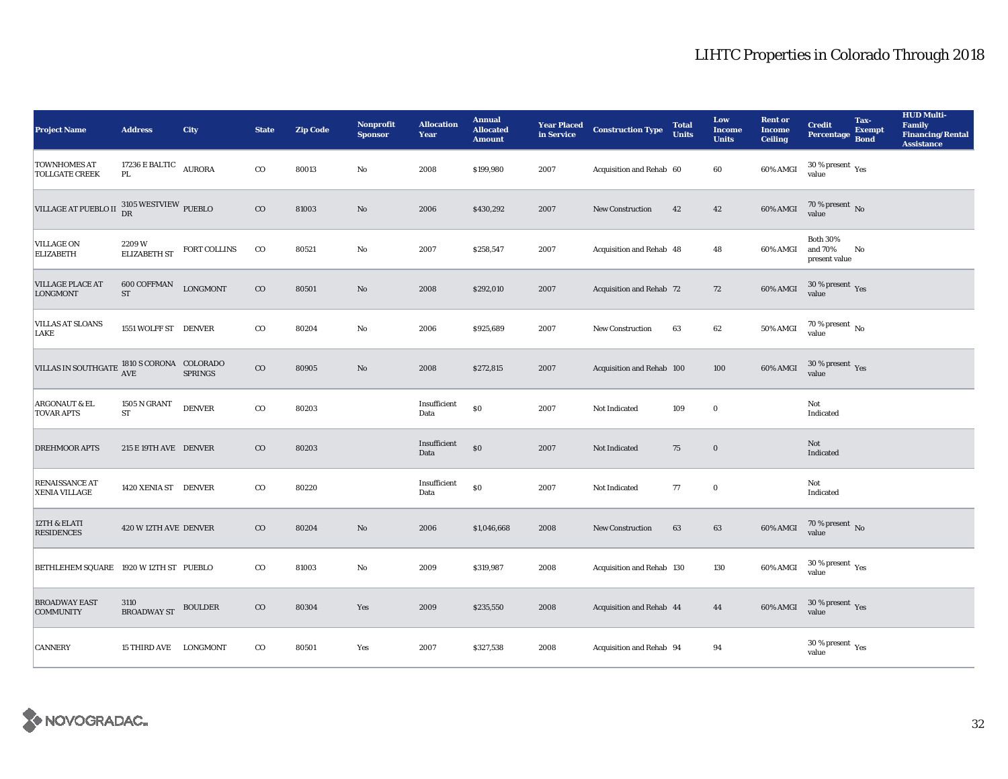| <b>Project Name</b>                                                      | <b>Address</b>                  | City            | <b>State</b> | <b>Zip Code</b> | <b>Nonprofit</b><br><b>Sponsor</b> | <b>Allocation</b><br>Year | <b>Annual</b><br><b>Allocated</b><br><b>Amount</b> |      | <b>Year Placed Construction Type</b><br>in Service | <b>Total</b><br><b>Units</b> | Low<br><b>Income</b><br><b>Units</b> | <b>Rent or</b><br><b>Income</b><br><b>Ceiling</b> | <b>Credit</b><br><b>Percentage</b>                   | Tax-<br><b>Exempt</b><br><b>Bond</b> | <b>HUD Multi-</b><br><b>Family</b><br><b>Financing/Rental</b><br><b>Assistance</b> |
|--------------------------------------------------------------------------|---------------------------------|-----------------|--------------|-----------------|------------------------------------|---------------------------|----------------------------------------------------|------|----------------------------------------------------|------------------------------|--------------------------------------|---------------------------------------------------|------------------------------------------------------|--------------------------------------|------------------------------------------------------------------------------------|
| <b>TOWNHOMES AT</b><br><b>TOLLGATE CREEK</b>                             | 17236 E BALTIC<br>PL.           | <b>AURORA</b>   | $_{\rm CO}$  | 80013           | $\mathbf{No}$                      | 2008                      | \$199,980                                          | 2007 | Acquisition and Rehab 60                           |                              | 60                                   | 60% AMGI                                          | $30$ % present $\,$ $\rm Yes$<br>value               |                                      |                                                                                    |
| VILLAGE AT PUEBLO II $_{\rm DR}^{~3105\ {\rm WESTVIEW}}$ PUEBLO          |                                 |                 | $_{\rm CO}$  | 81003           | No                                 | 2006                      | \$430,292                                          | 2007 | New Construction                                   | 42                           | 42                                   | 60% AMGI                                          | $70$ % present $\,$ No value                         |                                      |                                                                                    |
| <b>VILLAGE ON</b><br><b>ELIZABETH</b>                                    | 2209W<br>ELIZABETH ST           | FORT COLLINS    | $_{\rm CO}$  | 80521           | $\rm\thinspace No$                 | 2007                      | \$258,547                                          | 2007 | Acquisition and Rehab 48                           |                              | 48                                   | 60% AMGI                                          | <b>Both 30%</b><br>and $70\%$<br>present value       | No                                   |                                                                                    |
| <b>VILLAGE PLACE AT</b><br><b>LONGMONT</b>                               | <b>600 COFFMAN</b><br><b>ST</b> | <b>LONGMONT</b> | $_{\rm CO}$  | 80501           | No                                 | 2008                      | \$292,010                                          | 2007 | Acquisition and Rehab 72                           |                              | 72                                   | 60% AMGI                                          | $30\,\%$ present $\,$ Yes value                      |                                      |                                                                                    |
| <b>VILLAS AT SLOANS</b><br>LAKE                                          | 1551 WOLFF ST DENVER            |                 | $_{\rm CO}$  | 80204           | $\mathbf{N}\mathbf{o}$             | 2006                      | \$925,689                                          | 2007 | New Construction                                   | 63                           | 62                                   | $50\%$ AMGI                                       | $70$ % present $\,$ No value                         |                                      |                                                                                    |
| VILLAS IN SOUTHGATE $\frac{\rm 1810~S~CORONA}{\rm AVE}$ COLORADO SPRINGS |                                 |                 | $_{\rm CO}$  | 80905           | $\rm No$                           | 2008                      | \$272,815                                          | 2007 | Acquisition and Rehab 100                          |                              | 100                                  | 60% AMGI                                          | $30\,\%$ present $\,$ Yes value                      |                                      |                                                                                    |
| <b>ARGONAUT &amp; EL</b><br><b>TOVAR APTS</b>                            | 1505 N GRANT<br><b>ST</b>       | <b>DENVER</b>   | $_{\rm CO}$  | 80203           |                                    | Insufficient<br>Data      | $\$0$                                              | 2007 | Not Indicated                                      | 109                          | $\bf{0}$                             |                                                   | Not<br>Indicated                                     |                                      |                                                                                    |
| <b>DREHMOOR APTS</b>                                                     | 215 E 19TH AVE DENVER           |                 | $_{\rm CO}$  | 80203           |                                    | Insufficient<br>Data      | $\$0$                                              | 2007 | Not Indicated                                      | 75                           | $\boldsymbol{0}$                     |                                                   | Not<br>Indicated                                     |                                      |                                                                                    |
| RENAISSANCE AT<br>XENIA VILLAGE                                          | 1420 XENIA ST DENVER            |                 | $_{\rm CO}$  | 80220           |                                    | Insufficient<br>Data      | $\$0$                                              | 2007 | Not Indicated                                      | 77                           | $\bf{0}$                             |                                                   | Not<br>Indicated                                     |                                      |                                                                                    |
| 12TH & ELATI<br><b>RESIDENCES</b>                                        | 420 W 12TH AVE DENVER           |                 | $_{\rm CO}$  | 80204           | $\rm No$                           | 2006                      | \$1,046,668                                        | 2008 | New Construction                                   | 63                           | $\bf63$                              | 60% AMGI                                          | $70$ % present $\,$ No value                         |                                      |                                                                                    |
| BETHLEHEM SQUARE 1920 W 12TH ST PUEBLO                                   |                                 |                 | $_{\rm CO}$  | 81003           | No                                 | 2009                      | \$319,987                                          | 2008 | Acquisition and Rehab 130                          |                              | 130                                  | 60% AMGI                                          | $30\,\%$ present $\,$ $\rm Yes$<br>value             |                                      |                                                                                    |
| <b>BROADWAY EAST</b><br><b>COMMUNITY</b>                                 | 3110<br><b>BROADWAY ST</b>      | <b>BOULDER</b>  | $_{\rm CO}$  | 80304           | Yes                                | 2009                      | \$235,550                                          | 2008 | Acquisition and Rehab 44                           |                              | 44                                   | 60% AMGI                                          | $30\,\%$ present $\,$ Yes value                      |                                      |                                                                                    |
| <b>CANNERY</b>                                                           | 15 THIRD AVE LONGMONT           |                 | $_{\rm CO}$  | 80501           | Yes                                | 2007                      | \$327,538                                          | 2008 | Acquisition and Rehab 94                           |                              | 94                                   |                                                   | 30 % present $\rm\thinspace\gamma_{\rm es}$<br>value |                                      |                                                                                    |

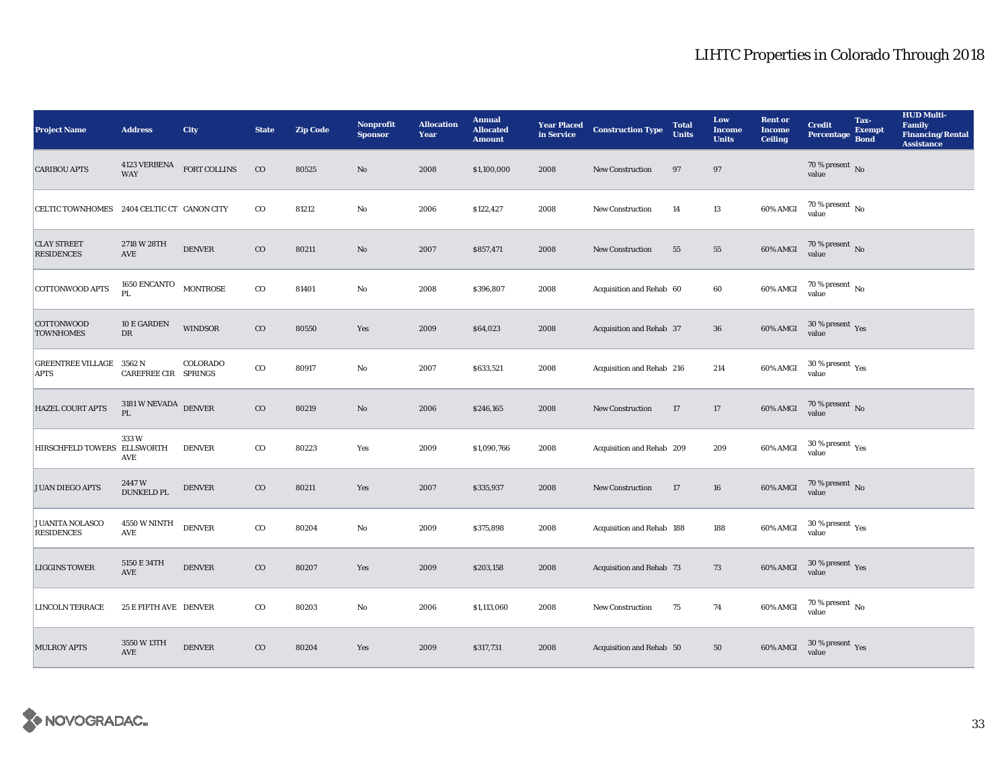| <b>Project Name</b>                            | <b>Address</b>                            | <b>City</b>               | <b>State</b> | <b>Zip Code</b> | Nonprofit<br><b>Sponsor</b> | <b>Allocation</b><br>Year | <b>Annual</b><br><b>Allocated</b><br><b>Amount</b> |      | <b>Year Placed Construction Type</b><br>in Service | <b>Total</b><br><b>Units</b> | Low<br><b>Income</b><br><b>Units</b> | <b>Rent or</b><br><b>Income</b><br><b>Ceiling</b> | <b>Credit</b><br><b>Percentage</b>      | Tax-<br><b>Exempt</b><br><b>Bond</b> | <b>HUD Multi-</b><br><b>Family</b><br><b>Financing/Rental</b><br><b>Assistance</b> |
|------------------------------------------------|-------------------------------------------|---------------------------|--------------|-----------------|-----------------------------|---------------------------|----------------------------------------------------|------|----------------------------------------------------|------------------------------|--------------------------------------|---------------------------------------------------|-----------------------------------------|--------------------------------------|------------------------------------------------------------------------------------|
| <b>CARIBOU APTS</b>                            | <b>WAY</b>                                | 4123 VERBENA FORT COLLINS | $_{\rm CO}$  | 80525           | No                          | 2008                      | \$1,100,000                                        | 2008 | New Construction                                   | 97                           | 97                                   |                                                   | 70 % present $\,$ No $\,$<br>value      |                                      |                                                                                    |
| CELTIC TOWNHOMES 2404 CELTIC CT CANON CITY     |                                           |                           | $_{\rm CO}$  | 81212           | $\mathbf{No}$               | 2006                      | \$122,427                                          | 2008 | New Construction                                   | 14                           | 13                                   | $60\%$ AMGI                                       | $70$ % present $\,$ No value            |                                      |                                                                                    |
| <b>CLAY STREET</b><br><b>RESIDENCES</b>        | 2718 W 28TH<br>AVE                        | <b>DENVER</b>             | $_{\rm CO}$  | 80211           | $\rm No$                    | 2007                      | \$857,471                                          | 2008 | <b>New Construction</b>                            | 55                           | ${\bf 55}$                           | $60\%$ AMGI                                       | $70$ % present $\,$ No value            |                                      |                                                                                    |
| COTTONWOOD APTS                                | <b>1650 ENCANTO</b><br>PL                 | <b>MONTROSE</b>           | $_{\rm CO}$  | 81401           | $\mathbf{No}$               | 2008                      | \$396,807                                          | 2008 | Acquisition and Rehab 60                           |                              | 60                                   | 60% AMGI                                          | $70\,\%$ present $\,$ No value          |                                      |                                                                                    |
| <b>COTTONWOOD</b><br><b>TOWNHOMES</b>          | 10 E GARDEN<br>${\rm DR}$                 | <b>WINDSOR</b>            | $_{\rm CO}$  | 80550           | Yes                         | 2009                      | \$64,023                                           | 2008 | Acquisition and Rehab 37                           |                              | ${\bf 36}$                           | 60% AMGI                                          | $30\,\%$ present $\,$ Yes value         |                                      |                                                                                    |
| <b>GREENTREE VILLAGE 3562 N</b><br><b>APTS</b> | CAREFREE CIR SPRINGS                      | COLORADO                  | $\rm{co}$    | 80917           | $\mathbf{N}\mathbf{o}$      | 2007                      | \$633,521                                          | 2008 | Acquisition and Rehab 216                          |                              | 214                                  | 60% AMGI                                          | $30\,\%$ present $\,$ Yes value         |                                      |                                                                                    |
| <b>HAZEL COURT APTS</b>                        | $3181\,\rm{W}\,\rm{NEVADA}$ DENVER<br>PL. |                           | $_{\rm CO}$  | 80219           | $\rm No$                    | 2006                      | \$246,165                                          | 2008 | <b>New Construction</b>                            | 17                           | 17                                   | <b>60% AMGI</b>                                   | $70$ % present $_{\rm No}$              |                                      |                                                                                    |
| HIRSCHFELD TOWERS ELLSWORTH                    | 333W<br><b>AVE</b>                        | <b>DENVER</b>             | $_{\rm CO}$  | 80223           | Yes                         | 2009                      | \$1,090,766                                        | 2008 | Acquisition and Rehab 209                          |                              | 209                                  | 60% AMGI                                          | $30\,\%$ present $\,\mathrm{Yes}$ value |                                      |                                                                                    |
| <b>JUAN DIEGO APTS</b>                         | 2447W<br><b>DUNKELD PL</b>                | <b>DENVER</b>             | $_{\rm CO}$  | 80211           | Yes                         | 2007                      | \$335,937                                          | 2008 | <b>New Construction</b>                            | 17                           | 16                                   | 60% AMGI                                          | $70\,\%$ present $\,$ No value          |                                      |                                                                                    |
| <b>JUANITA NOLASCO</b><br><b>RESIDENCES</b>    | <b>4550 W NINTH</b><br><b>AVE</b>         | <b>DENVER</b>             | $_{\rm CO}$  | 80204           | $\mathbf{N}\mathbf{o}$      | 2009                      | \$375,898                                          | 2008 | Acquisition and Rehab 188                          |                              | 188                                  | 60% AMGI                                          | $30$ % present $\,$ $\rm Yes$<br>value  |                                      |                                                                                    |
| <b>LIGGINS TOWER</b>                           | 5150 E 34TH<br><b>AVE</b>                 | <b>DENVER</b>             | $_{\rm CO}$  | 80207           | Yes                         | 2009                      | \$203,158                                          | 2008 | Acquisition and Rehab 73                           |                              | 73                                   | 60% AMGI                                          | $30\,\%$ present $\,$ Yes value         |                                      |                                                                                    |
| <b>LINCOLN TERRACE</b>                         | 25 E FIFTH AVE DENVER                     |                           | $_{\rm CO}$  | 80203           | $\mathbf{No}$               | 2006                      | \$1,113,060                                        | 2008 | New Construction                                   | 75                           | 74                                   | 60% AMGI                                          | $70\,\%$ present $\,$ No value          |                                      |                                                                                    |
| <b>MULROY APTS</b>                             | 3550 W 13TH<br><b>AVE</b>                 | <b>DENVER</b>             | $_{\rm CO}$  | 80204           | Yes                         | 2009                      | \$317,731                                          | 2008 | Acquisition and Rehab 50                           |                              | 50                                   | 60% AMGI                                          | $30\,\%$ present $\,\mathrm{Yes}$ value |                                      |                                                                                    |

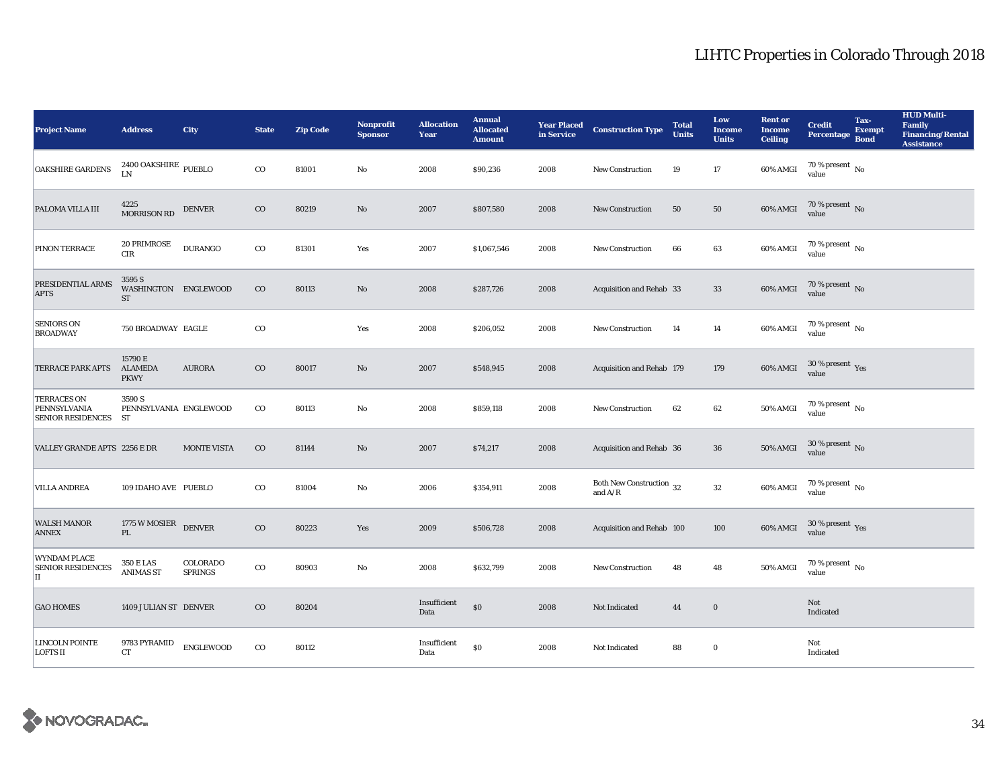| <b>Project Name</b>                                        | <b>Address</b>                              | <b>City</b>                | <b>State</b> | <b>Zip Code</b> | <b>Nonprofit</b><br><b>Sponsor</b> | <b>Allocation</b><br>Year | <b>Annual</b><br><b>Allocated</b><br><b>Amount</b> |      | <b>Year Placed Construction Type</b><br>in Service      | <b>Total</b><br><b>Units</b> | Low<br><b>Income</b><br><b>Units</b> | <b>Rent or</b><br><b>Income</b><br><b>Ceiling</b> | <b>Credit</b><br>Percentage        | Tax-<br><b>Exempt</b><br><b>Bond</b> | <b>HUD Multi-</b><br><b>Family</b><br><b>Financing/Rental</b><br><b>Assistance</b> |
|------------------------------------------------------------|---------------------------------------------|----------------------------|--------------|-----------------|------------------------------------|---------------------------|----------------------------------------------------|------|---------------------------------------------------------|------------------------------|--------------------------------------|---------------------------------------------------|------------------------------------|--------------------------------------|------------------------------------------------------------------------------------|
| OAKSHIRE GARDENS                                           | $2400$ OAKSHIRE $_{\rm PUEBLO}$<br>LN       |                            | $_{\rm CO}$  | 81001           | No                                 | 2008                      | \$90,236                                           | 2008 | <b>New Construction</b>                                 | 19                           | 17                                   | 60% AMGI                                          | 70 % present $\,$ No $\,$<br>value |                                      |                                                                                    |
| PALOMA VILLA III                                           | 4225<br><b>MORRISON RD</b>                  | <b>DENVER</b>              | $_{\rm CO}$  | 80219           | No                                 | 2007                      | \$807,580                                          | 2008 | New Construction                                        | 50                           | ${\bf 50}$                           | 60% AMGI                                          | $70$ % present $\,$ No value       |                                      |                                                                                    |
| PINON TERRACE                                              | 20 PRIMROSE<br>$\rm CIR$                    | <b>DURANGO</b>             | $_{\rm CO}$  | 81301           | Yes                                | 2007                      | \$1,067,546                                        | 2008 | <b>New Construction</b>                                 | 66                           | 63                                   | 60% AMGI                                          | $70$ % present $\,$ No value       |                                      |                                                                                    |
| PRESIDENTIAL ARMS<br><b>APTS</b>                           | 3595 S<br>WASHINGTON ENGLEWOOD<br><b>ST</b> |                            | $\rm CO$     | 80113           | $\rm No$                           | 2008                      | \$287,726                                          | 2008 | Acquisition and Rehab 33                                |                              | 33                                   | 60% AMGI                                          | $70\,\%$ present $\,$ No value     |                                      |                                                                                    |
| <b>SENIORS ON</b><br><b>BROADWAY</b>                       | 750 BROADWAY EAGLE                          |                            | $_{\rm CO}$  |                 | Yes                                | 2008                      | \$206,052                                          | 2008 | New Construction                                        | 14                           | 14                                   | 60% AMGI                                          | $70$ % present $\,$ No value       |                                      |                                                                                    |
| <b>TERRACE PARK APTS</b>                                   | 15790 E<br><b>ALAMEDA</b><br><b>PKWY</b>    | <b>AURORA</b>              | $_{\rm CO}$  | 80017           | No                                 | 2007                      | \$548,945                                          | 2008 | Acquisition and Rehab 179                               |                              | 179                                  | 60% AMGI                                          | $30\,\%$ present $\,$ Yes value    |                                      |                                                                                    |
| <b>TERRACES ON</b><br>PENNSYLVANIA<br>SENIOR RESIDENCES ST | 3590 S<br>PENNSYLVANIA ENGLEWOOD            |                            | $_{\rm CO}$  | 80113           | $\mathbf{N}\mathbf{o}$             | 2008                      | \$859,118                                          | 2008 | New Construction                                        | 62                           | 62                                   | <b>50% AMGI</b>                                   | $70$ % present $\,$ No value       |                                      |                                                                                    |
| VALLEY GRANDE APTS 2256 E DR                               |                                             | <b>MONTE VISTA</b>         | $_{\rm CO}$  | 81144           | $\mathbf{N}\mathbf{o}$             | 2007                      | \$74,217                                           | 2008 | Acquisition and Rehab 36                                |                              | 36                                   | <b>50% AMGI</b>                                   | $30\,\%$ present $\,$ No value     |                                      |                                                                                    |
| <b>VILLA ANDREA</b>                                        | 109 IDAHO AVE PUEBLO                        |                            | $_{\rm CO}$  | 81004           | No                                 | 2006                      | \$354,911                                          | 2008 | Both New Construction 32<br>and $\mathrm{A}/\mathrm{R}$ |                              | $32\,$                               | 60% AMGI                                          | $70$ % present $\,$ No value       |                                      |                                                                                    |
| <b>WALSH MANOR</b><br><b>ANNEX</b>                         | 1775 W MOSIER<br>$\mathbf{PL}$              | <b>DENVER</b>              | $_{\rm CO}$  | 80223           | Yes                                | 2009                      | \$506,728                                          | 2008 | Acquisition and Rehab 100                               |                              | 100                                  | 60% AMGI                                          | $30\,\%$ present $\,$ Yes value    |                                      |                                                                                    |
| <b>WYNDAM PLACE</b><br><b>SENIOR RESIDENCES</b><br>II      | <b>350 E LAS</b><br><b>ANIMAS ST</b>        | COLORADO<br><b>SPRINGS</b> | $_{\rm CO}$  | 80903           | No                                 | 2008                      | \$632,799                                          | 2008 | New Construction                                        | 48                           | 48                                   | 50% AMGI                                          | $70\%$ present No<br>value         |                                      |                                                                                    |
| <b>GAO HOMES</b>                                           | 1409 JULIAN ST DENVER                       |                            | $_{\rm CO}$  | 80204           |                                    | Insufficient<br>Data      | $\$0$                                              | 2008 | Not Indicated                                           | 44                           | $\bf{0}$                             |                                                   | Not<br>Indicated                   |                                      |                                                                                    |
| <b>LINCOLN POINTE</b><br><b>LOFTS II</b>                   | 9783 PYRAMID<br><b>CT</b>                   | <b>ENGLEWOOD</b>           | $_{\rm CO}$  | 80112           |                                    | Insufficient<br>Data      | \$0                                                | 2008 | Not Indicated                                           | 88                           | $\bf{0}$                             |                                                   | Not<br>Indicated                   |                                      |                                                                                    |

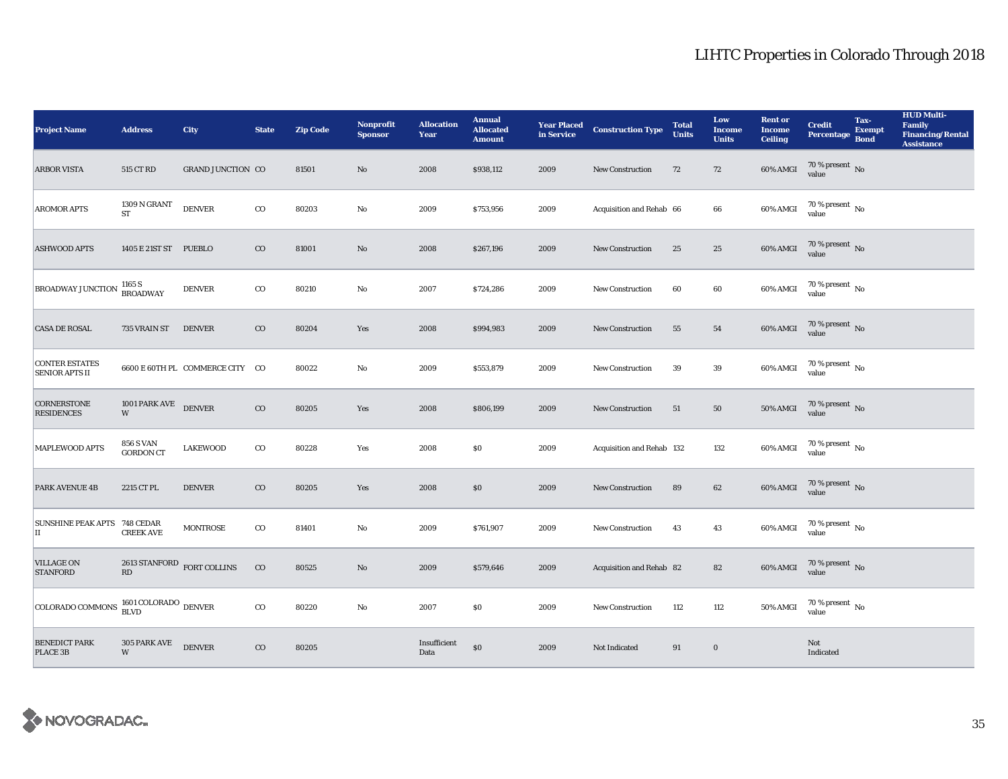| <b>Project Name</b>                                | <b>Address</b>                                       | <b>City</b>                     | <b>State</b> | <b>Zip Code</b> | <b>Nonprofit</b><br><b>Sponsor</b> | <b>Allocation</b><br>Year | <b>Annual</b><br><b>Allocated</b><br><b>Amount</b> | <b>Year Placed<br/>in Service</b> | <b>Construction Type</b>  | <b>Total</b><br><b>Units</b> | Low<br><b>Income</b><br><b>Units</b> | <b>Rent or</b><br><b>Income</b><br><b>Ceiling</b> | <b>Credit</b><br><b>Percentage</b>   | Tax-<br><b>Exempt</b><br><b>Bond</b> | <b>HUD Multi-</b><br><b>Family</b><br><b>Financing/Rental</b><br><b>Assistance</b> |
|----------------------------------------------------|------------------------------------------------------|---------------------------------|--------------|-----------------|------------------------------------|---------------------------|----------------------------------------------------|-----------------------------------|---------------------------|------------------------------|--------------------------------------|---------------------------------------------------|--------------------------------------|--------------------------------------|------------------------------------------------------------------------------------|
| <b>ARBOR VISTA</b>                                 | 515 CT RD                                            | <b>GRAND JUNCTION CO</b>        |              | 81501           | No                                 | 2008                      | \$938,112                                          | 2009                              | <b>New Construction</b>   | 72                           | 72                                   | 60% AMGI                                          | $70\,\%$ present $\,$ No value       |                                      |                                                                                    |
| <b>AROMOR APTS</b>                                 | 1309 N GRANT<br>ST                                   | <b>DENVER</b>                   | $_{\rm CO}$  | 80203           | $\rm No$                           | 2009                      | \$753,956                                          | 2009                              | Acquisition and Rehab 66  |                              | 66                                   | 60% AMGI                                          | $70$ % present $\,$ No value         |                                      |                                                                                    |
| <b>ASHWOOD APTS</b>                                | 1405 E 21ST ST PUEBLO                                |                                 | $_{\rm CO}$  | 81001           | $\mathbf{No}$                      | 2008                      | \$267,196                                          | 2009                              | New Construction          | 25                           | 25                                   | 60% AMGI                                          | $70$ % present $\,$ No value         |                                      |                                                                                    |
| <b>BROADWAY JUNCTION</b>                           | 1165 S<br><b>BROADWAY</b>                            | <b>DENVER</b>                   | $_{\rm CO}$  | 80210           | No                                 | 2007                      | \$724,286                                          | 2009                              | New Construction          | 60                           | $\bf{60}$                            | 60% AMGI                                          | $70$ % present $\,$ No value         |                                      |                                                                                    |
| <b>CASA DE ROSAL</b>                               | 735 VRAIN ST                                         | <b>DENVER</b>                   | $_{\rm CO}$  | 80204           | Yes                                | 2008                      | \$994,983                                          | 2009                              | New Construction          | 55                           | ${\bf 54}$                           | 60% AMGI                                          | $70$ % present $_{\rm{No}}$          |                                      |                                                                                    |
| <b>CONTER ESTATES</b><br><b>SENIOR APTS II</b>     |                                                      | 6600 E 60TH PL COMMERCE CITY CO |              | 80022           | No                                 | 2009                      | \$553,879                                          | 2009                              | <b>New Construction</b>   | 39                           | $\bf 39$                             | 60% AMGI                                          | $70\,\%$ present $\,$ No value       |                                      |                                                                                    |
| <b>CORNERSTONE</b><br><b>RESIDENCES</b>            | 1001 PARK AVE DENVER<br>W                            |                                 | $_{\rm CO}$  | 80205           | Yes                                | 2008                      | \$806,199                                          | 2009                              | <b>New Construction</b>   | 51                           | ${\bf 50}$                           | <b>50% AMGI</b>                                   | $70\,\%$ present $\,$ No value       |                                      |                                                                                    |
| <b>MAPLEWOOD APTS</b>                              | <b>856 S VAN</b><br><b>GORDON CT</b>                 | <b>LAKEWOOD</b>                 | $_{\rm CO}$  | 80228           | Yes                                | 2008                      | \$0\$                                              | 2009                              | Acquisition and Rehab 132 |                              | 132                                  | 60% AMGI                                          | $70\,\%$ present $\,$ No value       |                                      |                                                                                    |
| <b>PARK AVENUE 4B</b>                              | 2215 CT PL                                           | <b>DENVER</b>                   | $_{\rm CO}$  | 80205           | Yes                                | 2008                      | \$0                                                | 2009                              | <b>New Construction</b>   | 89                           | 62                                   | 60% AMGI                                          | $70\,\%$ present $\,$ No value       |                                      |                                                                                    |
| SUNSHINE PEAK APTS 748 CEDAR<br>IІ                 | <b>CREEK AVE</b>                                     | <b>MONTROSE</b>                 | $_{\rm CO}$  | 81401           | No                                 | 2009                      | \$761,907                                          | 2009                              | New Construction          | 43                           | 43                                   | 60% AMGI                                          | 70 % present $\,$ No $\,$<br>value   |                                      |                                                                                    |
| <b>VILLAGE ON</b><br><b>STANFORD</b>               | 2613 STANFORD FORT COLLINS<br>$\mathbf{R}\mathbf{D}$ |                                 | $_{\rm CO}$  | 80525           | No                                 | 2009                      | \$579,646                                          | 2009                              | Acquisition and Rehab 82  |                              | 82                                   | $60\%$ AMGI                                       | $70$ % present $\,$ No value         |                                      |                                                                                    |
| COLORADO COMMONS $\frac{1601}{\text{BLVD}}$ DENVER |                                                      |                                 | $_{\rm CO}$  | 80220           | No                                 | 2007                      | \$0                                                | 2009                              | New Construction          | 112                          | 112                                  | $50\%$ AMGI                                       | $70$ % present $\,$ No $\,$<br>value |                                      |                                                                                    |
| <b>BENEDICT PARK</b><br>PLACE 3B                   | 305 PARK AVE<br>W                                    | <b>DENVER</b>                   | $_{\rm CO}$  | 80205           |                                    | Insufficient<br>Data      | \$0                                                | 2009                              | Not Indicated             | 91                           | $\bf{0}$                             |                                                   | Not<br>Indicated                     |                                      |                                                                                    |

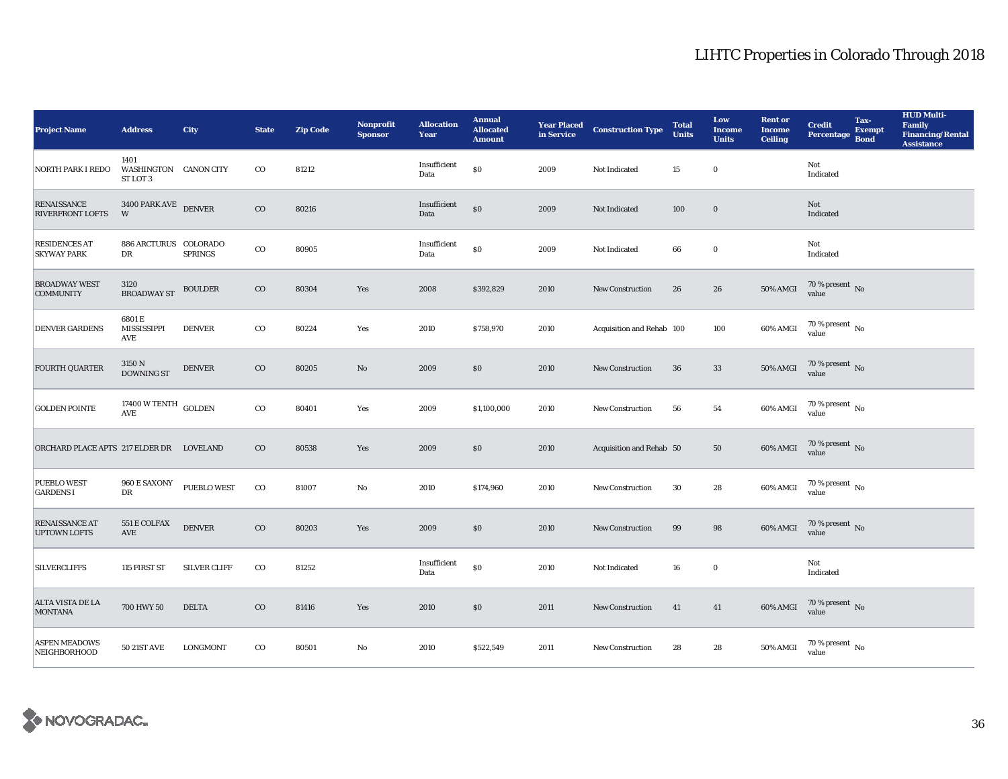| <b>Project Name</b>                           | <b>Address</b>                            | City                | <b>State</b> | <b>Zip Code</b> | <b>Nonprofit</b><br><b>Sponsor</b> | <b>Allocation</b><br>Year | <b>Annual</b><br><b>Allocated</b><br><b>Amount</b> |      | <b>Year Placed Construction Type</b><br>in Service | <b>Total</b><br><b>Units</b> | Low<br><b>Income</b><br><b>Units</b> | <b>Rent</b> or<br><b>Income</b><br><b>Ceiling</b> | <b>Credit</b><br><b>Percentage</b> | Tax-<br><b>Exempt</b><br><b>Bond</b> | <b>HUD Multi-</b><br>Family<br><b>Financing/Rental</b><br><b>Assistance</b> |
|-----------------------------------------------|-------------------------------------------|---------------------|--------------|-----------------|------------------------------------|---------------------------|----------------------------------------------------|------|----------------------------------------------------|------------------------------|--------------------------------------|---------------------------------------------------|------------------------------------|--------------------------------------|-----------------------------------------------------------------------------|
| <b>NORTH PARK I REDO</b>                      | 1401<br>WASHINGTON CANON CITY<br>ST LOT 3 |                     | $_{\rm CO}$  | 81212           |                                    | Insufficient<br>Data      | $\$0$                                              | 2009 | Not Indicated                                      | 15                           | $\bf{0}$                             |                                                   | Not<br>Indicated                   |                                      |                                                                             |
| <b>RENAISSANCE</b><br><b>RIVERFRONT LOFTS</b> | 3400 PARK AVE DENVER<br>W                 |                     | $_{\rm CO}$  | 80216           |                                    | Insufficient<br>Data      | $\$0$                                              | 2009 | Not Indicated                                      | 100                          | $\mathbf 0$                          |                                                   | Not<br>Indicated                   |                                      |                                                                             |
| <b>RESIDENCES AT</b><br><b>SKYWAY PARK</b>    | 886 ARCTURUS COLORADO<br>DR               | <b>SPRINGS</b>      | $_{\rm CO}$  | 80905           |                                    | Insufficient<br>Data      | $\$0$                                              | 2009 | Not Indicated                                      | 66                           | $\mathbf 0$                          |                                                   | Not<br>Indicated                   |                                      |                                                                             |
| <b>BROADWAY WEST</b><br><b>COMMUNITY</b>      | 3120<br><b>BROADWAY ST</b>                | <b>BOULDER</b>      | $_{\rm CO}$  | 80304           | Yes                                | 2008                      | \$392,829                                          | 2010 | New Construction                                   | 26                           | 26                                   | $50\%$ AMGI                                       | $70$ % present $\,$ No value       |                                      |                                                                             |
| <b>DENVER GARDENS</b>                         | 6801E<br>MISSISSIPPI<br>AVE               | <b>DENVER</b>       | $_{\rm CO}$  | 80224           | Yes                                | 2010                      | \$758,970                                          | 2010 | Acquisition and Rehab 100                          |                              | 100                                  | 60% AMGI                                          | $70$ % present $\,$ No value       |                                      |                                                                             |
| <b>FOURTH QUARTER</b>                         | $3150\,\mathrm{N}$ DOWNING ST             | <b>DENVER</b>       | $\rm{CO}$    | 80205           | $\mathbf{No}$                      | 2009                      | \$0                                                | 2010 | <b>New Construction</b>                            | 36                           | 33                                   | <b>50% AMGI</b>                                   | $70$ % present $\,$ No value       |                                      |                                                                             |
| <b>GOLDEN POINTE</b>                          | 17400 W TENTH GOLDEN<br><b>AVE</b>        |                     | $_{\rm CO}$  | 80401           | Yes                                | 2009                      | \$1,100,000                                        | 2010 | New Construction                                   | 56                           | ${\bf 54}$                           | 60% AMGI                                          | 70 % present $\,$ No $\,$<br>value |                                      |                                                                             |
| ORCHARD PLACE APTS 217 ELDER DR LOVELAND      |                                           |                     | $_{\rm CO}$  | 80538           | Yes                                | 2009                      | $\$0$                                              | 2010 | Acquisition and Rehab 50                           |                              | ${\bf 50}$                           | 60% AMGI                                          | $70$ % present $_{\rm{No}}$        |                                      |                                                                             |
| <b>PUEBLO WEST</b><br><b>GARDENS I</b>        | 960 E SAXONY<br>DR                        | <b>PUEBLO WEST</b>  | $_{\rm CO}$  | 81007           | $\rm No$                           | 2010                      | \$174,960                                          | 2010 | <b>New Construction</b>                            | 30                           | 28                                   | 60% AMGI                                          | 70 % present $N_0$<br>value        |                                      |                                                                             |
| <b>RENAISSANCE AT</b><br><b>UPTOWN LOFTS</b>  | 551 E COLFAX<br><b>AVE</b>                | <b>DENVER</b>       | $_{\rm CO}$  | 80203           | Yes                                | 2009                      | $\$0$                                              | 2010 | New Construction                                   | 99                           | 98                                   | 60% AMGI                                          | $70\,\%$ present $\,$ No value     |                                      |                                                                             |
| <b>SILVERCLIFFS</b>                           | 115 FIRST ST                              | <b>SILVER CLIFF</b> | $_{\rm CO}$  | 81252           |                                    | Insufficient<br>Data      | $\$0$                                              | 2010 | Not Indicated                                      | 16                           | $\bf{0}$                             |                                                   | Not<br>Indicated                   |                                      |                                                                             |
| ALTA VISTA DE LA<br><b>MONTANA</b>            | 700 HWY 50                                | <b>DELTA</b>        | $_{\rm CO}$  | 81416           | Yes                                | 2010                      | \$0                                                | 2011 | <b>New Construction</b>                            | 41                           | 41                                   | 60% AMGI                                          | $70\,\%$ present $\,$ No value     |                                      |                                                                             |
| <b>ASPEN MEADOWS</b><br>NEIGHBORHOOD          | <b>50 21ST AVE</b>                        | <b>LONGMONT</b>     | $_{\rm CO}$  | 80501           | No                                 | 2010                      | \$522,549                                          | 2011 | <b>New Construction</b>                            | 28                           | 28                                   | <b>50% AMGI</b>                                   | 70 % present $\,$ No $\,$<br>value |                                      |                                                                             |

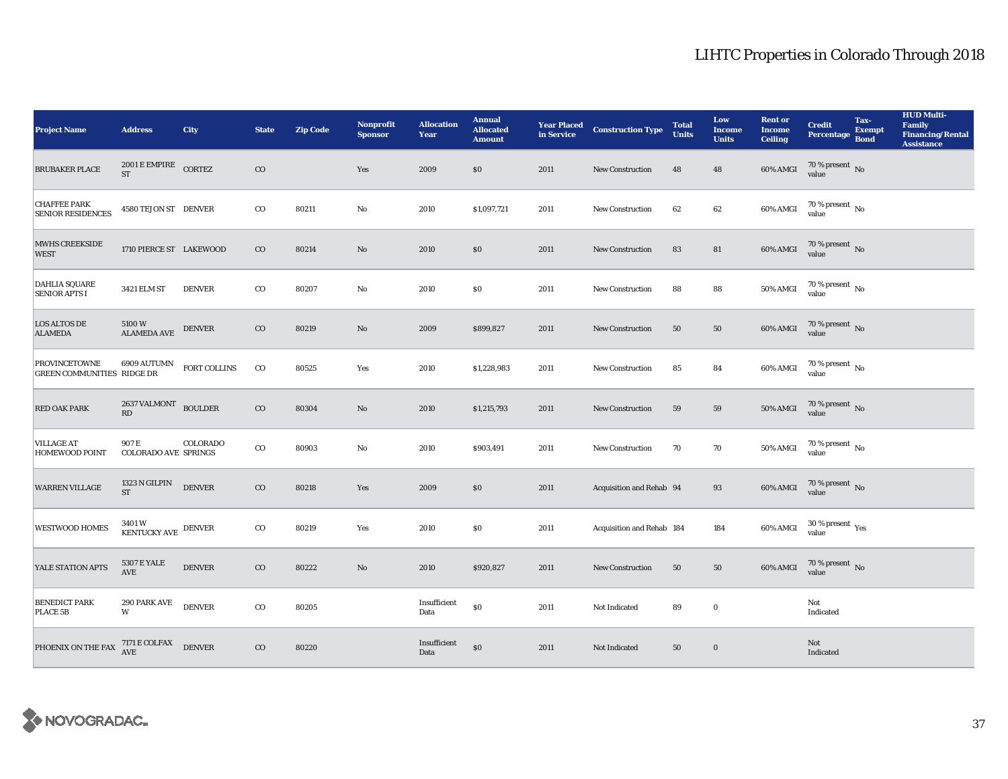| <b>Project Name</b>                                | <b>Address</b>                                                                                                                         | <b>City</b>   | <b>State</b> | <b>Zip Code</b> | <b>Nonprofit</b><br><b>Sponsor</b> | <b>Allocation</b><br>Year | <b>Annual</b><br><b>Allocated</b><br><b>Amount</b> |      | <b>Year Placed Construction Type</b><br>in Service | <b>Total</b><br><b>Units</b> | Low<br><b>Income</b><br><b>Units</b> | <b>Rent</b> or<br><b>Income</b><br><b>Ceiling</b> | <b>Credit</b><br><b>Percentage</b> | Tax-<br><b>Exempt</b><br><b>Bond</b> | <b>HUD Multi-</b><br><b>Family</b><br><b>Financing/Rental</b><br><b>Assistance</b> |
|----------------------------------------------------|----------------------------------------------------------------------------------------------------------------------------------------|---------------|--------------|-----------------|------------------------------------|---------------------------|----------------------------------------------------|------|----------------------------------------------------|------------------------------|--------------------------------------|---------------------------------------------------|------------------------------------|--------------------------------------|------------------------------------------------------------------------------------|
| <b>BRUBAKER PLACE</b>                              | $2001$ E EMPIRE CORTEZ<br><b>ST</b>                                                                                                    |               | $_{\rm CO}$  |                 | Yes                                | 2009                      | \$0                                                | 2011 | New Construction                                   | 48                           | 48                                   | 60% AMGI                                          | $70\,\%$ present $\,$ No value     |                                      |                                                                                    |
| <b>CHAFFEE PARK</b><br><b>SENIOR RESIDENCES</b>    | 4580 TEJON ST DENVER                                                                                                                   |               | $_{\rm CO}$  | 80211           | No                                 | 2010                      | \$1,097,721                                        | 2011 | <b>New Construction</b>                            | 62                           | 62                                   | 60% AMGI                                          | $70$ % present $\,$ No value       |                                      |                                                                                    |
| MWHS CREEKSIDE<br><b>WEST</b>                      | 1710 PIERCE ST LAKEWOOD                                                                                                                |               | $_{\rm CO}$  | 80214           | $\rm No$                           | 2010                      | $\$0$                                              | 2011 | <b>New Construction</b>                            | 83                           | 81                                   | 60% AMGI                                          | $70$ % present $_{\rm{No}}$        |                                      |                                                                                    |
| <b>DAHLIA SQUARE</b><br><b>SENIOR APTS I</b>       | 3421 ELM ST                                                                                                                            | <b>DENVER</b> | $_{\rm CO}$  | 80207           | $\mathbf{No}$                      | 2010                      | \$0                                                | 2011 | New Construction                                   | 88                           | 88                                   | 50% AMGI                                          | $70$ % present $\,$ No value       |                                      |                                                                                    |
| <b>LOS ALTOS DE</b><br><b>ALAMEDA</b>              | 5100 W<br>ALAMEDA AVE                                                                                                                  | <b>DENVER</b> | $_{\rm CO}$  | 80219           | No                                 | 2009                      | \$899,827                                          | 2011 | <b>New Construction</b>                            | 50                           | 50                                   | 60% AMGI                                          | $70$ % present $_{\rm No}$         |                                      |                                                                                    |
| <b>PROVINCETOWNE</b><br>GREEN COMMUNITIES RIDGE DR | 6909 AUTUMN                                                                                                                            | FORT COLLINS  | $_{\rm CO}$  | 80525           | Yes                                | 2010                      | \$1,228,983                                        | 2011 | New Construction                                   | 85                           | 84                                   | 60% AMGI                                          | $70$ % present $\,$ No value       |                                      |                                                                                    |
| RED OAK PARK                                       | 2637 VALMONT BOULDER<br>RD                                                                                                             |               | $_{\rm CO}$  | 80304           | $\rm No$                           | 2010                      | \$1,215,793                                        | 2011 | New Construction                                   | 59                           | 59                                   | 50% AMGI                                          | $70$ % present $_{\rm{No}}$        |                                      |                                                                                    |
| <b>VILLAGE AT</b><br><b>HOMEWOOD POINT</b>         | 907 E<br><b>COLORADO AVE SPRINGS</b>                                                                                                   | COLORADO      | $_{\rm CO}$  | 80903           | No                                 | 2010                      | \$903,491                                          | 2011 | New Construction                                   | 70                           | 70                                   | <b>50% AMGI</b>                                   | $70$ % present $\,$ No value       |                                      |                                                                                    |
| <b>WARREN VILLAGE</b>                              | 1323 N GILPIN<br><b>ST</b>                                                                                                             | <b>DENVER</b> | $_{\rm CO}$  | 80218           | Yes                                | 2009                      | \$0                                                | 2011 | Acquisition and Rehab 94                           |                              | 93                                   | 60% AMGI                                          | $70\,\%$ present $\,$ No value     |                                      |                                                                                    |
| <b>WESTWOOD HOMES</b>                              | 3401 W<br>KENTUCKY AVE DENVER                                                                                                          |               | $_{\rm CO}$  | 80219           | Yes                                | 2010                      | \$0                                                | 2011 | Acquisition and Rehab 184                          |                              | 184                                  | 60% AMGI                                          | $30\,\%$ present $\,$ Yes value    |                                      |                                                                                    |
| YALE STATION APTS                                  | <b>5307 E YALE</b><br><b>AVE</b>                                                                                                       | <b>DENVER</b> | $_{\rm CO}$  | 80222           | No                                 | 2010                      | \$920,827                                          | 2011 | <b>New Construction</b>                            | 50                           | 50                                   | 60% AMGI                                          | $70\,\%$ present $\,$ No value     |                                      |                                                                                    |
| <b>BENEDICT PARK</b><br>PLACE 5B                   | 290 PARK AVE<br>W                                                                                                                      | <b>DENVER</b> | $_{\rm CO}$  | 80205           |                                    | Insufficient<br>Data      | $\$0$                                              | 2011 | Not Indicated                                      | 89                           | $\bf{0}$                             |                                                   | Not<br>Indicated                   |                                      |                                                                                    |
| PHOENIX ON THE FAX                                 | $\begin{tabular}{c} 7171 \; E \; \text{COLFAX} \\ \text{AVE} \end{tabular} \begin{tabular}{c} \textbf{D} \textbf{ENVER} \end{tabular}$ |               | $_{\rm CO}$  | 80220           |                                    | Insufficient<br>Data      | $\$0$                                              | 2011 | Not Indicated                                      | 50                           | $\bf{0}$                             |                                                   | Not<br>Indicated                   |                                      |                                                                                    |

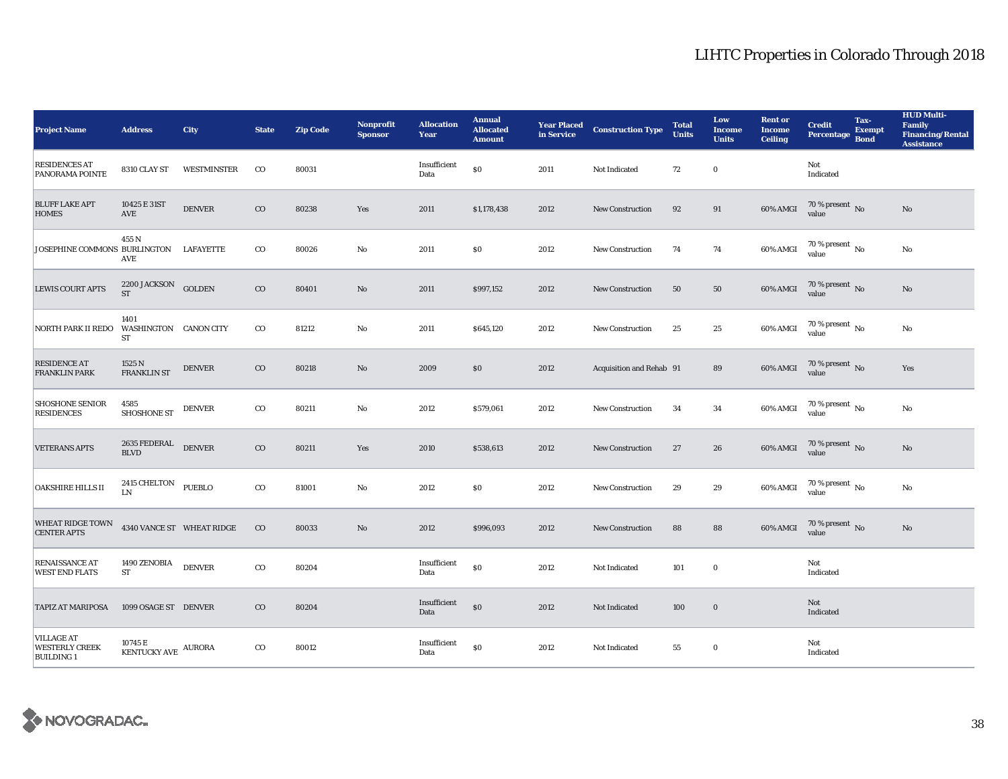| <b>Project Name</b>                                             | <b>Address</b>                               | <b>City</b>               | <b>State</b> | <b>Zip Code</b> | <b>Nonprofit</b><br><b>Sponsor</b> | <b>Allocation</b><br>Year | <b>Annual</b><br><b>Allocated</b><br><b>Amount</b> | <b>Year Placed</b><br>in Service | <b>Construction Type</b> | <b>Total</b><br>Units | Low<br><b>Income</b><br><b>Units</b> | <b>Rent or</b><br><b>Income</b><br><b>Ceiling</b> | <b>Credit</b><br>Percentage Bond       | Tax-<br><b>Exempt</b> | <b>HUD Multi-</b><br><b>Family</b><br><b>Financing/Rental</b><br><b>Assistance</b> |
|-----------------------------------------------------------------|----------------------------------------------|---------------------------|--------------|-----------------|------------------------------------|---------------------------|----------------------------------------------------|----------------------------------|--------------------------|-----------------------|--------------------------------------|---------------------------------------------------|----------------------------------------|-----------------------|------------------------------------------------------------------------------------|
| <b>RESIDENCES AT</b><br>PANORAMA POINTE                         | 8310 CLAY ST                                 | WESTMINSTER               | $_{\rm CO}$  | 80031           |                                    | Insufficient<br>Data      | \$0                                                | 2011                             | Not Indicated            | 72                    | $\bf{0}$                             |                                                   | Not<br>$\operatorname{Indicated}$      |                       |                                                                                    |
| <b>BLUFF LAKE APT</b><br><b>HOMES</b>                           | 10425 E 31ST<br>AVE                          | <b>DENVER</b>             | $_{\rm CO}$  | 80238           | Yes                                | 2011                      | \$1,178,438                                        | 2012                             | <b>New Construction</b>  | 92                    | 91                                   | 60% AMGI                                          | $70\,\%$ present $\,$ No value         |                       | No                                                                                 |
| JOSEPHINE COMMONS BURLINGTON LAFAYETTE                          | 455 N<br>AVE                                 |                           | $_{\rm CO}$  | 80026           | $\rm No$                           | 2011                      | \$0                                                | 2012                             | <b>New Construction</b>  | 74                    | 74                                   | 60% AMGI                                          | $70$ % present $\,$ No value           |                       | No                                                                                 |
| <b>LEWIS COURT APTS</b>                                         | $2200$ JACKSON $\,$ GOLDEN $\,$<br><b>ST</b> |                           | $_{\rm CO}$  | 80401           | $\rm No$                           | 2011                      | \$997,152                                          | 2012                             | New Construction         | 50                    | 50                                   | 60% AMGI                                          | $70\,\%$ present $\,$ No value         |                       | No                                                                                 |
| NORTH PARK II REDO                                              | 1401<br>WASHINGTON CANON CITY<br>${\cal ST}$ |                           | $_{\rm CO}$  | 81212           | $\mathbf {No}$                     | 2011                      | \$645,120                                          | 2012                             | <b>New Construction</b>  | 25                    | $25\,$                               | 60% AMGI                                          | $70$ % present $\,$ No $\,$ value $\,$ |                       | No                                                                                 |
| <b>RESIDENCE AT</b><br><b>FRANKLIN PARK</b>                     | 1525 N<br>FRANKLIN ST                        | <b>DENVER</b>             | $_{\rm CO}$  | 80218           | No                                 | 2009                      | \$0                                                | 2012                             | Acquisition and Rehab 91 |                       | 89                                   | 60% AMGI                                          | $70$ % present $\,$ No $\,$ value $\,$ |                       | Yes                                                                                |
| <b>SHOSHONE SENIOR</b><br><b>RESIDENCES</b>                     | 4585<br><b>SHOSHONE ST</b>                   | <b>DENVER</b>             | $\rm{co}$    | 80211           | No                                 | 2012                      | \$579,061                                          | 2012                             | <b>New Construction</b>  | 34                    | 34                                   | 60% AMGI                                          | $70\,\%$ present $\,$ No $\,$<br>value |                       | No                                                                                 |
| <b>VETERANS APTS</b>                                            | 2635 FEDERAL<br>BLVD                         | <b>DENVER</b>             | $_{\rm CO}$  | 80211           | Yes                                | 2010                      | \$538,613                                          | 2012                             | <b>New Construction</b>  | 27                    | 26                                   | 60% AMGI                                          | $70\,\%$ present $\,$ No value         |                       | No                                                                                 |
| OAKSHIRE HILLS II                                               | 2415 CHELTON PUEBLO<br><b>LN</b>             |                           | $_{\rm CO}$  | 81001           | $\rm No$                           | 2012                      | \$0                                                | 2012                             | <b>New Construction</b>  | 29                    | 29                                   | 60% AMGI                                          | $70$ % present $\,$ No value           |                       | $\rm No$                                                                           |
| <b>WHEAT RIDGE TOWN</b><br><b>CENTER APTS</b>                   |                                              | 4340 VANCE ST WHEAT RIDGE | $_{\rm CO}$  | 80033           | $\rm No$                           | 2012                      | \$996,093                                          | 2012                             | <b>New Construction</b>  | 88                    | 88                                   | 60% AMGI                                          | $70$ % present $\,$ No value           |                       | $\rm No$                                                                           |
| RENAISSANCE AT<br><b>WEST END FLATS</b>                         | 1490 ZENOBIA<br>${\cal ST}$                  | <b>DENVER</b>             | $_{\rm CO}$  | 80204           |                                    | Insufficient<br>Data      | $\$0$                                              | 2012                             | Not Indicated            | 101                   | $\mathbf 0$                          |                                                   | Not<br>Indicated                       |                       |                                                                                    |
| <b>TAPIZ AT MARIPOSA</b>                                        | 1099 OSAGE ST DENVER                         |                           | $\rm{CO}$    | 80204           |                                    | Insufficient<br>Data      | $\$0$                                              | 2012                             | Not Indicated            | 100                   | $\bf{0}$                             |                                                   | Not<br>Indicated                       |                       |                                                                                    |
| <b>VILLAGE AT</b><br><b>WESTERLY CREEK</b><br><b>BUILDING 1</b> | 10745 E<br>KENTUCKY AVE AURORA               |                           | $_{\rm CO}$  | 80012           |                                    | Insufficient<br>Data      | \$0                                                | 2012                             | Not Indicated            | 55                    | $\bf{0}$                             |                                                   | Not<br>Indicated                       |                       |                                                                                    |

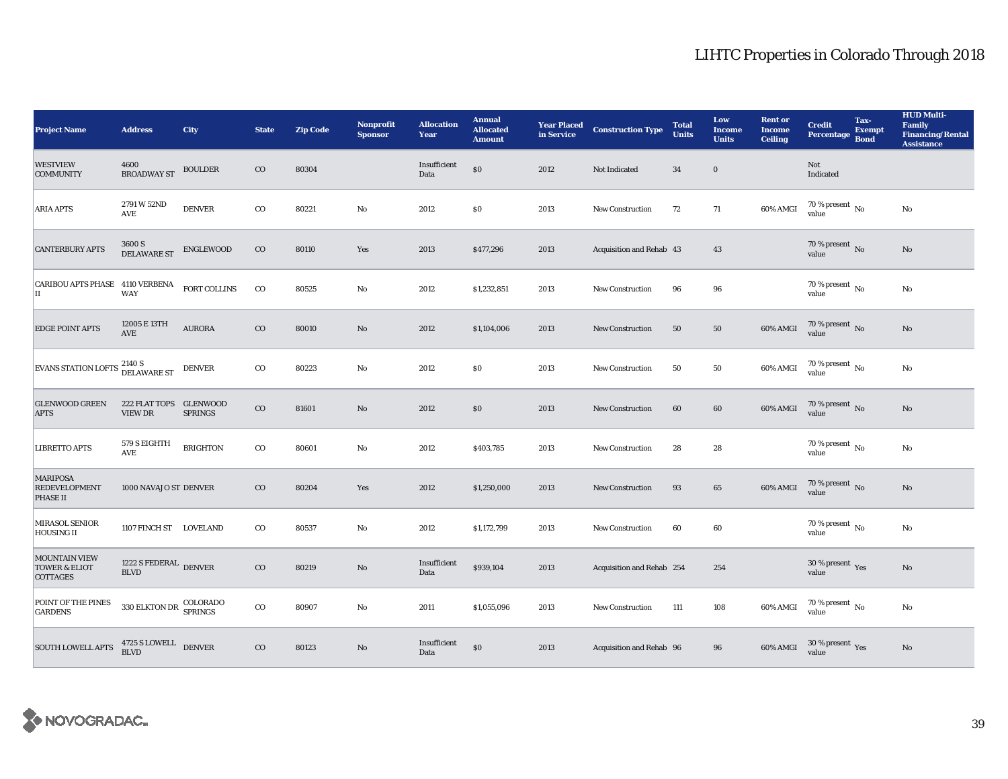| <b>Project Name</b>                                        | <b>Address</b>                                                                           | <b>City</b>            | <b>State</b> | <b>Zip Code</b> | <b>Nonprofit</b><br><b>Sponsor</b> | <b>Allocation</b><br>Year | <b>Annual</b><br><b>Allocated</b><br><b>Amount</b> | <b>Year Placed<br/>in Service</b> | <b>Construction Type</b>  | <b>Total</b><br><b>Units</b> | Low<br><b>Income</b><br><b>Units</b> | <b>Rent or</b><br><b>Income</b><br><b>Ceiling</b> | <b>Credit</b><br>Percentage Bond        | Tax-<br><b>Exempt</b> | <b>HUD Multi-</b><br><b>Family</b><br><b>Financing/Rental</b><br><b>Assistance</b> |
|------------------------------------------------------------|------------------------------------------------------------------------------------------|------------------------|--------------|-----------------|------------------------------------|---------------------------|----------------------------------------------------|-----------------------------------|---------------------------|------------------------------|--------------------------------------|---------------------------------------------------|-----------------------------------------|-----------------------|------------------------------------------------------------------------------------|
| <b>WESTVIEW</b><br><b>COMMUNITY</b>                        | 4600<br><b>BROADWAY ST</b>                                                               | <b>BOULDER</b>         | $_{\rm CO}$  | 80304           |                                    | Insufficient<br>Data      | \$0                                                | 2012                              | Not Indicated             | 34                           | $\mathbf 0$                          |                                                   | Not<br>Indicated                        |                       |                                                                                    |
| ARIA APTS                                                  | 2791 W 52ND<br>AVE                                                                       | <b>DENVER</b>          | $_{\rm CO}$  | 80221           | $\rm No$                           | 2012                      | \$0                                                | 2013                              | <b>New Construction</b>   | 72                           | 71                                   | 60% AMGI                                          | $70$ % present $\,$ No value            |                       | $\mathbf{N}\mathbf{o}$                                                             |
| <b>CANTERBURY APTS</b>                                     | $3600\,\mathrm{S}$ DELAWARE ST                                                           | ENGLEWOOD              | $_{\rm CO}$  | 80110           | Yes                                | 2013                      | \$477,296                                          | 2013                              | Acquisition and Rehab 43  |                              | 43                                   |                                                   | 70 % present $\overline{N_0}$<br>value  |                       | $\rm No$                                                                           |
| CARIBOU APTS PHASE 4110 VERBENA<br>IІ                      | <b>WAY</b>                                                                               | ${\tt FORT}\,$ COLLINS | $_{\rm CO}$  | 80525           | No                                 | 2012                      | \$1,232,851                                        | 2013                              | <b>New Construction</b>   | 96                           | 96                                   |                                                   | 70 % present $\,$ No $\,$<br>value      |                       | No                                                                                 |
| <b>EDGE POINT APTS</b>                                     | 12005 E 13TH<br>AVE                                                                      | <b>AURORA</b>          | $_{\rm CO}$  | 80010           | $\mathbf{N}\mathbf{o}$             | 2012                      | \$1,104,006                                        | 2013                              | <b>New Construction</b>   | 50                           | 50                                   | 60% AMGI                                          | $70$ % present $\,$ No value            |                       | $\mathbf{N}\mathbf{o}$                                                             |
| EVANS STATION LOFTS 2140 S<br>DELAWARE ST                  |                                                                                          | <b>DENVER</b>          | $_{\rm CO}$  | 80223           | $\rm No$                           | 2012                      | \$0\$                                              | 2013                              | <b>New Construction</b>   | 50                           | 50                                   | 60% AMGI                                          | $70$ % present $\,$ No value            |                       | $\rm No$                                                                           |
| <b>GLENWOOD GREEN</b><br><b>APTS</b>                       | 222 FLAT TOPS GLENWOOD<br><b>VIEW DR</b>                                                 | <b>SPRINGS</b>         | $_{\rm CO}$  | 81601           | $\rm No$                           | 2012                      | \$0                                                | 2013                              | <b>New Construction</b>   | 60                           | 60                                   | 60% AMGI                                          | $70$ % present $\,$ No value            |                       | $\mathbf{No}$                                                                      |
| LIBRETTO APTS                                              | 579 S EIGHTH<br>AVE                                                                      | <b>BRIGHTON</b>        | $_{\rm CO}$  | 80601           | No                                 | 2012                      | \$403,785                                          | 2013                              | <b>New Construction</b>   | 28                           | 28                                   |                                                   | $70$ % present $\,$ No $\,$<br>value    |                       | No                                                                                 |
| <b>MARIPOSA</b><br><b>REDEVELOPMENT</b><br><b>PHASE II</b> | 1000 NAVAJO ST DENVER                                                                    |                        | $_{\rm CO}$  | 80204           | Yes                                | 2012                      | \$1,250,000                                        | 2013                              | <b>New Construction</b>   | 93                           | 65                                   | 60% AMGI                                          | $70\,\%$ present $\,$ No value          |                       | $\mathbf{No}$                                                                      |
| MIRASOL SENIOR<br><b>HOUSING II</b>                        | 1107 FINCH ST LOVELAND                                                                   |                        | $_{\rm CO}$  | 80537           | No                                 | 2012                      | \$1,172,799                                        | 2013                              | <b>New Construction</b>   | 60                           | 60                                   |                                                   | $70$ % present $\,$ No $\,$<br>value    |                       | $\rm No$                                                                           |
| MOUNTAIN VIEW<br><b>TOWER &amp; ELIOT</b><br>COTTAGES      | 1222 S FEDERAL DENVER<br><b>BLVD</b>                                                     |                        | $_{\rm CO}$  | 80219           | $\rm No$                           | Insufficient<br>Data      | \$939,104                                          | 2013                              | Acquisition and Rehab 254 |                              | 254                                  |                                                   | $30\,\%$ present $\,\mathrm{Yes}$ value |                       | $\mathbf{No}$                                                                      |
| POINT OF THE PINES<br><b>GARDENS</b>                       | $330 \; {\rm ELKTON \; DR} \begin{array}{c} {\rm COLORADO} \\ {\rm SPRINGS} \end{array}$ |                        | $_{\rm CO}$  | 80907           | No                                 | 2011                      | \$1,055,096                                        | 2013                              | <b>New Construction</b>   | 111                          | 108                                  | 60% AMGI                                          | $70\,\%$ present $\,$ No value          |                       | $\rm No$                                                                           |
| <b>SOUTH LOWELL APTS</b>                                   | $4725$ S LOWELL $\quad$ DENVER BLVD                                                      |                        | $\rm{CO}$    | 80123           | $\mathbf{N}\mathbf{o}$             | Insufficient<br>Data      | \$0                                                | 2013                              | Acquisition and Rehab 96  |                              | 96                                   | 60% AMGI                                          | $30\,\%$ present $\,\mathrm{Yes}$ value |                       | $\mathbf{No}$                                                                      |

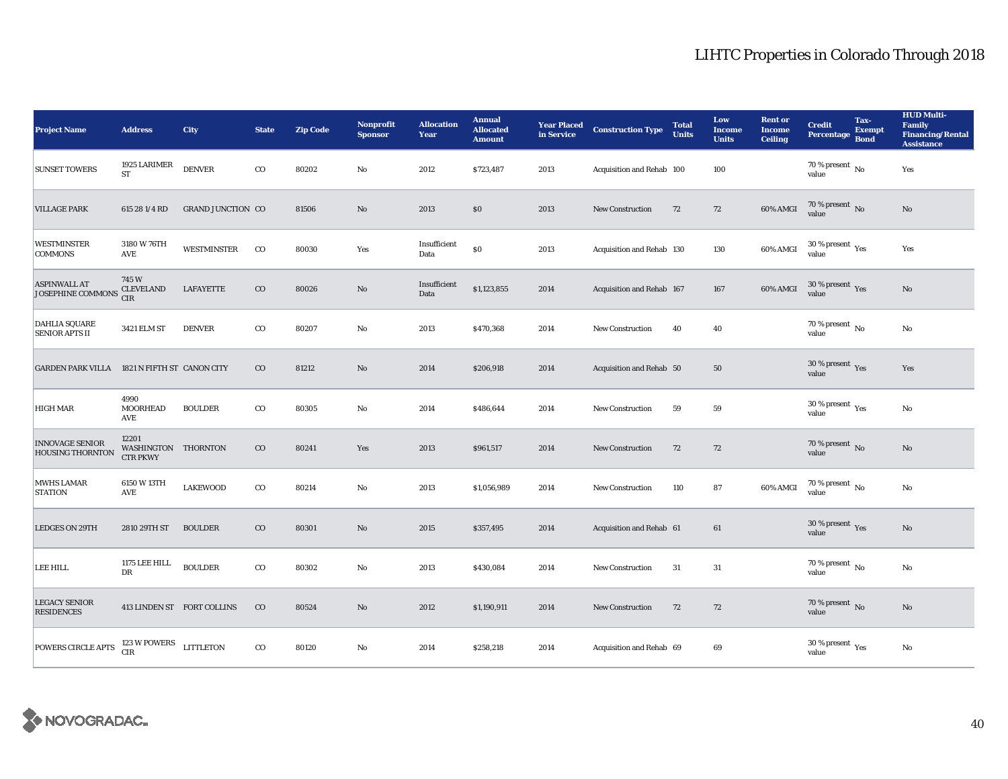| <b>Project Name</b>                               | <b>Address</b>                                  | <b>City</b>                | <b>State</b> | <b>Zip Code</b> | <b>Nonprofit</b><br><b>Sponsor</b> | <b>Allocation</b><br>Year | <b>Annual</b><br><b>Allocated</b><br><b>Amount</b> | <b>Year Placed<br/>in Service</b> | <b>Construction Type</b>  | <b>Total</b><br><b>Units</b> | Low<br><b>Income</b><br><b>Units</b> | <b>Rent or</b><br><b>Income</b><br><b>Ceiling</b> | <b>Credit</b><br><b>Percentage</b>          | Tax-<br><b>Exempt</b><br><b>Bond</b> | <b>HUD Multi-</b><br><b>Family</b><br><b>Financing/Rental</b><br><b>Assistance</b> |
|---------------------------------------------------|-------------------------------------------------|----------------------------|--------------|-----------------|------------------------------------|---------------------------|----------------------------------------------------|-----------------------------------|---------------------------|------------------------------|--------------------------------------|---------------------------------------------------|---------------------------------------------|--------------------------------------|------------------------------------------------------------------------------------|
| <b>SUNSET TOWERS</b>                              | 1925 LARIMER<br><b>ST</b>                       | <b>DENVER</b>              | $_{\rm CO}$  | 80202           | No                                 | 2012                      | \$723,487                                          | 2013                              | Acquisition and Rehab 100 |                              | 100                                  |                                                   | $70$ % present $\,$ No $\,$<br>value        |                                      | Yes                                                                                |
| <b>VILLAGE PARK</b>                               | 615 28 1/4 RD                                   | <b>GRAND JUNCTION CO</b>   |              | 81506           | No                                 | 2013                      | \$0                                                | 2013                              | New Construction          | 72                           | 72                                   | 60% AMGI                                          | $70$ % present $\,$ No value                |                                      | No                                                                                 |
| <b>WESTMINSTER</b><br><b>COMMONS</b>              | 3180 W 76TH<br><b>AVE</b>                       | <b>WESTMINSTER</b>         | $_{\rm CO}$  | 80030           | Yes                                | Insufficient<br>Data      | $\$0$                                              | 2013                              | Acquisition and Rehab 130 |                              | 130                                  | 60% AMGI                                          | $30\,\%$ present $\,$ Yes value             |                                      | Yes                                                                                |
| <b>ASPINWALL AT</b><br>JOSEPHINE COMMONS          | 745W<br><b>CLEVELAND</b><br><b>CIR</b>          | LAFAYETTE                  | $\rm{CO}$    | 80026           | $\rm No$                           | Insufficient<br>Data      | \$1,123,855                                        | 2014                              | Acquisition and Rehab 167 |                              | 167                                  | 60% AMGI                                          | $30\,\%$ present $\,$ Yes value             |                                      | No                                                                                 |
| <b>DAHLIA SQUARE</b><br><b>SENIOR APTS II</b>     | 3421 ELM ST                                     | <b>DENVER</b>              | $\rm{co}$    | 80207           | $\mathbf{N}\mathbf{o}$             | 2013                      | \$470,368                                          | 2014                              | New Construction          | 40                           | 40                                   |                                                   | $70$ % present $\,$ No $\,$<br>value        |                                      | $\mathbf{No}$                                                                      |
| GARDEN PARK VILLA 1821 N FIFTH ST CANON CITY      |                                                 |                            | $_{\rm CO}$  | 81212           | No                                 | 2014                      | \$206,918                                          | 2014                              | Acquisition and Rehab 50  |                              | 50                                   |                                                   | $30\,\%$ present $\,$ Yes value             |                                      | Yes                                                                                |
| <b>HIGH MAR</b>                                   | 4990<br><b>MOORHEAD</b><br><b>AVE</b>           | <b>BOULDER</b>             | $\rm{co}$    | 80305           | $\mathbf{N}\mathbf{o}$             | 2014                      | \$486,644                                          | 2014                              | New Construction          | 59                           | 59                                   |                                                   | 30 % present $\rm \gamma_{\rm PS}$<br>value |                                      | No                                                                                 |
| <b>INNOVAGE SENIOR</b><br><b>HOUSING THORNTON</b> | 12201<br>WASHINGTON THORNTON<br><b>CTR PKWY</b> |                            | $_{\rm CO}$  | 80241           | Yes                                | 2013                      | \$961,517                                          | 2014                              | New Construction          | 72                           | 72                                   |                                                   | $70\,\%$ present $\,$ No value              |                                      | No                                                                                 |
| <b>MWHS LAMAR</b><br><b>STATION</b>               | 6150 W 13TH<br>AVE                              | <b>LAKEWOOD</b>            | $_{\rm CO}$  | 80214           | $_{\rm No}$                        | 2013                      | \$1,056,989                                        | 2014                              | <b>New Construction</b>   | 110                          | 87                                   | 60% AMGI                                          | $70\,\%$ present $\,$ No value              |                                      | No                                                                                 |
| <b>LEDGES ON 29TH</b>                             | 2810 29TH ST                                    | <b>BOULDER</b>             | $_{\rm CO}$  | 80301           | $\rm No$                           | 2015                      | \$357,495                                          | 2014                              | Acquisition and Rehab 61  |                              | 61                                   |                                                   | 30 % present $\,$ Yes<br>value              |                                      | No                                                                                 |
| LEE HILL                                          | 1175 LEE HILL<br>DR                             | <b>BOULDER</b>             | $_{\rm CO}$  | 80302           | $\mathbf{No}$                      | 2013                      | \$430,084                                          | 2014                              | <b>New Construction</b>   | 31                           | 31                                   |                                                   | $70$ % present $\,$ No $\,$<br>value        |                                      | No                                                                                 |
| <b>LEGACY SENIOR</b><br><b>RESIDENCES</b>         |                                                 | 413 LINDEN ST FORT COLLINS | $_{\rm CO}$  | 80524           | $\rm No$                           | 2012                      | \$1,190,911                                        | 2014                              | <b>New Construction</b>   | 72                           | 72                                   |                                                   | $70\,\%$ present $\,$ No value              |                                      | No                                                                                 |
| POWERS CIRCLE APTS                                | 123 W POWERS LITTLETON<br><b>CIR</b>            |                            | $\rm{CO}$    | 80120           | No                                 | 2014                      | \$258,218                                          | 2014                              | Acquisition and Rehab 69  |                              | 69                                   |                                                   | $30$ % present $\,$ $\rm Yes$<br>value      |                                      | $\rm No$                                                                           |

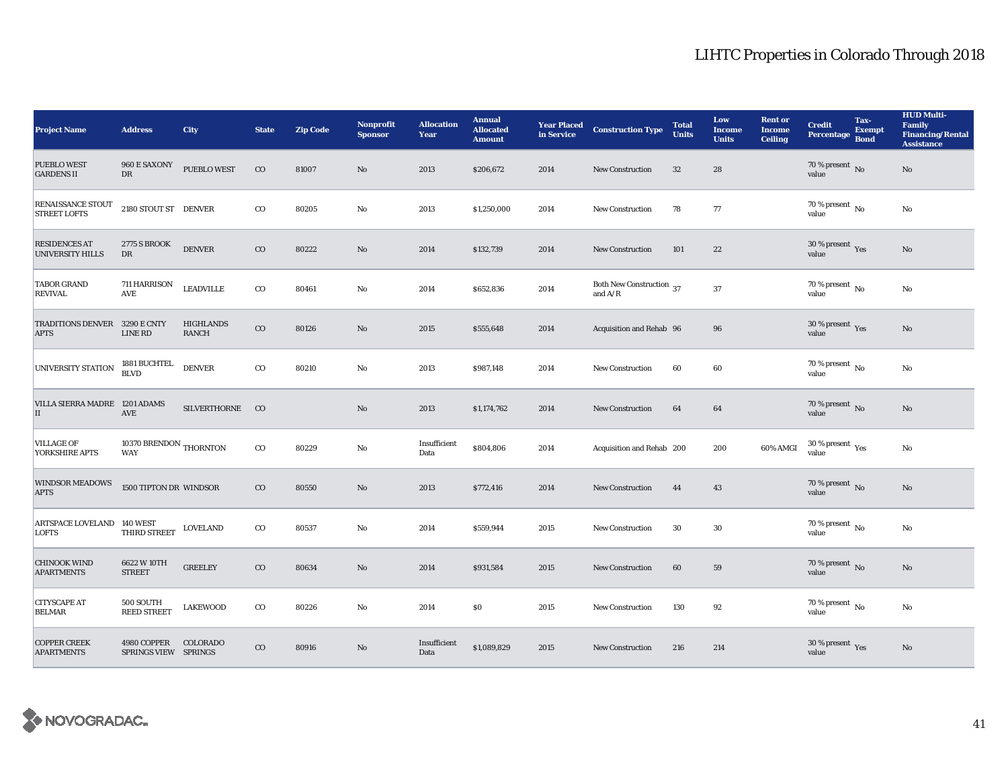| <b>Project Name</b>                             | <b>Address</b>                       | <b>City</b>                      | <b>State</b> | <b>Zip Code</b> | Nonprofit<br><b>Sponsor</b> | <b>Allocation</b><br>Year | <b>Annual</b><br><b>Allocated</b><br><b>Amount</b> | <b>Year Placed</b><br>in Service | <b>Construction Type</b>                                          | <b>Total</b><br><b>Units</b> | Low<br><b>Income</b><br><b>Units</b> | <b>Rent or</b><br><b>Income</b><br><b>Ceiling</b> | <b>Credit</b><br>Percentage Bond         | Tax-<br><b>Exempt</b> | <b>HUD Multi-</b><br>Family<br><b>Financing/Rental</b><br><b>Assistance</b> |
|-------------------------------------------------|--------------------------------------|----------------------------------|--------------|-----------------|-----------------------------|---------------------------|----------------------------------------------------|----------------------------------|-------------------------------------------------------------------|------------------------------|--------------------------------------|---------------------------------------------------|------------------------------------------|-----------------------|-----------------------------------------------------------------------------|
| <b>PUEBLO WEST</b><br><b>GARDENS II</b>         | 960 E SAXONY<br>DR                   | <b>PUEBLO WEST</b>               | $_{\rm CO}$  | 81007           | No                          | 2013                      | \$206,672                                          | 2014                             | <b>New Construction</b>                                           | 32                           | 28                                   |                                                   | 70 % present $\,$ No $\,$<br>value       |                       | $\mathbf{No}$                                                               |
| RENAISSANCE STOUT<br><b>STREET LOFTS</b>        | 2180 STOUT ST DENVER                 |                                  | $_{\rm CO}$  | 80205           | No                          | 2013                      | \$1,250,000                                        | 2014                             | <b>New Construction</b>                                           | 78                           | 77                                   |                                                   | 70 % present $\overline{N_0}$<br>value   |                       | No                                                                          |
| <b>RESIDENCES AT</b><br><b>UNIVERSITY HILLS</b> | <b>2775 S BROOK</b><br>DR            | <b>DENVER</b>                    | $_{\rm CO}$  | 80222           | No                          | 2014                      | \$132,739                                          | 2014                             | <b>New Construction</b>                                           | 101                          | 22                                   |                                                   | 30 % present Yes<br>value                |                       | No                                                                          |
| <b>TABOR GRAND</b><br><b>REVIVAL</b>            | 711 HARRISON<br><b>AVE</b>           | <b>LEADVILLE</b>                 | $_{\rm CO}$  | 80461           | No                          | 2014                      | \$652,836                                          | 2014                             | Both New Construction $\,$ 37 $\,$<br>and $\mathrm{A}/\mathrm{R}$ |                              | 37                                   |                                                   | 70 % present $\,$ No $\,$<br>value       |                       | No                                                                          |
| TRADITIONS DENVER 3290 E CNTY<br><b>APTS</b>    | LINE RD                              | <b>HIGHLANDS</b><br><b>RANCH</b> | $_{\rm CO}$  | 80126           | $\mathbf{N}\mathbf{o}$      | 2015                      | \$555,648                                          | 2014                             | Acquisition and Rehab 96                                          |                              | 96                                   |                                                   | 30 % present $\gamma_{\rm{es}}$<br>value |                       | No                                                                          |
| UNIVERSITY STATION                              | 1881 BUCHTEL<br>BLVD                 | <b>DENVER</b>                    | $_{\rm CO}$  | 80210           | No                          | 2013                      | \$987,148                                          | 2014                             | <b>New Construction</b>                                           | 60                           | 60                                   |                                                   | $70\%$ present $\overline{N_0}$<br>value |                       | No                                                                          |
| VILLA SIERRA MADRE 1201 ADAMS<br>$\vert$ II     | <b>AVE</b>                           | SILVERTHORNE CO                  |              |                 | No                          | 2013                      | \$1,174,762                                        | 2014                             | <b>New Construction</b>                                           | 64                           | 64                                   |                                                   | 70 % present $\,$ No $\,$<br>value       |                       | $\mathbf{No}$                                                               |
| <b>VILLAGE OF</b><br>YORKSHIRE APTS             | 10370 BRENDON THORNTON<br><b>WAY</b> |                                  | $_{\rm CO}$  | 80229           | No                          | Insufficient<br>Data      | \$804,806                                          | 2014                             | Acquisition and Rehab 200                                         |                              | 200                                  | 60% AMGI                                          | $30\,\%$ present $\,$ $\rm Yes$<br>value |                       | No                                                                          |
| <b>WINDSOR MEADOWS</b><br><b>APTS</b>           | 1500 TIPTON DR WINDSOR               |                                  | $_{\rm CO}$  | 80550           | $\mathbf{N}\mathbf{o}$      | 2013                      | \$772,416                                          | 2014                             | New Construction                                                  | 44                           | 43                                   |                                                   | 70 % present $\,$ No $\,$<br>value       |                       | $\rm No$                                                                    |
| ARTSPACE LOVELAND 140 WEST<br><b>LOFTS</b>      | THIRD STREET                         | <b>LOVELAND</b>                  | $_{\rm CO}$  | 80537           | No                          | 2014                      | \$559,944                                          | 2015                             | <b>New Construction</b>                                           | 30                           | 30                                   |                                                   | $70$ % present $\,$ No $\,$<br>value     |                       | No                                                                          |
| <b>CHINOOK WIND</b><br><b>APARTMENTS</b>        | 6622 W 10TH<br><b>STREET</b>         | <b>GREELEY</b>                   | $_{\rm CO}$  | 80634           | $\mathbf{No}$               | 2014                      | \$931,584                                          | 2015                             | New Construction                                                  | 60                           | 59                                   |                                                   | 70 % present $\overline{N}$<br>value     |                       | $\mathbf{No}$                                                               |
| <b>CITYSCAPE AT</b><br><b>BELMAR</b>            | 500 SOUTH<br><b>REED STREET</b>      | <b>LAKEWOOD</b>                  | $_{\rm CO}$  | 80226           | No                          | 2014                      | $\$0$                                              | 2015                             | New Construction                                                  | 130                          | 92                                   |                                                   | $70$ % present $\,$ No $\,$<br>value     |                       | No                                                                          |
| <b>COPPER CREEK</b><br><b>APARTMENTS</b>        | 4980 COPPER<br>SPRINGS VIEW SPRINGS  | COLORADO                         | $_{\rm CO}$  | 80916           | No                          | Insufficient<br>Data      | \$1,089,829                                        | 2015                             | <b>New Construction</b>                                           | 216                          | 214                                  |                                                   | 30 % present $\,$ $\rm Yes$<br>value     |                       | No                                                                          |

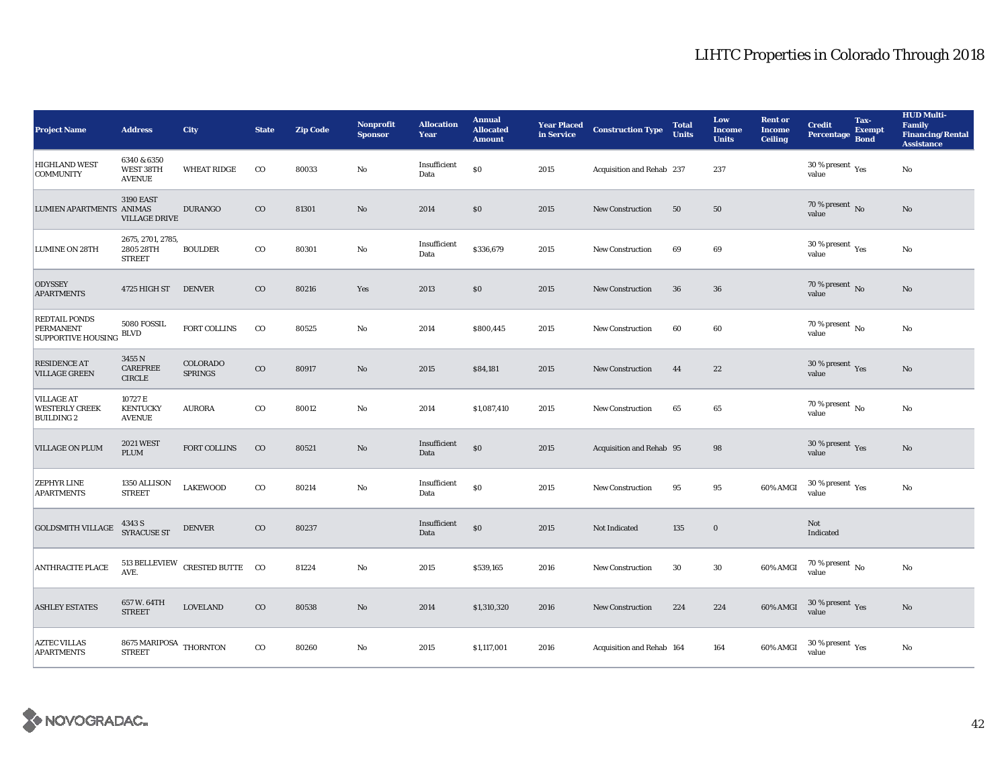| <b>Project Name</b>                                                   | <b>Address</b>                                              | City                                            | <b>State</b> | <b>Zip Code</b> | <b>Nonprofit</b><br><b>Sponsor</b> | <b>Allocation</b><br>Year | <b>Annual</b><br><b>Allocated</b><br><b>Amount</b> | <b>Year Placed</b><br>in Service | <b>Construction Type</b>  | <b>Total</b><br><b>Units</b> | Low<br><b>Income</b><br><b>Units</b> | <b>Rent or</b><br><b>Income</b><br><b>Ceiling</b> | <b>Credit</b><br>Percentage Bond            | Tax-<br><b>Exempt</b> | <b>HUD Multi-</b><br><b>Family</b><br><b>Financing/Rental</b><br><b>Assistance</b> |
|-----------------------------------------------------------------------|-------------------------------------------------------------|-------------------------------------------------|--------------|-----------------|------------------------------------|---------------------------|----------------------------------------------------|----------------------------------|---------------------------|------------------------------|--------------------------------------|---------------------------------------------------|---------------------------------------------|-----------------------|------------------------------------------------------------------------------------|
| <b>HIGHLAND WEST</b><br><b>COMMUNITY</b>                              | 6340 & 6350<br>WEST 38TH<br><b>AVENUE</b>                   | <b>WHEAT RIDGE</b>                              | $_{\rm CO}$  | 80033           | No                                 | Insufficient<br>Data      | \$0                                                | 2015                             | Acquisition and Rehab 237 |                              | 237                                  |                                                   | 30 % present $\rm \gamma_{\rm es}$<br>value |                       | No                                                                                 |
| LUMIEN APARTMENTS ANIMAS                                              | <b>3190 EAST</b><br><b>VILLAGE DRIVE</b>                    | <b>DURANGO</b>                                  | $_{\rm CO}$  | 81301           | $\mathbf{N}\mathbf{o}$             | 2014                      | \$0                                                | 2015                             | New Construction          | 50                           | 50                                   |                                                   | $70$ % present $\,$ No value                |                       | $\mathbf{N}\mathbf{o}$                                                             |
| <b>LUMINE ON 28TH</b>                                                 | 2675, 2701, 2785,<br>2805 28TH<br><b>STREET</b>             | <b>BOULDER</b>                                  | $_{\rm CO}$  | 80301           | $\rm No$                           | Insufficient<br>Data      | \$336,679                                          | 2015                             | <b>New Construction</b>   | 69                           | 69                                   |                                                   | $30\,\%$ present $\,$ Yes value             |                       | $\rm No$                                                                           |
| <b>ODYSSEY</b><br><b>APARTMENTS</b>                                   | 4725 HIGH ST                                                | <b>DENVER</b>                                   | $_{\rm CO}$  | 80216           | Yes                                | 2013                      | \$0                                                | 2015                             | <b>New Construction</b>   | 36                           | 36                                   |                                                   | 70 % present $\,$ No $\,$<br>value          |                       | $\mathbf{N}\mathbf{o}$                                                             |
| <b>REDTAIL PONDS</b><br><b>PERMANENT</b><br><b>SUPPORTIVE HOUSING</b> | 5080 FOSSIL<br><b>BLVD</b>                                  | FORT COLLINS                                    | $_{\rm CO}$  | 80525           | $\mathbf{N}\mathbf{o}$             | 2014                      | \$800,445                                          | 2015                             | <b>New Construction</b>   | 60                           | 60                                   |                                                   | $70$ % present $\,$ No $\,$<br>value        |                       | No                                                                                 |
| RESIDENCE AT<br><b>VILLAGE GREEN</b>                                  | 3455 N<br><b>CAREFREE</b><br>$\ensuremath{\mathsf{CIRCLE}}$ | COLORADO<br><b>SPRINGS</b>                      | $_{\rm CO}$  | 80917           | $\mathbf{N}\mathbf{o}$             | 2015                      | \$84,181                                           | 2015                             | <b>New Construction</b>   | 44                           | 22                                   |                                                   | $30\,\%$ present $\,\mathrm{Yes}$ value     |                       | $\mathbf{No}$                                                                      |
| <b>VILLAGE AT</b><br><b>WESTERLY CREEK</b><br><b>BUILDING 2</b>       | 10727 E<br><b>KENTUCKY</b><br><b>AVENUE</b>                 | <b>AURORA</b>                                   | $_{\rm CO}$  | 80012           | No                                 | 2014                      | \$1,087,410                                        | 2015                             | <b>New Construction</b>   | 65                           | 65                                   |                                                   | 70 % present $\,$ No $\,$<br>value          |                       | No                                                                                 |
| VILLAGE ON PLUM                                                       | <b>2021 WEST</b><br>PLUM                                    | FORT COLLINS                                    | $_{\rm CO}$  | 80521           | $\mathbf{N}\mathbf{o}$             | Insufficient<br>Data      | \$0                                                | 2015                             | Acquisition and Rehab 95  |                              | 98                                   |                                                   | 30 % present $\,$ $\rm Yes$<br>value        |                       | No                                                                                 |
| <b>ZEPHYR LINE</b><br><b>APARTMENTS</b>                               | 1350 ALLISON<br><b>STREET</b>                               | <b>LAKEWOOD</b>                                 | $_{\rm CO}$  | 80214           | No                                 | Insufficient<br>Data      | \$0                                                | 2015                             | New Construction          | 95                           | 95                                   | 60% AMGI                                          | $30\,\%$ present $\,$ Yes value             |                       | $\rm No$                                                                           |
| <b>GOLDSMITH VILLAGE</b>                                              | 4343 S<br><b>SYRACUSE ST</b>                                | <b>DENVER</b>                                   | $_{\rm CO}$  | 80237           |                                    | Insufficient<br>Data      | \$0                                                | 2015                             | Not Indicated             | 135                          | $\mathbf 0$                          |                                                   | Not<br>Indicated                            |                       |                                                                                    |
| <b>ANTHRACITE PLACE</b>                                               |                                                             | $513$ BELLEVIEW $\,$ CRESTED BUTTE $\,$ CO AVE. |              | 81224           | No                                 | 2015                      | \$539,165                                          | 2016                             | <b>New Construction</b>   | 30                           | 30                                   | 60% AMGI                                          | $70\,\%$ present $\,$ No value              |                       | No                                                                                 |
| <b>ASHLEY ESTATES</b>                                                 | 657 W. 64TH<br><b>STREET</b>                                | <b>LOVELAND</b>                                 | $_{\rm CO}$  | 80538           | $\rm No$                           | 2014                      | \$1,310,320                                        | 2016                             | <b>New Construction</b>   | 224                          | 224                                  | 60% AMGI                                          | $30\,\%$ present $\,\mathrm{Yes}$ value     |                       | $\mathbf{No}$                                                                      |
| <b>AZTEC VILLAS</b><br><b>APARTMENTS</b>                              | 8675 MARIPOSA $\,$ THORNTON $\,$<br><b>STREET</b>           |                                                 | $_{\rm CO}$  | 80260           | No                                 | 2015                      | \$1,117,001                                        | 2016                             | Acquisition and Rehab 164 |                              | 164                                  | 60% AMGI                                          | $30\ \%$ present $\ _{\mbox{Yes}}$ value    |                       | $\mathbf{N}\mathbf{o}$                                                             |

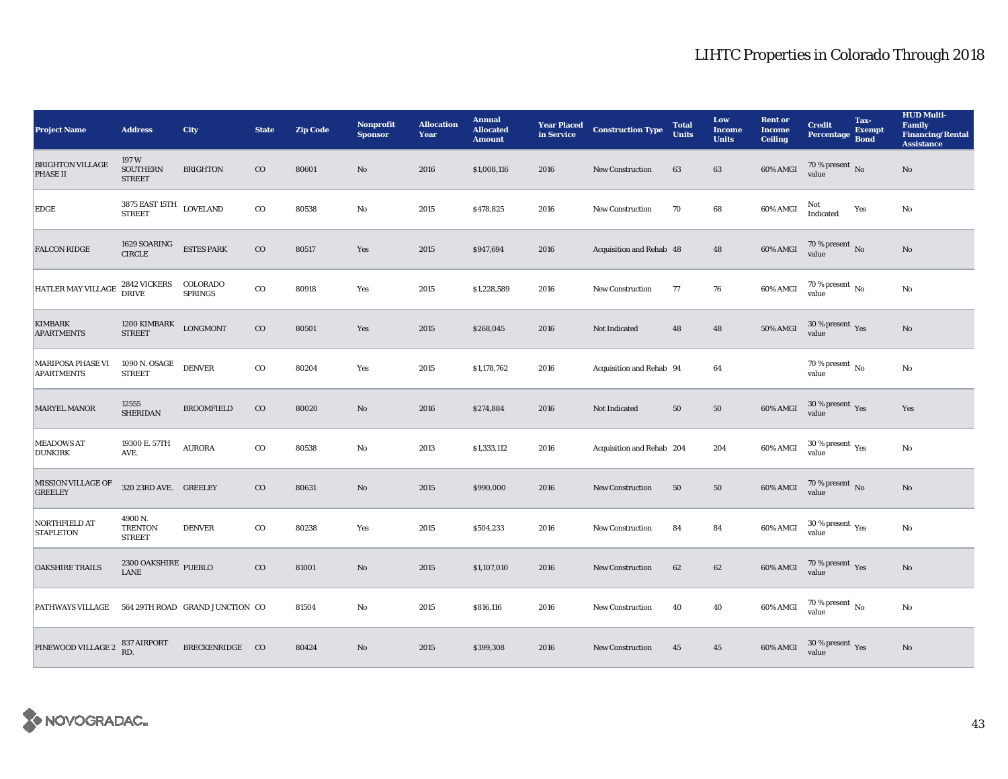| <b>Project Name</b>                           | <b>Address</b>                                 | <b>City</b>                     | <b>State</b> | <b>Zip Code</b> | <b>Nonprofit</b><br><b>Sponsor</b> | <b>Allocation</b><br>Year | <b>Annual</b><br><b>Allocated</b><br><b>Amount</b> | <b>Year Placed</b><br>in Service | <b>Construction Type</b>  | <b>Total</b><br><b>Units</b> | Low<br><b>Income</b><br><b>Units</b> | <b>Rent or</b><br><b>Income</b><br><b>Ceiling</b> | <b>Credit</b><br>Percentage Bond          | Tax-<br><b>Exempt</b> | <b>HUD Multi-</b><br><b>Family</b><br><b>Financing/Rental</b><br><b>Assistance</b> |
|-----------------------------------------------|------------------------------------------------|---------------------------------|--------------|-----------------|------------------------------------|---------------------------|----------------------------------------------------|----------------------------------|---------------------------|------------------------------|--------------------------------------|---------------------------------------------------|-------------------------------------------|-----------------------|------------------------------------------------------------------------------------|
| <b>BRIGHTON VILLAGE</b><br><b>PHASE II</b>    | 197W<br><b>SOUTHERN</b><br><b>STREET</b>       | <b>BRIGHTON</b>                 | $_{\rm CO}$  | 80601           | $\mathbf{No}$                      | 2016                      | \$1,008,116                                        | 2016                             | <b>New Construction</b>   | 63                           | 63                                   | 60% AMGI                                          | 70 % present $\,$ No $\,$<br>value        |                       | $\mathbf{No}$                                                                      |
| EDGE                                          | 3875 EAST 15TH<br>STREET                       | <b>LOVELAND</b>                 | $_{\rm CO}$  | 80538           | $\mathbf{No}$                      | 2015                      | \$478,825                                          | 2016                             | <b>New Construction</b>   | 70                           | 68                                   | 60% AMGI                                          | Not<br>Indicated                          | Yes                   | No                                                                                 |
| <b>FALCON RIDGE</b>                           | 1629 SOARING<br>$\ensuremath{\mathsf{CIRCLE}}$ | <b>ESTES PARK</b>               | $_{\rm CO}$  | 80517           | Yes                                | 2015                      | \$947,694                                          | 2016                             | Acquisition and Rehab 48  |                              | 48                                   | 60% AMGI                                          | $70$ % present $\,$ No $\,$ value $\,$    |                       | $\rm No$                                                                           |
| HATLER MAY VILLAGE                            | <b>2842 VICKERS</b><br><b>DRIVE</b>            | COLORADO<br><b>SPRINGS</b>      | $_{\rm CO}$  | 80918           | Yes                                | 2015                      | \$1,228,589                                        | 2016                             | <b>New Construction</b>   | 77                           | 76                                   | 60% AMGI                                          | 70 % present $\,$ No $\,$<br>value        |                       | $\mathbf{N}\mathbf{o}$                                                             |
| <b>KIMBARK</b><br><b>APARTMENTS</b>           | 1200 KIMBARK<br><b>STREET</b>                  | <b>LONGMONT</b>                 | $_{\rm CO}$  | 80501           | Yes                                | 2015                      | \$268,045                                          | 2016                             | Not Indicated             | 48                           | 48                                   | <b>50% AMGI</b>                                   | $30\,\%$ present $\,\mathrm{Yes}$ value   |                       | $\mathbf{N}\mathbf{o}$                                                             |
| <b>MARIPOSA PHASE VI</b><br><b>APARTMENTS</b> | 1090 N. OSAGE<br><b>STREET</b>                 | <b>DENVER</b>                   | $_{\rm CO}$  | 80204           | Yes                                | 2015                      | \$1,178,762                                        | 2016                             | Acquisition and Rehab 94  |                              | 64                                   |                                                   | $70$ % present $\,$ No $\,$<br>value      |                       | No                                                                                 |
| MARYEL MANOR                                  | 12555<br><b>SHERIDAN</b>                       | <b>BROOMFIELD</b>               | $_{\rm CO}$  | 80020           | $\rm No$                           | 2016                      | \$274,884                                          | 2016                             | Not Indicated             | 50                           | 50                                   | 60% AMGI                                          | $30\,\%$ present $\,\mathrm{Yes}$ value   |                       | Yes                                                                                |
| <b>MEADOWS AT</b><br><b>DUNKIRK</b>           | 19300 E. 57TH<br>AVE.                          | <b>AURORA</b>                   | $_{\rm CO}$  | 80538           | No                                 | 2013                      | \$1,333,112                                        | 2016                             | Acquisition and Rehab 204 |                              | 204                                  | 60% AMGI                                          | $30\,\%$ present $\,\mathrm{Yes}$ value   |                       | No                                                                                 |
| MISSION VILLAGE OF<br><b>GREELEY</b>          | 320 23RD AVE. GREELEY                          |                                 | $_{\rm CO}$  | 80631           | $\mathbf{N}\mathbf{o}$             | 2015                      | \$990,000                                          | 2016                             | <b>New Construction</b>   | 50                           | 50                                   | 60% AMGI                                          | $70\,\%$ present $_{\rm{No}}$             |                       | No                                                                                 |
| NORTHFIELD AT<br><b>STAPLETON</b>             | 4900 N.<br><b>TRENTON</b><br><b>STREET</b>     | <b>DENVER</b>                   | $_{\rm CO}$  | 80238           | Yes                                | 2015                      | \$504,233                                          | 2016                             | New Construction          | 84                           | 84                                   | $60\%$ AMGI                                       | $30\,\%$ present $\,$ $\rm{Yes}$<br>value |                       | $\rm No$                                                                           |
| <b>OAKSHIRE TRAILS</b>                        | $2300$ OAKSHIRE $\,$ PUEBLO<br><b>LANE</b>     |                                 | $_{\rm CO}$  | 81001           | No                                 | 2015                      | \$1,107,010                                        | 2016                             | New Construction          | 62                           | 62                                   | 60% AMGI                                          | $70\,\%$ present $\,\mathrm{Yes}$ value   |                       | $\mathbf{No}$                                                                      |
| PATHWAYS VILLAGE                              |                                                | 564 29TH ROAD GRAND JUNCTION CO |              | 81504           | No                                 | 2015                      | \$816,116                                          | 2016                             | <b>New Construction</b>   | 40                           | 40                                   | 60% AMGI                                          | $70\%$ present No<br>value                |                       | $\rm No$                                                                           |
| PINEWOOD VILLAGE 2                            | 837 AIRPORT<br>RD.                             | BRECKENRIDGE CO                 |              | 80424           | No                                 | 2015                      | \$399,308                                          | 2016                             | <b>New Construction</b>   | 45                           | 45                                   | 60% AMGI                                          | $30\,\%$ present $\,\mathrm{Yes}$ value   |                       | $\mathbf{No}$                                                                      |

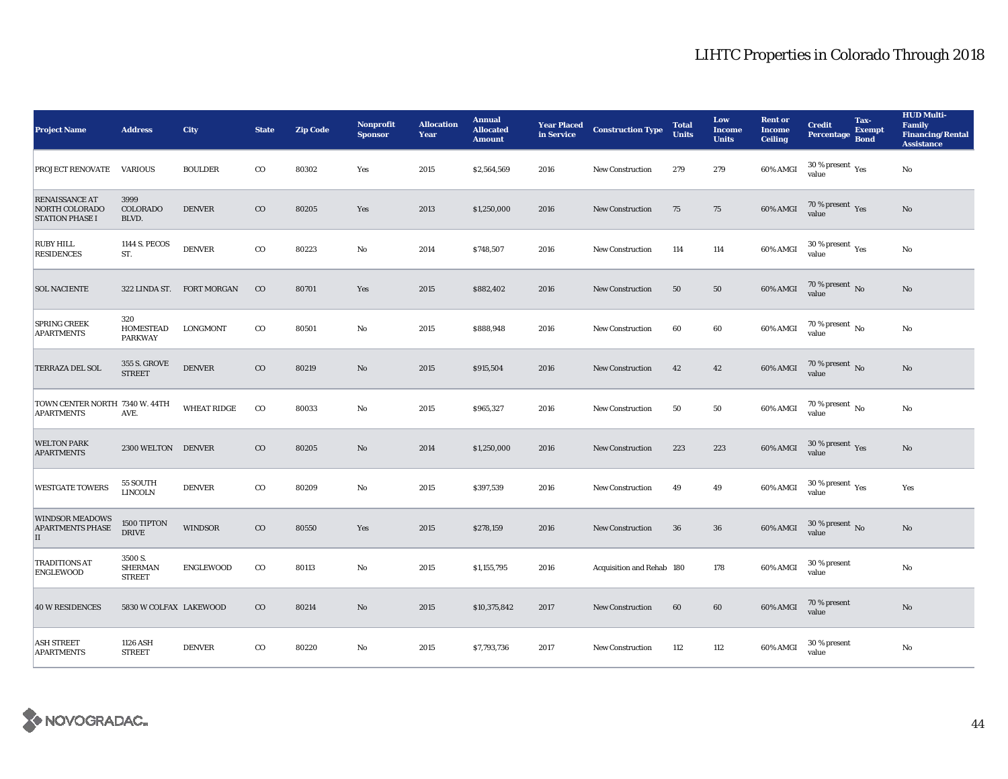| <b>Project Name</b>                                               | <b>Address</b>                             | City               | <b>State</b> | <b>Zip Code</b> | <b>Nonprofit</b><br><b>Sponsor</b> | <b>Allocation</b><br>Year | <b>Annual</b><br><b>Allocated</b><br><b>Amount</b> | <b>Year Placed<br/>in Service</b> | <b>Construction Type</b>  | <b>Total</b><br><b>Units</b> | Low<br><b>Income</b><br><b>Units</b> | <b>Rent or</b><br><b>Income</b><br><b>Ceiling</b> | <b>Credit</b><br>Percentage                 | Tax-<br><b>Exempt</b><br><b>Bond</b> | <b>HUD Multi-</b><br><b>Family</b><br><b>Financing/Rental</b><br><b>Assistance</b> |
|-------------------------------------------------------------------|--------------------------------------------|--------------------|--------------|-----------------|------------------------------------|---------------------------|----------------------------------------------------|-----------------------------------|---------------------------|------------------------------|--------------------------------------|---------------------------------------------------|---------------------------------------------|--------------------------------------|------------------------------------------------------------------------------------|
| <b>PROJECT RENOVATE</b>                                           | <b>VARIOUS</b>                             | <b>BOULDER</b>     | $_{\rm CO}$  | 80302           | Yes                                | 2015                      | \$2,564,569                                        | 2016                              | New Construction          | 279                          | 279                                  | 60% AMGI                                          | 30 % present $\rm\,Yes$<br>value            |                                      | No                                                                                 |
| <b>RENAISSANCE AT</b><br>NORTH COLORADO<br><b>STATION PHASE I</b> | 3999<br><b>COLORADO</b><br>BLVD.           | <b>DENVER</b>      | $\rm{CO}$    | 80205           | Yes                                | 2013                      | \$1,250,000                                        | 2016                              | New Construction          | 75                           | 75                                   | $60\%$ AMGI                                       | $70\,\%$ present $\,$ Yes value             |                                      | $\rm No$                                                                           |
| <b>RUBY HILL</b><br><b>RESIDENCES</b>                             | 1144 S. PECOS<br>ST.                       | <b>DENVER</b>      | $_{\rm CO}$  | 80223           | No                                 | 2014                      | \$748,507                                          | 2016                              | <b>New Construction</b>   | 114                          | 114                                  | 60% AMGI                                          | 30 % present Yes<br>value                   |                                      | $\rm No$                                                                           |
| <b>SOL NACIENTE</b>                                               | 322 LINDA ST.                              | <b>FORT MORGAN</b> | $_{\rm CO}$  | 80701           | Yes                                | 2015                      | \$882,402                                          | 2016                              | <b>New Construction</b>   | 50                           | ${\bf 50}$                           | 60% AMGI                                          | $70$ % present $\,$ No value                |                                      | $\mathbf{N}\mathbf{o}$                                                             |
| <b>SPRING CREEK</b><br><b>APARTMENTS</b>                          | 320<br><b>HOMESTEAD</b><br><b>PARKWAY</b>  | LONGMONT           | $_{\rm CO}$  | 80501           | No                                 | 2015                      | \$888,948                                          | 2016                              | <b>New Construction</b>   | 60                           | 60                                   | 60% AMGI                                          | $70$ % present $\,$ No value                |                                      | No                                                                                 |
| TERRAZA DEL SOL                                                   | 355 S. GROVE<br><b>STREET</b>              | <b>DENVER</b>      | $_{\rm CO}$  | 80219           | No                                 | 2015                      | \$915,504                                          | 2016                              | <b>New Construction</b>   | 42                           | 42                                   | 60% AMGI                                          | $70$ % present $\,$ No value                |                                      | $\rm No$                                                                           |
| TOWN CENTER NORTH 7340 W. 44TH<br><b>APARTMENTS</b>               | AVE.                                       | <b>WHEAT RIDGE</b> | $_{\rm CO}$  | 80033           | No                                 | 2015                      | \$965,327                                          | 2016                              | <b>New Construction</b>   | 50                           | 50                                   | 60% AMGI                                          | 70 % present $\,$ No $\,$<br>value          |                                      | No                                                                                 |
| <b>WELTON PARK</b><br><b>APARTMENTS</b>                           | 2300 WELTON DENVER                         |                    | $_{\rm CO}$  | 80205           | No                                 | 2014                      | \$1,250,000                                        | 2016                              | <b>New Construction</b>   | 223                          | 223                                  | 60% AMGI                                          | $30\,\%$ present $\,\mathrm{Yes}$ value     |                                      | $\mathbf{N}\mathbf{o}$                                                             |
| <b>WESTGATE TOWERS</b>                                            | 55 SOUTH<br><b>LINCOLN</b>                 | <b>DENVER</b>      | $_{\rm CO}$  | 80209           | No                                 | 2015                      | \$397,539                                          | 2016                              | <b>New Construction</b>   | 49                           | 49                                   | 60% AMGI                                          | $30\,\%$ present $\,$ $_{\rm Yes}$<br>value |                                      | Yes                                                                                |
| <b>WINDSOR MEADOWS</b><br><b>APARTMENTS PHASE</b><br>$\mathbf{I}$ | 1500 TIPTON<br><b>DRIVE</b>                | <b>WINDSOR</b>     | $_{\rm CO}$  | 80550           | Yes                                | 2015                      | \$278,159                                          | 2016                              | <b>New Construction</b>   | 36                           | 36                                   | 60% AMGI                                          | 30 % present $\,$ No $\,$<br>value          |                                      | $\rm No$                                                                           |
| <b>TRADITIONS AT</b><br><b>ENGLEWOOD</b>                          | 3500 S.<br><b>SHERMAN</b><br><b>STREET</b> | <b>ENGLEWOOD</b>   | $_{\rm CO}$  | 80113           | No                                 | 2015                      | \$1,155,795                                        | 2016                              | Acquisition and Rehab 180 |                              | 178                                  | 60% AMGI                                          | 30 % present<br>value                       |                                      | No                                                                                 |
| <b>40 W RESIDENCES</b>                                            | 5830 W COLFAX LAKEWOOD                     |                    | $_{\rm CO}$  | 80214           | No                                 | 2015                      | \$10,375,842                                       | 2017                              | <b>New Construction</b>   | 60                           | 60                                   | 60% AMGI                                          | 70 % present<br>value                       |                                      | No                                                                                 |
| <b>ASH STREET</b><br><b>APARTMENTS</b>                            | 1126 ASH<br><b>STREET</b>                  | <b>DENVER</b>      | $\rm{CO}$    | 80220           | No                                 | 2015                      | \$7,793,736                                        | 2017                              | <b>New Construction</b>   | 112                          | 112                                  | 60% AMGI                                          | 30 % present<br>value                       |                                      | No                                                                                 |

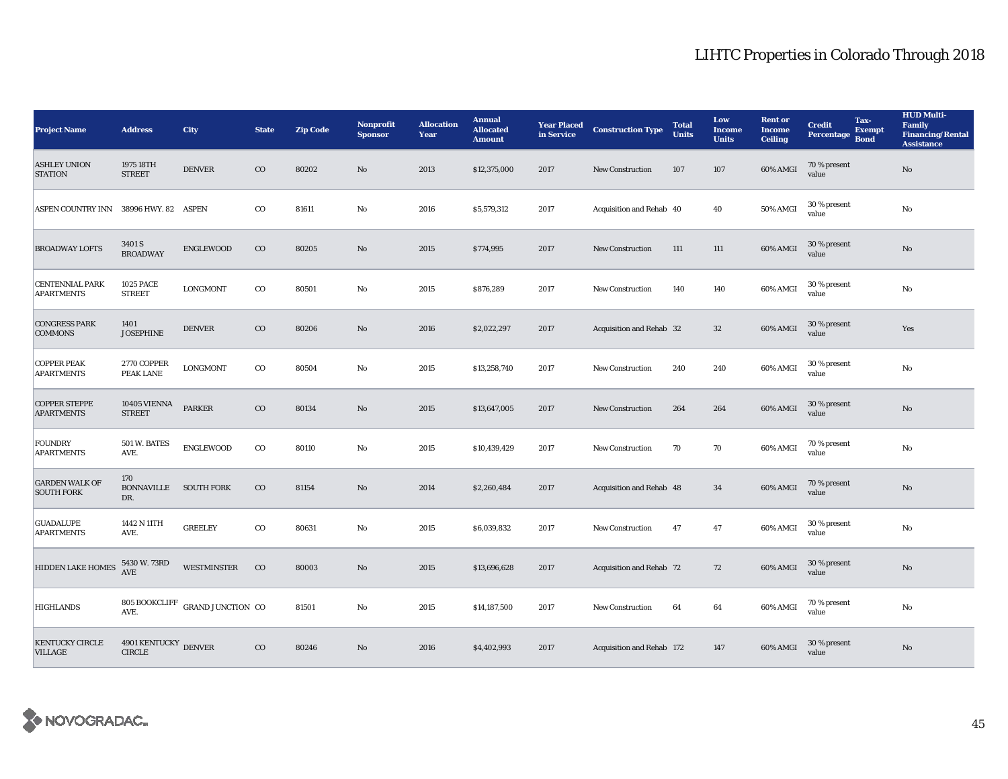| <b>Project Name</b>                         | <b>Address</b>                    | <b>City</b>                                      | <b>State</b> | <b>Zip Code</b> | <b>Nonprofit</b><br><b>Sponsor</b> | <b>Allocation</b><br>Year | <b>Annual</b><br><b>Allocated</b><br><b>Amount</b> | <b>Year Placed</b><br>in Service | <b>Construction Type</b>  | <b>Total</b><br><b>Units</b> | Low<br>Income<br><b>Units</b> | <b>Rent</b> or<br><b>Income</b><br><b>Ceiling</b> | <b>Credit</b><br>Percentage | Tax-<br><b>Exempt</b><br><b>Bond</b> | <b>HUD Multi-</b><br><b>Family</b><br><b>Financing/Rental</b><br><b>Assistance</b> |
|---------------------------------------------|-----------------------------------|--------------------------------------------------|--------------|-----------------|------------------------------------|---------------------------|----------------------------------------------------|----------------------------------|---------------------------|------------------------------|-------------------------------|---------------------------------------------------|-----------------------------|--------------------------------------|------------------------------------------------------------------------------------|
| <b>ASHLEY UNION</b><br><b>STATION</b>       | 1975 18TH<br><b>STREET</b>        | <b>DENVER</b>                                    | $\rm{CO}$    | 80202           | $\rm No$                           | 2013                      | \$12,375,000                                       | 2017                             | <b>New Construction</b>   | 107                          | 107                           | 60% AMGI                                          | 70 % present<br>value       |                                      | $\mathbf{No}$                                                                      |
| ASPEN COUNTRY INN 38996 HWY. 82 ASPEN       |                                   |                                                  | $_{\rm CO}$  | 81611           | $\mathbf{No}$                      | 2016                      | \$5,579,312                                        | 2017                             | Acquisition and Rehab 40  |                              | 40                            | <b>50% AMGI</b>                                   | 30 % present<br>value       |                                      | No                                                                                 |
| <b>BROADWAY LOFTS</b>                       | 3401 S<br><b>BROADWAY</b>         | <b>ENGLEWOOD</b>                                 | $\rm{CO}$    | 80205           | $\rm No$                           | 2015                      | \$774,995                                          | 2017                             | <b>New Construction</b>   | 111                          | 111                           | 60% AMGI                                          | 30 % present<br>value       |                                      | $\rm No$                                                                           |
| <b>CENTENNIAL PARK</b><br><b>APARTMENTS</b> | <b>1025 PACE</b><br><b>STREET</b> | <b>LONGMONT</b>                                  | $_{\rm CO}$  | 80501           | $\mathbf{No}$                      | 2015                      | \$876,289                                          | 2017                             | <b>New Construction</b>   | 140                          | 140                           | 60% AMGI                                          | 30 % present<br>value       |                                      | $\mathbf{N}\mathbf{o}$                                                             |
| <b>CONGRESS PARK</b><br><b>COMMONS</b>      | 1401<br><b>JOSEPHINE</b>          | <b>DENVER</b>                                    | $_{\rm CO}$  | 80206           | $\rm No$                           | 2016                      | \$2,022,297                                        | 2017                             | Acquisition and Rehab 32  |                              | 32                            | 60% AMGI                                          | 30 % present<br>value       |                                      | Yes                                                                                |
| <b>COPPER PEAK</b><br><b>APARTMENTS</b>     | 2770 COPPER<br>PEAK LANE          | <b>LONGMONT</b>                                  | $_{\rm CO}$  | 80504           | $\mathbf{N}\mathbf{o}$             | 2015                      | \$13,258,740                                       | 2017                             | <b>New Construction</b>   | 240                          | 240                           | 60% AMGI                                          | 30 % present<br>value       |                                      | $\rm No$                                                                           |
| <b>COPPER STEPPE</b><br><b>APARTMENTS</b>   | 10405 VIENNA<br><b>STREET</b>     | <b>PARKER</b>                                    | $_{\rm CO}$  | 80134           | $\rm No$                           | 2015                      | \$13,647,005                                       | 2017                             | <b>New Construction</b>   | 264                          | 264                           | 60% AMGI                                          | 30 % present<br>value       |                                      | $\mathbf{N}\mathbf{o}$                                                             |
| <b>FOUNDRY</b><br><b>APARTMENTS</b>         | 501 W. BATES<br>AVE.              | <b>ENGLEWOOD</b>                                 | $_{\rm CO}$  | 80110           | $\mathbf{N}\mathbf{o}$             | 2015                      | \$10,439,429                                       | 2017                             | <b>New Construction</b>   | 70                           | 70                            | 60% AMGI                                          | 70 % present<br>value       |                                      | No                                                                                 |
| <b>GARDEN WALK OF</b><br><b>SOUTH FORK</b>  | 170<br><b>BONNAVILLE</b><br>DR.   | <b>SOUTH FORK</b>                                | $_{\rm CO}$  | 81154           | $\rm No$                           | 2014                      | \$2,260,484                                        | 2017                             | Acquisition and Rehab 48  |                              | 34                            | 60% AMGI                                          | 70 % present<br>value       |                                      | $\rm No$                                                                           |
| <b>GUADALUPE</b><br><b>APARTMENTS</b>       | 1442 N 11TH<br>AVE.               | <b>GREELEY</b>                                   | $_{\rm CO}$  | 80631           | $\rm No$                           | 2015                      | \$6,039,832                                        | 2017                             | <b>New Construction</b>   | 47                           | 47                            | 60% AMGI                                          | 30 % present<br>value       |                                      | $\rm No$                                                                           |
| HIDDEN LAKE HOMES                           | 5430 W. 73RD<br><b>AVE</b>        | <b>WESTMINSTER</b>                               | $_{\rm CO}$  | 80003           | No                                 | 2015                      | \$13,696,628                                       | 2017                             | Acquisition and Rehab 72  |                              | 72                            | 60% AMGI                                          | 30 % present<br>value       |                                      | $\mathbf{N}\mathbf{o}$                                                             |
| <b>HIGHLANDS</b>                            | AVE.                              | $805$ BOOKCLIFF $\,$ GRAND JUNCTION $\,$ CO $\,$ |              | 81501           | No                                 | 2015                      | \$14,187,500                                       | 2017                             | New Construction          | 64                           | 64                            | 60% AMGI                                          | 70 % present<br>value       |                                      | No                                                                                 |
| KENTUCKY CIRCLE<br><b>VILLAGE</b>           | 4901 KENTUCKY<br><b>CIRCLE</b>    | <b>DENVER</b>                                    | $_{\rm CO}$  | 80246           | No                                 | 2016                      | \$4,402,993                                        | 2017                             | Acquisition and Rehab 172 |                              | 147                           | 60% AMGI                                          | 30 % present<br>value       |                                      | No                                                                                 |

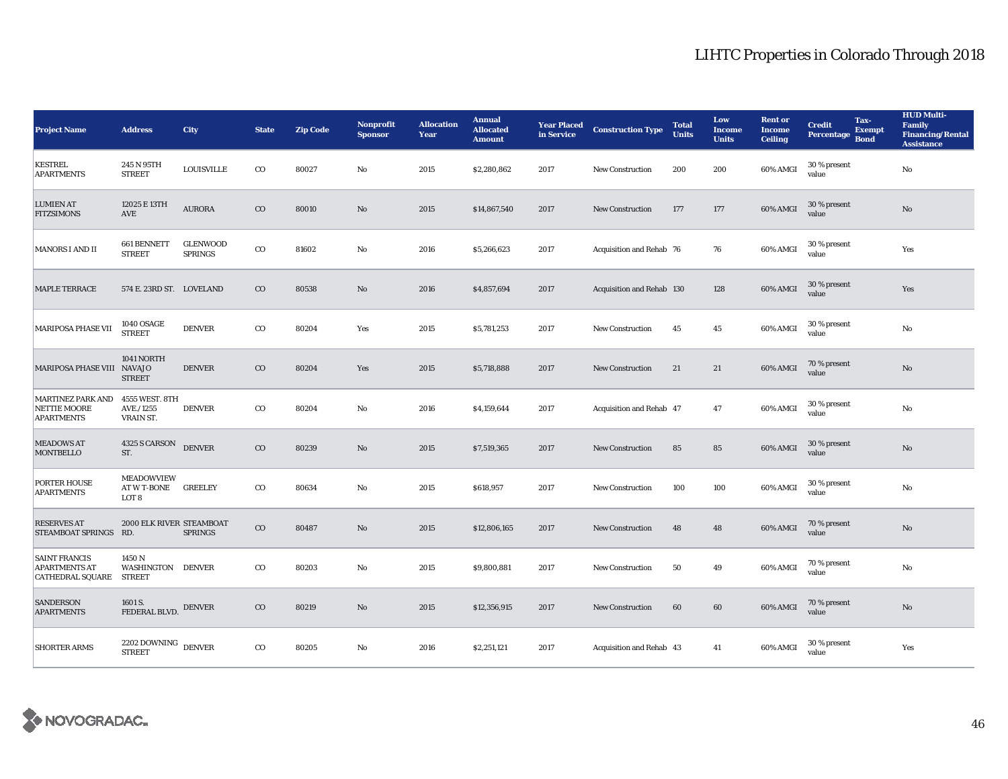| <b>Project Name</b>                                                     | <b>Address</b>                            | City                              | <b>State</b> | <b>Zip Code</b> | <b>Nonprofit</b><br><b>Sponsor</b> | <b>Allocation</b><br>Year | <b>Annual</b><br><b>Allocated</b><br><b>Amount</b> | <b>Year Placed</b><br>in Service | <b>Construction Type</b>  | <b>Total</b><br><b>Units</b> | Low<br>Income<br><b>Units</b> | <b>Rent or</b><br><b>Income</b><br><b>Ceiling</b> | <b>Credit</b><br>Percentage | Tax-<br><b>Exempt</b><br><b>Bond</b> | <b>HUD Multi-</b><br><b>Family</b><br><b>Financing/Rental</b><br><b>Assistance</b> |
|-------------------------------------------------------------------------|-------------------------------------------|-----------------------------------|--------------|-----------------|------------------------------------|---------------------------|----------------------------------------------------|----------------------------------|---------------------------|------------------------------|-------------------------------|---------------------------------------------------|-----------------------------|--------------------------------------|------------------------------------------------------------------------------------|
| <b>KESTREL</b><br><b>APARTMENTS</b>                                     | 245 N 95TH<br><b>STREET</b>               | <b>LOUISVILLE</b>                 | $_{\rm CO}$  | 80027           | No                                 | 2015                      | \$2,280,862                                        | 2017                             | <b>New Construction</b>   | 200                          | 200                           | 60% AMGI                                          | 30 % present<br>value       |                                      | No                                                                                 |
| <b>LUMIEN AT</b><br><b>FITZSIMONS</b>                                   | 12025 E 13TH<br>AVE                       | <b>AURORA</b>                     | $_{\rm CO}$  | 80010           | No                                 | 2015                      | \$14,867,540                                       | 2017                             | <b>New Construction</b>   | 177                          | 177                           | 60% AMGI                                          | 30 % present<br>value       |                                      | $\mathbf{N}\mathbf{o}$                                                             |
| <b>MANORS I AND II</b>                                                  | 661 BENNETT<br><b>STREET</b>              | <b>GLENWOOD</b><br><b>SPRINGS</b> | $_{\rm CO}$  | 81602           | No                                 | 2016                      | \$5,266,623                                        | 2017                             | Acquisition and Rehab 76  |                              | 76                            | 60% AMGI                                          | 30 % present<br>value       |                                      | Yes                                                                                |
| <b>MAPLE TERRACE</b>                                                    | 574 E. 23RD ST. LOVELAND                  |                                   | $_{\rm CO}$  | 80538           | No                                 | 2016                      | \$4,857,694                                        | 2017                             | Acquisition and Rehab 130 |                              | 128                           | 60% AMGI                                          | 30 % present<br>value       |                                      | Yes                                                                                |
| MARIPOSA PHASE VII                                                      | <b>1040 OSAGE</b><br><b>STREET</b>        | <b>DENVER</b>                     | $_{\rm CO}$  | 80204           | Yes                                | 2015                      | \$5,781,253                                        | 2017                             | <b>New Construction</b>   | 45                           | 45                            | 60% AMGI                                          | 30 % present<br>value       |                                      | No                                                                                 |
| MARIPOSA PHASE VIII NAVAJO                                              | 1041 NORTH<br><b>STREET</b>               | <b>DENVER</b>                     | $_{\rm CO}$  | 80204           | Yes                                | 2015                      | \$5,718,888                                        | 2017                             | <b>New Construction</b>   | 21                           | 21                            | 60% AMGI                                          | 70 % present<br>value       |                                      | $\mathbf{N}\mathbf{o}$                                                             |
| <b>MARTINEZ PARK AND</b><br><b>NETTIE MOORE</b><br><b>APARTMENTS</b>    | 4555 WEST. 8TH<br>AVE./1255<br>VRAIN ST.  | <b>DENVER</b>                     | $_{\rm CO}$  | 80204           | No                                 | 2016                      | \$4,159,644                                        | 2017                             | Acquisition and Rehab 47  |                              | 47                            | 60% AMGI                                          | 30 % present<br>value       |                                      | No                                                                                 |
| <b>MEADOWS AT</b><br><b>MONTBELLO</b>                                   | 4325 S CARSON<br>ST.                      | <b>DENVER</b>                     | $_{\rm CO}$  | 80239           | No                                 | 2015                      | \$7,519,365                                        | 2017                             | <b>New Construction</b>   | 85                           | 85                            | 60% AMGI                                          | 30 % present<br>value       |                                      | No                                                                                 |
| PORTER HOUSE<br><b>APARTMENTS</b>                                       | <b>MEADOWVIEW</b><br>AT W T-BONE<br>LOT 8 | <b>GREELEY</b>                    | $_{\rm CO}$  | 80634           | No                                 | 2015                      | \$618,957                                          | 2017                             | <b>New Construction</b>   | 100                          | 100                           | 60% AMGI                                          | 30 % present<br>value       |                                      | No                                                                                 |
| <b>RESERVES AT</b><br>STEAMBOAT SPRINGS RD.                             | 2000 ELK RIVER STEAMBOAT                  | <b>SPRINGS</b>                    | $_{\rm CO}$  | 80487           | No                                 | 2015                      | \$12,806,165                                       | 2017                             | <b>New Construction</b>   | 48                           | 48                            | 60% AMGI                                          | 70 % present<br>value       |                                      | No                                                                                 |
| <b>SAINT FRANCIS</b><br><b>APARTMENTS AT</b><br>CATHEDRAL SQUARE STREET | 1450 N<br>WASHINGTON DENVER               |                                   | $_{\rm CO}$  | 80203           | No                                 | 2015                      | \$9,800,881                                        | 2017                             | <b>New Construction</b>   | 50                           | 49                            | 60% AMGI                                          | 70 % present<br>value       |                                      | No                                                                                 |
| <b>SANDERSON</b><br><b>APARTMENTS</b>                                   | 1601 S.<br>FEDERAL BLVD.                  | <b>DENVER</b>                     | $_{\rm CO}$  | 80219           | No                                 | 2015                      | \$12,356,915                                       | 2017                             | <b>New Construction</b>   | 60                           | 60                            | 60% AMGI                                          | 70 % present<br>value       |                                      | No                                                                                 |
| <b>SHORTER ARMS</b>                                                     | 2202 DOWNING<br><b>STREET</b>             | <b>DENVER</b>                     | $_{\rm CO}$  | 80205           | $\mathbf{No}$                      | 2016                      | \$2,251,121                                        | 2017                             | Acquisition and Rehab 43  |                              | 41                            | 60% AMGI                                          | 30 % present<br>value       |                                      | Yes                                                                                |

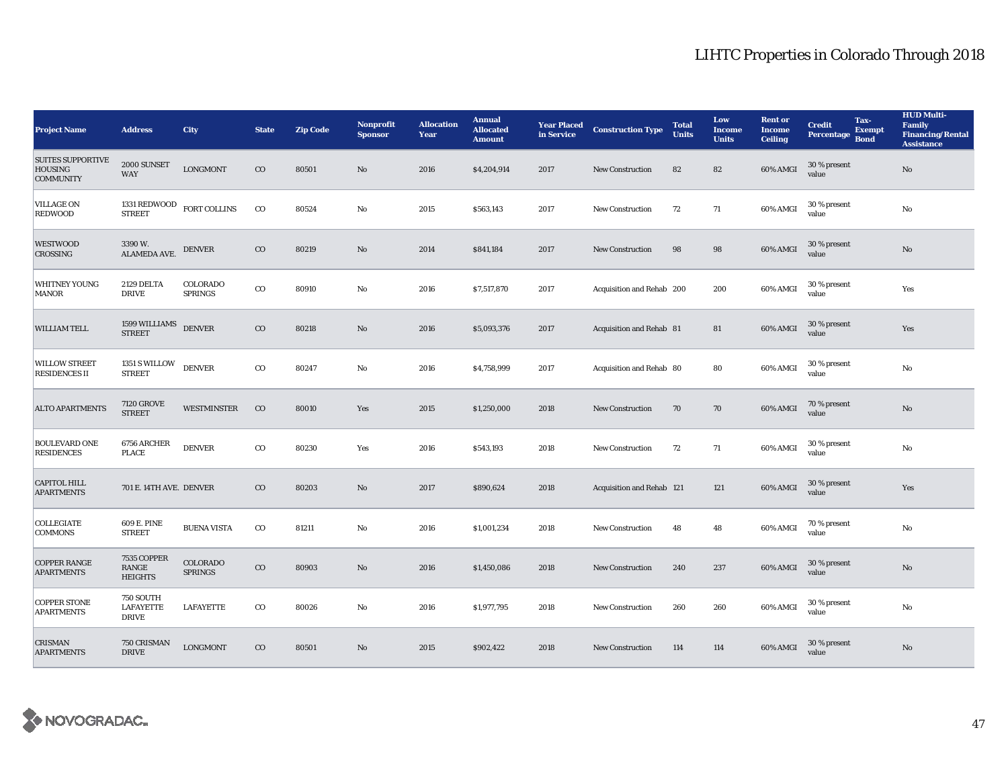| <b>Project Name</b>                                     | <b>Address</b>                                       | City                       | <b>State</b> | <b>Zip Code</b> | <b>Nonprofit</b><br><b>Sponsor</b> | <b>Allocation</b><br>Year | <b>Annual</b><br><b>Allocated</b><br><b>Amount</b> | <b>Year Placed</b><br>in Service | <b>Construction Type</b>  | <b>Total</b><br><b>Units</b> | Low<br>Income<br><b>Units</b> | <b>Rent or</b><br><b>Income</b><br><b>Ceiling</b> | <b>Credit</b><br>Percentage | Tax-<br><b>Exempt</b><br><b>Bond</b> | <b>HUD Multi-</b><br><b>Family</b><br><b>Financing/Rental</b><br><b>Assistance</b> |
|---------------------------------------------------------|------------------------------------------------------|----------------------------|--------------|-----------------|------------------------------------|---------------------------|----------------------------------------------------|----------------------------------|---------------------------|------------------------------|-------------------------------|---------------------------------------------------|-----------------------------|--------------------------------------|------------------------------------------------------------------------------------|
| <b>SUITES SUPPORTIVE</b><br>HOUSING<br><b>COMMUNITY</b> | 2000 SUNSET<br><b>WAY</b>                            | <b>LONGMONT</b>            | $_{\rm CO}$  | 80501           | $\mathbf{N}\mathbf{o}$             | 2016                      | \$4,204,914                                        | 2017                             | <b>New Construction</b>   | 82                           | 82                            | 60% AMGI                                          | 30 % present<br>value       |                                      | $\mathbf{N}\mathbf{o}$                                                             |
| <b>VILLAGE ON</b><br><b>REDWOOD</b>                     | 1331 REDWOOD<br><b>STREET</b>                        | FORT COLLINS               | $_{\rm CO}$  | 80524           | $\mathbf{No}$                      | 2015                      | \$563,143                                          | 2017                             | <b>New Construction</b>   | 72                           | 71                            | 60% AMGI                                          | 30 % present<br>value       |                                      | No                                                                                 |
| <b>WESTWOOD</b><br><b>CROSSING</b>                      | 3390W.<br>ALAMEDA AVE.                               | <b>DENVER</b>              | $_{\rm CO}$  | 80219           | No                                 | 2014                      | \$841,184                                          | 2017                             | <b>New Construction</b>   | 98                           | 98                            | 60% AMGI                                          | 30 % present<br>value       |                                      | $\mathbf{N}\mathbf{o}$                                                             |
| <b>WHITNEY YOUNG</b><br><b>MANOR</b>                    | 2129 DELTA<br><b>DRIVE</b>                           | COLORADO<br><b>SPRINGS</b> | $_{\rm CO}$  | 80910           | $\rm No$                           | 2016                      | \$7,517,870                                        | 2017                             | Acquisition and Rehab 200 |                              | 200                           | 60% AMGI                                          | 30 % present<br>value       |                                      | Yes                                                                                |
| WILLIAM TELL                                            | 1599 WILLIAMS<br>STREET                              | <b>DENVER</b>              | $_{\rm CO}$  | 80218           | $\mathbf{N}\mathbf{o}$             | 2016                      | \$5,093,376                                        | 2017                             | Acquisition and Rehab 81  |                              | 81                            | 60% AMGI                                          | 30 % present<br>value       |                                      | Yes                                                                                |
| <b>WILLOW STREET</b><br><b>RESIDENCES II</b>            | 1351 S WILLOW<br><b>STREET</b>                       | <b>DENVER</b>              | $_{\rm CO}$  | 80247           | No                                 | 2016                      | \$4,758,999                                        | 2017                             | Acquisition and Rehab 80  |                              | 80                            | 60% AMGI                                          | 30 % present<br>value       |                                      | No                                                                                 |
| <b>ALTO APARTMENTS</b>                                  | <b>7120 GROVE</b><br><b>STREET</b>                   | <b>WESTMINSTER</b>         | $_{\rm CO}$  | 80010           | Yes                                | 2015                      | \$1,250,000                                        | 2018                             | <b>New Construction</b>   | 70                           | 70                            | 60% AMGI                                          | 70 % present<br>value       |                                      | $\mathbf{No}$                                                                      |
| <b>BOULEVARD ONE</b><br><b>RESIDENCES</b>               | 6756 ARCHER<br><b>PLACE</b>                          | <b>DENVER</b>              | $_{\rm CO}$  | 80230           | Yes                                | 2016                      | \$543,193                                          | 2018                             | <b>New Construction</b>   | 72                           | 71                            | 60% AMGI                                          | 30 % present<br>value       |                                      | $\rm No$                                                                           |
| <b>CAPITOL HILL</b><br><b>APARTMENTS</b>                | 701 E. 14TH AVE. DENVER                              |                            | $_{\rm CO}$  | 80203           | $\mathbf{N}\mathbf{o}$             | 2017                      | \$890,624                                          | 2018                             | Acquisition and Rehab 121 |                              | 121                           | 60% AMGI                                          | 30 % present<br>value       |                                      | Yes                                                                                |
| COLLEGIATE<br><b>COMMONS</b>                            | 609 E. PINE<br><b>STREET</b>                         | <b>BUENA VISTA</b>         | $_{\rm CO}$  | 81211           | No                                 | 2016                      | \$1,001,234                                        | 2018                             | <b>New Construction</b>   | 48                           | 48                            | 60% AMGI                                          | 70 % present<br>value       |                                      | No                                                                                 |
| <b>COPPER RANGE</b><br><b>APARTMENTS</b>                | 7535 COPPER<br>RANGE<br><b>HEIGHTS</b>               | COLORADO<br><b>SPRINGS</b> | $_{\rm CO}$  | 80903           | $\rm No$                           | 2016                      | \$1,450,086                                        | 2018                             | New Construction          | 240                          | 237                           | 60% AMGI                                          | 30 % present<br>value       |                                      | $\rm No$                                                                           |
| <b>COPPER STONE</b><br><b>APARTMENTS</b>                | <b>750 SOUTH</b><br><b>LAFAYETTE</b><br><b>DRIVE</b> | LAFAYETTE                  | $_{\rm CO}$  | 80026           | No                                 | 2016                      | \$1,977,795                                        | 2018                             | <b>New Construction</b>   | 260                          | 260                           | 60% AMGI                                          | 30 % present<br>value       |                                      | No                                                                                 |
| <b>CRISMAN</b><br><b>APARTMENTS</b>                     | 750 CRISMAN<br><b>DRIVE</b>                          | <b>LONGMONT</b>            | $_{\rm CO}$  | 80501           | No                                 | 2015                      | \$902,422                                          | 2018                             | <b>New Construction</b>   | 114                          | 114                           | 60% AMGI                                          | 30 % present<br>value       |                                      | $\mathbf{No}$                                                                      |

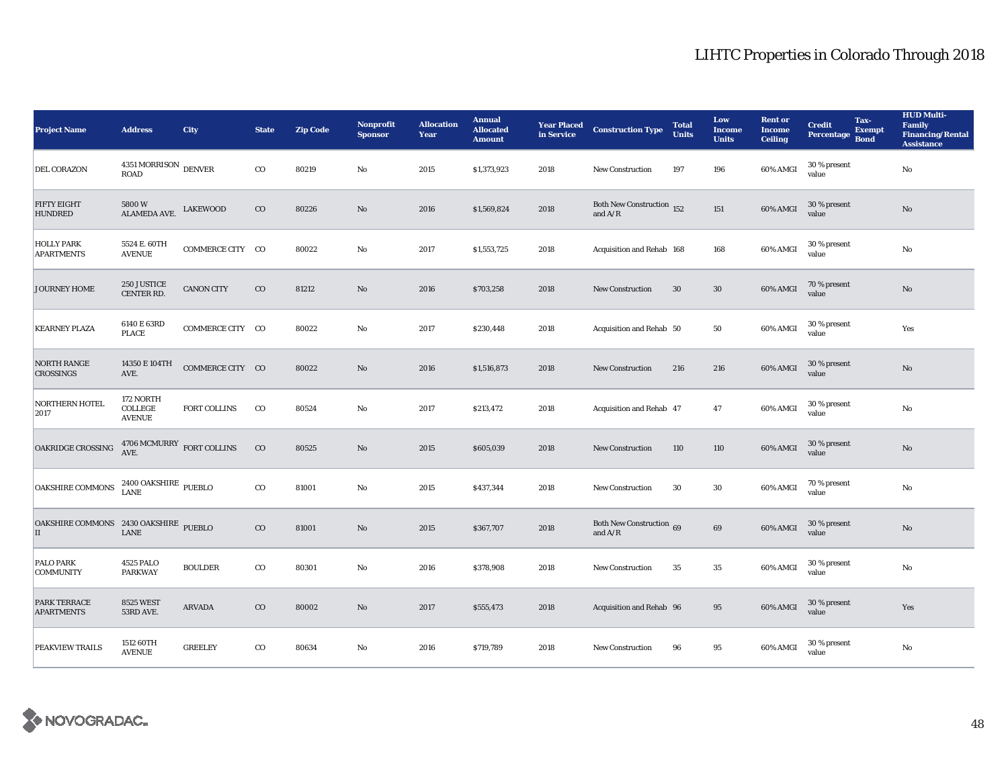| <b>Project Name</b>                        | <b>Address</b>                             | <b>City</b>       | <b>State</b> | <b>Zip Code</b> | <b>Nonprofit</b><br><b>Sponsor</b> | <b>Allocation</b><br>Year | <b>Annual</b><br><b>Allocated</b><br><b>Amount</b> | <b>Year Placed</b><br>in Service | <b>Construction Type</b>                                               | <b>Total</b><br><b>Units</b> | Low<br><b>Income</b><br><b>Units</b> | <b>Rent or</b><br><b>Income</b><br><b>Ceiling</b> | <b>Credit</b><br>Percentage | Tax-<br><b>Exempt</b><br><b>Bond</b> | <b>HUD Multi-</b><br><b>Family</b><br><b>Financing/Rental</b><br><b>Assistance</b> |
|--------------------------------------------|--------------------------------------------|-------------------|--------------|-----------------|------------------------------------|---------------------------|----------------------------------------------------|----------------------------------|------------------------------------------------------------------------|------------------------------|--------------------------------------|---------------------------------------------------|-----------------------------|--------------------------------------|------------------------------------------------------------------------------------|
| DEL CORAZON                                | $4351 \, \mbox{MORRISON}$ DENVER<br>ROAD   |                   | $_{\rm CO}$  | 80219           | No                                 | 2015                      | \$1,373,923                                        | 2018                             | <b>New Construction</b>                                                | 197                          | 196                                  | 60% AMGI                                          | 30 % present<br>value       |                                      | $\rm No$                                                                           |
| <b>FIFTY EIGHT</b><br><b>HUNDRED</b>       | $5800\,\mathrm{W}$<br>ALAMEDA AVE.         | <b>LAKEWOOD</b>   | $_{\rm CO}$  | 80226           | $\rm No$                           | 2016                      | \$1,569,824                                        | 2018                             | Both New Construction $\frac{152}{152}$<br>and $\mathrm{A}/\mathrm{R}$ |                              | 151                                  | 60% AMGI                                          | 30 % present<br>value       |                                      | $\mathbf{No}$                                                                      |
| <b>HOLLY PARK</b><br><b>APARTMENTS</b>     | 5524 E. 60TH<br><b>AVENUE</b>              | COMMERCE CITY CO  |              | 80022           | No                                 | 2017                      | \$1,553,725                                        | 2018                             | Acquisition and Rehab 168                                              |                              | 168                                  | 60% AMGI                                          | 30 % present<br>value       |                                      | $\rm No$                                                                           |
| JOURNEY HOME                               | 250 JUSTICE<br>CENTER RD.                  | <b>CANON CITY</b> | $_{\rm CO}$  | 81212           | $\rm No$                           | 2016                      | \$703,258                                          | 2018                             | <b>New Construction</b>                                                | 30                           | $30\,$                               | 60% AMGI                                          | 70 % present<br>value       |                                      | $\rm No$                                                                           |
| <b>KEARNEY PLAZA</b>                       | 6140 E 63RD<br><b>PLACE</b>                | COMMERCE CITY CO  |              | 80022           | $\mathbf{No}$                      | 2017                      | \$230,448                                          | 2018                             | Acquisition and Rehab 50                                               |                              | 50                                   | 60% AMGI                                          | 30 % present<br>value       |                                      | Yes                                                                                |
| NORTH RANGE<br>CROSSINGS                   | 14350 E 104TH<br>AVE.                      | COMMERCE CITY CO  |              | 80022           | $\mathbf{N}\mathbf{o}$             | 2016                      | \$1,516,873                                        | 2018                             | <b>New Construction</b>                                                | 216                          | 216                                  | 60% AMGI                                          | 30 % present<br>value       |                                      | $\mathbf{No}$                                                                      |
| <b>NORTHERN HOTEL</b><br>2017              | 172 NORTH<br>COLLEGE<br><b>AVENUE</b>      | FORT COLLINS      | $_{\rm CO}$  | 80524           | No                                 | 2017                      | \$213,472                                          | 2018                             | Acquisition and Rehab 47                                               |                              | 47                                   | 60% AMGI                                          | 30 % present<br>value       |                                      | No                                                                                 |
| OAKRIDGE CROSSING                          | $4706\,\mathrm{MCMURRY}$ FORT COLLINS AVE. |                   | $_{\rm CO}$  | 80525           | $\mathbf{N}\mathbf{o}$             | 2015                      | \$605,039                                          | 2018                             | <b>New Construction</b>                                                | 110                          | 110                                  | 60% AMGI                                          | 30 % present<br>value       |                                      | $\rm No$                                                                           |
| <b>OAKSHIRE COMMONS</b>                    | $2400$ OAKSHIRE $\,$ PUEBLO LANE           |                   | $\rm{co}$    | 81001           | $\mathbf{N}\mathbf{o}$             | 2015                      | \$437,344                                          | 2018                             | <b>New Construction</b>                                                | 30                           | $30\,$                               | 60% AMGI                                          | 70 % present<br>value       |                                      | $\rm No$                                                                           |
| OAKSHIRE COMMONS 2430 OAKSHIRE PUEBLO<br>П | LANE                                       |                   | $\rm{CO}$    | 81001           | $\mathbf{N}\mathbf{o}$             | 2015                      | \$367,707                                          | 2018                             | Both New Construction 69<br>and $A/R$                                  |                              | 69                                   | 60% AMGI                                          | 30 % present<br>value       |                                      | $\mathbf{No}$                                                                      |
| PALO PARK<br><b>COMMUNITY</b>              | 4525 PALO<br><b>PARKWAY</b>                | <b>BOULDER</b>    | $_{\rm CO}$  | 80301           | No                                 | 2016                      | \$378,908                                          | 2018                             | New Construction                                                       | 35                           | $\bf 35$                             | 60% AMGI                                          | 30 % present<br>value       |                                      | $\rm No$                                                                           |
| <b>PARK TERRACE</b><br><b>APARTMENTS</b>   | <b>8525 WEST</b><br>53RD AVE.              | <b>ARVADA</b>     | $\rm{CO}$    | 80002           | $\mathbf{No}$                      | 2017                      | \$555,473                                          | 2018                             | Acquisition and Rehab 96                                               |                              | 95                                   | 60% AMGI                                          | 30 % present<br>value       |                                      | Yes                                                                                |
| PEAKVIEW TRAILS                            | 1512 60TH<br><b>AVENUE</b>                 | <b>GREELEY</b>    | $_{\rm CO}$  | 80634           | $\mathbf{No}$                      | 2016                      | \$719,789                                          | 2018                             | <b>New Construction</b>                                                | 96                           | 95                                   | 60% AMGI                                          | 30 % present<br>value       |                                      | $\rm No$                                                                           |

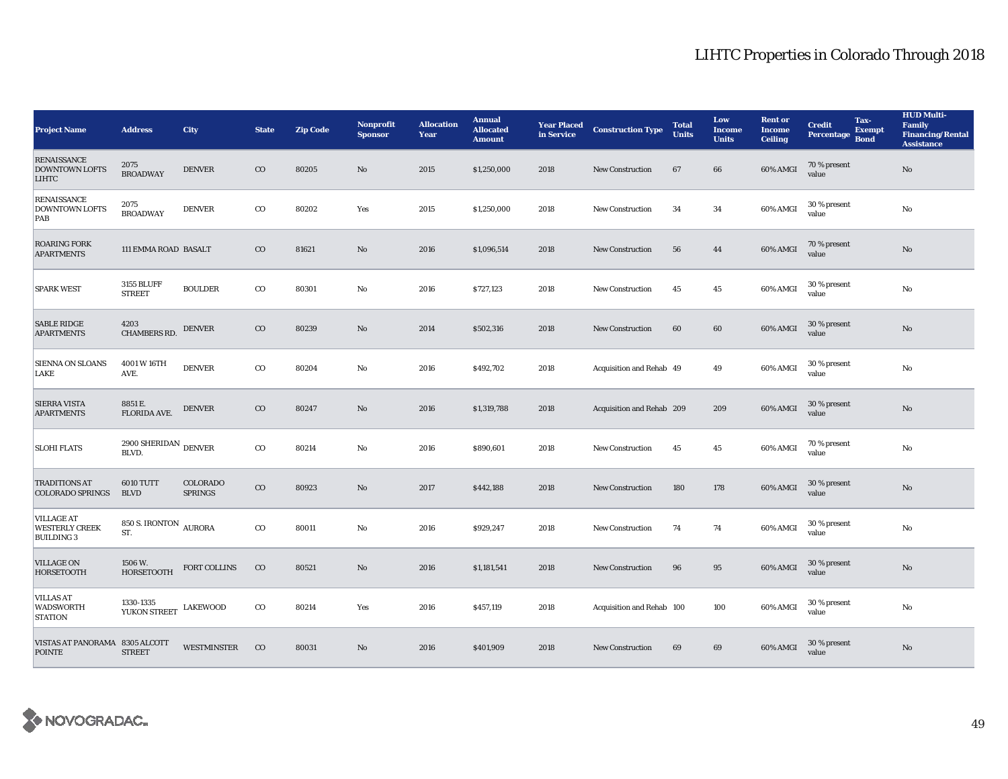| <b>Project Name</b>                                             | <b>Address</b>                         | City                       | <b>State</b> | <b>Zip Code</b> | <b>Nonprofit</b><br><b>Sponsor</b> | <b>Allocation</b><br>Year | <b>Annual</b><br><b>Allocated</b><br><b>Amount</b> | <b>Year Placed</b><br>in Service | <b>Construction Type</b>  | <b>Total</b><br><b>Units</b> | Low<br><b>Income</b><br><b>Units</b> | <b>Rent or</b><br>Income<br><b>Ceiling</b> | <b>Credit</b><br>Percentage | Tax-<br><b>Exempt</b><br><b>Bond</b> | <b>HUD Multi-</b><br><b>Family</b><br><b>Financing/Rental</b><br><b>Assistance</b> |
|-----------------------------------------------------------------|----------------------------------------|----------------------------|--------------|-----------------|------------------------------------|---------------------------|----------------------------------------------------|----------------------------------|---------------------------|------------------------------|--------------------------------------|--------------------------------------------|-----------------------------|--------------------------------------|------------------------------------------------------------------------------------|
| <b>RENAISSANCE</b><br><b>DOWNTOWN LOFTS</b><br><b>LIHTC</b>     | 2075<br><b>BROADWAY</b>                | <b>DENVER</b>              | $_{\rm CO}$  | 80205           | No                                 | 2015                      | \$1,250,000                                        | 2018                             | <b>New Construction</b>   | 67                           | 66                                   | 60% AMGI                                   | 70 % present<br>value       |                                      | $\mathbf{No}$                                                                      |
| <b>RENAISSANCE</b><br><b>DOWNTOWN LOFTS</b><br>$\overline{PAB}$ | 2075<br><b>BROADWAY</b>                | <b>DENVER</b>              | $_{\rm CO}$  | 80202           | Yes                                | 2015                      | \$1,250,000                                        | 2018                             | New Construction          | 34                           | 34                                   | 60% AMGI                                   | 30 % present<br>value       |                                      | No                                                                                 |
| <b>ROARING FORK</b><br><b>APARTMENTS</b>                        | 111 EMMA ROAD BASALT                   |                            | $_{\rm CO}$  | 81621           | No                                 | 2016                      | \$1,096,514                                        | 2018                             | <b>New Construction</b>   | 56                           | 44                                   | 60% AMGI                                   | 70 % present<br>value       |                                      | $\rm No$                                                                           |
| <b>SPARK WEST</b>                                               | <b>3155 BLUFF</b><br><b>STREET</b>     | <b>BOULDER</b>             | $_{\rm CO}$  | 80301           | No                                 | 2016                      | \$727,123                                          | 2018                             | New Construction          | 45                           | 45                                   | 60% AMGI                                   | 30 % present<br>value       |                                      | $\mathbf{N}\mathbf{o}$                                                             |
| <b>SABLE RIDGE</b><br><b>APARTMENTS</b>                         | 4203<br><b>CHAMBERS RD.</b>            | <b>DENVER</b>              | $_{\rm CO}$  | 80239           | No                                 | 2014                      | \$502,316                                          | 2018                             | New Construction          | 60                           | 60                                   | 60% AMGI                                   | 30 % present<br>value       |                                      | $\rm No$                                                                           |
| <b>SIENNA ON SLOANS</b><br>LAKE                                 | 4001 W 16TH<br>AVE.                    | <b>DENVER</b>              | $\rm{CO}$    | 80204           | No                                 | 2016                      | \$492,702                                          | 2018                             | Acquisition and Rehab 49  |                              | 49                                   | 60% AMGI                                   | 30 % present<br>value       |                                      | No                                                                                 |
| <b>SIERRA VISTA</b><br><b>APARTMENTS</b>                        | 8851 E.<br>FLORIDA AVE.                | <b>DENVER</b>              | $_{\rm CO}$  | 80247           | No                                 | 2016                      | \$1,319,788                                        | 2018                             | Acquisition and Rehab 209 |                              | 209                                  | 60% AMGI                                   | 30 % present<br>value       |                                      | $\mathbf{N}\mathbf{o}$                                                             |
| <b>SLOHI FLATS</b>                                              | 2900 SHERIDAN $_{\rm DENVER}$<br>BLVD. |                            | $\rm{co}$    | 80214           | No                                 | 2016                      | \$890,601                                          | 2018                             | <b>New Construction</b>   | 45                           | 45                                   | 60% AMGI                                   | 70 % present<br>value       |                                      | No                                                                                 |
| <b>TRADITIONS AT</b><br><b>COLORADO SPRINGS</b>                 | <b>6010 TUTT</b><br><b>BLVD</b>        | COLORADO<br><b>SPRINGS</b> | $_{\rm CO}$  | 80923           | No                                 | 2017                      | \$442,188                                          | 2018                             | New Construction          | 180                          | 178                                  | 60% AMGI                                   | 30 % present<br>value       |                                      | $\rm No$                                                                           |
| <b>VILLAGE AT</b><br><b>WESTERLY CREEK</b><br><b>BUILDING 3</b> | 850 S. IRONTON<br>ST.                  | <b>AURORA</b>              | $\rm{co}$    | 80011           | No                                 | 2016                      | \$929,247                                          | 2018                             | <b>New Construction</b>   | 74                           | 74                                   | 60% AMGI                                   | 30 % present<br>value       |                                      | No                                                                                 |
| <b>VILLAGE ON</b><br><b>HORSETOOTH</b>                          | 1506 W.<br><b>HORSETOOTH</b>           | FORT COLLINS               | $_{\rm CO}$  | 80521           | No                                 | 2016                      | \$1,181,541                                        | 2018                             | New Construction          | 96                           | 95                                   | 60% AMGI                                   | 30 % present<br>value       |                                      | $\mathbf{No}$                                                                      |
| <b>VILLAS AT</b><br><b>WADSWORTH</b><br><b>STATION</b>          | 1330-1335<br>YUKON STREET LAKEWOOD     |                            | $_{\rm CO}$  | 80214           | Yes                                | 2016                      | \$457,119                                          | 2018                             | Acquisition and Rehab 100 |                              | 100                                  | 60% AMGI                                   | 30 % present<br>value       |                                      | No                                                                                 |
| VISTAS AT PANORAMA 8305 ALCOTT<br><b>POINTE</b>                 | <b>STREET</b>                          | <b>WESTMINSTER</b>         | $_{\rm CO}$  | 80031           | No                                 | 2016                      | \$401,909                                          | 2018                             | <b>New Construction</b>   | 69                           | 69                                   | 60% AMGI                                   | 30 % present<br>value       |                                      | $\mathbf{No}$                                                                      |